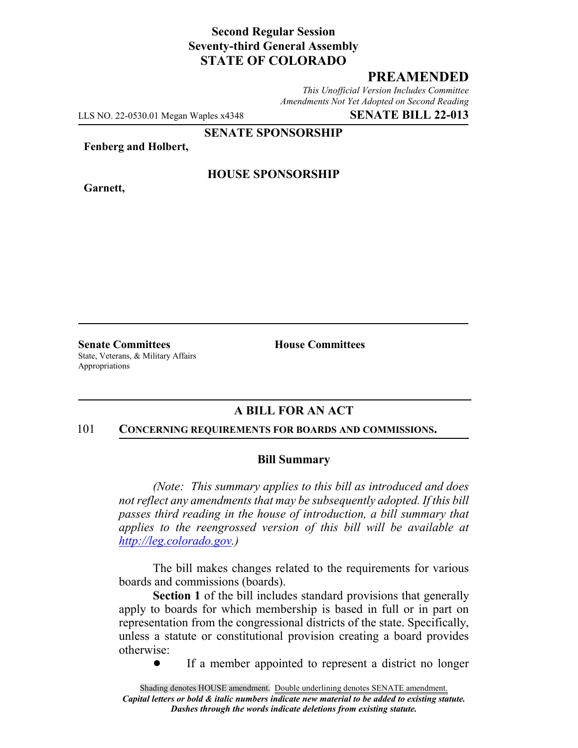## **Second Regular Session Seventy-third General Assembly STATE OF COLORADO**

# **PREAMENDED**

*This Unofficial Version Includes Committee Amendments Not Yet Adopted on Second Reading*

LLS NO. 22-0530.01 Megan Waples x4348 **SENATE BILL 22-013**

**SENATE SPONSORSHIP**

**Fenberg and Holbert,**

**Garnett,**

## **HOUSE SPONSORSHIP**

**Senate Committees House Committees** State, Veterans, & Military Affairs Appropriations

# **A BILL FOR AN ACT**

#### 101 **CONCERNING REQUIREMENTS FOR BOARDS AND COMMISSIONS.**

### **Bill Summary**

*(Note: This summary applies to this bill as introduced and does not reflect any amendments that may be subsequently adopted. If this bill passes third reading in the house of introduction, a bill summary that applies to the reengrossed version of this bill will be available at http://leg.colorado.gov.)*

The bill makes changes related to the requirements for various boards and commissions (boards).

**Section 1** of the bill includes standard provisions that generally apply to boards for which membership is based in full or in part on representation from the congressional districts of the state. Specifically, unless a statute or constitutional provision creating a board provides otherwise:

• If a member appointed to represent a district no longer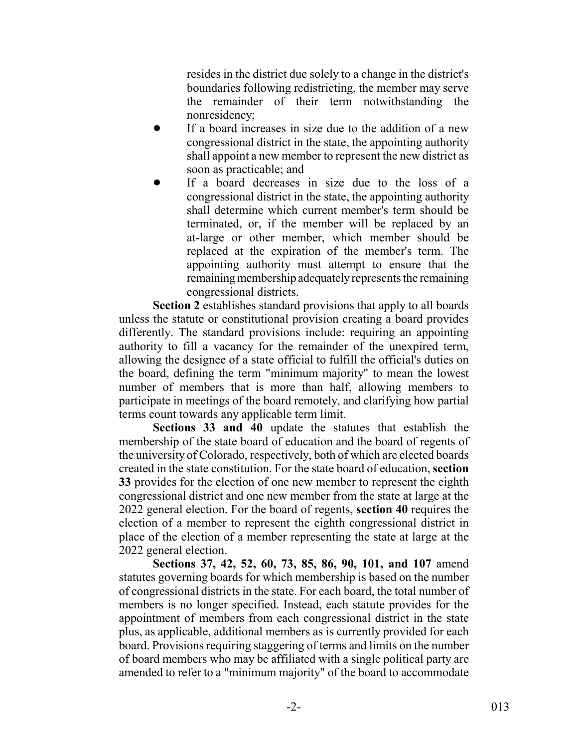resides in the district due solely to a change in the district's boundaries following redistricting, the member may serve the remainder of their term notwithstanding the nonresidency;

- If a board increases in size due to the addition of a new congressional district in the state, the appointing authority shall appoint a new member to represent the new district as soon as practicable; and
- If a board decreases in size due to the loss of a congressional district in the state, the appointing authority shall determine which current member's term should be terminated, or, if the member will be replaced by an at-large or other member, which member should be replaced at the expiration of the member's term. The appointing authority must attempt to ensure that the remaining membership adequately represents the remaining congressional districts.

**Section 2** establishes standard provisions that apply to all boards unless the statute or constitutional provision creating a board provides differently. The standard provisions include: requiring an appointing authority to fill a vacancy for the remainder of the unexpired term, allowing the designee of a state official to fulfill the official's duties on the board, defining the term "minimum majority" to mean the lowest number of members that is more than half, allowing members to participate in meetings of the board remotely, and clarifying how partial terms count towards any applicable term limit.

**Sections 33 and 40** update the statutes that establish the membership of the state board of education and the board of regents of the university of Colorado, respectively, both of which are elected boards created in the state constitution. For the state board of education, **section 33** provides for the election of one new member to represent the eighth congressional district and one new member from the state at large at the 2022 general election. For the board of regents, **section 40** requires the election of a member to represent the eighth congressional district in place of the election of a member representing the state at large at the 2022 general election.

**Sections 37, 42, 52, 60, 73, 85, 86, 90, 101, and 107** amend statutes governing boards for which membership is based on the number of congressional districts in the state. For each board, the total number of members is no longer specified. Instead, each statute provides for the appointment of members from each congressional district in the state plus, as applicable, additional members as is currently provided for each board. Provisions requiring staggering of terms and limits on the number of board members who may be affiliated with a single political party are amended to refer to a "minimum majority" of the board to accommodate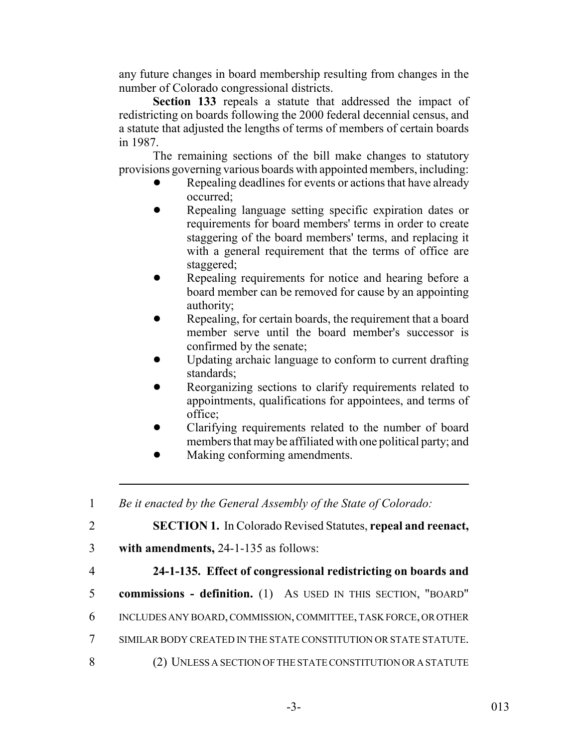any future changes in board membership resulting from changes in the number of Colorado congressional districts.

**Section 133** repeals a statute that addressed the impact of redistricting on boards following the 2000 federal decennial census, and a statute that adjusted the lengths of terms of members of certain boards in 1987.

The remaining sections of the bill make changes to statutory provisions governing various boards with appointed members, including:

- Repealing deadlines for events or actions that have already occurred;
- Repealing language setting specific expiration dates or requirements for board members' terms in order to create staggering of the board members' terms, and replacing it with a general requirement that the terms of office are staggered;
- Repealing requirements for notice and hearing before a board member can be removed for cause by an appointing authority;
- Repealing, for certain boards, the requirement that a board member serve until the board member's successor is confirmed by the senate;
- ! Updating archaic language to conform to current drafting standards;
- Reorganizing sections to clarify requirements related to appointments, qualifications for appointees, and terms of office;
- Clarifying requirements related to the number of board members that may be affiliated with one political party; and
- **I.** Making conforming amendments.

1 *Be it enacted by the General Assembly of the State of Colorado:*

2 **SECTION 1.** In Colorado Revised Statutes, **repeal and reenact,**

- 3 **with amendments,** 24-1-135 as follows:
- 

# 4 **24-1-135. Effect of congressional redistricting on boards and**

- 5 **commissions definition.** (1) AS USED IN THIS SECTION, "BOARD"
- 6 INCLUDES ANY BOARD, COMMISSION, COMMITTEE, TASK FORCE, OR OTHER
- 7 SIMILAR BODY CREATED IN THE STATE CONSTITUTION OR STATE STATUTE.
- 8 (2) UNLESS A SECTION OF THE STATE CONSTITUTION OR A STATUTE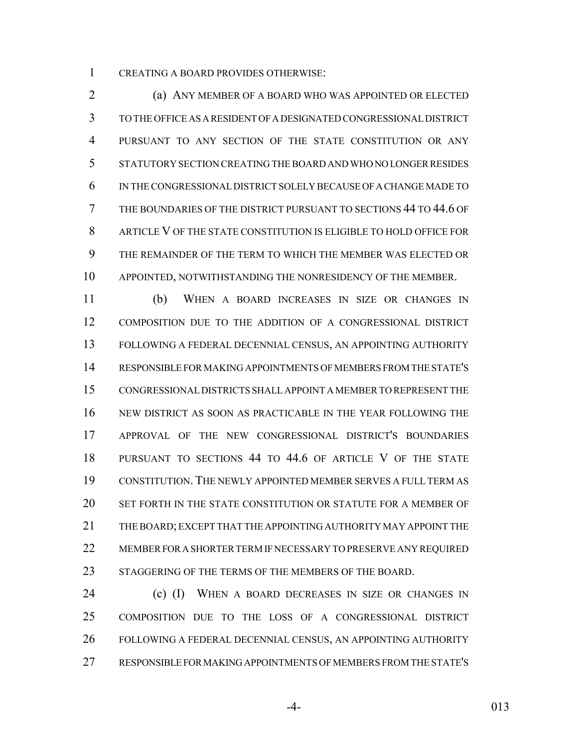CREATING A BOARD PROVIDES OTHERWISE:

 (a) ANY MEMBER OF A BOARD WHO WAS APPOINTED OR ELECTED TO THE OFFICE AS A RESIDENT OF A DESIGNATED CONGRESSIONAL DISTRICT PURSUANT TO ANY SECTION OF THE STATE CONSTITUTION OR ANY STATUTORY SECTION CREATING THE BOARD AND WHO NO LONGER RESIDES IN THE CONGRESSIONAL DISTRICT SOLELY BECAUSE OF A CHANGE MADE TO THE BOUNDARIES OF THE DISTRICT PURSUANT TO SECTIONS 44 TO 44.6 OF ARTICLE V OF THE STATE CONSTITUTION IS ELIGIBLE TO HOLD OFFICE FOR THE REMAINDER OF THE TERM TO WHICH THE MEMBER WAS ELECTED OR APPOINTED, NOTWITHSTANDING THE NONRESIDENCY OF THE MEMBER.

 (b) WHEN A BOARD INCREASES IN SIZE OR CHANGES IN COMPOSITION DUE TO THE ADDITION OF A CONGRESSIONAL DISTRICT FOLLOWING A FEDERAL DECENNIAL CENSUS, AN APPOINTING AUTHORITY RESPONSIBLE FOR MAKING APPOINTMENTS OF MEMBERS FROM THE STATE'S CONGRESSIONAL DISTRICTS SHALL APPOINT A MEMBER TO REPRESENT THE NEW DISTRICT AS SOON AS PRACTICABLE IN THE YEAR FOLLOWING THE APPROVAL OF THE NEW CONGRESSIONAL DISTRICT'S BOUNDARIES PURSUANT TO SECTIONS 44 TO 44.6 OF ARTICLE V OF THE STATE CONSTITUTION. THE NEWLY APPOINTED MEMBER SERVES A FULL TERM AS SET FORTH IN THE STATE CONSTITUTION OR STATUTE FOR A MEMBER OF THE BOARD; EXCEPT THAT THE APPOINTING AUTHORITY MAY APPOINT THE MEMBER FOR A SHORTER TERM IF NECESSARY TO PRESERVE ANY REQUIRED 23 STAGGERING OF THE TERMS OF THE MEMBERS OF THE BOARD.

**(c) (I)** WHEN A BOARD DECREASES IN SIZE OR CHANGES IN COMPOSITION DUE TO THE LOSS OF A CONGRESSIONAL DISTRICT FOLLOWING A FEDERAL DECENNIAL CENSUS, AN APPOINTING AUTHORITY RESPONSIBLE FOR MAKING APPOINTMENTS OF MEMBERS FROM THE STATE'S

-4- 013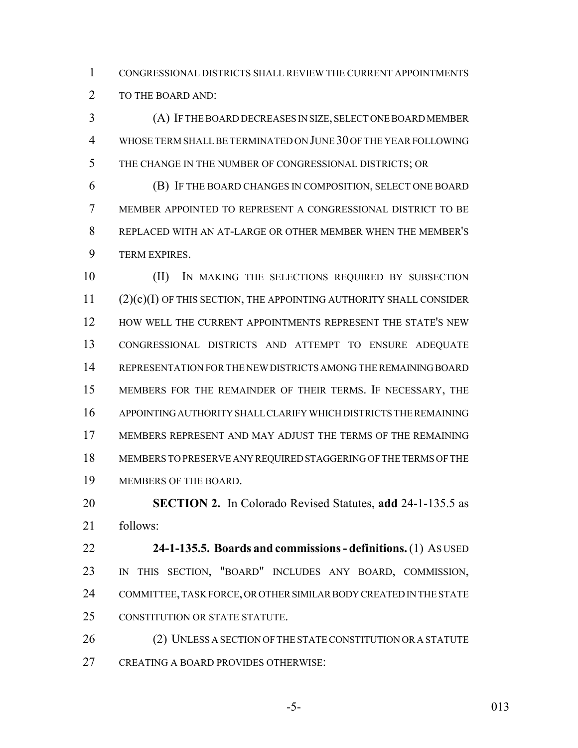CONGRESSIONAL DISTRICTS SHALL REVIEW THE CURRENT APPOINTMENTS 2 TO THE BOARD AND:

 (A) IF THE BOARD DECREASES IN SIZE, SELECT ONE BOARD MEMBER WHOSE TERM SHALL BE TERMINATED ON JUNE 30 OF THE YEAR FOLLOWING THE CHANGE IN THE NUMBER OF CONGRESSIONAL DISTRICTS; OR

 (B) IF THE BOARD CHANGES IN COMPOSITION, SELECT ONE BOARD MEMBER APPOINTED TO REPRESENT A CONGRESSIONAL DISTRICT TO BE REPLACED WITH AN AT-LARGE OR OTHER MEMBER WHEN THE MEMBER'S TERM EXPIRES.

 (II) IN MAKING THE SELECTIONS REQUIRED BY SUBSECTION (2)(c)(I) OF THIS SECTION, THE APPOINTING AUTHORITY SHALL CONSIDER 12 HOW WELL THE CURRENT APPOINTMENTS REPRESENT THE STATE'S NEW CONGRESSIONAL DISTRICTS AND ATTEMPT TO ENSURE ADEQUATE REPRESENTATION FOR THE NEW DISTRICTS AMONG THE REMAINING BOARD MEMBERS FOR THE REMAINDER OF THEIR TERMS. IF NECESSARY, THE APPOINTING AUTHORITY SHALL CLARIFY WHICH DISTRICTS THE REMAINING MEMBERS REPRESENT AND MAY ADJUST THE TERMS OF THE REMAINING MEMBERS TO PRESERVE ANY REQUIRED STAGGERING OF THE TERMS OF THE MEMBERS OF THE BOARD.

 **SECTION 2.** In Colorado Revised Statutes, **add** 24-1-135.5 as follows:

 **24-1-135.5. Boards and commissions - definitions.** (1) AS USED IN THIS SECTION, "BOARD" INCLUDES ANY BOARD, COMMISSION, COMMITTEE, TASK FORCE, OR OTHER SIMILAR BODY CREATED IN THE STATE CONSTITUTION OR STATE STATUTE.

26 (2) UNLESS A SECTION OF THE STATE CONSTITUTION OR A STATUTE CREATING A BOARD PROVIDES OTHERWISE:

-5- 013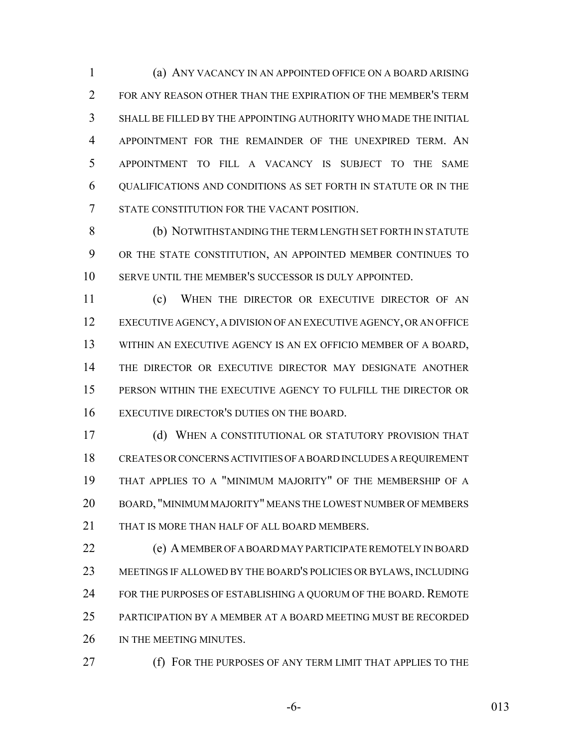(a) ANY VACANCY IN AN APPOINTED OFFICE ON A BOARD ARISING FOR ANY REASON OTHER THAN THE EXPIRATION OF THE MEMBER'S TERM SHALL BE FILLED BY THE APPOINTING AUTHORITY WHO MADE THE INITIAL APPOINTMENT FOR THE REMAINDER OF THE UNEXPIRED TERM. AN APPOINTMENT TO FILL A VACANCY IS SUBJECT TO THE SAME QUALIFICATIONS AND CONDITIONS AS SET FORTH IN STATUTE OR IN THE STATE CONSTITUTION FOR THE VACANT POSITION.

 (b) NOTWITHSTANDING THE TERM LENGTH SET FORTH IN STATUTE OR THE STATE CONSTITUTION, AN APPOINTED MEMBER CONTINUES TO SERVE UNTIL THE MEMBER'S SUCCESSOR IS DULY APPOINTED.

 (c) WHEN THE DIRECTOR OR EXECUTIVE DIRECTOR OF AN EXECUTIVE AGENCY, A DIVISION OF AN EXECUTIVE AGENCY, OR AN OFFICE WITHIN AN EXECUTIVE AGENCY IS AN EX OFFICIO MEMBER OF A BOARD, THE DIRECTOR OR EXECUTIVE DIRECTOR MAY DESIGNATE ANOTHER PERSON WITHIN THE EXECUTIVE AGENCY TO FULFILL THE DIRECTOR OR EXECUTIVE DIRECTOR'S DUTIES ON THE BOARD.

 (d) WHEN A CONSTITUTIONAL OR STATUTORY PROVISION THAT CREATES OR CONCERNS ACTIVITIES OF A BOARD INCLUDES A REQUIREMENT THAT APPLIES TO A "MINIMUM MAJORITY" OF THE MEMBERSHIP OF A BOARD, "MINIMUM MAJORITY" MEANS THE LOWEST NUMBER OF MEMBERS 21 THAT IS MORE THAN HALF OF ALL BOARD MEMBERS.

 (e) A MEMBER OF A BOARD MAY PARTICIPATE REMOTELY IN BOARD MEETINGS IF ALLOWED BY THE BOARD'S POLICIES OR BYLAWS, INCLUDING 24 FOR THE PURPOSES OF ESTABLISHING A QUORUM OF THE BOARD. REMOTE PARTICIPATION BY A MEMBER AT A BOARD MEETING MUST BE RECORDED 26 IN THE MEETING MINUTES.

(f) FOR THE PURPOSES OF ANY TERM LIMIT THAT APPLIES TO THE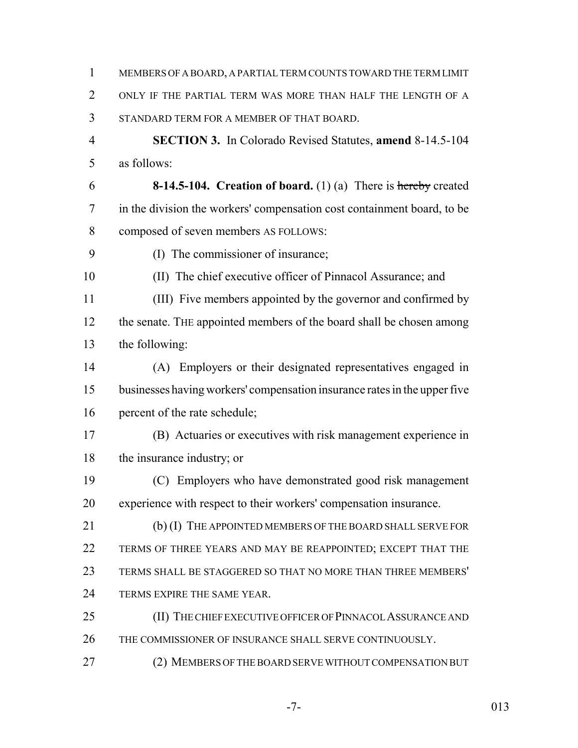MEMBERS OF A BOARD, A PARTIAL TERM COUNTS TOWARD THE TERM LIMIT ONLY IF THE PARTIAL TERM WAS MORE THAN HALF THE LENGTH OF A STANDARD TERM FOR A MEMBER OF THAT BOARD. **SECTION 3.** In Colorado Revised Statutes, **amend** 8-14.5-104 as follows: **8-14.5-104. Creation of board.** (1) (a) There is hereby created in the division the workers' compensation cost containment board, to be composed of seven members AS FOLLOWS: (I) The commissioner of insurance; (II) The chief executive officer of Pinnacol Assurance; and (III) Five members appointed by the governor and confirmed by 12 the senate. The appointed members of the board shall be chosen among the following: (A) Employers or their designated representatives engaged in businesses having workers' compensation insurance rates in the upper five percent of the rate schedule; (B) Actuaries or executives with risk management experience in the insurance industry; or (C) Employers who have demonstrated good risk management experience with respect to their workers' compensation insurance. 21 (b) (I) THE APPOINTED MEMBERS OF THE BOARD SHALL SERVE FOR TERMS OF THREE YEARS AND MAY BE REAPPOINTED; EXCEPT THAT THE TERMS SHALL BE STAGGERED SO THAT NO MORE THAN THREE MEMBERS' 24 TERMS EXPIRE THE SAME YEAR. 25 (II) THE CHIEF EXECUTIVE OFFICER OF PINNACOL ASSURANCE AND THE COMMISSIONER OF INSURANCE SHALL SERVE CONTINUOUSLY. (2) MEMBERS OF THE BOARD SERVE WITHOUT COMPENSATION BUT

-7- 013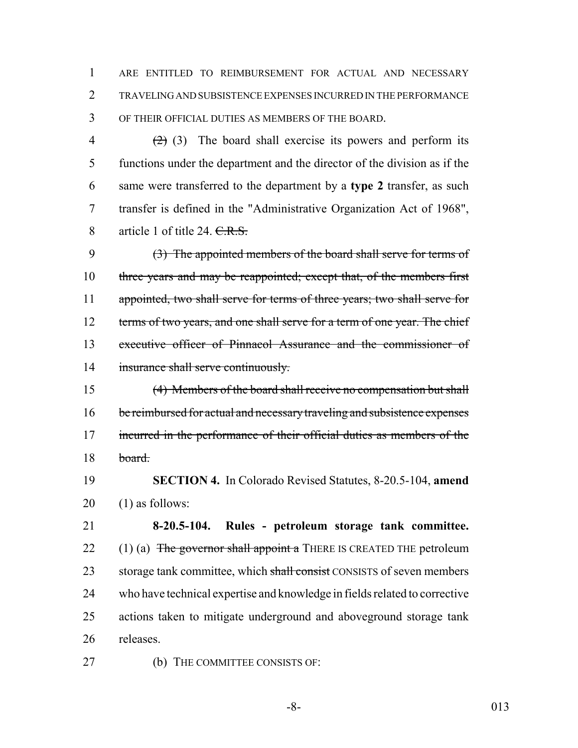1 ARE ENTITLED TO REIMBURSEMENT FOR ACTUAL AND NECESSARY 2 TRAVELING AND SUBSISTENCE EXPENSES INCURRED IN THE PERFORMANCE 3 OF THEIR OFFICIAL DUTIES AS MEMBERS OF THE BOARD.

 $(2)$  (3) The board shall exercise its powers and perform its functions under the department and the director of the division as if the same were transferred to the department by a **type 2** transfer, as such transfer is defined in the "Administrative Organization Act of 1968", 8 article 1 of title 24. C.R.S.

9 (3) The appointed members of the board shall serve for terms of 10 three years and may be reappointed; except that, of the members first 11 appointed, two shall serve for terms of three years; two shall serve for 12 terms of two years, and one shall serve for a term of one year. The chief 13 executive officer of Pinnacol Assurance and the commissioner of 14 insurance shall serve continuously.

15 (4) Members of the board shall receive no compensation but shall 16 be reimbursed for actual and necessary traveling and subsistence expenses 17 incurred in the performance of their official duties as members of the 18 board.

19 **SECTION 4.** In Colorado Revised Statutes, 8-20.5-104, **amend** 20 (1) as follows:

 **8-20.5-104. Rules - petroleum storage tank committee.**  $(1)$  (a) The governor shall appoint a THERE IS CREATED THE petroleum 23 storage tank committee, which shall consist CONSISTS of seven members who have technical expertise and knowledge in fields related to corrective actions taken to mitigate underground and aboveground storage tank releases.

27 (b) THE COMMITTEE CONSISTS OF: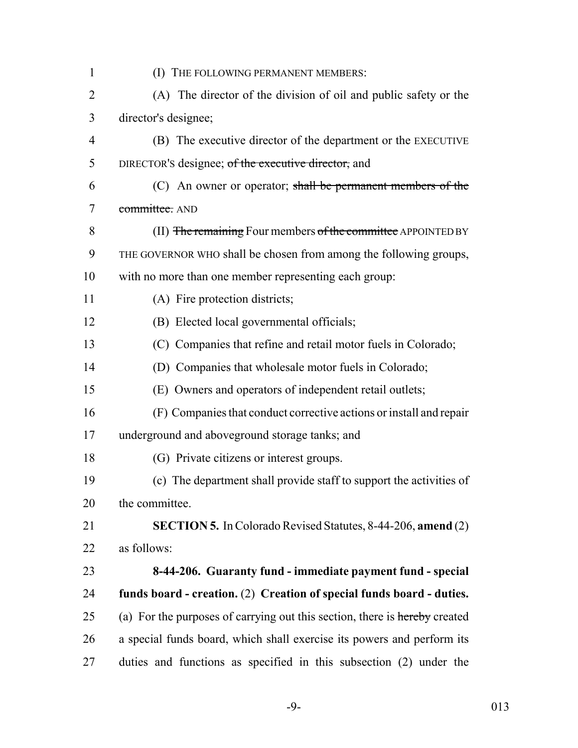| $\mathbf{1}$   | (I) THE FOLLOWING PERMANENT MEMBERS:                                       |
|----------------|----------------------------------------------------------------------------|
| $\overline{2}$ | (A) The director of the division of oil and public safety or the           |
| 3              | director's designee;                                                       |
| $\overline{4}$ | (B) The executive director of the department or the EXECUTIVE              |
| 5              | DIRECTOR's designee; of the executive director, and                        |
| 6              | $(C)$ An owner or operator; shall be permanent members of the              |
| 7              | committee. AND                                                             |
| 8              | (II) The remaining Four members of the committee APPOINTED BY              |
| 9              | THE GOVERNOR WHO shall be chosen from among the following groups,          |
| 10             | with no more than one member representing each group:                      |
| 11             | (A) Fire protection districts;                                             |
| 12             | (B) Elected local governmental officials;                                  |
| 13             | (C) Companies that refine and retail motor fuels in Colorado;              |
| 14             | (D) Companies that wholesale motor fuels in Colorado;                      |
| 15             | (E) Owners and operators of independent retail outlets;                    |
| 16             | (F) Companies that conduct corrective actions or install and repair        |
| 17             | underground and aboveground storage tanks; and                             |
| 18             | (G) Private citizens or interest groups.                                   |
| 19             | (c) The department shall provide staff to support the activities of        |
| 20             | the committee.                                                             |
| 21             | <b>SECTION 5.</b> In Colorado Revised Statutes, 8-44-206, amend (2)        |
| 22             | as follows:                                                                |
| 23             | 8-44-206. Guaranty fund - immediate payment fund - special                 |
| 24             | funds board - creation. (2) Creation of special funds board - duties.      |
| 25             | (a) For the purposes of carrying out this section, there is hereby created |
| 26             | a special funds board, which shall exercise its powers and perform its     |
| 27             | duties and functions as specified in this subsection (2) under the         |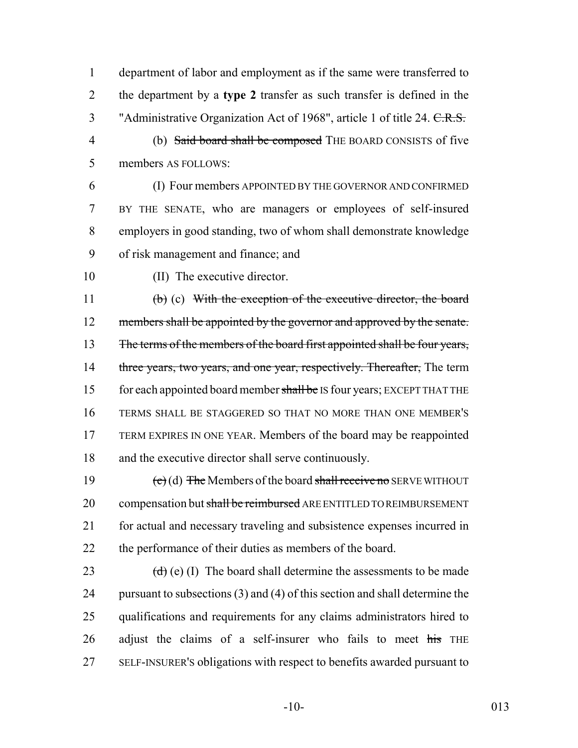department of labor and employment as if the same were transferred to the department by a **type 2** transfer as such transfer is defined in the 3 "Administrative Organization Act of 1968", article 1 of title 24. C.R.S.

- (b) Said board shall be composed THE BOARD CONSISTS of five members AS FOLLOWS:
- (I) Four members APPOINTED BY THE GOVERNOR AND CONFIRMED BY THE SENATE, who are managers or employees of self-insured employers in good standing, two of whom shall demonstrate knowledge of risk management and finance; and
- 

(II) The executive director.

 (b) (c) With the exception of the executive director, the board 12 members shall be appointed by the governor and approved by the senate. 13 The terms of the members of the board first appointed shall be four years, 14 three years, two years, and one year, respectively. Thereafter, The term 15 for each appointed board member shall be IS four years; EXCEPT THAT THE TERMS SHALL BE STAGGERED SO THAT NO MORE THAN ONE MEMBER'S TERM EXPIRES IN ONE YEAR. Members of the board may be reappointed and the executive director shall serve continuously.

 $\left(\text{e}\right)$  (d) The Members of the board shall receive no SERVE WITHOUT 20 compensation but shall be reimbursed ARE ENTITLED TO REIMBURSEMENT for actual and necessary traveling and subsistence expenses incurred in the performance of their duties as members of the board.

 $(d)$  (e) (I) The board shall determine the assessments to be made pursuant to subsections (3) and (4) of this section and shall determine the qualifications and requirements for any claims administrators hired to adjust the claims of a self-insurer who fails to meet  $\frac{1}{115}$  THE SELF-INSURER'S obligations with respect to benefits awarded pursuant to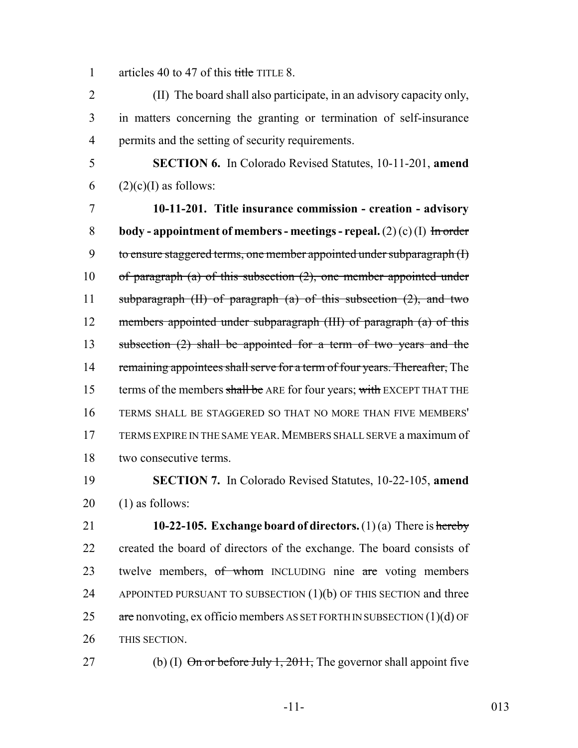1 articles 40 to 47 of this title TITLE 8.

2 (II) The board shall also participate, in an advisory capacity only, 3 in matters concerning the granting or termination of self-insurance 4 permits and the setting of security requirements.

5 **SECTION 6.** In Colorado Revised Statutes, 10-11-201, **amend** 6 (2)(c)(I) as follows:

7 **10-11-201. Title insurance commission - creation - advisory** 8 **body - appointment of members - meetings - repeal.** (2) (c) (I) In order 9 to ensure staggered terms, one member appointed under subparagraph (I) 10 of paragraph (a) of this subsection  $(2)$ , one member appointed under 11 subparagraph  $(H)$  of paragraph  $(a)$  of this subsection  $(2)$ , and two 12 members appointed under subparagraph (III) of paragraph (a) of this 13 subsection (2) shall be appointed for a term of two years and the 14 remaining appointees shall serve for a term of four years. Thereafter, The 15 terms of the members shall be ARE for four years; with EXCEPT THAT THE 16 TERMS SHALL BE STAGGERED SO THAT NO MORE THAN FIVE MEMBERS' 17 TERMS EXPIRE IN THE SAME YEAR.MEMBERS SHALL SERVE a maximum of 18 two consecutive terms.

19 **SECTION 7.** In Colorado Revised Statutes, 10-22-105, **amend** 20 (1) as follows:

 **10-22-105. Exchange board of directors.** (1) (a) There is hereby created the board of directors of the exchange. The board consists of 23 twelve members, of whom INCLUDING nine are voting members 24 APPOINTED PURSUANT TO SUBSECTION  $(1)(b)$  OF THIS SECTION and three  $\alpha$  are nonvoting, ex officio members AS SET FORTH IN SUBSECTION (1)(d) OF THIS SECTION.

27 (b) (I)  $\Theta$  in or before July 1, 2011, The governor shall appoint five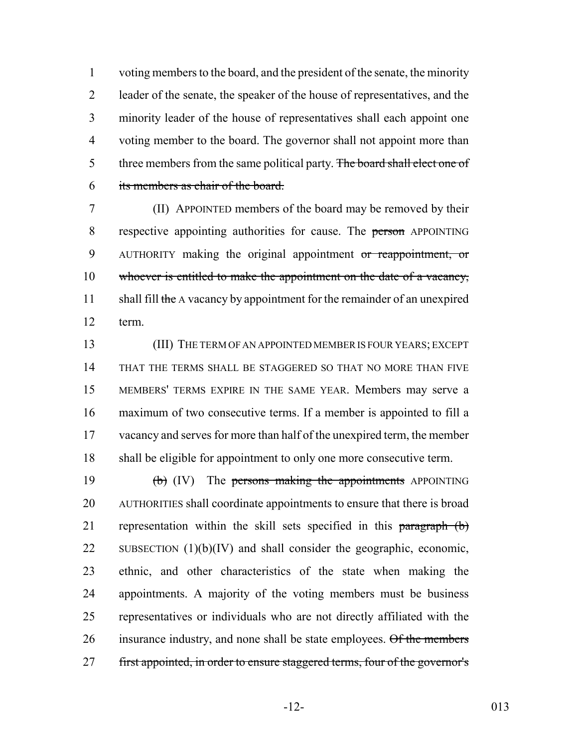voting members to the board, and the president of the senate, the minority leader of the senate, the speaker of the house of representatives, and the minority leader of the house of representatives shall each appoint one voting member to the board. The governor shall not appoint more than 5 three members from the same political party. The board shall elect one of its members as chair of the board.

 (II) APPOINTED members of the board may be removed by their 8 respective appointing authorities for cause. The person APPOINTING 9 AUTHORITY making the original appointment or reappointment, or whoever is entitled to make the appointment on the date of a vacancy, 11 shall fill the A vacancy by appointment for the remainder of an unexpired term.

 (III) THE TERM OF AN APPOINTED MEMBER IS FOUR YEARS; EXCEPT THAT THE TERMS SHALL BE STAGGERED SO THAT NO MORE THAN FIVE MEMBERS' TERMS EXPIRE IN THE SAME YEAR. Members may serve a maximum of two consecutive terms. If a member is appointed to fill a 17 vacancy and serves for more than half of the unexpired term, the member shall be eligible for appointment to only one more consecutive term.

19  $\text{(b)}$  (IV) The persons making the appointments APPOINTING AUTHORITIES shall coordinate appointments to ensure that there is broad 21 representation within the skill sets specified in this paragraph (b) 22 SUBSECTION  $(1)(b)(IV)$  and shall consider the geographic, economic, ethnic, and other characteristics of the state when making the appointments. A majority of the voting members must be business representatives or individuals who are not directly affiliated with the 26 insurance industry, and none shall be state employees. Of the members 27 first appointed, in order to ensure staggered terms, four of the governor's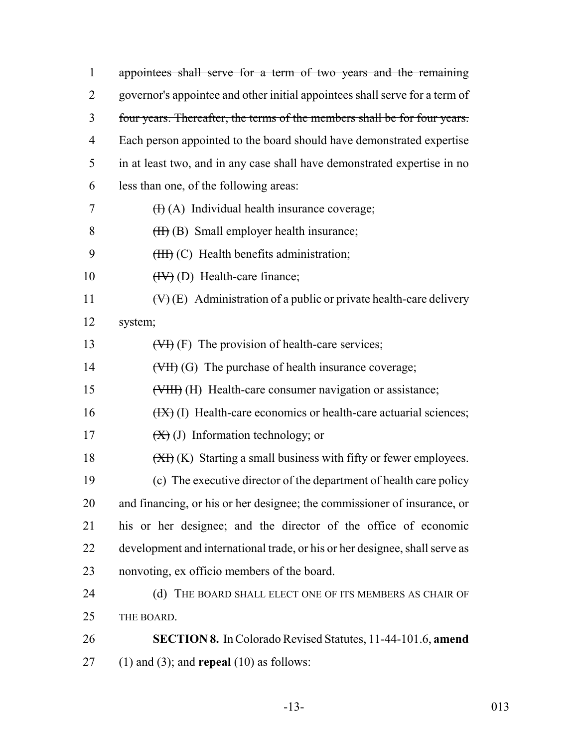| $\mathbf{1}$   | appointees shall serve for a term of two years and the remaining               |
|----------------|--------------------------------------------------------------------------------|
| $\overline{2}$ | governor's appointee and other initial appointees shall serve for a term of    |
| 3              | four years. Thereafter, the terms of the members shall be for four years.      |
| 4              | Each person appointed to the board should have demonstrated expertise          |
| 5              | in at least two, and in any case shall have demonstrated expertise in no       |
| 6              | less than one, of the following areas:                                         |
| 7              | $(H)$ (A) Individual health insurance coverage;                                |
| 8              | $(H)$ (B) Small employer health insurance;                                     |
| 9              | $(HH)$ (C) Health benefits administration;                                     |
| 10             | $(HV)$ (D) Health-care finance;                                                |
| 11             | $(\forall)$ (E) Administration of a public or private health-care delivery     |
| 12             | system;                                                                        |
| 13             | $(\forall f)$ (F) The provision of health-care services;                       |
| 14             | $(\forall H)(G)$ The purchase of health insurance coverage;                    |
| 15             | (VIII) (H) Health-care consumer navigation or assistance;                      |
| 16             | $(HX)$ (I) Health-care economics or health-care actuarial sciences;            |
| 17             | $(\mathbf{X})$ (J) Information technology; or                                  |
| 18             | $(\overline{XY})$ (K) Starting a small business with fifty or fewer employees. |
| 19             | (c) The executive director of the department of health care policy             |
| 20             | and financing, or his or her designee; the commissioner of insurance, or       |
| 21             | his or her designee; and the director of the office of economic                |
| 22             | development and international trade, or his or her designee, shall serve as    |
| 23             | nonvoting, ex officio members of the board.                                    |
| 24             | THE BOARD SHALL ELECT ONE OF ITS MEMBERS AS CHAIR OF<br>(d)                    |
| 25             | THE BOARD.                                                                     |
| 26             | <b>SECTION 8.</b> In Colorado Revised Statutes, 11-44-101.6, amend             |
| 27             | $(1)$ and $(3)$ ; and <b>repeal</b> $(10)$ as follows:                         |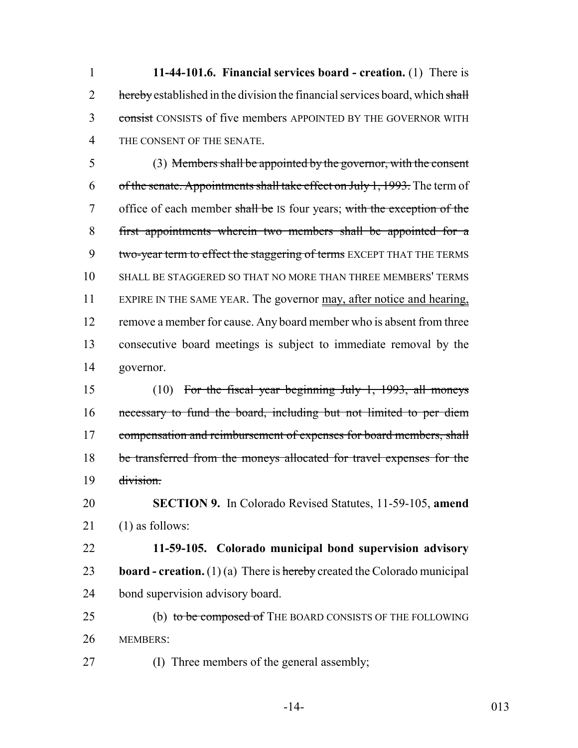**11-44-101.6. Financial services board - creation.** (1) There is 2 hereby established in the division the financial services board, which shall 3 consist CONSISTS of five members APPOINTED BY THE GOVERNOR WITH THE CONSENT OF THE SENATE.

 (3) Members shall be appointed by the governor, with the consent 6 of the senate. Appointments shall take effect on July 1, 1993. The term of 7 office of each member shall be IS four years; with the exception of the first appointments wherein two members shall be appointed for a 9 two-year term to effect the staggering of terms EXCEPT THAT THE TERMS SHALL BE STAGGERED SO THAT NO MORE THAN THREE MEMBERS' TERMS 11 EXPIRE IN THE SAME YEAR. The governor may, after notice and hearing, 12 remove a member for cause. Any board member who is absent from three consecutive board meetings is subject to immediate removal by the governor.

 (10) For the fiscal year beginning July 1, 1993, all moneys necessary to fund the board, including but not limited to per diem 17 compensation and reimbursement of expenses for board members, shall be transferred from the moneys allocated for travel expenses for the division.

 **SECTION 9.** In Colorado Revised Statutes, 11-59-105, **amend** (1) as follows:

 **11-59-105. Colorado municipal bond supervision advisory board - creation.** (1) (a) There is hereby created the Colorado municipal bond supervision advisory board.

25 (b) to be composed of THE BOARD CONSISTS OF THE FOLLOWING MEMBERS:

(I) Three members of the general assembly;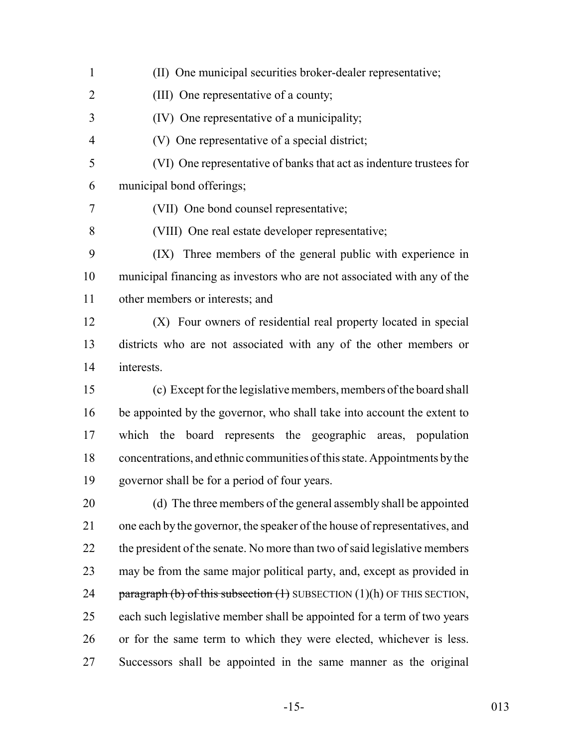(II) One municipal securities broker-dealer representative; (III) One representative of a county; (IV) One representative of a municipality; (V) One representative of a special district; (VI) One representative of banks that act as indenture trustees for municipal bond offerings; (VII) One bond counsel representative; (VIII) One real estate developer representative; (IX) Three members of the general public with experience in municipal financing as investors who are not associated with any of the other members or interests; and (X) Four owners of residential real property located in special districts who are not associated with any of the other members or interests. (c) Except for the legislative members, members of the board shall be appointed by the governor, who shall take into account the extent to which the board represents the geographic areas, population concentrations, and ethnic communities of this state. Appointments by the governor shall be for a period of four years. (d) The three members of the general assembly shall be appointed one each by the governor, the speaker of the house of representatives, and 22 the president of the senate. No more than two of said legislative members may be from the same major political party, and, except as provided in 24 paragraph (b) of this subsection  $(1)$  SUBSECTION  $(1)(h)$  OF THIS SECTION, each such legislative member shall be appointed for a term of two years or for the same term to which they were elected, whichever is less. Successors shall be appointed in the same manner as the original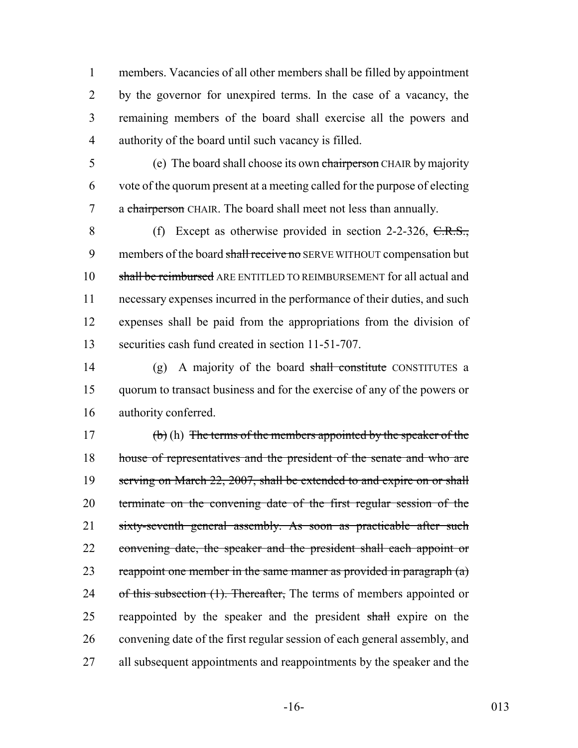members. Vacancies of all other members shall be filled by appointment by the governor for unexpired terms. In the case of a vacancy, the remaining members of the board shall exercise all the powers and authority of the board until such vacancy is filled.

5 (e) The board shall choose its own chairperson CHAIR by majority 6 vote of the quorum present at a meeting called for the purpose of electing 7 a chairperson CHAIR. The board shall meet not less than annually.

8 (f) Except as otherwise provided in section 2-2-326, C.R.S., 9 members of the board shall receive no SERVE WITHOUT compensation but shall be reimbursed ARE ENTITLED TO REIMBURSEMENT for all actual and necessary expenses incurred in the performance of their duties, and such expenses shall be paid from the appropriations from the division of securities cash fund created in section 11-51-707.

14 (g) A majority of the board shall constitute CONSTITUTES a 15 quorum to transact business and for the exercise of any of the powers or 16 authority conferred.

17 (b) (h) The terms of the members appointed by the speaker of the 18 house of representatives and the president of the senate and who are 19 serving on March 22, 2007, shall be extended to and expire on or shall 20 terminate on the convening date of the first regular session of the 21 sixty-seventh general assembly. As soon as practicable after such 22 convening date, the speaker and the president shall each appoint or 23 reappoint one member in the same manner as provided in paragraph  $(a)$ 24 of this subsection (1). Thereafter, The terms of members appointed or 25 reappointed by the speaker and the president shall expire on the 26 convening date of the first regular session of each general assembly, and 27 all subsequent appointments and reappointments by the speaker and the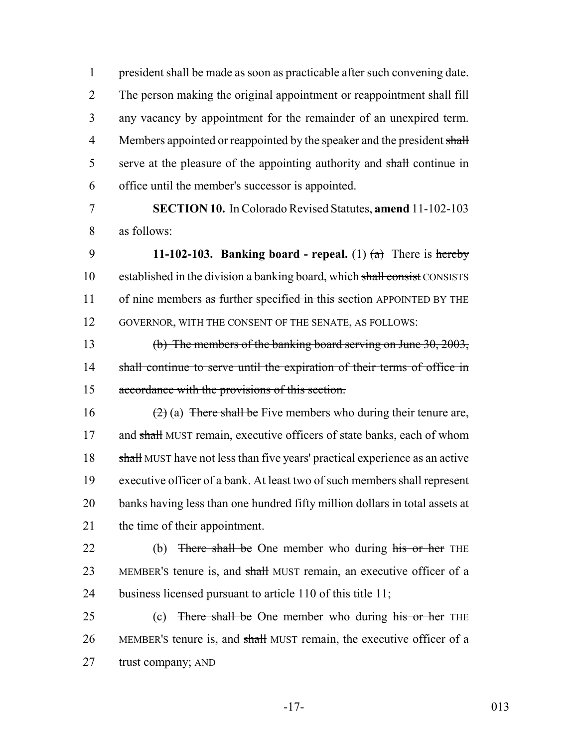president shall be made as soon as practicable after such convening date. The person making the original appointment or reappointment shall fill any vacancy by appointment for the remainder of an unexpired term. 4 Members appointed or reappointed by the speaker and the president shall 5 serve at the pleasure of the appointing authority and shall continue in office until the member's successor is appointed.

7 **SECTION 10.** In Colorado Revised Statutes, **amend** 11-102-103 8 as follows:

9 **11-102-103. Banking board - repeal.** (1)  $(a)$  There is hereby 10 established in the division a banking board, which shall consist CONSISTS 11 of nine members as further specified in this section APPOINTED BY THE 12 GOVERNOR, WITH THE CONSENT OF THE SENATE, AS FOLLOWS:

13 (b) The members of the banking board serving on June 30, 2003, 14 shall continue to serve until the expiration of their terms of office in 15 accordance with the provisions of this section.

16 (2) (a) There shall be Five members who during their tenure are, 17 and shall MUST remain, executive officers of state banks, each of whom 18 shall MUST have not less than five years' practical experience as an active 19 executive officer of a bank. At least two of such members shall represent 20 banks having less than one hundred fifty million dollars in total assets at 21 the time of their appointment.

22 (b) There shall be One member who during his or her THE 23 MEMBER's tenure is, and shall MUST remain, an executive officer of a 24 business licensed pursuant to article 110 of this title 11;

25 (c) There shall be One member who during his or her THE 26 MEMBER's tenure is, and shall MUST remain, the executive officer of a 27 trust company; AND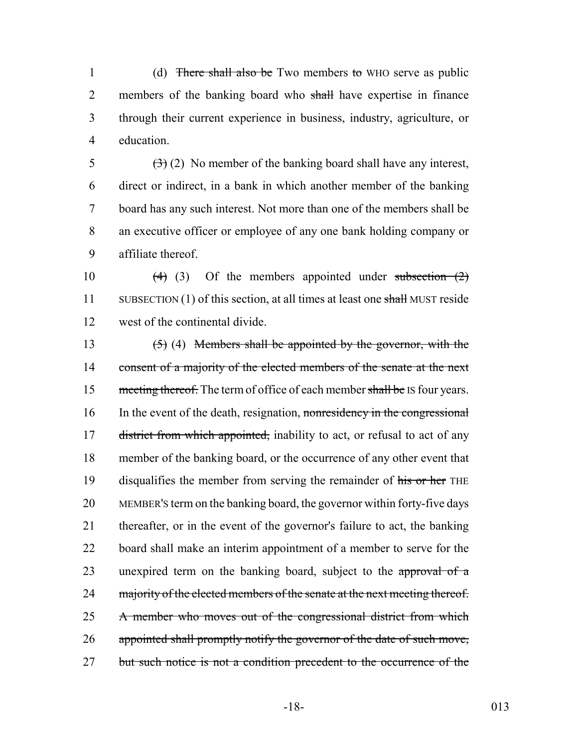1 (d) There shall also be Two members to WHO serve as public 2 members of the banking board who shall have expertise in finance 3 through their current experience in business, industry, agriculture, or 4 education.

 $(3)(2)$  No member of the banking board shall have any interest, direct or indirect, in a bank in which another member of the banking board has any such interest. Not more than one of the members shall be an executive officer or employee of any one bank holding company or affiliate thereof.

10  $(4)$  (3) Of the members appointed under subsection  $(2)$ 11 SUBSECTION (1) of this section, at all times at least one shall MUST reside 12 west of the continental divide.

13  $(5)$  (4) Members shall be appointed by the governor, with the 14 consent of a majority of the elected members of the senate at the next 15 meeting thereof. The term of office of each member shall be IS four years. 16 In the event of the death, resignation, nonresidency in the congressional 17 district from which appointed, inability to act, or refusal to act of any 18 member of the banking board, or the occurrence of any other event that 19 disqualifies the member from serving the remainder of his or her THE 20 MEMBER'S term on the banking board, the governor within forty-five days 21 thereafter, or in the event of the governor's failure to act, the banking 22 board shall make an interim appointment of a member to serve for the 23 unexpired term on the banking board, subject to the approval of a 24 majority of the elected members of the senate at the next meeting thereof. 25 A member who moves out of the congressional district from which 26 appointed shall promptly notify the governor of the date of such move, 27 but such notice is not a condition precedent to the occurrence of the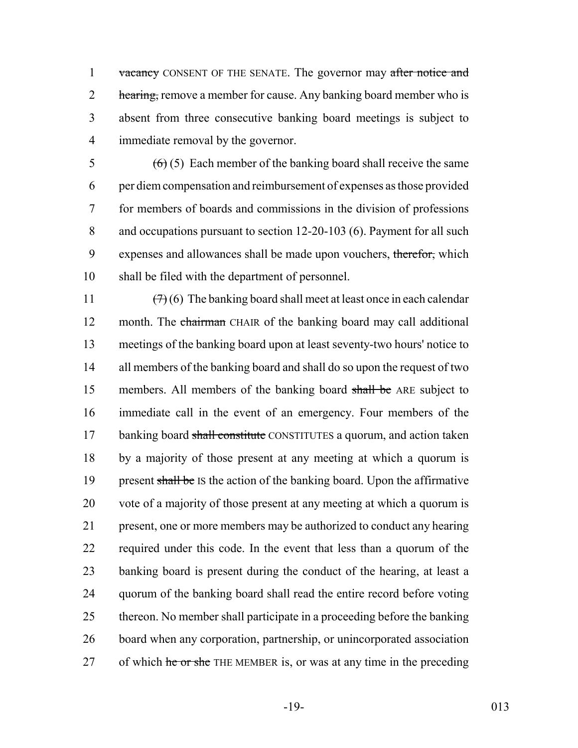1 vacancy CONSENT OF THE SENATE. The governor may after notice and 2 hearing, remove a member for cause. Any banking board member who is 3 absent from three consecutive banking board meetings is subject to 4 immediate removal by the governor.

 $(6)(5)$  Each member of the banking board shall receive the same per diem compensation and reimbursement of expenses as those provided for members of boards and commissions in the division of professions and occupations pursuant to section 12-20-103 (6). Payment for all such 9 expenses and allowances shall be made upon vouchers, therefor, which shall be filed with the department of personnel.

 $(7)(6)$  The banking board shall meet at least once in each calendar 12 month. The chairman CHAIR of the banking board may call additional meetings of the banking board upon at least seventy-two hours' notice to 14 all members of the banking board and shall do so upon the request of two 15 members. All members of the banking board shall be ARE subject to immediate call in the event of an emergency. Four members of the 17 banking board shall constitute CONSTITUTES a quorum, and action taken by a majority of those present at any meeting at which a quorum is 19 present shall be IS the action of the banking board. Upon the affirmative vote of a majority of those present at any meeting at which a quorum is present, one or more members may be authorized to conduct any hearing required under this code. In the event that less than a quorum of the banking board is present during the conduct of the hearing, at least a quorum of the banking board shall read the entire record before voting thereon. No member shall participate in a proceeding before the banking board when any corporation, partnership, or unincorporated association 27 of which he or she THE MEMBER is, or was at any time in the preceding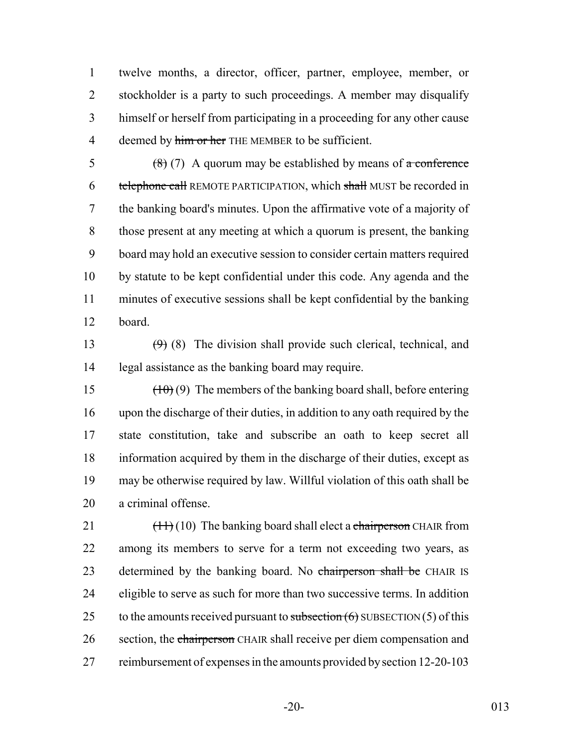twelve months, a director, officer, partner, employee, member, or stockholder is a party to such proceedings. A member may disqualify himself or herself from participating in a proceeding for any other cause 4 deemed by him or her THE MEMBER to be sufficient.

 $(8)(7)$  A quorum may be established by means of a conference 6 telephone call REMOTE PARTICIPATION, which shall MUST be recorded in the banking board's minutes. Upon the affirmative vote of a majority of those present at any meeting at which a quorum is present, the banking board may hold an executive session to consider certain matters required by statute to be kept confidential under this code. Any agenda and the minutes of executive sessions shall be kept confidential by the banking board.

13  $(9)$  (8) The division shall provide such clerical, technical, and legal assistance as the banking board may require.

 $(10)(9)$  The members of the banking board shall, before entering upon the discharge of their duties, in addition to any oath required by the state constitution, take and subscribe an oath to keep secret all information acquired by them in the discharge of their duties, except as may be otherwise required by law. Willful violation of this oath shall be a criminal offense.

21  $\left(\frac{11}{10}\right)$  The banking board shall elect a chairperson CHAIR from among its members to serve for a term not exceeding two years, as 23 determined by the banking board. No chairperson shall be CHAIR IS eligible to serve as such for more than two successive terms. In addition 25 to the amounts received pursuant to subsection  $(6)$  SUBSECTION  $(5)$  of this 26 section, the chairperson CHAIR shall receive per diem compensation and 27 reimbursement of expenses in the amounts provided by section 12-20-103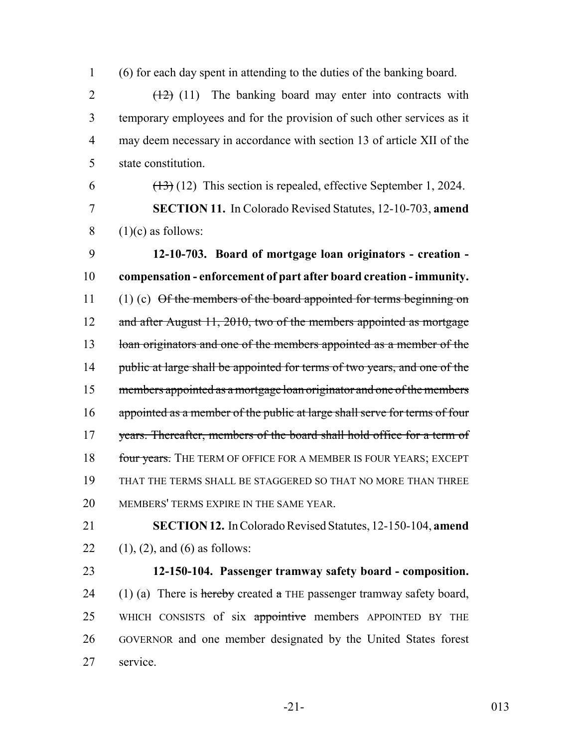1 (6) for each day spent in attending to the duties of the banking board.

 $2 \left(12\right)$  (11) The banking board may enter into contracts with temporary employees and for the provision of such other services as it may deem necessary in accordance with section 13 of article XII of the state constitution.

6  $(13)(12)$  This section is repealed, effective September 1, 2024.

7 **SECTION 11.** In Colorado Revised Statutes, 12-10-703, **amend**  $8$  (1)(c) as follows:

9 **12-10-703. Board of mortgage loan originators - creation -** 10 **compensation - enforcement of part after board creation - immunity.** 11 (1) (c) Of the members of the board appointed for terms beginning on 12 and after August 11, 2010, two of the members appointed as mortgage 13 loan originators and one of the members appointed as a member of the 14 public at large shall be appointed for terms of two years, and one of the 15 members appointed as a mortgage loan originator and one of the members 16 appointed as a member of the public at large shall serve for terms of four 17 years. Thereafter, members of the board shall hold office for a term of 18 four years. The TERM OF OFFICE FOR A MEMBER IS FOUR YEARS; EXCEPT 19 THAT THE TERMS SHALL BE STAGGERED SO THAT NO MORE THAN THREE 20 MEMBERS' TERMS EXPIRE IN THE SAME YEAR.

21 **SECTION 12.** In Colorado Revised Statutes, 12-150-104, **amend** 22 (1), (2), and (6) as follows:

## 23 **12-150-104. Passenger tramway safety board - composition.**

24 (1) (a) There is hereby created a THE passenger tramway safety board, 25 WHICH CONSISTS of six appointive members APPOINTED BY THE 26 GOVERNOR and one member designated by the United States forest 27 service.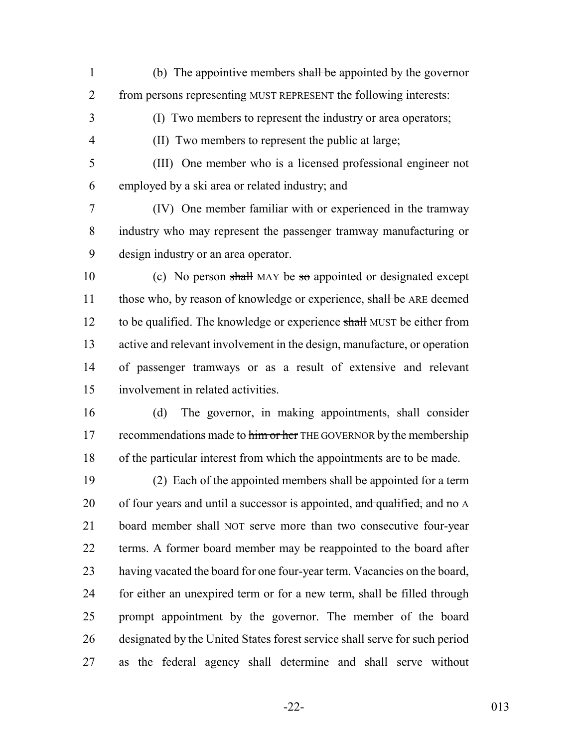1 (b) The appointive members shall be appointed by the governor 2 from persons representing MUST REPRESENT the following interests:

(I) Two members to represent the industry or area operators;

(II) Two members to represent the public at large;

 (III) One member who is a licensed professional engineer not employed by a ski area or related industry; and

 (IV) One member familiar with or experienced in the tramway industry who may represent the passenger tramway manufacturing or design industry or an area operator.

10 (c) No person shall MAY be so appointed or designated except 11 those who, by reason of knowledge or experience, shall be ARE deemed 12 to be qualified. The knowledge or experience shall MUST be either from active and relevant involvement in the design, manufacture, or operation of passenger tramways or as a result of extensive and relevant involvement in related activities.

 (d) The governor, in making appointments, shall consider 17 recommendations made to him or her THE GOVERNOR by the membership of the particular interest from which the appointments are to be made.

 (2) Each of the appointed members shall be appointed for a term 20 of four years and until a successor is appointed, and qualified, and no  $\overline{A}$  board member shall NOT serve more than two consecutive four-year terms. A former board member may be reappointed to the board after having vacated the board for one four-year term. Vacancies on the board, for either an unexpired term or for a new term, shall be filled through prompt appointment by the governor. The member of the board designated by the United States forest service shall serve for such period as the federal agency shall determine and shall serve without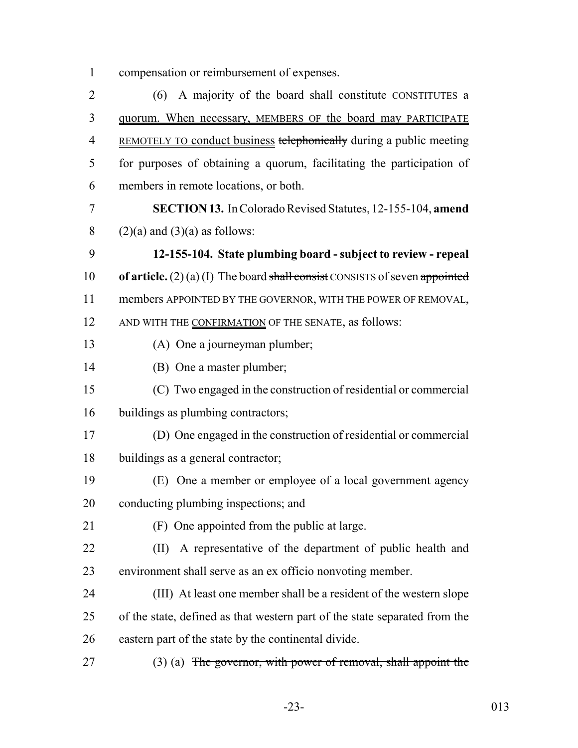compensation or reimbursement of expenses.

2 (6) A majority of the board shall constitute CONSTITUTES a quorum. When necessary, MEMBERS OF the board may PARTICIPATE 4 REMOTELY TO conduct business telephonically during a public meeting for purposes of obtaining a quorum, facilitating the participation of members in remote locations, or both. **SECTION 13.** In Colorado Revised Statutes, 12-155-104, **amend** 8 (2)(a) and (3)(a) as follows: **12-155-104. State plumbing board - subject to review - repeal of article.** (2) (a) (I) The board shall consist CONSISTS of seven appointed members APPOINTED BY THE GOVERNOR, WITH THE POWER OF REMOVAL, 12 AND WITH THE CONFIRMATION OF THE SENATE, as follows: (A) One a journeyman plumber; (B) One a master plumber; (C) Two engaged in the construction of residential or commercial buildings as plumbing contractors; (D) One engaged in the construction of residential or commercial buildings as a general contractor; (E) One a member or employee of a local government agency conducting plumbing inspections; and (F) One appointed from the public at large. (II) A representative of the department of public health and environment shall serve as an ex officio nonvoting member. (III) At least one member shall be a resident of the western slope of the state, defined as that western part of the state separated from the eastern part of the state by the continental divide. 27 (3) (a) The governor, with power of removal, shall appoint the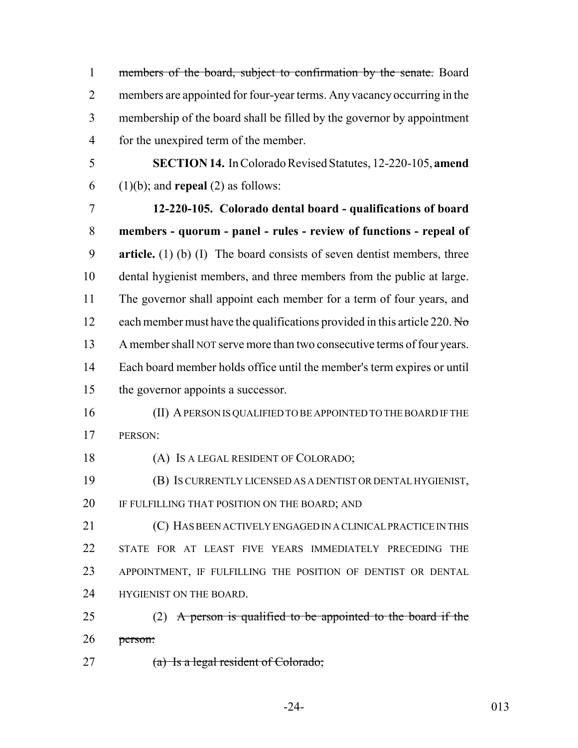| $\mathbf{1}$   | members of the board, subject to confirmation by the senate. Board          |
|----------------|-----------------------------------------------------------------------------|
| $\overline{2}$ | members are appointed for four-year terms. Any vacancy occurring in the     |
| 3              | membership of the board shall be filled by the governor by appointment      |
| $\overline{4}$ | for the unexpired term of the member.                                       |
| 5              | SECTION 14. In Colorado Revised Statutes, 12-220-105, amend                 |
| 6              | $(1)(b)$ ; and <b>repeal</b> $(2)$ as follows:                              |
| 7              | 12-220-105. Colorado dental board - qualifications of board                 |
| 8              | members - quorum - panel - rules - review of functions - repeal of          |
| 9              | article. $(1)$ (b) $(1)$ The board consists of seven dentist members, three |
| 10             | dental hygienist members, and three members from the public at large.       |
| 11             | The governor shall appoint each member for a term of four years, and        |
| 12             | each member must have the qualifications provided in this article 220. No   |
| 13             | A member shall NOT serve more than two consecutive terms of four years.     |
| 14             | Each board member holds office until the member's term expires or until     |
| 15             | the governor appoints a successor.                                          |
| 16             | (II) A PERSON IS QUALIFIED TO BE APPOINTED TO THE BOARD IF THE              |
| 17             | PERSON:                                                                     |
| 18             | (A) IS A LEGAL RESIDENT OF COLORADO;                                        |
| 19             | (B) IS CURRENTLY LICENSED AS A DENTIST OR DENTAL HYGIENIST,                 |
| 20             | IF FULFILLING THAT POSITION ON THE BOARD; AND                               |
| 21             | (C) HAS BEEN ACTIVELY ENGAGED IN A CLINICAL PRACTICE IN THIS                |
| 22             | STATE FOR AT LEAST FIVE YEARS IMMEDIATELY PRECEDING THE                     |
| 23             | APPOINTMENT, IF FULFILLING THE POSITION OF DENTIST OR DENTAL                |
| 24             | HYGIENIST ON THE BOARD.                                                     |
| 25             | (2) A person is qualified to be appointed to the board if the               |
| 26             | person:                                                                     |

27 (a) Is a legal resident of Colorado;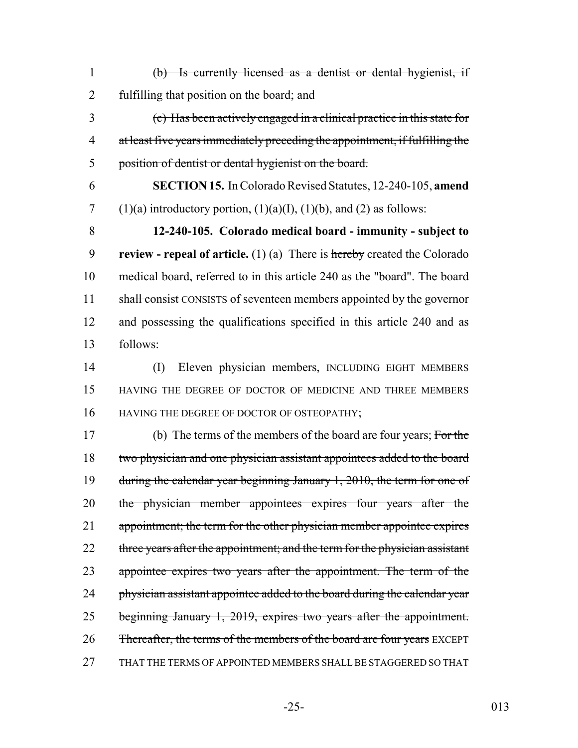| 1              | (b) Is currently licensed as a dentist or dental hygienist, if                 |
|----------------|--------------------------------------------------------------------------------|
| $\overline{2}$ | fulfilling that position on the board; and                                     |
| 3              | (c) Has been actively engaged in a clinical practice in this state for         |
| $\overline{4}$ | at least five years immediately preceding the appointment, if fulfilling the   |
| 5              | position of dentist or dental hygienist on the board.                          |
| 6              | <b>SECTION 15.</b> In Colorado Revised Statutes, 12-240-105, amend             |
| 7              | $(1)(a)$ introductory portion, $(1)(a)(I)$ , $(1)(b)$ , and $(2)$ as follows:  |
| 8              | 12-240-105. Colorado medical board - immunity - subject to                     |
| 9              | review - repeal of article. $(1)$ (a) There is hereby created the Colorado     |
| 10             | medical board, referred to in this article 240 as the "board". The board       |
| 11             | shall consist CONSISTS of seventeen members appointed by the governor          |
| 12             | and possessing the qualifications specified in this article 240 and as         |
| 13             | follows:                                                                       |
| 14             | Eleven physician members, INCLUDING EIGHT MEMBERS<br>(I)                       |
| 15             | HAVING THE DEGREE OF DOCTOR OF MEDICINE AND THREE MEMBERS                      |
| 16             | HAVING THE DEGREE OF DOCTOR OF OSTEOPATHY;                                     |
| 17             | (b) The terms of the members of the board are four years; For the              |
| 18             | two physician and one physician assistant appointees added to the board        |
| 19             | during the calendar year beginning January 1, 2010, the term for one of        |
| 20             | the physician member appointees expires four years after the                   |
| 21             | appointment; the term for the other physician member appointee expires         |
| 22             | three years after the appointment; and the term for the physician assistant    |
| 23             | appointee expires two years after the appointment. The term of the             |
| 24             | physician assistant appointee added to the board during the calendar year      |
| 25             | beginning January 1, 2019, expires two years after the appointment.            |
| 26             | <b>Thereafter, the terms of the members of the board are four years</b> EXCEPT |
| 27             | THAT THE TERMS OF APPOINTED MEMBERS SHALL BE STAGGERED SO THAT                 |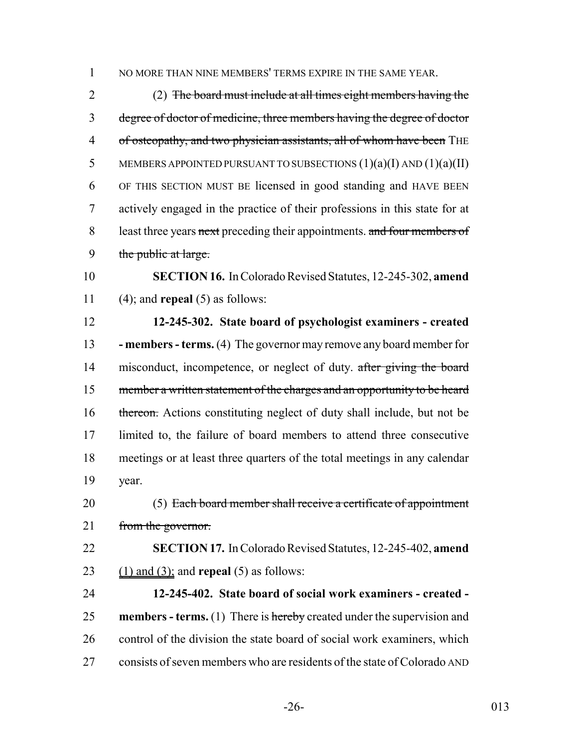1 NO MORE THAN NINE MEMBERS' TERMS EXPIRE IN THE SAME YEAR.

 (2) The board must include at all times eight members having the degree of doctor of medicine, three members having the degree of doctor 4 of osteopathy, and two physician assistants, all of whom have been THE 5 MEMBERS APPOINTED PURSUANT TO SUBSECTIONS  $(1)(a)(I)$  AND  $(1)(a)(II)$  OF THIS SECTION MUST BE licensed in good standing and HAVE BEEN actively engaged in the practice of their professions in this state for at 8 least three years next preceding their appointments. and four members of 9 the public at large.

 **SECTION 16.** In Colorado Revised Statutes, 12-245-302, **amend** (4); and **repeal** (5) as follows:

 **12-245-302. State board of psychologist examiners - created - members - terms.** (4) The governor may remove any board member for 14 misconduct, incompetence, or neglect of duty. after giving the board 15 member a written statement of the charges and an opportunity to be heard 16 thereon. Actions constituting neglect of duty shall include, but not be limited to, the failure of board members to attend three consecutive meetings or at least three quarters of the total meetings in any calendar year.

20 (5) Each board member shall receive a certificate of appointment from the governor.

 **SECTION 17.** In Colorado Revised Statutes, 12-245-402, **amend** (1) and (3); and **repeal** (5) as follows:

 **12-245-402. State board of social work examiners - created - members - terms.** (1) There is hereby created under the supervision and 26 control of the division the state board of social work examiners, which consists of seven members who are residents of the state of Colorado AND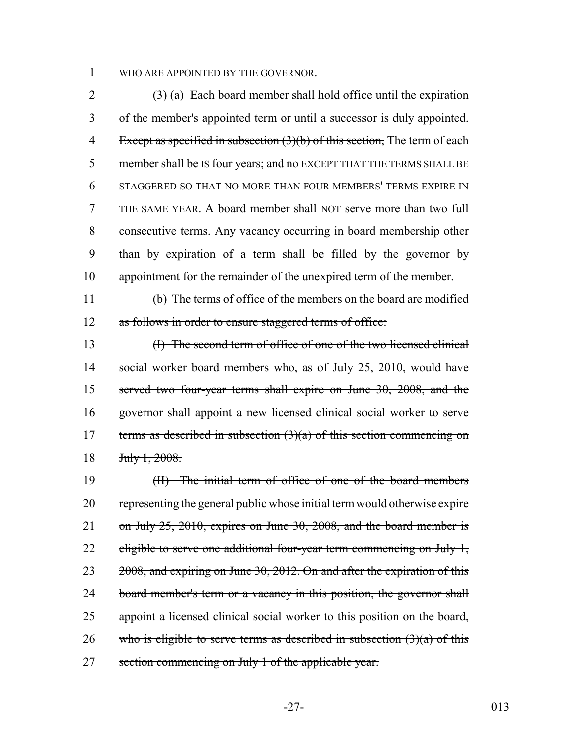1 WHO ARE APPOINTED BY THE GOVERNOR.

2 (3)  $\left(\frac{a}{b}\right)$  Each board member shall hold office until the expiration of the member's appointed term or until a successor is duly appointed. 4 Except as specified in subsection (3)(b) of this section, The term of each 5 member shall be IS four years; and no EXCEPT THAT THE TERMS SHALL BE STAGGERED SO THAT NO MORE THAN FOUR MEMBERS' TERMS EXPIRE IN THE SAME YEAR. A board member shall NOT serve more than two full consecutive terms. Any vacancy occurring in board membership other than by expiration of a term shall be filled by the governor by appointment for the remainder of the unexpired term of the member.

11 (b) The terms of office of the members on the board are modified 12 as follows in order to ensure staggered terms of office:

13 (I) The second term of office of one of the two licensed clinical 14 social worker board members who, as of July 25, 2010, would have 15 served two four-year terms shall expire on June 30, 2008, and the 16 governor shall appoint a new licensed clinical social worker to serve 17 terms as described in subsection  $(3)(a)$  of this section commencing on 18 <del>July 1, 2008.</del>

19 (II) The initial term of office of one of the board members 20 representing the general public whose initial term would otherwise expire 21 on July 25, 2010, expires on June 30, 2008, and the board member is 22 eligible to serve one additional four-year term commencing on July 1, 23 2008, and expiring on June 30, 2012. On and after the expiration of this 24 board member's term or a vacancy in this position, the governor shall 25 appoint a licensed clinical social worker to this position on the board, 26 who is eligible to serve terms as described in subsection  $(3)(a)$  of this 27 section commencing on July 1 of the applicable year.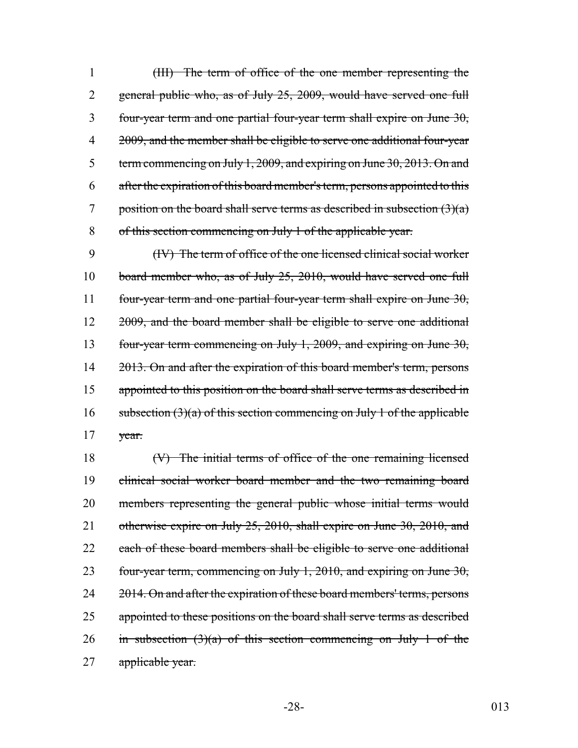(III) The term of office of the one member representing the 2 general public who, as of July 25, 2009, would have served one full four-year term and one partial four-year term shall expire on June 30, 4 2009, and the member shall be eligible to serve one additional four-year term commencing on July 1, 2009, and expiring on June 30, 2013. On and after the expiration of this board member's term, persons appointed to this 7 position on the board shall serve terms as described in subsection  $(3)(a)$ of this section commencing on July 1 of the applicable year.

9 (IV) The term of office of the one licensed clinical social worker 10 board member who, as of July 25, 2010, would have served one full 11 four-year term and one partial four-year term shall expire on June 30, 12 2009, and the board member shall be eligible to serve one additional 13 four-year term commencing on July 1, 2009, and expiring on June 30, 14 2013. On and after the expiration of this board member's term, persons 15 appointed to this position on the board shall serve terms as described in 16 subsection  $(3)(a)$  of this section commencing on July 1 of the applicable 17 year.

18 (V) The initial terms of office of the one remaining licensed 19 clinical social worker board member and the two remaining board 20 members representing the general public whose initial terms would 21 otherwise expire on July 25, 2010, shall expire on June 30, 2010, and 22 each of these board members shall be eligible to serve one additional 23 four-year term, commencing on July 1, 2010, and expiring on June 30, 24 2014. On and after the expiration of these board members' terms, persons 25 appointed to these positions on the board shall serve terms as described 26 in subsection  $(3)(a)$  of this section commencing on July 1 of the 27 applicable year.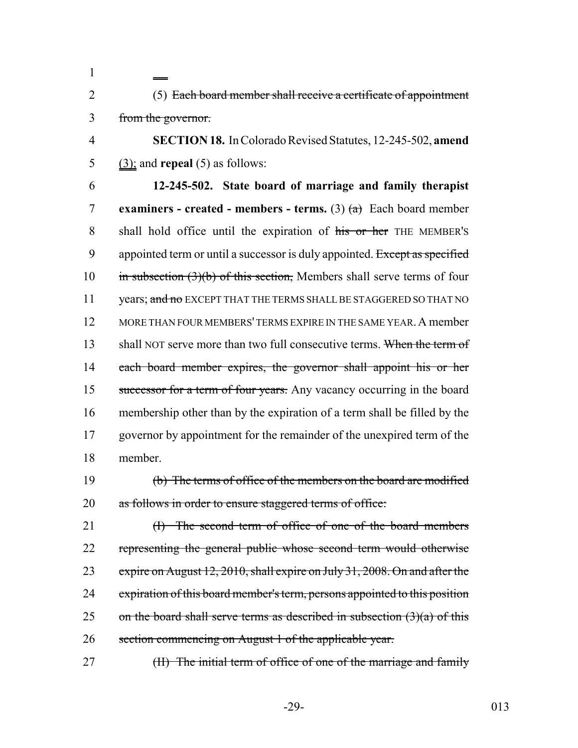2 (5) Each board member shall receive a certificate of appointment 3 from the governor.

1

4 **SECTION 18.** In Colorado Revised Statutes, 12-245-502, **amend** 5 (3); and **repeal** (5) as follows:

6 **12-245-502. State board of marriage and family therapist** 7 **examiners - created - members - terms.** (3) (a) Each board member 8 shall hold office until the expiration of his or her THE MEMBER's 9 appointed term or until a successor is duly appointed. Except as specified 10 in subsection  $(3)(b)$  of this section, Members shall serve terms of four 11 years; and no EXCEPT THAT THE TERMS SHALL BE STAGGERED SO THAT NO 12 MORE THAN FOUR MEMBERS' TERMS EXPIRE IN THE SAME YEAR. A member 13 shall NOT serve more than two full consecutive terms. When the term of 14 each board member expires, the governor shall appoint his or her 15 successor for a term of four years. Any vacancy occurring in the board 16 membership other than by the expiration of a term shall be filled by the 17 governor by appointment for the remainder of the unexpired term of the 18 member.

19 (b) The terms of office of the members on the board are modified 20 as follows in order to ensure staggered terms of office:

21 (I) The second term of office of one of the board members 22 representing the general public whose second term would otherwise 23 expire on August 12, 2010, shall expire on July 31, 2008. On and after the 24 expiration of this board member's term, persons appointed to this position 25 on the board shall serve terms as described in subsection  $(3)(a)$  of this 26 section commencing on August 1 of the applicable year.

27 (II) The initial term of office of one of the marriage and family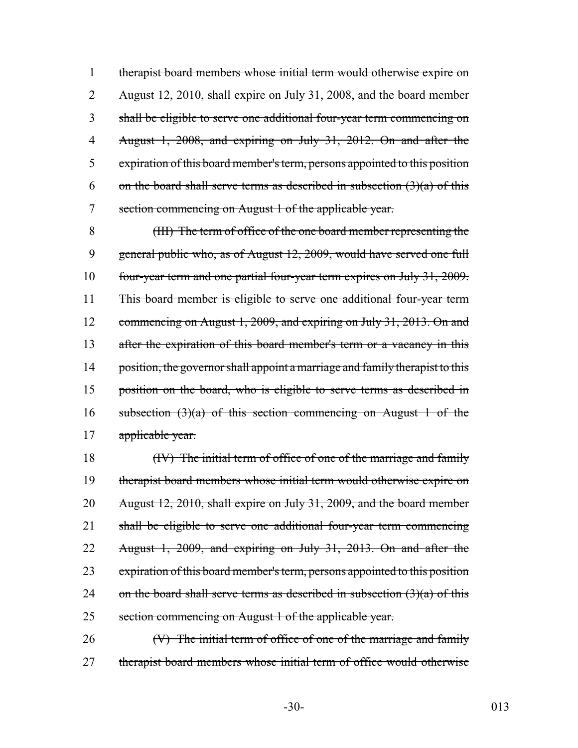therapist board members whose initial term would otherwise expire on August 12, 2010, shall expire on July 31, 2008, and the board member shall be eligible to serve one additional four-year term commencing on August 1, 2008, and expiring on July 31, 2012. On and after the expiration of this board member's term, persons appointed to this position 6 on the board shall serve terms as described in subsection  $(3)(a)$  of this section commencing on August 1 of the applicable year.

8 (III) The term of office of the one board member representing the 9 general public who, as of August 12, 2009, would have served one full 10 four-year term and one partial four-year term expires on July 31, 2009. 11 This board member is eligible to serve one additional four-year term 12 commencing on August 1, 2009, and expiring on July 31, 2013. On and 13 after the expiration of this board member's term or a vacancy in this 14 position, the governor shall appoint a marriage and family therapist to this 15 position on the board, who is eligible to serve terms as described in 16 subsection  $(3)(a)$  of this section commencing on August 1 of the 17 applicable year.

18 (IV) The initial term of office of one of the marriage and family therapist board members whose initial term would otherwise expire on August 12, 2010, shall expire on July 31, 2009, and the board member shall be eligible to serve one additional four-year term commencing August 1, 2009, and expiring on July 31, 2013. On and after the 23 expiration of this board member's term, persons appointed to this position 24 on the board shall serve terms as described in subsection  $(3)(a)$  of this section commencing on August 1 of the applicable year.

26 (V) The initial term of office of one of the marriage and family 27 therapist board members whose initial term of office would otherwise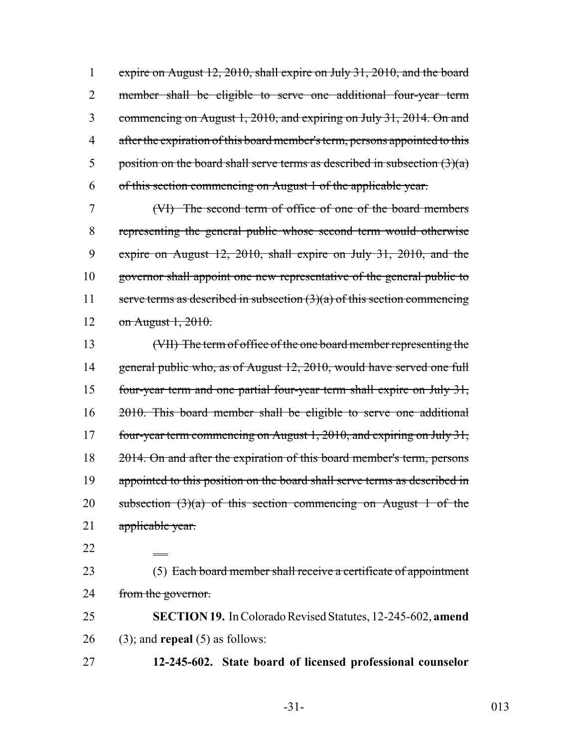expire on August 12, 2010, shall expire on July 31, 2010, and the board member shall be eligible to serve one additional four-year term commencing on August 1, 2010, and expiring on July 31, 2014. On and 4 after the expiration of this board member's term, persons appointed to this 5 position on the board shall serve terms as described in subsection  $(3)(a)$ of this section commencing on August 1 of the applicable year.

 (VI) The second term of office of one of the board members representing the general public whose second term would otherwise expire on August 12, 2010, shall expire on July 31, 2010, and the 10 governor shall appoint one new representative of the general public to 11 serve terms as described in subsection  $(3)(a)$  of this section commencing on August 1, 2010.

13 (VII) The term of office of the one board member representing the 14 general public who, as of August 12, 2010, would have served one full 15 four-year term and one partial four-year term shall expire on July 31, 16 2010. This board member shall be eligible to serve one additional 17 four-year term commencing on August 1, 2010, and expiring on July 31, 18 2014. On and after the expiration of this board member's term, persons 19 appointed to this position on the board shall serve terms as described in 20 subsection  $(3)(a)$  of this section commencing on August 1 of the 21 applicable year.

22

23 (5) Each board member shall receive a certificate of appointment 24 from the governor.

25 **SECTION 19.** In Colorado Revised Statutes, 12-245-602, **amend** 26 (3); and **repeal** (5) as follows:

27 **12-245-602. State board of licensed professional counselor**

-31- 013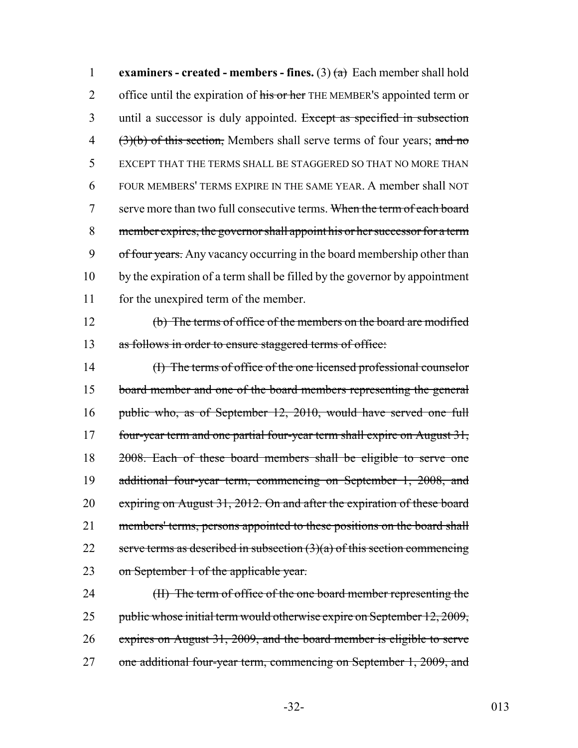1 **examiners - created - members - fines.** (3)  $(a)$  Each member shall hold 2 office until the expiration of his or her THE MEMBER's appointed term or 3 until a successor is duly appointed. Except as specified in subsection 4 (3)(b) of this section, Members shall serve terms of four years; and no 5 EXCEPT THAT THE TERMS SHALL BE STAGGERED SO THAT NO MORE THAN 6 FOUR MEMBERS' TERMS EXPIRE IN THE SAME YEAR. A member shall NOT 7 serve more than two full consecutive terms. When the term of each board 8 member expires, the governor shall appoint his or her successor for a term 9 of four years. Any vacancy occurring in the board membership other than 10 by the expiration of a term shall be filled by the governor by appointment 11 for the unexpired term of the member.

12 (b) The terms of office of the members on the board are modified 13 as follows in order to ensure staggered terms of office:

14 (I) The terms of office of the one licensed professional counselor 15 board member and one of the board members representing the general 16 public who, as of September 12, 2010, would have served one full 17 four-year term and one partial four-year term shall expire on August 31, 18 2008. Each of these board members shall be eligible to serve one 19 additional four-year term, commencing on September 1, 2008, and 20 expiring on August 31, 2012. On and after the expiration of these board 21 members' terms, persons appointed to these positions on the board shall 22 serve terms as described in subsection  $(3)(a)$  of this section commencing 23 on September 1 of the applicable year.

24 (II) The term of office of the one board member representing the 25 public whose initial term would otherwise expire on September 12, 2009, 26 expires on August 31, 2009, and the board member is eligible to serve 27 one additional four-year term, commencing on September 1, 2009, and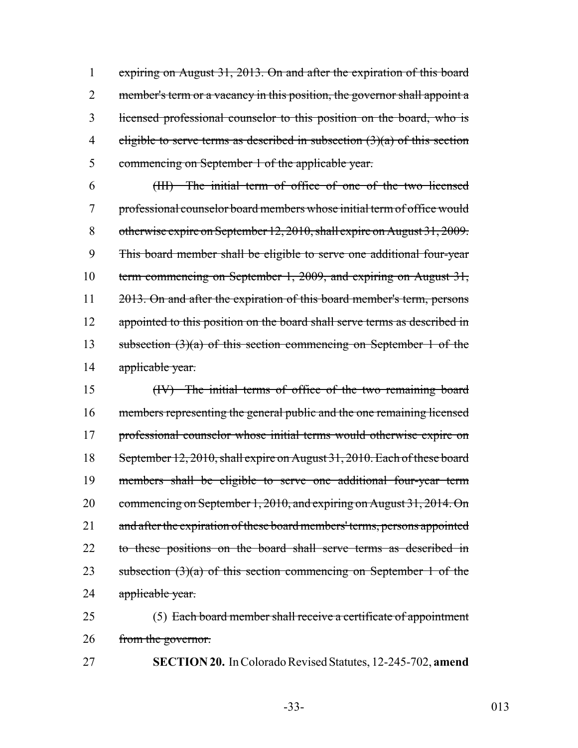1 expiring on August 31, 2013. On and after the expiration of this board 2 member's term or a vacancy in this position, the governor shall appoint a 3 licensed professional counselor to this position on the board, who is 4 eligible to serve terms as described in subsection  $(3)(a)$  of this section 5 commencing on September 1 of the applicable year.

6 (III) The initial term of office of one of the two licensed 7 professional counselor board members whose initial term of office would 8 otherwise expire on September 12, 2010, shall expire on August 31, 2009. 9 This board member shall be eligible to serve one additional four-year 10 term commencing on September 1, 2009, and expiring on August 31, 11 2013. On and after the expiration of this board member's term, persons 12 appointed to this position on the board shall serve terms as described in 13 subsection  $(3)(a)$  of this section commencing on September 1 of the 14 applicable year.

15 (IV) The initial terms of office of the two remaining board 16 members representing the general public and the one remaining licensed 17 professional counselor whose initial terms would otherwise expire on 18 September 12, 2010, shall expire on August 31, 2010. Each of these board 19 members shall be eligible to serve one additional four-year term 20 commencing on September 1, 2010, and expiring on August 31, 2014. On 21 and after the expiration of these board members' terms, persons appointed 22 to these positions on the board shall serve terms as described in 23 subsection  $(3)(a)$  of this section commencing on September 1 of the 24 applicable year.

25 (5) Each board member shall receive a certificate of appointment 26 from the governor.

27 **SECTION 20.** In Colorado Revised Statutes, 12-245-702, **amend**

-33- 013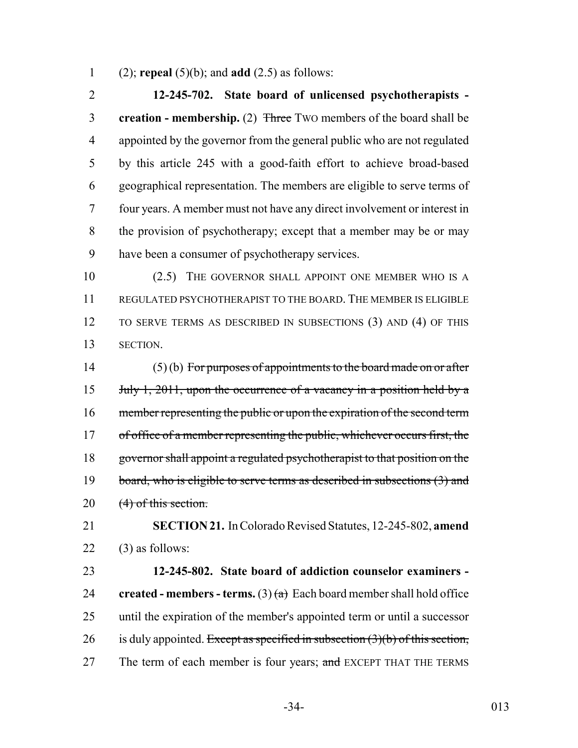(2); **repeal** (5)(b); and **add** (2.5) as follows:

 **12-245-702. State board of unlicensed psychotherapists - creation - membership.** (2) Three TWO members of the board shall be appointed by the governor from the general public who are not regulated by this article 245 with a good-faith effort to achieve broad-based geographical representation. The members are eligible to serve terms of four years. A member must not have any direct involvement or interest in the provision of psychotherapy; except that a member may be or may have been a consumer of psychotherapy services.

10 (2.5) THE GOVERNOR SHALL APPOINT ONE MEMBER WHO IS A REGULATED PSYCHOTHERAPIST TO THE BOARD. THE MEMBER IS ELIGIBLE TO SERVE TERMS AS DESCRIBED IN SUBSECTIONS (3) AND (4) OF THIS SECTION.

14  $(5)(b)$  For purposes of appointments to the board made on or after 15 July 1, 2011, upon the occurrence of a vacancy in a position held by a 16 member representing the public or upon the expiration of the second term 17 of office of a member representing the public, whichever occurs first, the governor shall appoint a regulated psychotherapist to that position on the 19 board, who is eligible to serve terms as described in subsections (3) and 20 (4) of this section.

 **SECTION 21.** In Colorado Revised Statutes, 12-245-802, **amend** (3) as follows:

 **12-245-802. State board of addiction counselor examiners -** 24 **created - members - terms.** (3)  $(a)$  Each board member shall hold office until the expiration of the member's appointed term or until a successor 26 is duly appointed. Except as specified in subsection  $(3)(b)$  of this section, 27 The term of each member is four years; and EXCEPT THAT THE TERMS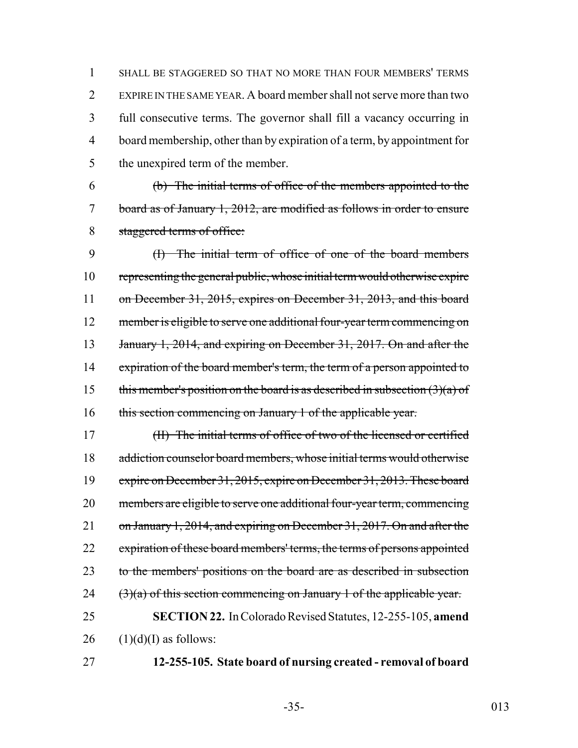SHALL BE STAGGERED SO THAT NO MORE THAN FOUR MEMBERS' TERMS EXPIRE IN THE SAME YEAR. A board member shall not serve more than two full consecutive terms. The governor shall fill a vacancy occurring in board membership, other than by expiration of a term, by appointment for 5 the unexpired term of the member.

6 (b) The initial terms of office of the members appointed to the 7 board as of January 1, 2012, are modified as follows in order to ensure 8 staggered terms of office:

9 (I) The initial term of office of one of the board members 10 representing the general public, whose initial term would otherwise expire 11 on December 31, 2015, expires on December 31, 2013, and this board 12 member is eligible to serve one additional four-year term commencing on 13 January 1, 2014, and expiring on December 31, 2017. On and after the 14 expiration of the board member's term, the term of a person appointed to 15 this member's position on the board is as described in subsection  $(3)(a)$  of 16 this section commencing on January 1 of the applicable year.

17 (II) The initial terms of office of two of the licensed or certified 18 addiction counselor board members, whose initial terms would otherwise 19 expire on December 31, 2015, expire on December 31, 2013. These board 20 members are eligible to serve one additional four-year term, commencing 21 on January 1, 2014, and expiring on December 31, 2017. On and after the 22 expiration of these board members' terms, the terms of persons appointed 23 to the members' positions on the board are as described in subsection 24  $(3)(a)$  of this section commencing on January 1 of the applicable year. 25 **SECTION 22.** In Colorado Revised Statutes, 12-255-105, **amend**

 $26$  (1)(d)(I) as follows:

27 **12-255-105. State board of nursing created - removal of board**

-35- 013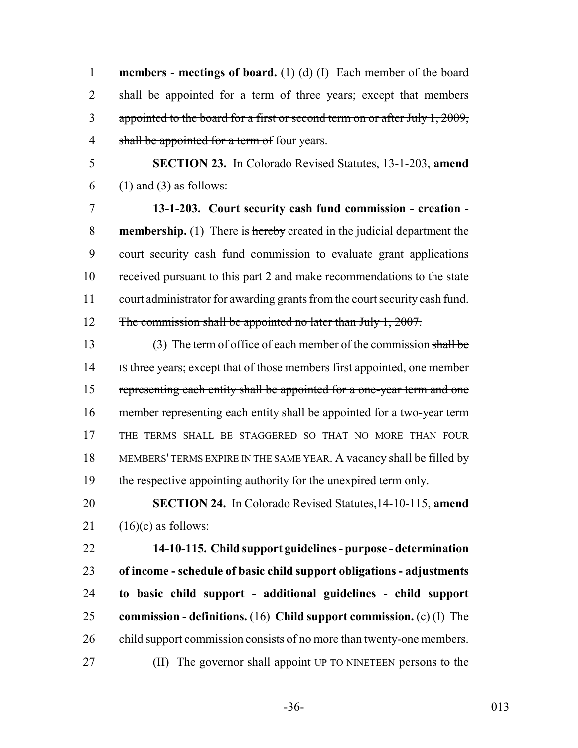**members - meetings of board.** (1) (d) (I) Each member of the board 2 shall be appointed for a term of three years; except that members 3 appointed to the board for a first or second term on or after July 1, 2009, 4 shall be appointed for a term of four years.

 **SECTION 23.** In Colorado Revised Statutes, 13-1-203, **amend** (1) and (3) as follows:

 **13-1-203. Court security cash fund commission - creation - membership.** (1) There is hereby created in the judicial department the court security cash fund commission to evaluate grant applications received pursuant to this part 2 and make recommendations to the state court administrator for awarding grants from the court security cash fund. 12 The commission shall be appointed no later than July 1, 2007.

 (3) The term of office of each member of the commission shall be 14 IS three years; except that of those members first appointed, one member representing each entity shall be appointed for a one-year term and one member representing each entity shall be appointed for a two-year term THE TERMS SHALL BE STAGGERED SO THAT NO MORE THAN FOUR MEMBERS' TERMS EXPIRE IN THE SAME YEAR. A vacancy shall be filled by the respective appointing authority for the unexpired term only.

 **SECTION 24.** In Colorado Revised Statutes,14-10-115, **amend** 21  $(16)(c)$  as follows:

 **14-10-115. Child support guidelines - purpose - determination of income - schedule of basic child support obligations - adjustments to basic child support - additional guidelines - child support commission - definitions.** (16) **Child support commission.** (c) (I) The 26 child support commission consists of no more than twenty-one members. (II) The governor shall appoint UP TO NINETEEN persons to the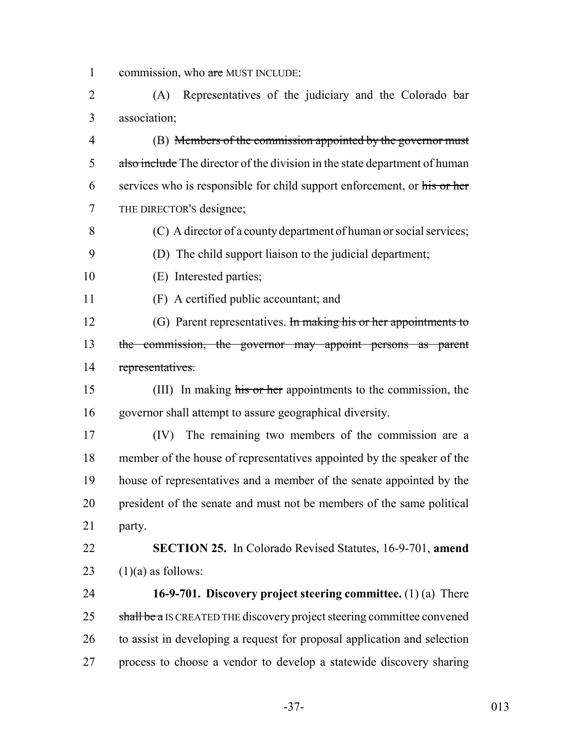1 commission, who are MUST INCLUDE:

 (A) Representatives of the judiciary and the Colorado bar association;

 (B) Members of the commission appointed by the governor must 5 also include The director of the division in the state department of human 6 services who is responsible for child support enforcement, or his or her THE DIRECTOR'S designee;

(C) A director of a county department of human or social services;

(D) The child support liaison to the judicial department;

(E) Interested parties;

(F) A certified public accountant; and

12 (G) Parent representatives. In making his or her appointments to 13 the commission, the governor may appoint persons as parent representatives.

 (III) In making his or her appointments to the commission, the governor shall attempt to assure geographical diversity.

 (IV) The remaining two members of the commission are a member of the house of representatives appointed by the speaker of the house of representatives and a member of the senate appointed by the president of the senate and must not be members of the same political party.

 **SECTION 25.** In Colorado Revised Statutes, 16-9-701, **amend** 23  $(1)(a)$  as follows:

 **16-9-701. Discovery project steering committee.** (1) (a) There 25 shall be a IS CREATED THE discovery project steering committee convened to assist in developing a request for proposal application and selection process to choose a vendor to develop a statewide discovery sharing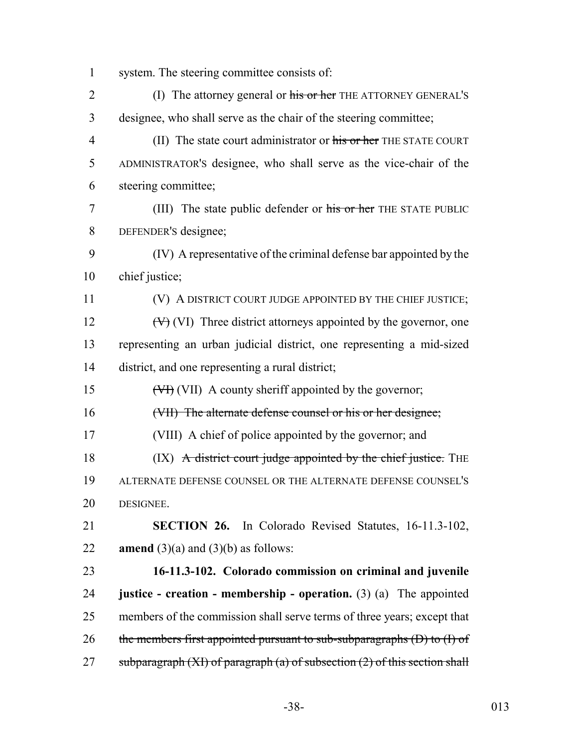- system. The steering committee consists of:
- 2 (I) The attorney general or his or her THE ATTORNEY GENERAL'S designee, who shall serve as the chair of the steering committee; 4 (II) The state court administrator or his or her THE STATE COURT ADMINISTRATOR'S designee, who shall serve as the vice-chair of the steering committee; (III) The state public defender or his or her THE STATE PUBLIC DEFENDER'S designee; (IV) A representative of the criminal defense bar appointed by the chief justice; 11 (V) A DISTRICT COURT JUDGE APPOINTED BY THE CHIEF JUSTICE; 12  $(W)$  (VI) Three district attorneys appointed by the governor, one representing an urban judicial district, one representing a mid-sized district, and one representing a rural district; 15  $(\forall H)(VII)$  A county sheriff appointed by the governor; (VII) The alternate defense counsel or his or her designee; (VIII) A chief of police appointed by the governor; and 18 (IX) A district court judge appointed by the chief justice. THE ALTERNATE DEFENSE COUNSEL OR THE ALTERNATE DEFENSE COUNSEL'S DESIGNEE. **SECTION 26.** In Colorado Revised Statutes, 16-11.3-102, **amend** (3)(a) and (3)(b) as follows: **16-11.3-102. Colorado commission on criminal and juvenile justice - creation - membership - operation.** (3) (a) The appointed members of the commission shall serve terms of three years; except that 26 the members first appointed pursuant to sub-subparagraphs  $(D)$  to  $(I)$  of 27 subparagraph  $(XI)$  of paragraph  $(a)$  of subsection  $(2)$  of this section shall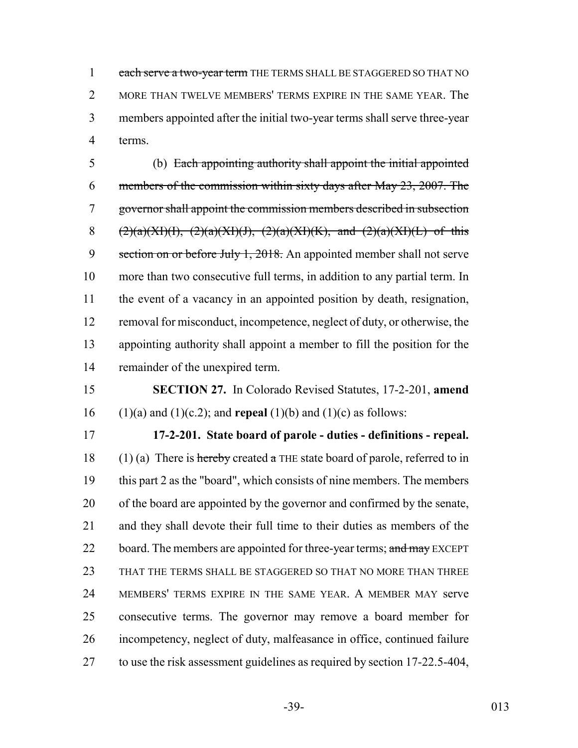1 each serve a two-year term THE TERMS SHALL BE STAGGERED SO THAT NO 2 MORE THAN TWELVE MEMBERS' TERMS EXPIRE IN THE SAME YEAR. The members appointed after the initial two-year terms shall serve three-year terms.

 (b) Each appointing authority shall appoint the initial appointed members of the commission within sixty days after May 23, 2007. The governor shall appoint the commission members described in subsection 8 (2)(a)(XI)(I), (2)(a)(XI)(J), (2)(a)(XI)(K), and (2)(a)(XI)(L) of this 9 section on or before July 1, 2018. An appointed member shall not serve more than two consecutive full terms, in addition to any partial term. In the event of a vacancy in an appointed position by death, resignation, removal for misconduct, incompetence, neglect of duty, or otherwise, the appointing authority shall appoint a member to fill the position for the remainder of the unexpired term.

 **SECTION 27.** In Colorado Revised Statutes, 17-2-201, **amend** (1)(a) and (1)(c.2); and **repeal** (1)(b) and (1)(c) as follows:

 **17-2-201. State board of parole - duties - definitions - repeal.** 18 (1) (a) There is hereby created a THE state board of parole, referred to in this part 2 as the "board", which consists of nine members. The members of the board are appointed by the governor and confirmed by the senate, and they shall devote their full time to their duties as members of the 22 board. The members are appointed for three-year terms; and may EXCEPT THAT THE TERMS SHALL BE STAGGERED SO THAT NO MORE THAN THREE MEMBERS' TERMS EXPIRE IN THE SAME YEAR. A MEMBER MAY serve consecutive terms. The governor may remove a board member for incompetency, neglect of duty, malfeasance in office, continued failure to use the risk assessment guidelines as required by section 17-22.5-404,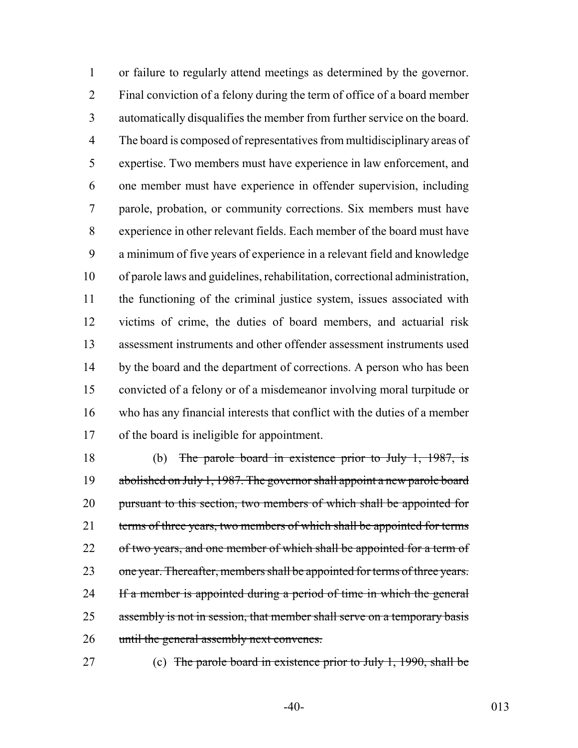or failure to regularly attend meetings as determined by the governor. Final conviction of a felony during the term of office of a board member automatically disqualifies the member from further service on the board. The board is composed of representatives from multidisciplinary areas of expertise. Two members must have experience in law enforcement, and one member must have experience in offender supervision, including parole, probation, or community corrections. Six members must have experience in other relevant fields. Each member of the board must have a minimum of five years of experience in a relevant field and knowledge of parole laws and guidelines, rehabilitation, correctional administration, the functioning of the criminal justice system, issues associated with victims of crime, the duties of board members, and actuarial risk assessment instruments and other offender assessment instruments used 14 by the board and the department of corrections. A person who has been convicted of a felony or of a misdemeanor involving moral turpitude or who has any financial interests that conflict with the duties of a member of the board is ineligible for appointment.

 (b) The parole board in existence prior to July 1, 1987, is 19 abolished on July 1, 1987. The governor shall appoint a new parole board 20 pursuant to this section, two members of which shall be appointed for 21 terms of three years, two members of which shall be appointed for terms 22 of two years, and one member of which shall be appointed for a term of 23 one year. Thereafter, members shall be appointed for terms of three years. 24 If a member is appointed during a period of time in which the general 25 assembly is not in session, that member shall serve on a temporary basis 26 until the general assembly next convenes.

(c) The parole board in existence prior to July 1, 1990, shall be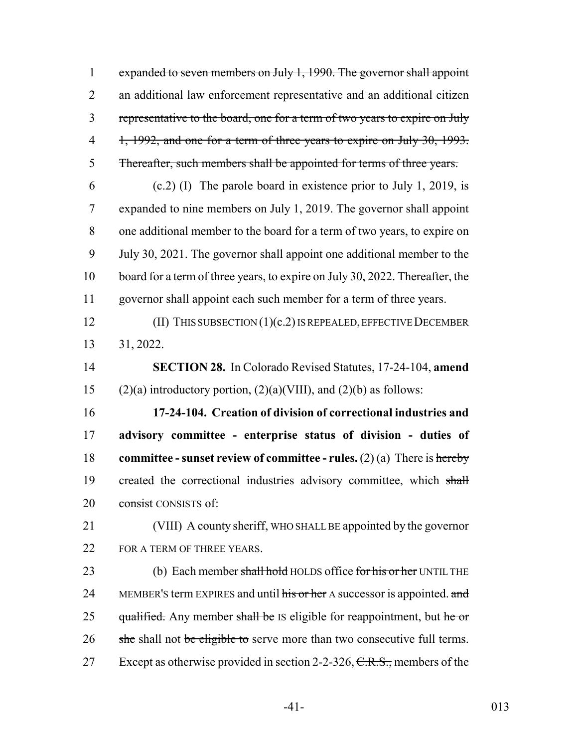expanded to seven members on July 1, 1990. The governor shall appoint an additional law enforcement representative and an additional citizen representative to the board, one for a term of two years to expire on July 4 1, 1992, and one for a term of three years to expire on July 30, 1993. Thereafter, such members shall be appointed for terms of three years.

 (c.2) (I) The parole board in existence prior to July 1, 2019, is expanded to nine members on July 1, 2019. The governor shall appoint one additional member to the board for a term of two years, to expire on July 30, 2021. The governor shall appoint one additional member to the board for a term of three years, to expire on July 30, 2022. Thereafter, the governor shall appoint each such member for a term of three years.

 (II) THIS SUBSECTION (1)(c.2) IS REPEALED, EFFECTIVE DECEMBER 31, 2022.

 **SECTION 28.** In Colorado Revised Statutes, 17-24-104, **amend** 15 (2)(a) introductory portion,  $(2)(a)$ (VIII), and  $(2)(b)$  as follows:

 **17-24-104. Creation of division of correctional industries and advisory committee - enterprise status of division - duties of committee - sunset review of committee - rules.** (2) (a) There is hereby 19 created the correctional industries advisory committee, which shall 20 consist CONSISTS of:

 (VIII) A county sheriff, WHO SHALL BE appointed by the governor 22 FOR A TERM OF THREE YEARS.

23 (b) Each member shall hold HOLDS office for his or her UNTIL THE 24 MEMBER'S term EXPIRES and until his or her A successor is appointed. and 25 qualified. Any member shall be IS eligible for reappointment, but he or 26 she shall not be eligible to serve more than two consecutive full terms. 27 Except as otherwise provided in section 2-2-326,  $C.R.S.,$  members of the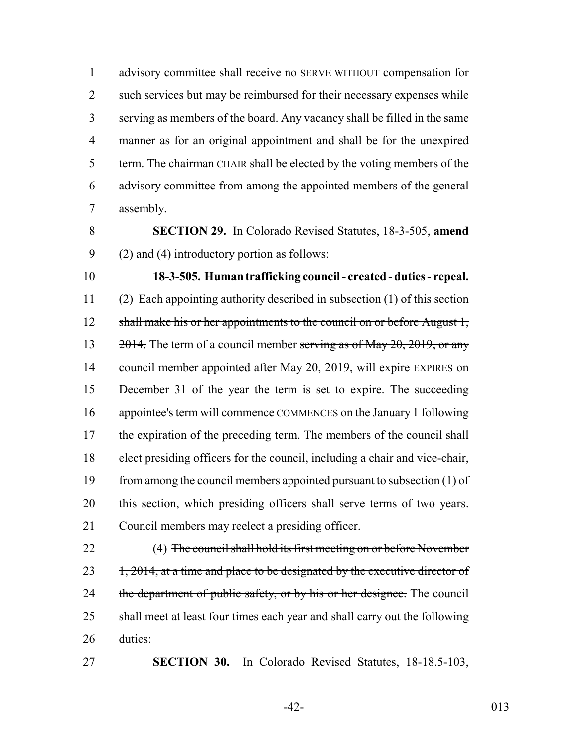1 advisory committee shall receive no SERVE WITHOUT compensation for 2 such services but may be reimbursed for their necessary expenses while 3 serving as members of the board. Any vacancy shall be filled in the same 4 manner as for an original appointment and shall be for the unexpired 5 term. The chairman CHAIR shall be elected by the voting members of the 6 advisory committee from among the appointed members of the general 7 assembly.

8 **SECTION 29.** In Colorado Revised Statutes, 18-3-505, **amend** 9 (2) and (4) introductory portion as follows:

10 **18-3-505. Human trafficking council - created - duties - repeal.** 11 (2) Each appointing authority described in subsection (1) of this section 12 shall make his or her appointments to the council on or before August 1, 13  $\frac{2014}{10}$ . The term of a council member serving as of May 20, 2019, or any 14 council member appointed after May 20, 2019, will expire EXPIRES on 15 December 31 of the year the term is set to expire. The succeeding 16 appointee's term will commence COMMENCES on the January 1 following 17 the expiration of the preceding term. The members of the council shall 18 elect presiding officers for the council, including a chair and vice-chair, 19 from among the council members appointed pursuant to subsection (1) of 20 this section, which presiding officers shall serve terms of two years. 21 Council members may reelect a presiding officer.

22 (4) The council shall hold its first meeting on or before November  $23$  1, 2014, at a time and place to be designated by the executive director of 24 the department of public safety, or by his or her designee. The council 25 shall meet at least four times each year and shall carry out the following 26 duties:

27 **SECTION 30.** In Colorado Revised Statutes, 18-18.5-103,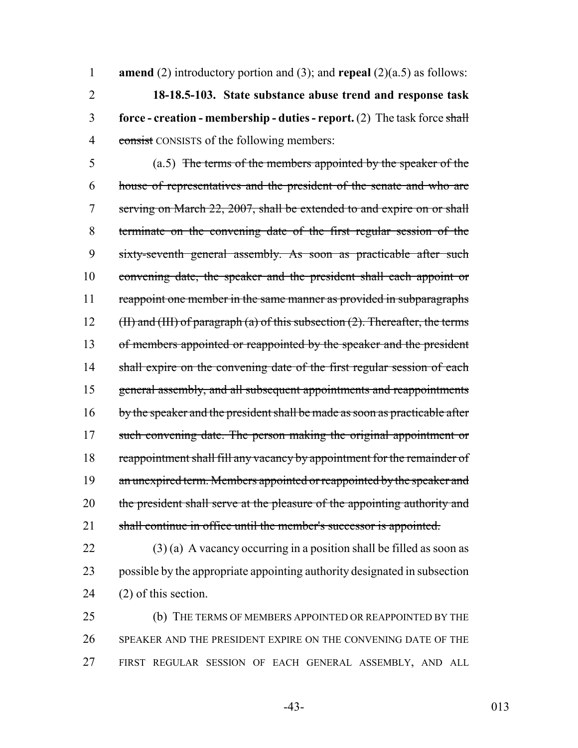**amend** (2) introductory portion and (3); and **repeal** (2)(a.5) as follows: **18-18.5-103. State substance abuse trend and response task force - creation - membership - duties - report.** (2) The task force shall 4 consist CONSISTS of the following members:

5 (a.5) The terms of the members appointed by the speaker of the 6 house of representatives and the president of the senate and who are 7 serving on March 22, 2007, shall be extended to and expire on or shall 8 terminate on the convening date of the first regular session of the 9 sixty-seventh general assembly. As soon as practicable after such 10 convening date, the speaker and the president shall each appoint or 11 reappoint one member in the same manner as provided in subparagraphs 12 (II) and (III) of paragraph (a) of this subsection  $(2)$ . Thereafter, the terms 13 of members appointed or reappointed by the speaker and the president 14 shall expire on the convening date of the first regular session of each 15 general assembly, and all subsequent appointments and reappointments 16 by the speaker and the president shall be made as soon as practicable after 17 such convening date. The person making the original appointment or 18 reappointment shall fill any vacancy by appointment for the remainder of 19 an unexpired term. Members appointed or reappointed by the speaker and 20 the president shall serve at the pleasure of the appointing authority and 21 shall continue in office until the member's successor is appointed.

 $22$  (3) (a) A vacancy occurring in a position shall be filled as soon as 23 possible by the appropriate appointing authority designated in subsection 24 (2) of this section.

25 (b) THE TERMS OF MEMBERS APPOINTED OR REAPPOINTED BY THE 26 SPEAKER AND THE PRESIDENT EXPIRE ON THE CONVENING DATE OF THE 27 FIRST REGULAR SESSION OF EACH GENERAL ASSEMBLY, AND ALL

-43- 013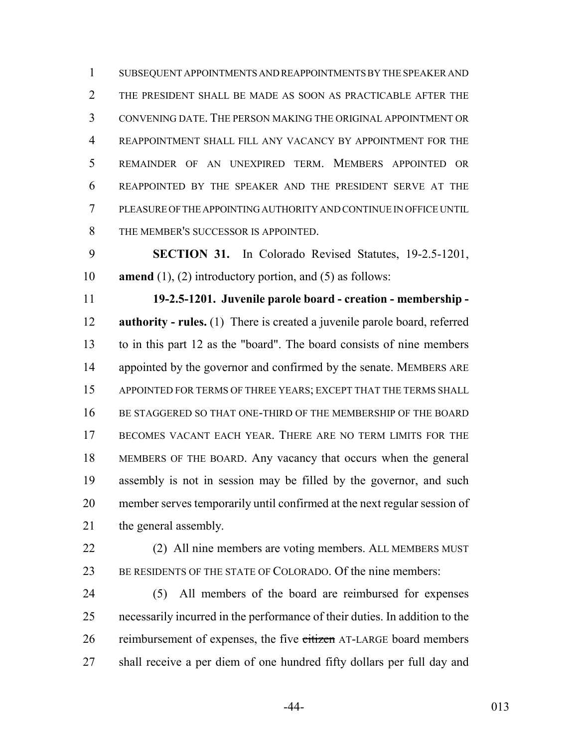SUBSEQUENT APPOINTMENTS AND REAPPOINTMENTS BY THE SPEAKER AND THE PRESIDENT SHALL BE MADE AS SOON AS PRACTICABLE AFTER THE CONVENING DATE. THE PERSON MAKING THE ORIGINAL APPOINTMENT OR REAPPOINTMENT SHALL FILL ANY VACANCY BY APPOINTMENT FOR THE REMAINDER OF AN UNEXPIRED TERM. MEMBERS APPOINTED OR REAPPOINTED BY THE SPEAKER AND THE PRESIDENT SERVE AT THE PLEASURE OF THE APPOINTING AUTHORITY AND CONTINUE IN OFFICE UNTIL 8 THE MEMBER'S SUCCESSOR IS APPOINTED.

 **SECTION 31.** In Colorado Revised Statutes, 19-2.5-1201, **amend** (1), (2) introductory portion, and (5) as follows:

 **19-2.5-1201. Juvenile parole board - creation - membership - authority - rules.** (1) There is created a juvenile parole board, referred to in this part 12 as the "board". The board consists of nine members 14 appointed by the governor and confirmed by the senate. MEMBERS ARE APPOINTED FOR TERMS OF THREE YEARS; EXCEPT THAT THE TERMS SHALL BE STAGGERED SO THAT ONE-THIRD OF THE MEMBERSHIP OF THE BOARD 17 BECOMES VACANT EACH YEAR. THERE ARE NO TERM LIMITS FOR THE MEMBERS OF THE BOARD. Any vacancy that occurs when the general assembly is not in session may be filled by the governor, and such member serves temporarily until confirmed at the next regular session of the general assembly.

 (2) All nine members are voting members. ALL MEMBERS MUST BE RESIDENTS OF THE STATE OF COLORADO. Of the nine members:

 (5) All members of the board are reimbursed for expenses necessarily incurred in the performance of their duties. In addition to the 26 reimbursement of expenses, the five citizen AT-LARGE board members shall receive a per diem of one hundred fifty dollars per full day and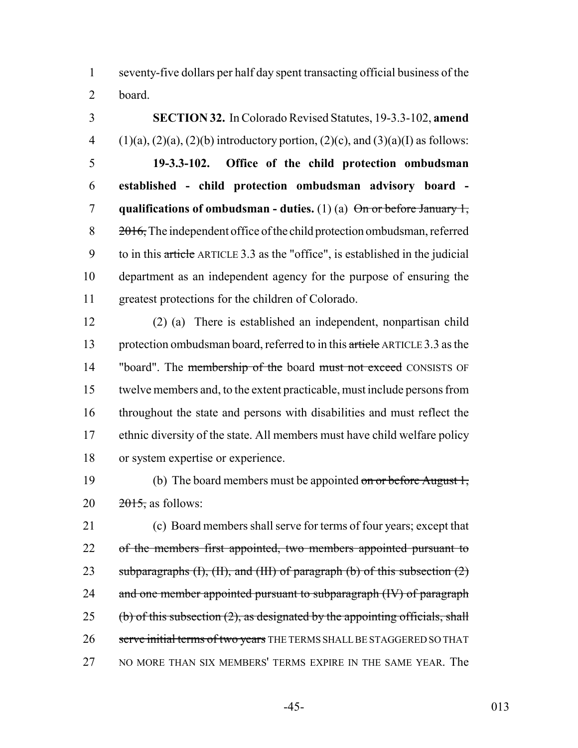1 seventy-five dollars per half day spent transacting official business of the 2 board.

 **SECTION 32.** In Colorado Revised Statutes, 19-3.3-102, **amend** 4 (1)(a), (2)(a), (2)(b) introductory portion, (2)(c), and (3)(a)(I) as follows: **19-3.3-102. Office of the child protection ombudsman established - child protection ombudsman advisory board - qualifications of ombudsman - duties.** (1) (a)  $\Theta$ <del>n or before January 1,</del>  $8 \qquad \frac{2016}{2010}$ , The independent office of the child protection ombudsman, referred 9 to in this article ARTICLE 3.3 as the "office", is established in the judicial department as an independent agency for the purpose of ensuring the greatest protections for the children of Colorado.

 (2) (a) There is established an independent, nonpartisan child 13 protection ombudsman board, referred to in this article ARTICLE 3.3 as the 14 "board". The membership of the board must not exceed CONSISTS OF twelve members and, to the extent practicable, must include persons from throughout the state and persons with disabilities and must reflect the ethnic diversity of the state. All members must have child welfare policy or system expertise or experience.

19 (b) The board members must be appointed on or before August 1, 20  $20\frac{2015}{2015}$ , as follows:

21 (c) Board members shall serve for terms of four years; except that 22 of the members first appointed, two members appointed pursuant to 23 subparagraphs  $(H)$ ,  $(H)$ , and  $(H)$  of paragraph  $(b)$  of this subsection  $(2)$ 24 and one member appointed pursuant to subparagraph (IV) of paragraph 25 (b) of this subsection  $(2)$ , as designated by the appointing officials, shall 26 serve initial terms of two years THE TERMS SHALL BE STAGGERED SO THAT 27 NO MORE THAN SIX MEMBERS' TERMS EXPIRE IN THE SAME YEAR. The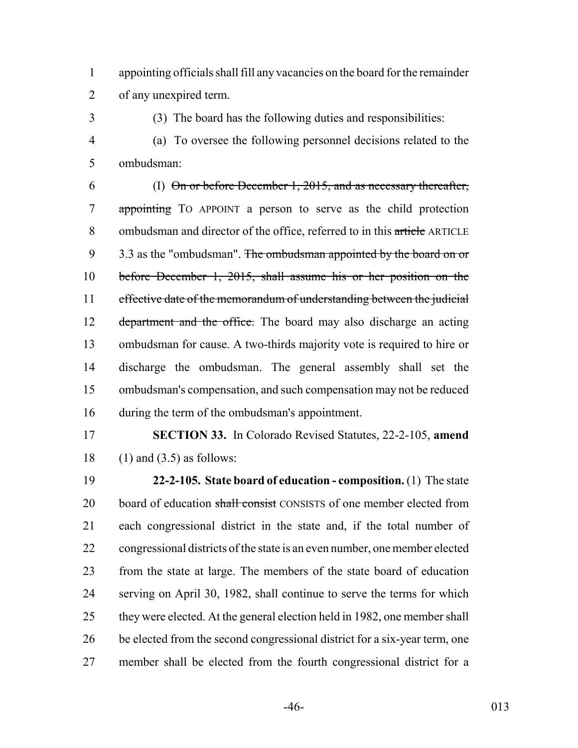appointing officials shall fill any vacancies on the board for the remainder of any unexpired term.

(3) The board has the following duties and responsibilities:

 (a) To oversee the following personnel decisions related to the ombudsman:

 (I) On or before December 1, 2015, and as necessary thereafter, appointing TO APPOINT a person to serve as the child protection 8 ombudsman and director of the office, referred to in this article ARTICLE 9 3.3 as the "ombudsman". The ombudsman appointed by the board on or before December 1, 2015, shall assume his or her position on the 11 effective date of the memorandum of understanding between the judicial 12 department and the office. The board may also discharge an acting ombudsman for cause. A two-thirds majority vote is required to hire or discharge the ombudsman. The general assembly shall set the ombudsman's compensation, and such compensation may not be reduced during the term of the ombudsman's appointment.

 **SECTION 33.** In Colorado Revised Statutes, 22-2-105, **amend** 18 (1) and  $(3.5)$  as follows:

 **22-2-105. State board of education - composition.** (1) The state 20 board of education shall consist CONSISTS of one member elected from each congressional district in the state and, if the total number of congressional districts of the state is an even number, one member elected from the state at large. The members of the state board of education serving on April 30, 1982, shall continue to serve the terms for which 25 they were elected. At the general election held in 1982, one member shall be elected from the second congressional district for a six-year term, one member shall be elected from the fourth congressional district for a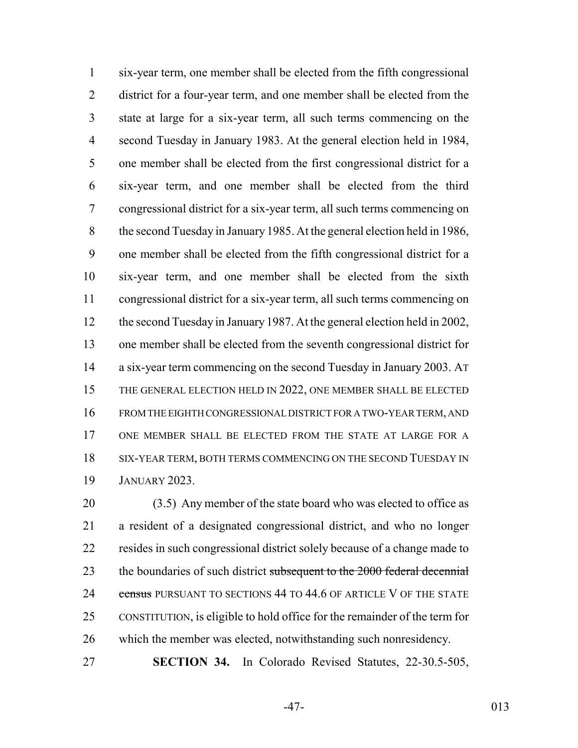six-year term, one member shall be elected from the fifth congressional district for a four-year term, and one member shall be elected from the state at large for a six-year term, all such terms commencing on the second Tuesday in January 1983. At the general election held in 1984, one member shall be elected from the first congressional district for a six-year term, and one member shall be elected from the third congressional district for a six-year term, all such terms commencing on the second Tuesday in January 1985. At the general election held in 1986, one member shall be elected from the fifth congressional district for a six-year term, and one member shall be elected from the sixth congressional district for a six-year term, all such terms commencing on the second Tuesday in January 1987. At the general election held in 2002, one member shall be elected from the seventh congressional district for a six-year term commencing on the second Tuesday in January 2003. AT 15 THE GENERAL ELECTION HELD IN 2022, ONE MEMBER SHALL BE ELECTED FROM THE EIGHTH CONGRESSIONAL DISTRICT FOR A TWO-YEAR TERM, AND ONE MEMBER SHALL BE ELECTED FROM THE STATE AT LARGE FOR A 18 SIX-YEAR TERM, BOTH TERMS COMMENCING ON THE SECOND TUESDAY IN JANUARY 2023.

 (3.5) Any member of the state board who was elected to office as a resident of a designated congressional district, and who no longer resides in such congressional district solely because of a change made to 23 the boundaries of such district subsequent to the 2000 federal decennial 24 census PURSUANT TO SECTIONS 44 TO 44.6 OF ARTICLE V OF THE STATE CONSTITUTION, is eligible to hold office for the remainder of the term for which the member was elected, notwithstanding such nonresidency.

**SECTION 34.** In Colorado Revised Statutes, 22-30.5-505,

-47- 013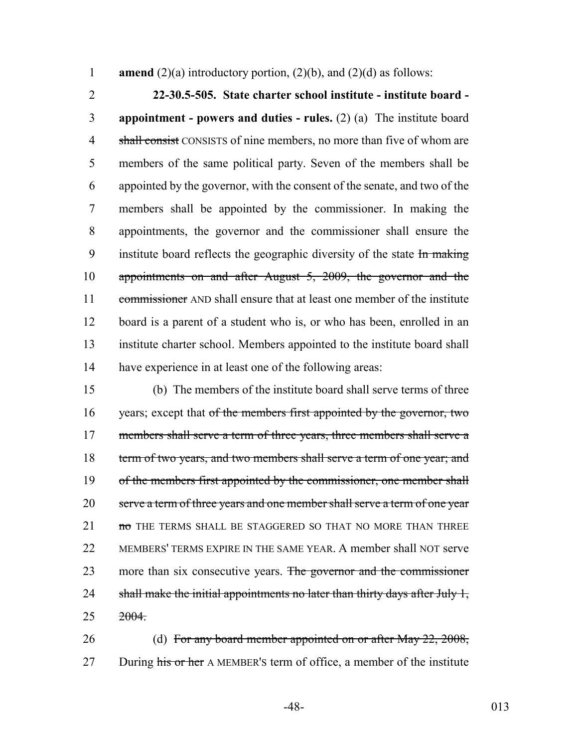1 **amend** (2)(a) introductory portion, (2)(b), and (2)(d) as follows:

 **22-30.5-505. State charter school institute - institute board - appointment - powers and duties - rules.** (2) (a) The institute board 4 shall consist CONSISTS of nine members, no more than five of whom are members of the same political party. Seven of the members shall be appointed by the governor, with the consent of the senate, and two of the members shall be appointed by the commissioner. In making the appointments, the governor and the commissioner shall ensure the 9 institute board reflects the geographic diversity of the state In making appointments on and after August 5, 2009, the governor and the 11 commissioner AND shall ensure that at least one member of the institute board is a parent of a student who is, or who has been, enrolled in an institute charter school. Members appointed to the institute board shall have experience in at least one of the following areas:

15 (b) The members of the institute board shall serve terms of three 16 years; except that of the members first appointed by the governor, two 17 members shall serve a term of three years, three members shall serve a 18 term of two years, and two members shall serve a term of one year; and 19 of the members first appointed by the commissioner, one member shall 20 serve a term of three years and one member shall serve a term of one year 21 **no** THE TERMS SHALL BE STAGGERED SO THAT NO MORE THAN THREE 22 MEMBERS' TERMS EXPIRE IN THE SAME YEAR. A member shall NOT serve 23 more than six consecutive years. The governor and the commissioner 24 shall make the initial appointments no later than thirty days after July 1,  $25 \frac{2004}{5}$ 

26 (d) For any board member appointed on or after May 22, 2008, 27 During his or her A MEMBER's term of office, a member of the institute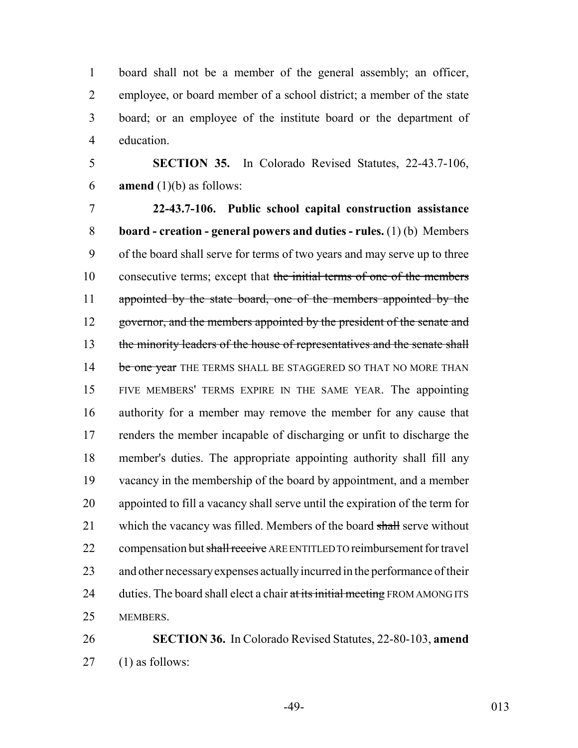board shall not be a member of the general assembly; an officer, employee, or board member of a school district; a member of the state board; or an employee of the institute board or the department of education.

 **SECTION 35.** In Colorado Revised Statutes, 22-43.7-106, **amend** (1)(b) as follows:

 **22-43.7-106. Public school capital construction assistance board - creation - general powers and duties - rules.** (1) (b) Members of the board shall serve for terms of two years and may serve up to three 10 consecutive terms; except that the initial terms of one of the members 11 appointed by the state board, one of the members appointed by the 12 governor, and the members appointed by the president of the senate and 13 the minority leaders of the house of representatives and the senate shall 14 be one year THE TERMS SHALL BE STAGGERED SO THAT NO MORE THAN FIVE MEMBERS' TERMS EXPIRE IN THE SAME YEAR. The appointing authority for a member may remove the member for any cause that renders the member incapable of discharging or unfit to discharge the member's duties. The appropriate appointing authority shall fill any vacancy in the membership of the board by appointment, and a member appointed to fill a vacancy shall serve until the expiration of the term for 21 which the vacancy was filled. Members of the board shall serve without 22 compensation but shall receive ARE ENTITLED TO reimbursement for travel and other necessary expenses actually incurred in the performance of their 24 duties. The board shall elect a chair at its initial meeting FROM AMONG ITS MEMBERS.

 **SECTION 36.** In Colorado Revised Statutes, 22-80-103, **amend** (1) as follows:

-49- 013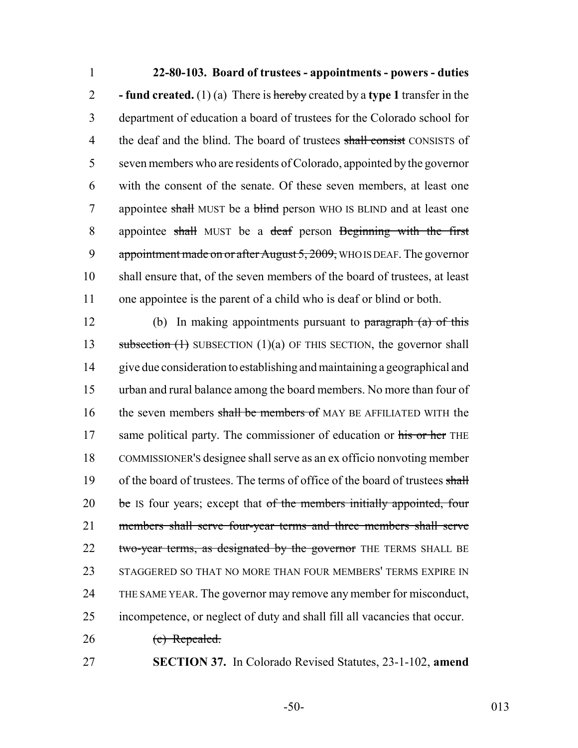**22-80-103. Board of trustees - appointments - powers - duties - fund created.** (1) (a) There is hereby created by a **type 1** transfer in the department of education a board of trustees for the Colorado school for 4 the deaf and the blind. The board of trustees shall consist CONSISTS of seven members who are residents of Colorado, appointed by the governor with the consent of the senate. Of these seven members, at least one 7 appointee shall MUST be a blind person WHO IS BLIND and at least one 8 appointee shall MUST be a deaf person Beginning with the first 9 appointment made on or after August 5, 2009, WHO IS DEAF. The governor shall ensure that, of the seven members of the board of trustees, at least one appointee is the parent of a child who is deaf or blind or both.

12 (b) In making appointments pursuant to  $\frac{1}{2}$  (a) of this 13 subsection (1) SUBSECTION (1)(a) OF THIS SECTION, the governor shall 14 give due consideration to establishing and maintaining a geographical and 15 urban and rural balance among the board members. No more than four of 16 the seven members shall be members of MAY BE AFFILIATED WITH the 17 same political party. The commissioner of education or his or her THE 18 COMMISSIONER'S designee shall serve as an ex officio nonvoting member 19 of the board of trustees. The terms of office of the board of trustees shall 20 be Is four years; except that of the members initially appointed, four 21 members shall serve four-year terms and three members shall serve 22 two-year terms, as designated by the governor THE TERMS SHALL BE 23 STAGGERED SO THAT NO MORE THAN FOUR MEMBERS' TERMS EXPIRE IN 24 THE SAME YEAR. The governor may remove any member for misconduct, 25 incompetence, or neglect of duty and shall fill all vacancies that occur.

26 (c) Repealed.

27 **SECTION 37.** In Colorado Revised Statutes, 23-1-102, **amend**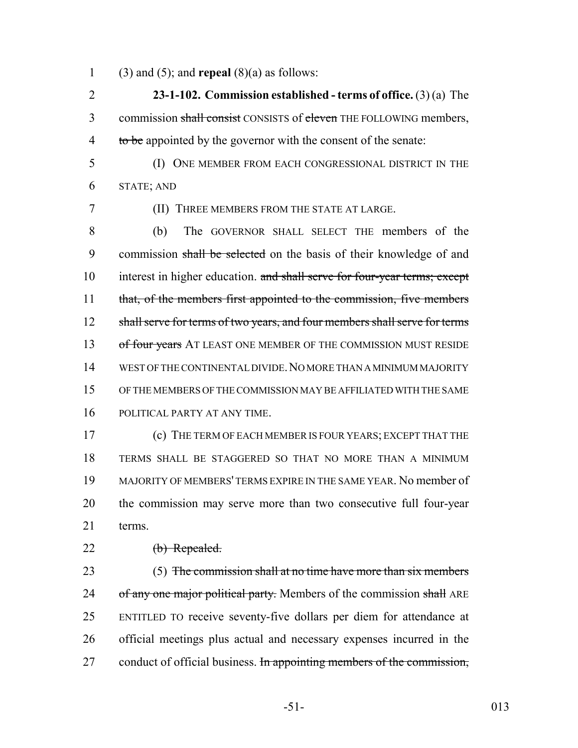1 (3) and (5); and **repeal** (8)(a) as follows:

2 **23-1-102. Commission established - terms of office.** (3) (a) The 3 commission shall consist CONSISTS of eleven THE FOLLOWING members, 4 to be appointed by the governor with the consent of the senate:

5 (I) ONE MEMBER FROM EACH CONGRESSIONAL DISTRICT IN THE 6 STATE; AND

7 (II) THREE MEMBERS FROM THE STATE AT LARGE.

8 (b) The GOVERNOR SHALL SELECT THE members of the 9 commission shall be selected on the basis of their knowledge of and 10 interest in higher education. and shall serve for four-year terms; except 11 that, of the members first appointed to the commission, five members 12 shall serve for terms of two years, and four members shall serve for terms 13 of four years AT LEAST ONE MEMBER OF THE COMMISSION MUST RESIDE 14 WEST OF THE CONTINENTAL DIVIDE.NO MORE THAN A MINIMUM MAJORITY 15 OF THE MEMBERS OF THE COMMISSION MAY BE AFFILIATED WITH THE SAME 16 POLITICAL PARTY AT ANY TIME.

 (c) THE TERM OF EACH MEMBER IS FOUR YEARS; EXCEPT THAT THE TERMS SHALL BE STAGGERED SO THAT NO MORE THAN A MINIMUM MAJORITY OF MEMBERS' TERMS EXPIRE IN THE SAME YEAR. No member of the commission may serve more than two consecutive full four-year 21 terms.

22 (b) Repealed.

23 (5) The commission shall at no time have more than six members 24 of any one major political party. Members of the commission shall ARE 25 ENTITLED TO receive seventy-five dollars per diem for attendance at 26 official meetings plus actual and necessary expenses incurred in the 27 conduct of official business. In appointing members of the commission,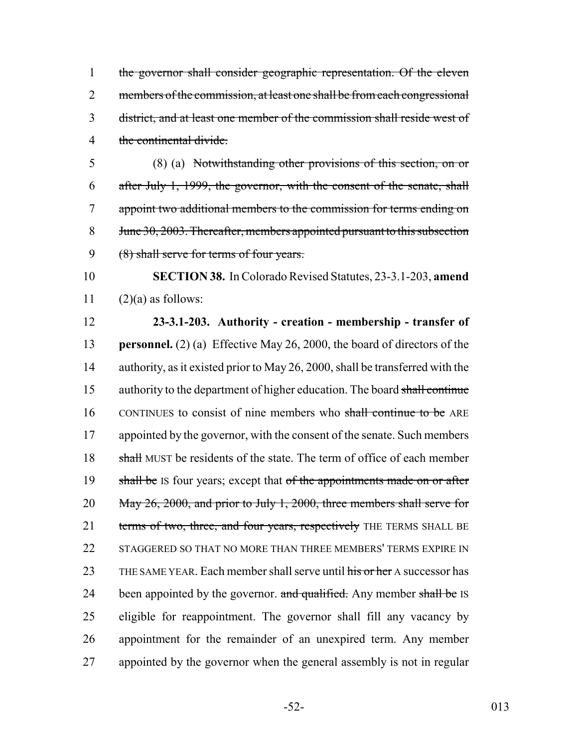the governor shall consider geographic representation. Of the eleven 2 members of the commission, at least one shall be from each congressional district, and at least one member of the commission shall reside west of the continental divide.

5 (8) (a) Notwithstanding other provisions of this section, on or 6 after July 1, 1999, the governor, with the consent of the senate, shall 7 appoint two additional members to the commission for terms ending on 8 June 30, 2003. Thereafter, members appointed pursuant to this subsection 9 (8) shall serve for terms of four years.

10 **SECTION 38.** In Colorado Revised Statutes, 23-3.1-203, **amend** 11  $(2)(a)$  as follows:

12 **23-3.1-203. Authority - creation - membership - transfer of** 13 **personnel.** (2) (a) Effective May 26, 2000, the board of directors of the 14 authority, as it existed prior to May 26, 2000, shall be transferred with the 15 authority to the department of higher education. The board shall continue 16 CONTINUES to consist of nine members who shall continue to be ARE 17 appointed by the governor, with the consent of the senate. Such members 18 shall MUST be residents of the state. The term of office of each member 19 shall be IS four years; except that of the appointments made on or after 20 May 26, 2000, and prior to July 1, 2000, three members shall serve for 21 terms of two, three, and four years, respectively THE TERMS SHALL BE 22 STAGGERED SO THAT NO MORE THAN THREE MEMBERS' TERMS EXPIRE IN 23 THE SAME YEAR. Each member shall serve until his or her A successor has 24 been appointed by the governor. and qualified. Any member shall be IS 25 eligible for reappointment. The governor shall fill any vacancy by 26 appointment for the remainder of an unexpired term. Any member 27 appointed by the governor when the general assembly is not in regular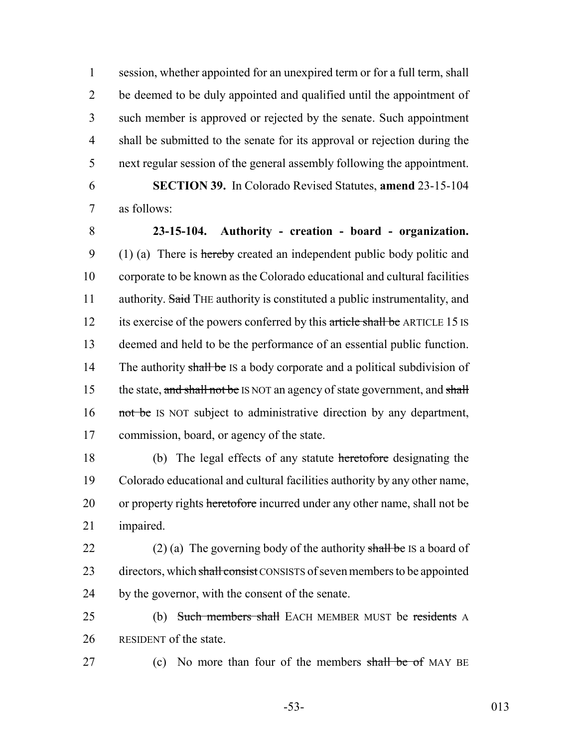session, whether appointed for an unexpired term or for a full term, shall be deemed to be duly appointed and qualified until the appointment of such member is approved or rejected by the senate. Such appointment shall be submitted to the senate for its approval or rejection during the next regular session of the general assembly following the appointment.

6 **SECTION 39.** In Colorado Revised Statutes, **amend** 23-15-104 7 as follows:

8 **23-15-104. Authority - creation - board - organization.** 9 (1) (a) There is hereby created an independent public body politic and 10 corporate to be known as the Colorado educational and cultural facilities 11 authority. Said THE authority is constituted a public instrumentality, and 12 its exercise of the powers conferred by this article shall be ARTICLE 15 IS 13 deemed and held to be the performance of an essential public function. 14 The authority shall be IS a body corporate and a political subdivision of 15 the state, and shall not be IS NOT an agency of state government, and shall 16 not be IS NOT subject to administrative direction by any department, 17 commission, board, or agency of the state.

 (b) The legal effects of any statute heretofore designating the Colorado educational and cultural facilities authority by any other name, 20 or property rights heretofore incurred under any other name, shall not be impaired.

22 (2) (a) The governing body of the authority shall be IS a board of 23 directors, which shall consist CONSISTS of seven members to be appointed 24 by the governor, with the consent of the senate.

25 (b) Such members shall EACH MEMBER MUST be residents A 26 RESIDENT of the state.

27 (c) No more than four of the members shall be of MAY BE

-53- 013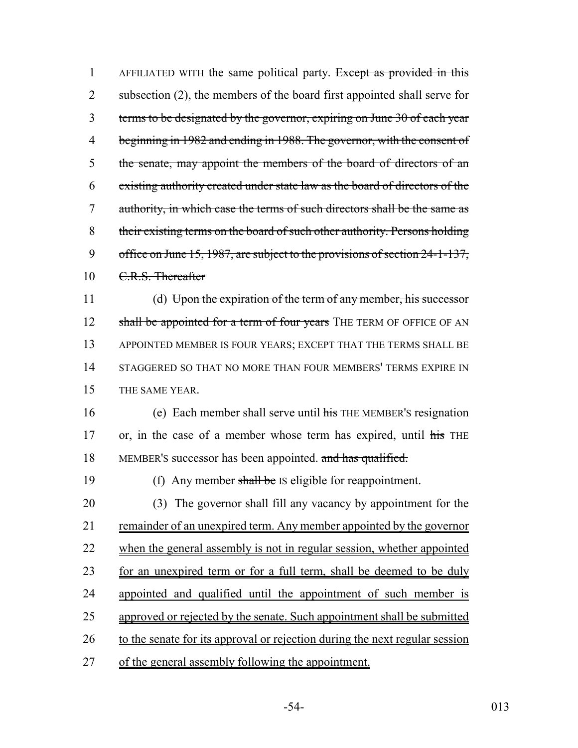1 AFFILIATED WITH the same political party. Except as provided in this 2 subsection  $(2)$ , the members of the board first appointed shall serve for 3 terms to be designated by the governor, expiring on June 30 of each year 4 beginning in 1982 and ending in 1988. The governor, with the consent of 5 the senate, may appoint the members of the board of directors of an 6 existing authority created under state law as the board of directors of the 7 authority, in which case the terms of such directors shall be the same as 8 their existing terms on the board of such other authority. Persons holding 9 office on June 15, 1987, are subject to the provisions of section 24-1-137, 10 C.R.S. Thereafter

 (d) Upon the expiration of the term of any member, his successor 12 shall be appointed for a term of four years THE TERM OF OFFICE OF AN APPOINTED MEMBER IS FOUR YEARS; EXCEPT THAT THE TERMS SHALL BE STAGGERED SO THAT NO MORE THAN FOUR MEMBERS' TERMS EXPIRE IN THE SAME YEAR.

16 (e) Each member shall serve until his THE MEMBER's resignation 17 or, in the case of a member whose term has expired, until his THE 18 MEMBER's successor has been appointed. and has qualified.

19 (f) Any member shall be IS eligible for reappointment.

 (3) The governor shall fill any vacancy by appointment for the remainder of an unexpired term. Any member appointed by the governor 22 when the general assembly is not in regular session, whether appointed 23 for an unexpired term or for a full term, shall be deemed to be duly appointed and qualified until the appointment of such member is approved or rejected by the senate. Such appointment shall be submitted 26 to the senate for its approval or rejection during the next regular session of the general assembly following the appointment.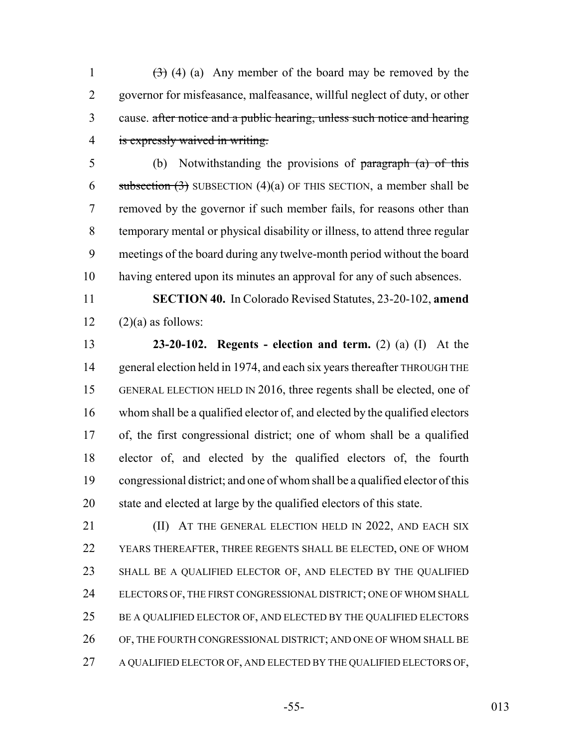$(3)$  (4) (a) Any member of the board may be removed by the governor for misfeasance, malfeasance, willful neglect of duty, or other cause. after notice and a public hearing, unless such notice and hearing is expressly waived in writing.

 (b) Notwithstanding the provisions of paragraph (a) of this 6 subsection  $(3)$  SUBSECTION  $(4)(a)$  OF THIS SECTION, a member shall be removed by the governor if such member fails, for reasons other than temporary mental or physical disability or illness, to attend three regular meetings of the board during any twelve-month period without the board having entered upon its minutes an approval for any of such absences.

 **SECTION 40.** In Colorado Revised Statutes, 23-20-102, **amend**  $12 \qquad (2)(a)$  as follows:

 **23-20-102. Regents - election and term.** (2) (a) (I) At the 14 general election held in 1974, and each six years thereafter THROUGH THE GENERAL ELECTION HELD IN 2016, three regents shall be elected, one of whom shall be a qualified elector of, and elected by the qualified electors of, the first congressional district; one of whom shall be a qualified elector of, and elected by the qualified electors of, the fourth congressional district; and one of whom shall be a qualified elector of this state and elected at large by the qualified electors of this state.

**(II)** AT THE GENERAL ELECTION HELD IN 2022, AND EACH SIX YEARS THEREAFTER, THREE REGENTS SHALL BE ELECTED, ONE OF WHOM SHALL BE A QUALIFIED ELECTOR OF, AND ELECTED BY THE QUALIFIED ELECTORS OF, THE FIRST CONGRESSIONAL DISTRICT; ONE OF WHOM SHALL 25 BE A QUALIFIED ELECTOR OF, AND ELECTED BY THE QUALIFIED ELECTORS OF, THE FOURTH CONGRESSIONAL DISTRICT; AND ONE OF WHOM SHALL BE 27 A QUALIFIED ELECTOR OF, AND ELECTED BY THE QUALIFIED ELECTORS OF,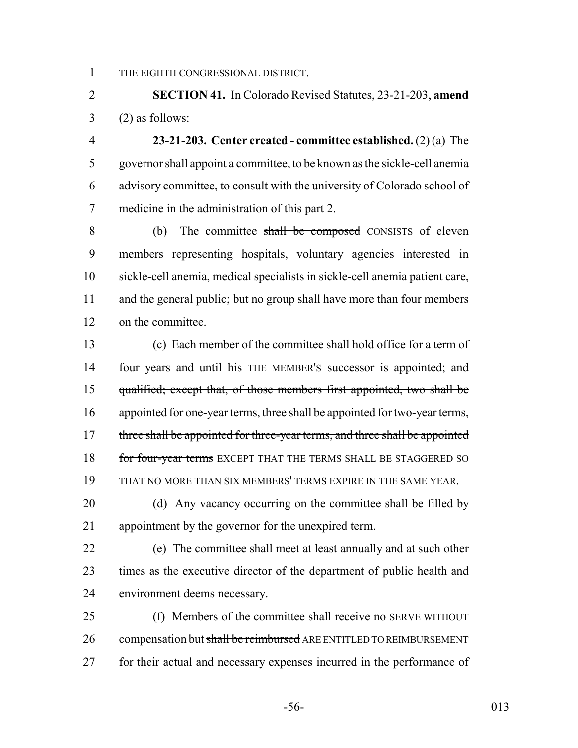THE EIGHTH CONGRESSIONAL DISTRICT.

 **SECTION 41.** In Colorado Revised Statutes, 23-21-203, **amend**  $3 \qquad (2)$  as follows:

 **23-21-203. Center created - committee established.** (2) (a) The governor shall appoint a committee, to be known as the sickle-cell anemia advisory committee, to consult with the university of Colorado school of medicine in the administration of this part 2.

8 (b) The committee shall be composed CONSISTS of eleven members representing hospitals, voluntary agencies interested in sickle-cell anemia, medical specialists in sickle-cell anemia patient care, and the general public; but no group shall have more than four members on the committee.

 (c) Each member of the committee shall hold office for a term of 14 four years and until his THE MEMBER's successor is appointed; and qualified; except that, of those members first appointed, two shall be appointed for one-year terms, three shall be appointed for two-year terms, 17 three shall be appointed for three-year terms, and three shall be appointed 18 for four-year terms EXCEPT THAT THE TERMS SHALL BE STAGGERED SO THAT NO MORE THAN SIX MEMBERS' TERMS EXPIRE IN THE SAME YEAR.

20 (d) Any vacancy occurring on the committee shall be filled by appointment by the governor for the unexpired term.

 (e) The committee shall meet at least annually and at such other times as the executive director of the department of public health and environment deems necessary.

25 (f) Members of the committee shall receive no SERVE WITHOUT 26 compensation but shall be reimbursed ARE ENTITLED TO REIMBURSEMENT 27 for their actual and necessary expenses incurred in the performance of

-56- 013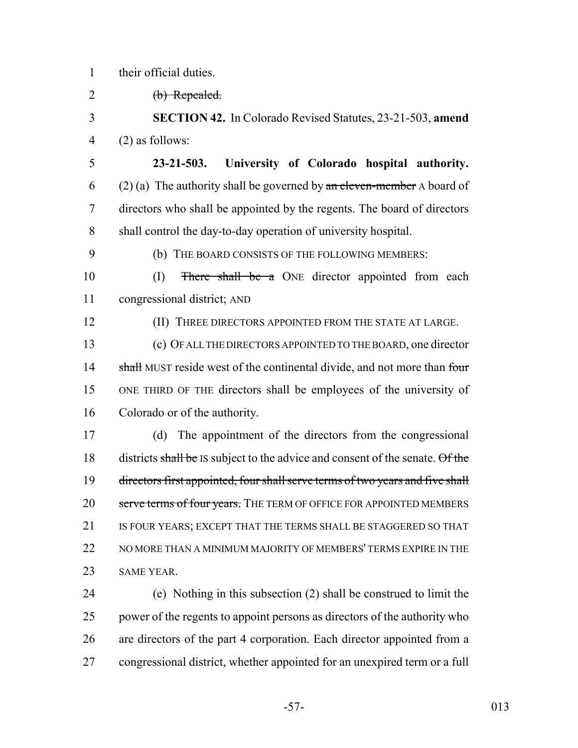their official duties.

(b) Repealed.

 **SECTION 42.** In Colorado Revised Statutes, 23-21-503, **amend** (2) as follows:

- **23-21-503. University of Colorado hospital authority.** 6 (2) (a) The authority shall be governed by  $\alpha$  be eleven-member A board of directors who shall be appointed by the regents. The board of directors shall control the day-to-day operation of university hospital.
- 

(b) THE BOARD CONSISTS OF THE FOLLOWING MEMBERS:

10 (I) There shall be a ONE director appointed from each congressional district; AND

**(II) THREE DIRECTORS APPOINTED FROM THE STATE AT LARGE.** 

 (c) OF ALL THE DIRECTORS APPOINTED TO THE BOARD, one director 14 shall MUST reside west of the continental divide, and not more than four ONE THIRD OF THE directors shall be employees of the university of Colorado or of the authority.

 (d) The appointment of the directors from the congressional 18 districts shall be IS subject to the advice and consent of the senate. Of the directors first appointed, four shall serve terms of two years and five shall 20 serve terms of four years. THE TERM OF OFFICE FOR APPOINTED MEMBERS 21 IS FOUR YEARS; EXCEPT THAT THE TERMS SHALL BE STAGGERED SO THAT 22 NO MORE THAN A MINIMUM MAJORITY OF MEMBERS' TERMS EXPIRE IN THE SAME YEAR.

 (e) Nothing in this subsection (2) shall be construed to limit the power of the regents to appoint persons as directors of the authority who are directors of the part 4 corporation. Each director appointed from a congressional district, whether appointed for an unexpired term or a full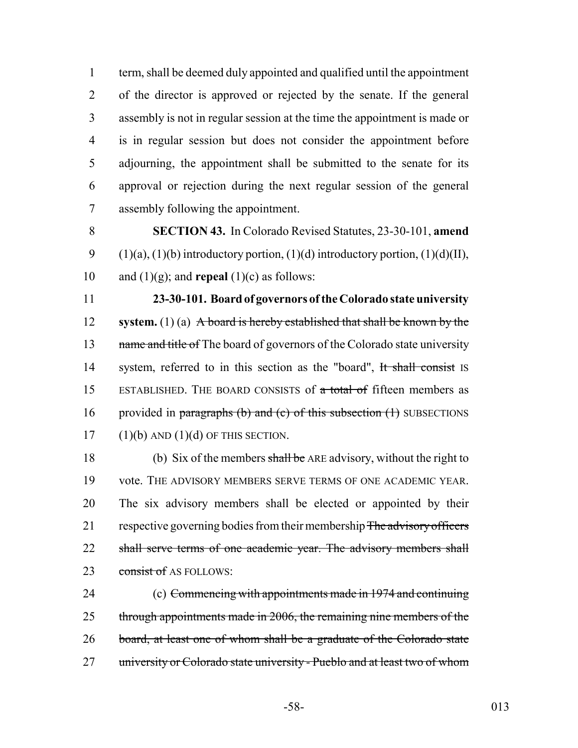term, shall be deemed duly appointed and qualified until the appointment of the director is approved or rejected by the senate. If the general assembly is not in regular session at the time the appointment is made or is in regular session but does not consider the appointment before adjourning, the appointment shall be submitted to the senate for its approval or rejection during the next regular session of the general assembly following the appointment.

8 **SECTION 43.** In Colorado Revised Statutes, 23-30-101, **amend** 9 (1)(a), (1)(b) introductory portion, (1)(d) introductory portion, (1)(d)(II), 10 and  $(1)(g)$ ; and **repeal**  $(1)(c)$  as follows:

11 **23-30-101. Board of governors of the Colorado state university** 12 **system.** (1) (a) A board is hereby established that shall be known by the 13 name and title of The board of governors of the Colorado state university 14 system, referred to in this section as the "board", It shall consist IS 15 ESTABLISHED. THE BOARD CONSISTS of a total of fifteen members as 16 provided in paragraphs (b) and (c) of this subsection  $(1)$  SUBSECTIONS  $17$  (1)(b) AND (1)(d) OF THIS SECTION.

18 (b) Six of the members shall be ARE advisory, without the right to 19 vote. THE ADVISORY MEMBERS SERVE TERMS OF ONE ACADEMIC YEAR. 20 The six advisory members shall be elected or appointed by their 21 respective governing bodies from their membership The advisory officers 22 shall serve terms of one academic year. The advisory members shall 23 consist of AS FOLLOWS:

24 (c) Commencing with appointments made in 1974 and continuing 25 through appointments made in 2006, the remaining nine members of the 26 board, at least one of whom shall be a graduate of the Colorado state 27 university or Colorado state university - Pueblo and at least two of whom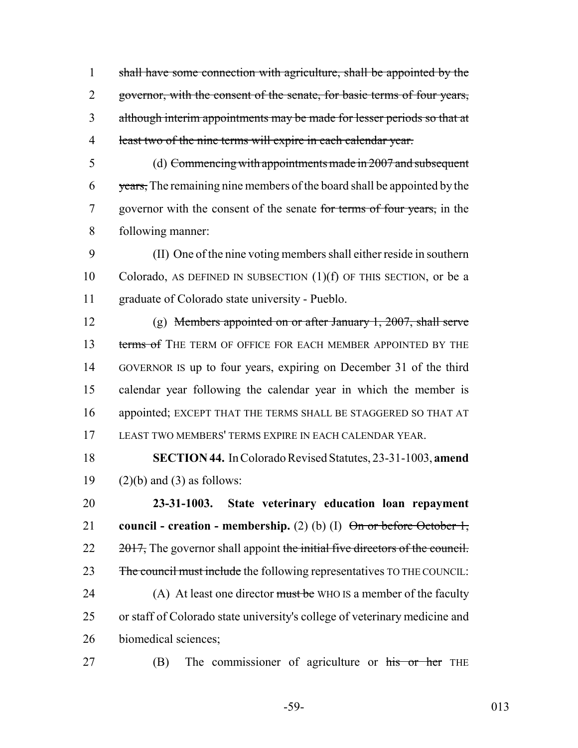shall have some connection with agriculture, shall be appointed by the 2 governor, with the consent of the senate, for basic terms of four years, although interim appointments may be made for lesser periods so that at least two of the nine terms will expire in each calendar year.

 (d) Commencing with appointments made in 2007 and subsequent 6 years, The remaining nine members of the board shall be appointed by the 7 governor with the consent of the senate for terms of four years, in the following manner:

 (II) One of the nine voting members shall either reside in southern Colorado, AS DEFINED IN SUBSECTION (1)(f) OF THIS SECTION, or be a graduate of Colorado state university - Pueblo.

 (g) Members appointed on or after January 1, 2007, shall serve 13 terms of THE TERM OF OFFICE FOR EACH MEMBER APPOINTED BY THE GOVERNOR IS up to four years, expiring on December 31 of the third calendar year following the calendar year in which the member is appointed; EXCEPT THAT THE TERMS SHALL BE STAGGERED SO THAT AT LEAST TWO MEMBERS' TERMS EXPIRE IN EACH CALENDAR YEAR.

 **SECTION 44.** In Colorado Revised Statutes, 23-31-1003, **amend** 19  $(2)(b)$  and  $(3)$  as follows:

 **23-31-1003. State veterinary education loan repayment** 21 **council - creation - membership.** (2) (b) (I)  $\Theta$ <del>n or before October 1,</del>  $22 \frac{2017}{100}$ , The governor shall appoint the initial five directors of the council. 23 The council must include the following representatives TO THE COUNCIL: 24 (A) At least one director must be WHO IS a member of the faculty or staff of Colorado state university's college of veterinary medicine and biomedical sciences;

27 (B) The commissioner of agriculture or his or her THE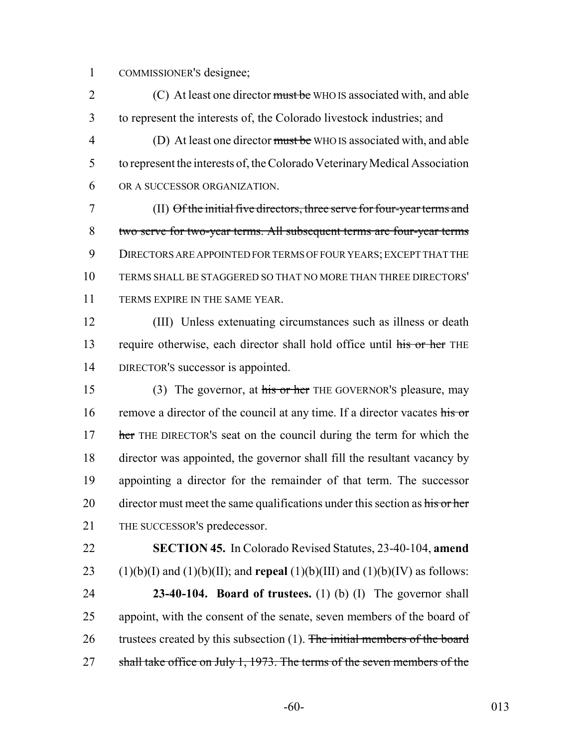1 COMMISSIONER'S designee;

2 (C) At least one director must be WHO IS associated with, and able 3 to represent the interests of, the Colorado livestock industries; and 4 (D) At least one director must be WHO IS associated with, and able 5 to represent the interests of, the Colorado Veterinary Medical Association 6 OR A SUCCESSOR ORGANIZATION.

 (II) Of the initial five directors, three serve for four-year terms and two serve for two-year terms. All subsequent terms are four-year terms DIRECTORS ARE APPOINTED FOR TERMS OF FOUR YEARS; EXCEPT THAT THE TERMS SHALL BE STAGGERED SO THAT NO MORE THAN THREE DIRECTORS' 11 TERMS EXPIRE IN THE SAME YEAR.

12 (III) Unless extenuating circumstances such as illness or death 13 require otherwise, each director shall hold office until his or her THE 14 DIRECTOR'S successor is appointed.

15 (3) The governor, at his or her THE GOVERNOR's pleasure, may 16 remove a director of the council at any time. If a director vacates his or 17 her THE DIRECTOR's seat on the council during the term for which the 18 director was appointed, the governor shall fill the resultant vacancy by 19 appointing a director for the remainder of that term. The successor 20 director must meet the same qualifications under this section as his or her 21 THE SUCCESSOR'S predecessor.

22 **SECTION 45.** In Colorado Revised Statutes, 23-40-104, **amend** 23 (1)(b)(I) and (1)(b)(II); and **repeal** (1)(b)(III) and (1)(b)(IV) as follows:

24 **23-40-104. Board of trustees.** (1) (b) (I) The governor shall 25 appoint, with the consent of the senate, seven members of the board of 26 trustees created by this subsection (1). The initial members of the board 27 shall take office on July 1, 1973. The terms of the seven members of the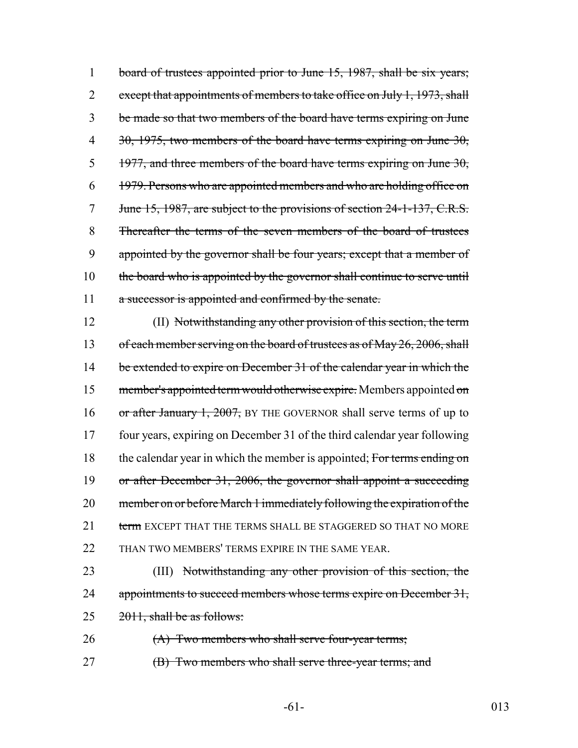1 board of trustees appointed prior to June 15, 1987, shall be six years; 2 except that appointments of members to take office on July 1, 1973, shall 3 be made so that two members of the board have terms expiring on June 4 30, 1975, two members of the board have terms expiring on June 30,  $5$  1977, and three members of the board have terms expiring on June 30, 6 1979. Persons who are appointed members and who are holding office on 7 June 15, 1987, are subject to the provisions of section 24-1-137, C.R.S. 8 Thereafter the terms of the seven members of the board of trustees 9 appointed by the governor shall be four years; except that a member of 10 the board who is appointed by the governor shall continue to serve until 11 a successor is appointed and confirmed by the senate.

12 (II) Notwithstanding any other provision of this section, the term 13 of each member serving on the board of trustees as of May 26, 2006, shall 14 be extended to expire on December 31 of the calendar year in which the 15 member's appointed term would otherwise expire. Members appointed on 16 or after January 1, 2007, BY THE GOVERNOR shall serve terms of up to 17 four years, expiring on December 31 of the third calendar year following 18 the calendar year in which the member is appointed; For terms ending on 19 or after December 31, 2006, the governor shall appoint a succeeding 20 member on or before March 1 immediately following the expiration of the 21 term EXCEPT THAT THE TERMS SHALL BE STAGGERED SO THAT NO MORE 22 THAN TWO MEMBERS' TERMS EXPIRE IN THE SAME YEAR.

23 (III) Notwithstanding any other provision of this section, the 24 appointments to succeed members whose terms expire on December 31,  $25 \qquad \frac{2011}{1}$ , shall be as follows:

26 (A) Two members who shall serve four-year terms;

27 **(B)** Two members who shall serve three-year terms; and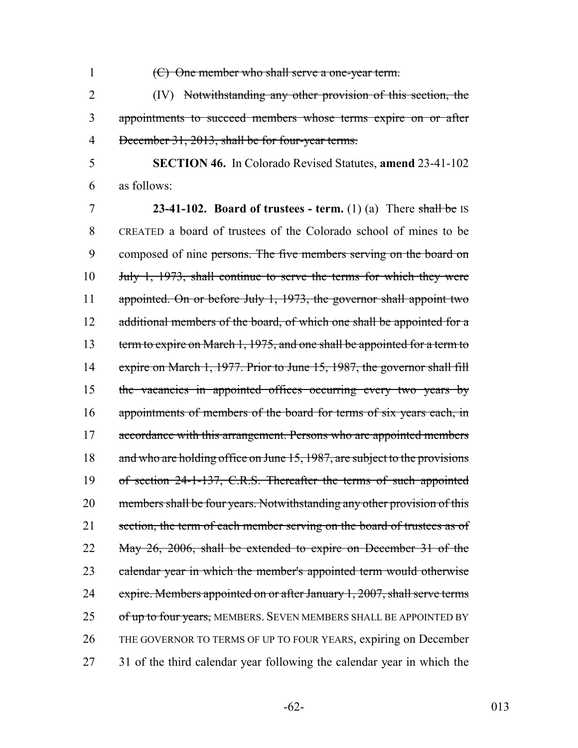1 (C) One member who shall serve a one-year term.

2 (IV) Notwithstanding any other provision of this section, the 3 appointments to succeed members whose terms expire on or after 4 December 31, 2013, shall be for four-year terms.

5 **SECTION 46.** In Colorado Revised Statutes, **amend** 23-41-102 6 as follows:

7 **23-41-102. Board of trustees - term.** (1) (a) There shall be IS 8 CREATED a board of trustees of the Colorado school of mines to be 9 composed of nine persons. The five members serving on the board on 10 July 1, 1973, shall continue to serve the terms for which they were 11 appointed. On or before July 1, 1973, the governor shall appoint two 12 additional members of the board, of which one shall be appointed for a 13 term to expire on March 1, 1975, and one shall be appointed for a term to 14 expire on March 1, 1977. Prior to June 15, 1987, the governor shall fill 15 the vacancies in appointed offices occurring every two years by 16 appointments of members of the board for terms of six years each, in 17 accordance with this arrangement. Persons who are appointed members 18 and who are holding office on June 15, 1987, are subject to the provisions 19 of section 24-1-137, C.R.S. Thereafter the terms of such appointed 20 members shall be four years. Notwithstanding any other provision of this 21 section, the term of each member serving on the board of trustees as of 22 May 26, 2006, shall be extended to expire on December 31 of the 23 calendar year in which the member's appointed term would otherwise 24 expire. Members appointed on or after January 1, 2007, shall serve terms 25 of up to four years, MEMBERS. SEVEN MEMBERS SHALL BE APPOINTED BY 26 THE GOVERNOR TO TERMS OF UP TO FOUR YEARS, expiring on December 27 31 of the third calendar year following the calendar year in which the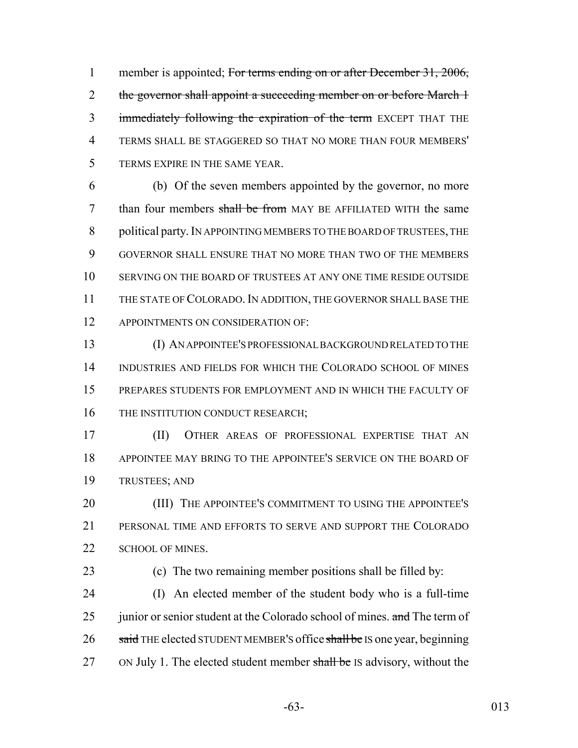1 member is appointed; For terms ending on or after December 31, 2006, 2 the governor shall appoint a succeeding member on or before March 1 3 immediately following the expiration of the term EXCEPT THAT THE TERMS SHALL BE STAGGERED SO THAT NO MORE THAN FOUR MEMBERS' TERMS EXPIRE IN THE SAME YEAR.

 (b) Of the seven members appointed by the governor, no more 7 than four members shall be from MAY BE AFFILIATED WITH the same political party. IN APPOINTING MEMBERS TO THE BOARD OF TRUSTEES, THE GOVERNOR SHALL ENSURE THAT NO MORE THAN TWO OF THE MEMBERS SERVING ON THE BOARD OF TRUSTEES AT ANY ONE TIME RESIDE OUTSIDE THE STATE OF COLORADO. IN ADDITION, THE GOVERNOR SHALL BASE THE 12 APPOINTMENTS ON CONSIDERATION OF:

 (I) AN APPOINTEE'S PROFESSIONAL BACKGROUND RELATED TO THE INDUSTRIES AND FIELDS FOR WHICH THE COLORADO SCHOOL OF MINES PREPARES STUDENTS FOR EMPLOYMENT AND IN WHICH THE FACULTY OF 16 THE INSTITUTION CONDUCT RESEARCH;

 (II) OTHER AREAS OF PROFESSIONAL EXPERTISE THAT AN APPOINTEE MAY BRING TO THE APPOINTEE'S SERVICE ON THE BOARD OF TRUSTEES; AND

**(III)** THE APPOINTEE'S COMMITMENT TO USING THE APPOINTEE'S PERSONAL TIME AND EFFORTS TO SERVE AND SUPPORT THE COLORADO 22 SCHOOL OF MINES.

(c) The two remaining member positions shall be filled by:

 (I) An elected member of the student body who is a full-time 25 junior or senior student at the Colorado school of mines. and The term of 26 said THE elected STUDENT MEMBER's office shall be IS one year, beginning 27 ON July 1. The elected student member shall be IS advisory, without the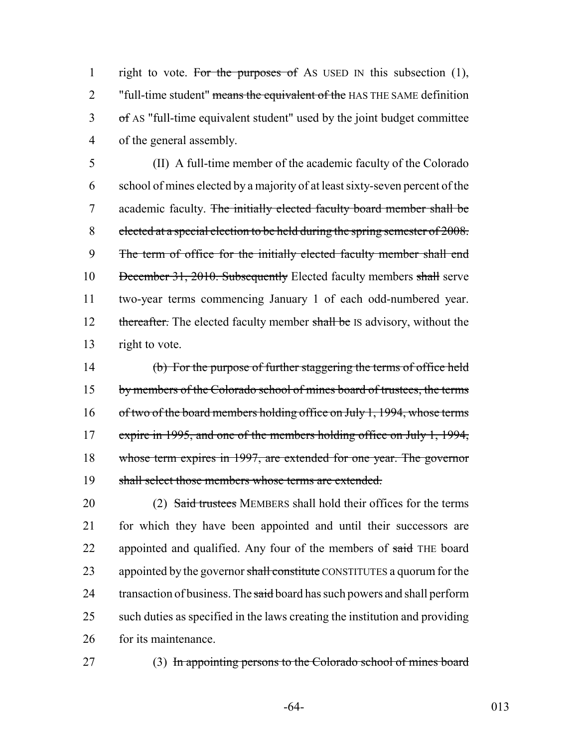1 right to vote. For the purposes of As USED IN this subsection (1), 2 "full-time student" means the equivalent of the HAS THE SAME definition 3 of AS "full-time equivalent student" used by the joint budget committee 4 of the general assembly.

 (II) A full-time member of the academic faculty of the Colorado school of mines elected by a majority of at least sixty-seven percent of the academic faculty. The initially elected faculty board member shall be elected at a special election to be held during the spring semester of 2008. The term of office for the initially elected faculty member shall end 10 December 31, 2010. Subsequently Elected faculty members shall serve two-year terms commencing January 1 of each odd-numbered year. 12 thereafter. The elected faculty member shall be IS advisory, without the right to vote.

14 (b) For the purpose of further staggering the terms of office held 15 by members of the Colorado school of mines board of trustees, the terms 16 of two of the board members holding office on July 1, 1994, whose terms 17 expire in 1995, and one of the members holding office on July 1, 1994, 18 whose term expires in 1997, are extended for one year. The governor 19 shall select those members whose terms are extended.

20 (2) Said trustees MEMBERS shall hold their offices for the terms 21 for which they have been appointed and until their successors are 22 appointed and qualified. Any four of the members of said THE board 23 appointed by the governor shall constitute CONSTITUTES a quorum for the 24 transaction of business. The said board has such powers and shall perform 25 such duties as specified in the laws creating the institution and providing 26 for its maintenance.

27 (3) In appointing persons to the Colorado school of mines board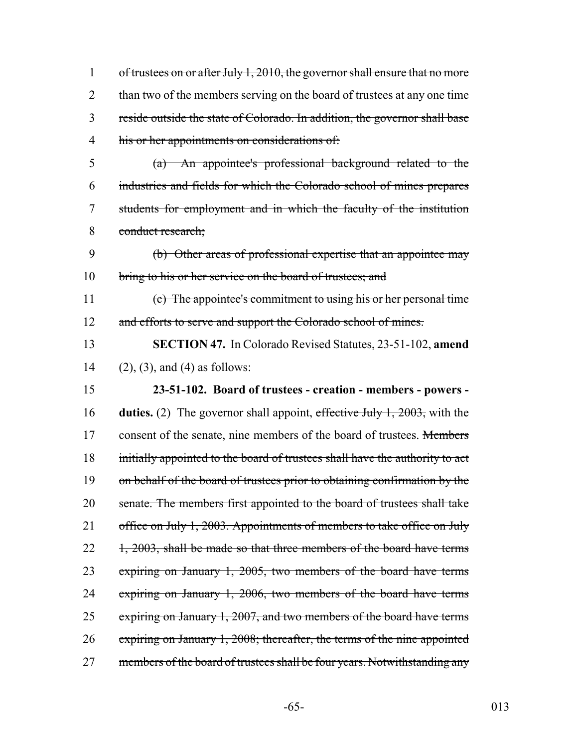1 of trustees on or after July 1, 2010, the governor shall ensure that no more 2 than two of the members serving on the board of trustees at any one time 3 reside outside the state of Colorado. In addition, the governor shall base 4 his or her appointments on considerations of:

 (a) An appointee's professional background related to the industries and fields for which the Colorado school of mines prepares students for employment and in which the faculty of the institution conduct research;

9 (b) Other areas of professional expertise that an appointee may 10 bring to his or her service on the board of trustees; and

11 (c) The appointee's commitment to using his or her personal time 12 and efforts to serve and support the Colorado school of mines.

13 **SECTION 47.** In Colorado Revised Statutes, 23-51-102, **amend** 14 (2), (3), and (4) as follows:

15 **23-51-102. Board of trustees - creation - members - powers -** 16 **duties.** (2) The governor shall appoint, effective July 1, 2003, with the 17 consent of the senate, nine members of the board of trustees. Members 18 initially appointed to the board of trustees shall have the authority to act 19 on behalf of the board of trustees prior to obtaining confirmation by the 20 senate. The members first appointed to the board of trustees shall take 21 office on July 1, 2003. Appointments of members to take office on July  $22 \quad 1, 2003$ , shall be made so that three members of the board have terms 23 expiring on January 1, 2005, two members of the board have terms 24 expiring on January 1, 2006, two members of the board have terms 25 expiring on January 1, 2007, and two members of the board have terms 26 expiring on January 1, 2008; thereafter, the terms of the nine appointed 27 members of the board of trustees shall be four years. Notwithstanding any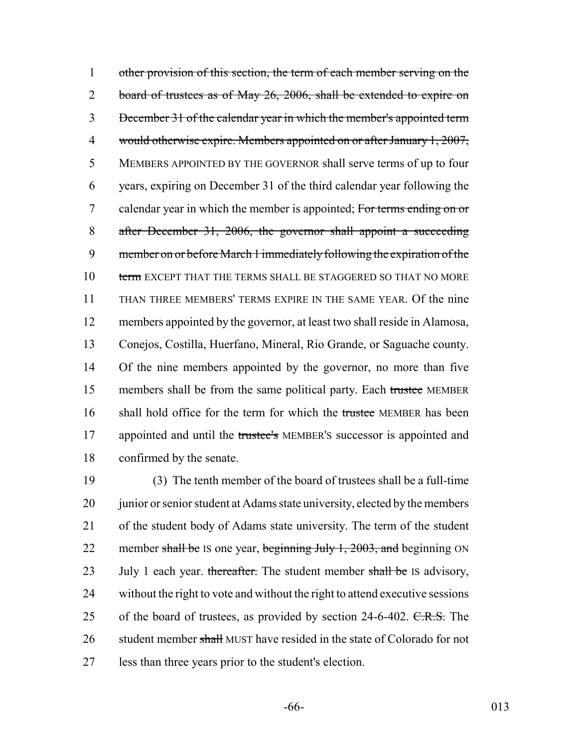1 other provision of this section, the term of each member serving on the 2 board of trustees as of May 26, 2006, shall be extended to expire on December 31 of the calendar year in which the member's appointed term would otherwise expire. Members appointed on or after January 1, 2007, MEMBERS APPOINTED BY THE GOVERNOR shall serve terms of up to four years, expiring on December 31 of the third calendar year following the 7 calendar year in which the member is appointed; For terms ending on or after December 31, 2006, the governor shall appoint a succeeding member on or before March 1 immediately following the expiration of the 10 term EXCEPT THAT THE TERMS SHALL BE STAGGERED SO THAT NO MORE THAN THREE MEMBERS' TERMS EXPIRE IN THE SAME YEAR. Of the nine members appointed by the governor, at least two shall reside in Alamosa, Conejos, Costilla, Huerfano, Mineral, Rio Grande, or Saguache county. Of the nine members appointed by the governor, no more than five 15 members shall be from the same political party. Each trustee MEMBER 16 shall hold office for the term for which the trustee MEMBER has been 17 appointed and until the trustee's MEMBER's successor is appointed and confirmed by the senate.

19 (3) The tenth member of the board of trustees shall be a full-time 20 junior or senior student at Adams state university, elected by the members 21 of the student body of Adams state university. The term of the student 22 member shall be IS one year, beginning July 1, 2003, and beginning ON 23 July 1 each year. thereafter. The student member shall be IS advisory, 24 without the right to vote and without the right to attend executive sessions 25 of the board of trustees, as provided by section 24-6-402. C.R.S. The 26 student member shall MUST have resided in the state of Colorado for not 27 less than three years prior to the student's election.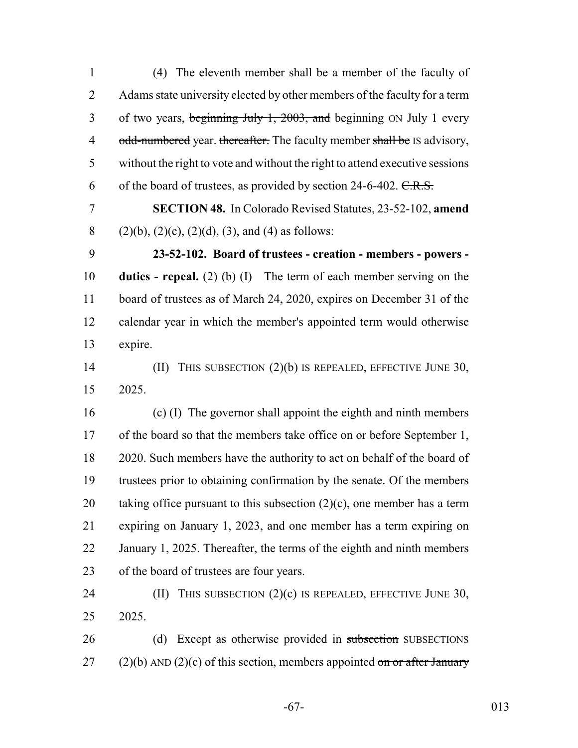1 (4) The eleventh member shall be a member of the faculty of 2 Adams state university elected by other members of the faculty for a term 3 of two years, beginning July 1, 2003, and beginning ON July 1 every 4 odd-numbered year. thereafter. The faculty member shall be IS advisory, 5 without the right to vote and without the right to attend executive sessions 6 of the board of trustees, as provided by section  $24-6-402$ . C.R.S. 7 **SECTION 48.** In Colorado Revised Statutes, 23-52-102, **amend** 8 (2)(b), (2)(c), (2)(d), (3), and (4) as follows: 9 **23-52-102. Board of trustees - creation - members - powers -** 10 **duties - repeal.** (2) (b) (I) The term of each member serving on the 11 board of trustees as of March 24, 2020, expires on December 31 of the 12 calendar year in which the member's appointed term would otherwise 13 expire. 14 (II) THIS SUBSECTION (2)(b) IS REPEALED, EFFECTIVE JUNE 30, 15 2025. 16 (c) (I) The governor shall appoint the eighth and ninth members 17 of the board so that the members take office on or before September 1, 18 2020. Such members have the authority to act on behalf of the board of 19 trustees prior to obtaining confirmation by the senate. Of the members 20 taking office pursuant to this subsection  $(2)(c)$ , one member has a term 21 expiring on January 1, 2023, and one member has a term expiring on 22 January 1, 2025. Thereafter, the terms of the eighth and ninth members 23 of the board of trustees are four years. 24 (II) THIS SUBSECTION (2)(c) IS REPEALED, EFFECTIVE JUNE 30, 25 2025. 26 (d) Except as otherwise provided in subsection SUBSECTIONS 27 (2)(b) AND (2)(c) of this section, members appointed on or after January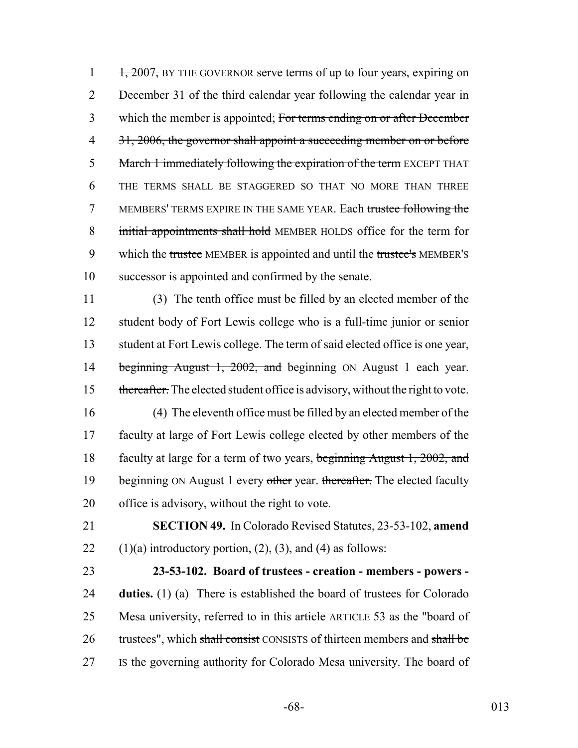$1, 2007$ , BY THE GOVERNOR serve terms of up to four years, expiring on 2 December 31 of the third calendar year following the calendar year in 3 which the member is appointed; For terms ending on or after December 4 31, 2006, the governor shall appoint a succeeding member on or before 5 March 1 immediately following the expiration of the term EXCEPT THAT 6 THE TERMS SHALL BE STAGGERED SO THAT NO MORE THAN THREE 7 MEMBERS' TERMS EXPIRE IN THE SAME YEAR. Each trustee following the 8 initial appointments shall hold MEMBER HOLDS office for the term for 9 which the trustee MEMBER is appointed and until the trustee's MEMBER's 10 successor is appointed and confirmed by the senate.

11 (3) The tenth office must be filled by an elected member of the 12 student body of Fort Lewis college who is a full-time junior or senior 13 student at Fort Lewis college. The term of said elected office is one year, 14 beginning August 1, 2002, and beginning ON August 1 each year. 15 thereafter. The elected student office is advisory, without the right to vote.

- 16 (4) The eleventh office must be filled by an elected member of the 17 faculty at large of Fort Lewis college elected by other members of the 18 faculty at large for a term of two years, beginning August 1, 2002, and 19 beginning ON August 1 every other year. thereafter. The elected faculty 20 office is advisory, without the right to vote.
- 21 **SECTION 49.** In Colorado Revised Statutes, 23-53-102, **amend** 22  $(1)(a)$  introductory portion,  $(2)$ ,  $(3)$ , and  $(4)$  as follows:
- 23 **23-53-102. Board of trustees creation members powers -** 24 **duties.** (1) (a) There is established the board of trustees for Colorado 25 Mesa university, referred to in this article ARTICLE 53 as the "board of 26 trustees", which shall consist CONSISTS of thirteen members and shall be 27 IS the governing authority for Colorado Mesa university. The board of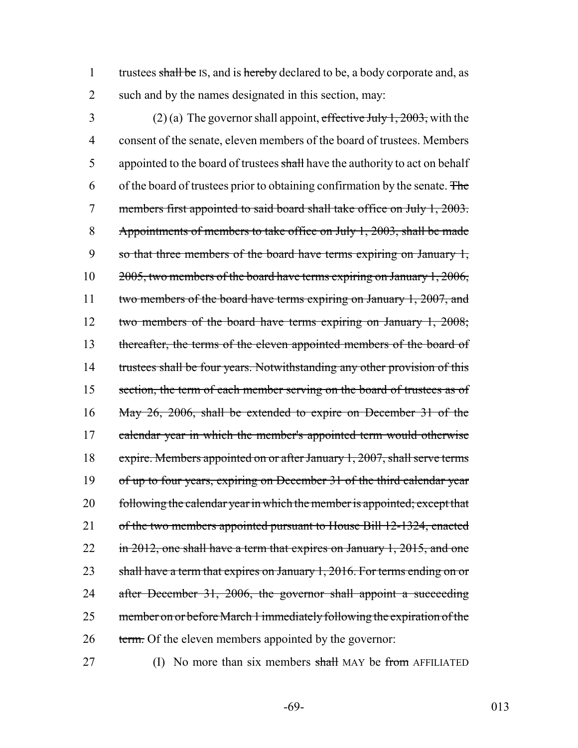1 trustees shall be IS, and is hereby declared to be, a body corporate and, as 2 such and by the names designated in this section, may:

3 (2) (a) The governor shall appoint, effective July 1, 2003, with the 4 consent of the senate, eleven members of the board of trustees. Members 5 appointed to the board of trustees shall have the authority to act on behalf 6 of the board of trustees prior to obtaining confirmation by the senate. The 7 members first appointed to said board shall take office on July 1, 2003. 8 Appointments of members to take office on July 1, 2003, shall be made 9 so that three members of the board have terms expiring on January 1, 10 2005, two members of the board have terms expiring on January 1, 2006, 11 two members of the board have terms expiring on January 1, 2007, and 12 two members of the board have terms expiring on January 1, 2008; 13 thereafter, the terms of the eleven appointed members of the board of 14 trustees shall be four years. Notwithstanding any other provision of this 15 section, the term of each member serving on the board of trustees as of 16 May 26, 2006, shall be extended to expire on December 31 of the 17 calendar year in which the member's appointed term would otherwise 18 expire. Members appointed on or after January 1, 2007, shall serve terms 19 of up to four years, expiring on December 31 of the third calendar year 20 following the calendar year in which the member is appointed; except that 21 of the two members appointed pursuant to House Bill 12-1324, enacted 22 in 2012, one shall have a term that expires on January 1, 2015, and one 23 shall have a term that expires on January 1, 2016. For terms ending on or 24 after December 31, 2006, the governor shall appoint a succeeding 25 member on or before March 1 immediately following the expiration of the 26 term. Of the eleven members appointed by the governor:

27 (I) No more than six members shall MAY be from AFFILIATED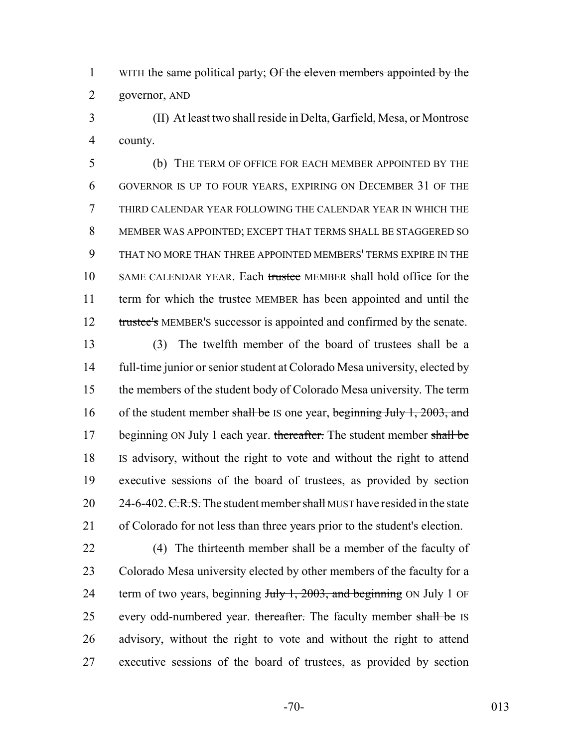1 WITH the same political party; Of the eleven members appointed by the 2 governor, AND

 (II) At least two shall reside in Delta, Garfield, Mesa, or Montrose county.

 (b) THE TERM OF OFFICE FOR EACH MEMBER APPOINTED BY THE GOVERNOR IS UP TO FOUR YEARS, EXPIRING ON DECEMBER 31 OF THE THIRD CALENDAR YEAR FOLLOWING THE CALENDAR YEAR IN WHICH THE MEMBER WAS APPOINTED; EXCEPT THAT TERMS SHALL BE STAGGERED SO THAT NO MORE THAN THREE APPOINTED MEMBERS' TERMS EXPIRE IN THE 10 SAME CALENDAR YEAR. Each trustee MEMBER shall hold office for the 11 term for which the trustee MEMBER has been appointed and until the 12 trustee's MEMBER's successor is appointed and confirmed by the senate.

 (3) The twelfth member of the board of trustees shall be a full-time junior or senior student at Colorado Mesa university, elected by the members of the student body of Colorado Mesa university. The term 16 of the student member shall be IS one year, beginning July 1, 2003, and 17 beginning ON July 1 each year. thereafter. The student member shall be IS advisory, without the right to vote and without the right to attend executive sessions of the board of trustees, as provided by section  $24-6-402$ . C.R.S. The student member shall MUST have resided in the state of Colorado for not less than three years prior to the student's election.

 (4) The thirteenth member shall be a member of the faculty of Colorado Mesa university elected by other members of the faculty for a 24 term of two years, beginning July 1, 2003, and beginning ON July 1 OF 25 every odd-numbered year. thereafter. The faculty member shall be IS advisory, without the right to vote and without the right to attend executive sessions of the board of trustees, as provided by section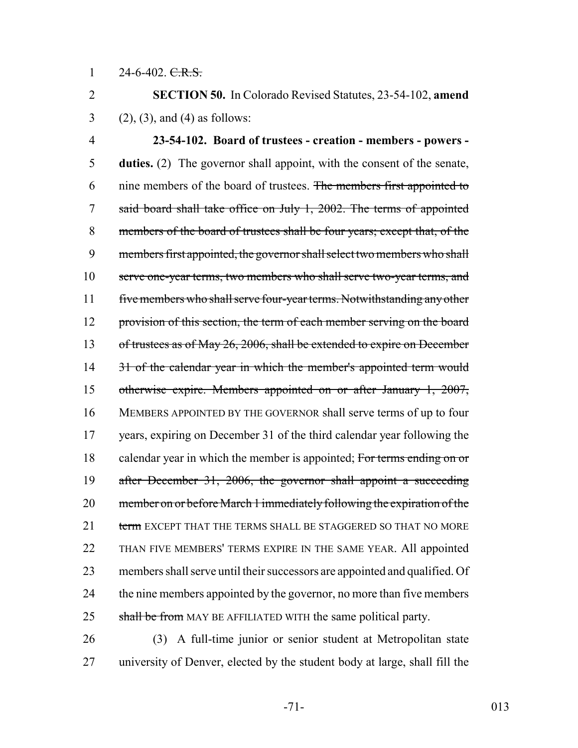$1 \qquad 24\text{-}6\text{-}402. \text{ } \in \text{ } \mathbf{R. S.}$ 

2 **SECTION 50.** In Colorado Revised Statutes, 23-54-102, **amend** 3 (2), (3), and (4) as follows:

4 **23-54-102. Board of trustees - creation - members - powers -** 5 **duties.** (2) The governor shall appoint, with the consent of the senate, 6 nine members of the board of trustees. The members first appointed to 7 said board shall take office on July 1, 2002. The terms of appointed 8 members of the board of trustees shall be four years; except that, of the 9 members first appointed, the governor shall select two members who shall 10 serve one-year terms, two members who shall serve two-year terms, and 11 five members who shall serve four-year terms. Notwithstanding any other 12 provision of this section, the term of each member serving on the board 13 of trustees as of May 26, 2006, shall be extended to expire on December 14 31 of the calendar year in which the member's appointed term would 15 otherwise expire. Members appointed on or after January 1, 2007, 16 MEMBERS APPOINTED BY THE GOVERNOR shall serve terms of up to four 17 years, expiring on December 31 of the third calendar year following the 18 calendar year in which the member is appointed; For terms ending on or 19 after December 31, 2006, the governor shall appoint a succeeding 20 member on or before March 1 immediately following the expiration of the 21 term EXCEPT THAT THE TERMS SHALL BE STAGGERED SO THAT NO MORE 22 THAN FIVE MEMBERS' TERMS EXPIRE IN THE SAME YEAR. All appointed 23 members shall serve until their successors are appointed and qualified. Of 24 the nine members appointed by the governor, no more than five members 25 shall be from MAY BE AFFILIATED WITH the same political party.

26 (3) A full-time junior or senior student at Metropolitan state 27 university of Denver, elected by the student body at large, shall fill the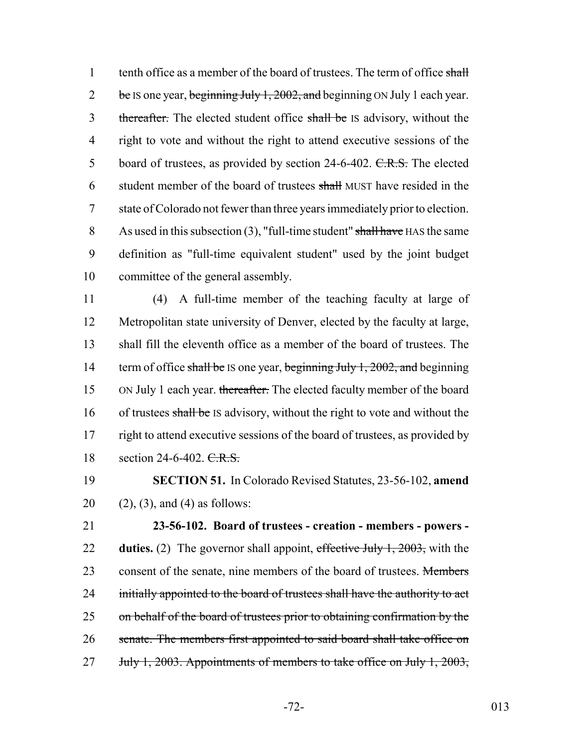1 tenth office as a member of the board of trustees. The term of office shall  $2$  be IS one year, beginning July 1, 2002, and beginning ON July 1 each year. 3 thereafter. The elected student office shall be IS advisory, without the 4 right to vote and without the right to attend executive sessions of the 5 board of trustees, as provided by section 24-6-402. C.R.S. The elected 6 student member of the board of trustees shall MUST have resided in the 7 state of Colorado not fewer than three years immediately prior to election. 8 As used in this subsection  $(3)$ , "full-time student" shall have HAS the same 9 definition as "full-time equivalent student" used by the joint budget 10 committee of the general assembly.

11 (4) A full-time member of the teaching faculty at large of 12 Metropolitan state university of Denver, elected by the faculty at large, 13 shall fill the eleventh office as a member of the board of trustees. The 14 term of office shall be IS one year, beginning July 1, 2002, and beginning 15 ON July 1 each year. thereafter. The elected faculty member of the board 16 of trustees shall be IS advisory, without the right to vote and without the 17 right to attend executive sessions of the board of trustees, as provided by 18 section 24-6-402. C.R.S.

19 **SECTION 51.** In Colorado Revised Statutes, 23-56-102, **amend** 20  $(2)$ ,  $(3)$ , and  $(4)$  as follows:

21 **23-56-102. Board of trustees - creation - members - powers -** 22 **duties.** (2) The governor shall appoint, effective July 1, 2003, with the 23 consent of the senate, nine members of the board of trustees. Members 24 initially appointed to the board of trustees shall have the authority to act 25 on behalf of the board of trustees prior to obtaining confirmation by the 26 senate. The members first appointed to said board shall take office on 27 July 1, 2003. Appointments of members to take office on July 1, 2003,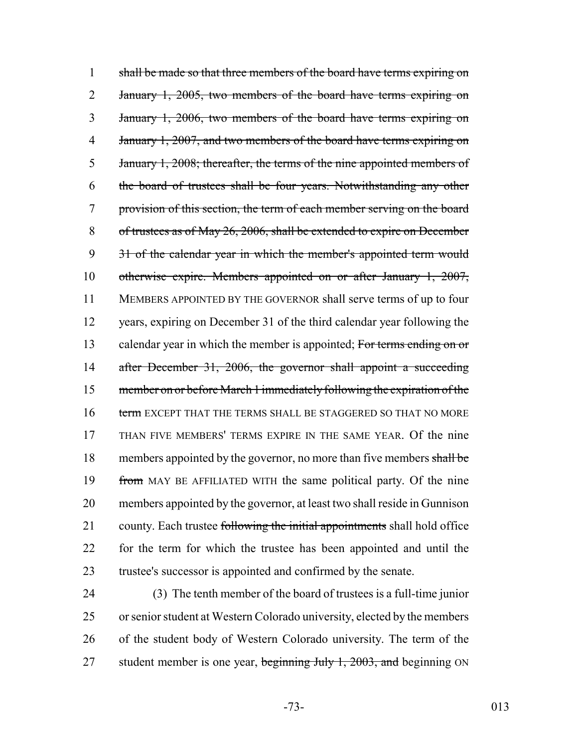1 shall be made so that three members of the board have terms expiring on 2 January 1, 2005, two members of the board have terms expiring on 3 January 1, 2006, two members of the board have terms expiring on 4 January 1, 2007, and two members of the board have terms expiring on 5 January 1, 2008; thereafter, the terms of the nine appointed members of 6 the board of trustees shall be four years. Notwithstanding any other 7 provision of this section, the term of each member serving on the board 8 of trustees as of May 26, 2006, shall be extended to expire on December 9 31 of the calendar year in which the member's appointed term would 10 otherwise expire. Members appointed on or after January 1, 2007, 11 MEMBERS APPOINTED BY THE GOVERNOR shall serve terms of up to four 12 years, expiring on December 31 of the third calendar year following the 13 calendar year in which the member is appointed; For terms ending on or 14 after December 31, 2006, the governor shall appoint a succeeding 15 member on or before March 1 immediately following the expiration of the 16 term EXCEPT THAT THE TERMS SHALL BE STAGGERED SO THAT NO MORE 17 THAN FIVE MEMBERS' TERMS EXPIRE IN THE SAME YEAR. Of the nine 18 members appointed by the governor, no more than five members shall be 19 from MAY BE AFFILIATED WITH the same political party. Of the nine 20 members appointed by the governor, at least two shall reside in Gunnison 21 county. Each trustee following the initial appointments shall hold office 22 for the term for which the trustee has been appointed and until the 23 trustee's successor is appointed and confirmed by the senate.

 (3) The tenth member of the board of trustees is a full-time junior or senior student at Western Colorado university, elected by the members of the student body of Western Colorado university. The term of the 27 student member is one year, beginning July 1, 2003, and beginning ON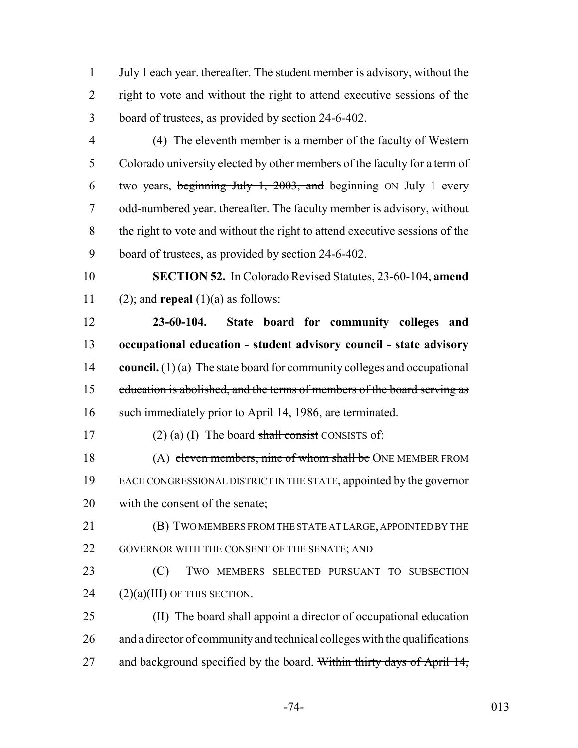1 July 1 each year. thereafter. The student member is advisory, without the right to vote and without the right to attend executive sessions of the board of trustees, as provided by section 24-6-402.

 (4) The eleventh member is a member of the faculty of Western Colorado university elected by other members of the faculty for a term of two years, beginning July 1, 2003, and beginning ON July 1 every 7 odd-numbered year. thereafter. The faculty member is advisory, without the right to vote and without the right to attend executive sessions of the board of trustees, as provided by section 24-6-402.

 **SECTION 52.** In Colorado Revised Statutes, 23-60-104, **amend** 11 (2); and **repeal**  $(1)(a)$  as follows:

 **23-60-104. State board for community colleges and occupational education - student advisory council - state advisory council.** (1) (a) The state board for community colleges and occupational 15 education is abolished, and the terms of members of the board serving as 16 such immediately prior to April 14, 1986, are terminated.

17 (2) (a) (I) The board shall consist CONSISTS of:

18 (A) eleven members, nine of whom shall be ONE MEMBER FROM EACH CONGRESSIONAL DISTRICT IN THE STATE, appointed by the governor with the consent of the senate;

 (B) TWO MEMBERS FROM THE STATE AT LARGE, APPOINTED BY THE 22 GOVERNOR WITH THE CONSENT OF THE SENATE; AND

 (C) TWO MEMBERS SELECTED PURSUANT TO SUBSECTION (2)(a)(III) OF THIS SECTION.

 (II) The board shall appoint a director of occupational education and a director of community and technical colleges with the qualifications 27 and background specified by the board. Within thirty days of April 14,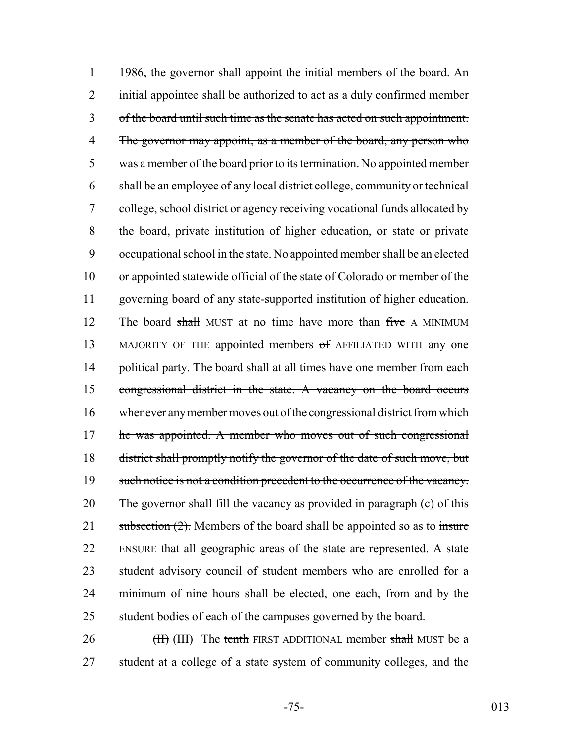1 1986, the governor shall appoint the initial members of the board. An 2 initial appointee shall be authorized to act as a duly confirmed member 3 of the board until such time as the senate has acted on such appointment. 4 The governor may appoint, as a member of the board, any person who 5 was a member of the board prior to its termination. No appointed member 6 shall be an employee of any local district college, community or technical 7 college, school district or agency receiving vocational funds allocated by 8 the board, private institution of higher education, or state or private 9 occupational school in the state. No appointed member shall be an elected 10 or appointed statewide official of the state of Colorado or member of the 11 governing board of any state-supported institution of higher education. 12 The board shall MUST at no time have more than five A MINIMUM 13 MAJORITY OF THE appointed members of AFFILIATED WITH any one 14 political party. The board shall at all times have one member from each 15 congressional district in the state. A vacancy on the board occurs 16 whenever any member moves out of the congressional district from which 17 he was appointed. A member who moves out of such congressional 18 district shall promptly notify the governor of the date of such move, but 19 such notice is not a condition precedent to the occurrence of the vacancy. 20 The governor shall fill the vacancy as provided in paragraph  $(c)$  of this 21 subsection  $(2)$ . Members of the board shall be appointed so as to insure 22 ENSURE that all geographic areas of the state are represented. A state 23 student advisory council of student members who are enrolled for a 24 minimum of nine hours shall be elected, one each, from and by the 25 student bodies of each of the campuses governed by the board.

26 (III) The tenth FIRST ADDITIONAL member shall MUST be a 27 student at a college of a state system of community colleges, and the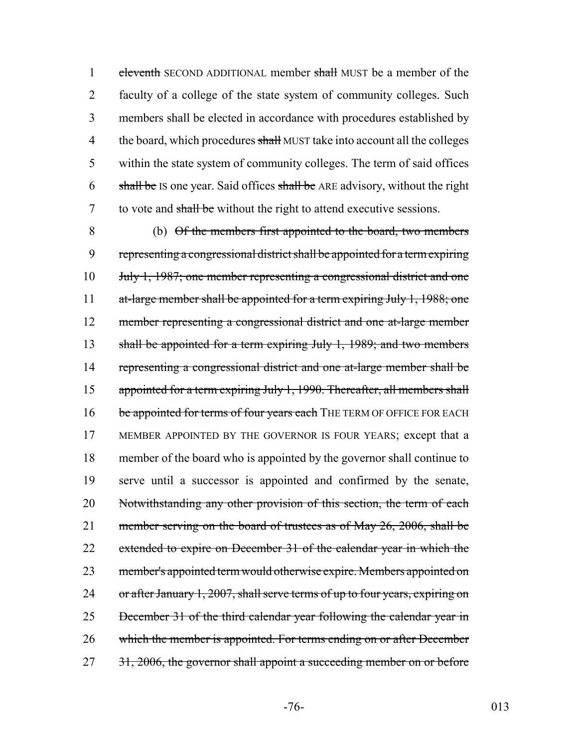1 eleventh SECOND ADDITIONAL member shall MUST be a member of the 2 faculty of a college of the state system of community colleges. Such 3 members shall be elected in accordance with procedures established by 4 the board, which procedures shall MUST take into account all the colleges 5 within the state system of community colleges. The term of said offices 6  $\frac{\text{shall be}}{\text{Is one year}}$ . Said offices shall be ARE advisory, without the right 7 to vote and shall be without the right to attend executive sessions.

8 (b) Of the members first appointed to the board, two members 9 representing a congressional district shall be appointed for a term expiring 10 July 1, 1987; one member representing a congressional district and one 11 at-large member shall be appointed for a term expiring July 1, 1988; one 12 member representing a congressional district and one at-large member 13 shall be appointed for a term expiring July 1, 1989; and two members 14 representing a congressional district and one at-large member shall be 15 appointed for a term expiring July 1, 1990. Thereafter, all members shall 16 be appointed for terms of four years each THE TERM OF OFFICE FOR EACH 17 MEMBER APPOINTED BY THE GOVERNOR IS FOUR YEARS; except that a 18 member of the board who is appointed by the governor shall continue to 19 serve until a successor is appointed and confirmed by the senate, 20 Notwithstanding any other provision of this section, the term of each 21 member serving on the board of trustees as of May 26, 2006, shall be 22 extended to expire on December 31 of the calendar year in which the 23 member's appointed term would otherwise expire. Members appointed on 24 or after January 1, 2007, shall serve terms of up to four years, expiring on 25 December 31 of the third calendar year following the calendar year in 26 which the member is appointed. For terms ending on or after December 27 31, 2006, the governor shall appoint a succeeding member on or before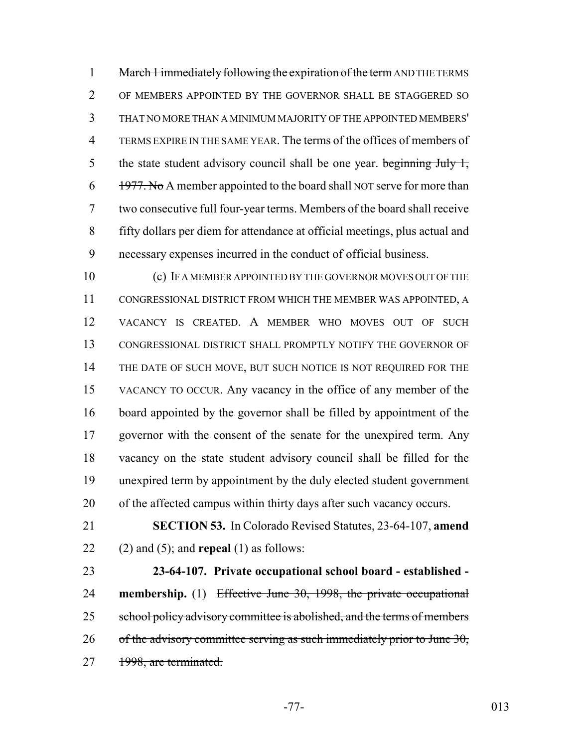1 March 1 immediately following the expiration of the term AND THE TERMS OF MEMBERS APPOINTED BY THE GOVERNOR SHALL BE STAGGERED SO THAT NO MORE THAN A MINIMUM MAJORITY OF THE APPOINTED MEMBERS' TERMS EXPIRE IN THE SAME YEAR. The terms of the offices of members of 5 the state student advisory council shall be one year. beginning July 1, 1977. No A member appointed to the board shall NOT serve for more than two consecutive full four-year terms. Members of the board shall receive fifty dollars per diem for attendance at official meetings, plus actual and necessary expenses incurred in the conduct of official business.

 (c) IF A MEMBER APPOINTED BY THE GOVERNOR MOVES OUT OF THE CONGRESSIONAL DISTRICT FROM WHICH THE MEMBER WAS APPOINTED, A VACANCY IS CREATED. A MEMBER WHO MOVES OUT OF SUCH CONGRESSIONAL DISTRICT SHALL PROMPTLY NOTIFY THE GOVERNOR OF 14 THE DATE OF SUCH MOVE, BUT SUCH NOTICE IS NOT REQUIRED FOR THE VACANCY TO OCCUR. Any vacancy in the office of any member of the board appointed by the governor shall be filled by appointment of the governor with the consent of the senate for the unexpired term. Any vacancy on the state student advisory council shall be filled for the unexpired term by appointment by the duly elected student government of the affected campus within thirty days after such vacancy occurs.

 **SECTION 53.** In Colorado Revised Statutes, 23-64-107, **amend** (2) and (5); and **repeal** (1) as follows:

 **23-64-107. Private occupational school board - established - membership.** (1) Effective June 30, 1998, the private occupational 25 school policy advisory committee is abolished, and the terms of members 26 of the advisory committee serving as such immediately prior to June , 27 1998, are terminated.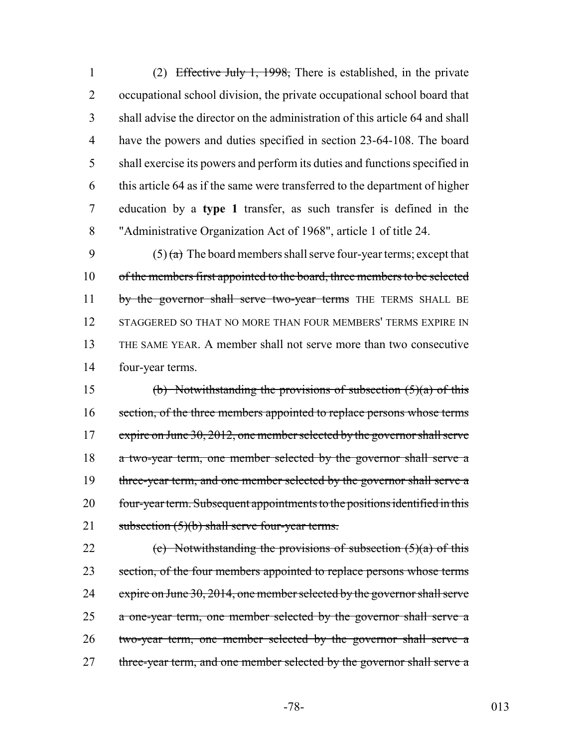(2) Effective July 1, 1998, There is established, in the private occupational school division, the private occupational school board that shall advise the director on the administration of this article 64 and shall have the powers and duties specified in section 23-64-108. The board shall exercise its powers and perform its duties and functions specified in this article 64 as if the same were transferred to the department of higher education by a **type 1** transfer, as such transfer is defined in the "Administrative Organization Act of 1968", article 1 of title 24.

9 (5)  $\left(\frac{a}{b}\right)$  The board members shall serve four-year terms; except that 10 of the members first appointed to the board, three members to be selected 11 by the governor shall serve two-year terms THE TERMS SHALL BE 12 STAGGERED SO THAT NO MORE THAN FOUR MEMBERS' TERMS EXPIRE IN 13 THE SAME YEAR. A member shall not serve more than two consecutive 14 four-year terms.

15 (b) Notwithstanding the provisions of subsection  $(5)(a)$  of this 16 section, of the three members appointed to replace persons whose terms 17 expire on June 30, 2012, one member selected by the governor shall serve 18 a two-year term, one member selected by the governor shall serve a 19 three-year term, and one member selected by the governor shall serve a 20 four-year term. Subsequent appointments to the positions identified in this 21 subsection  $(5)(b)$  shall serve four-year terms.

22 (c) Notwithstanding the provisions of subsection  $(5)(a)$  of this 23 section, of the four members appointed to replace persons whose terms 24 expire on June 30, 2014, one member selected by the governor shall serve 25 a one-year term, one member selected by the governor shall serve a 26 two-year term, one member selected by the governor shall serve a 27 three-year term, and one member selected by the governor shall serve a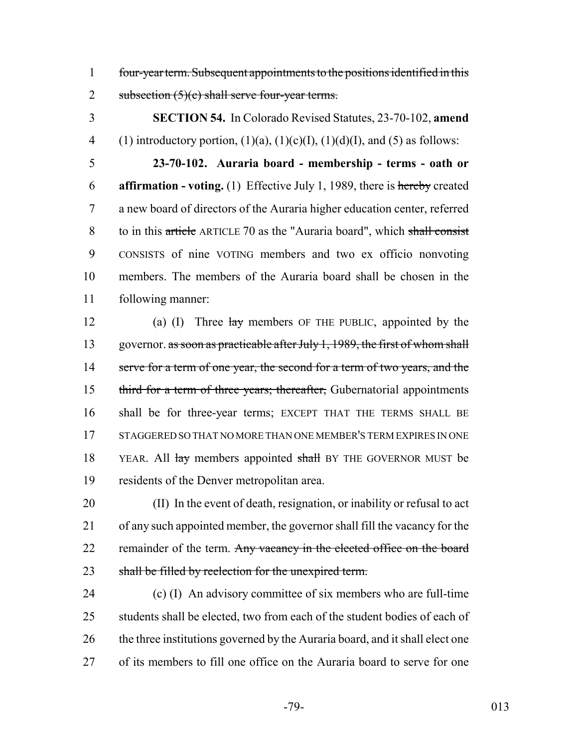1 four-year term. Subsequent appointments to the positions identified in this 2 subsection  $(5)(c)$  shall serve four-year terms.

3 **SECTION 54.** In Colorado Revised Statutes, 23-70-102, **amend** 4 (1) introductory portion,  $(1)(a)$ ,  $(1)(c)(I)$ ,  $(1)(d)(I)$ , and  $(5)$  as follows:

 **23-70-102. Auraria board - membership - terms - oath or affirmation - voting.** (1) Effective July 1, 1989, there is hereby created a new board of directors of the Auraria higher education center, referred to in this article ARTICLE 70 as the "Auraria board", which shall consist CONSISTS of nine VOTING members and two ex officio nonvoting members. The members of the Auraria board shall be chosen in the following manner:

12 (a) (I) Three  $\frac{1}{xy}$  members OF THE PUBLIC, appointed by the 13 governor. as soon as practicable after July 1, 1989, the first of whom shall 14 serve for a term of one year, the second for a term of two years, and the 15 third for a term of three years; thereafter, Gubernatorial appointments 16 shall be for three-year terms; EXCEPT THAT THE TERMS SHALL BE 17 STAGGERED SO THAT NO MORE THAN ONE MEMBER'S TERM EXPIRES IN ONE 18 YEAR. All lay members appointed shall BY THE GOVERNOR MUST be 19 residents of the Denver metropolitan area.

20 (II) In the event of death, resignation, or inability or refusal to act 21 of any such appointed member, the governor shall fill the vacancy for the 22 remainder of the term. Any vacancy in the elected office on the board 23 shall be filled by reelection for the unexpired term.

24 (c) (I) An advisory committee of six members who are full-time 25 students shall be elected, two from each of the student bodies of each of 26 the three institutions governed by the Auraria board, and it shall elect one 27 of its members to fill one office on the Auraria board to serve for one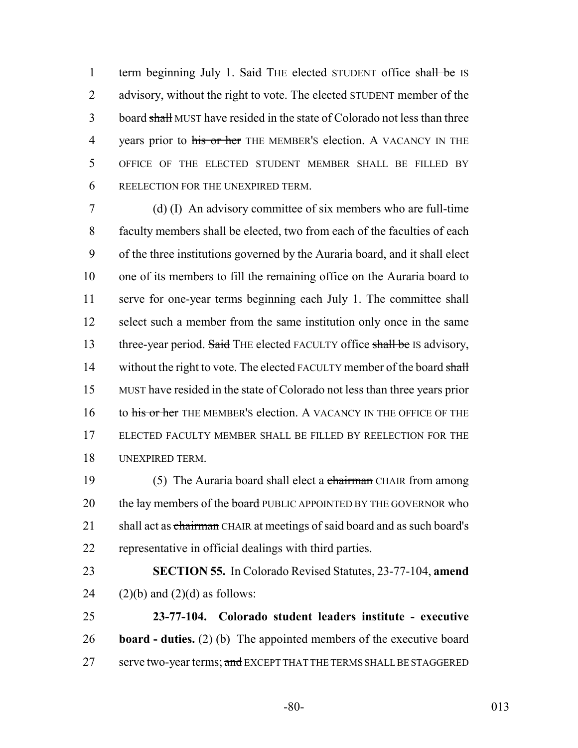1 term beginning July 1. Said THE elected STUDENT office shall be IS 2 advisory, without the right to vote. The elected STUDENT member of the 3 board shall MUST have resided in the state of Colorado not less than three 4 years prior to his or her THE MEMBER's election. A VACANCY IN THE 5 OFFICE OF THE ELECTED STUDENT MEMBER SHALL BE FILLED BY 6 REELECTION FOR THE UNEXPIRED TERM.

 (d) (I) An advisory committee of six members who are full-time faculty members shall be elected, two from each of the faculties of each of the three institutions governed by the Auraria board, and it shall elect one of its members to fill the remaining office on the Auraria board to serve for one-year terms beginning each July 1. The committee shall 12 select such a member from the same institution only once in the same 13 three-year period. Said THE elected FACULTY office shall be IS advisory, 14 without the right to vote. The elected FACULTY member of the board shall MUST have resided in the state of Colorado not less than three years prior 16 to his or her THE MEMBER's election. A VACANCY IN THE OFFICE OF THE ELECTED FACULTY MEMBER SHALL BE FILLED BY REELECTION FOR THE UNEXPIRED TERM.

19 (5) The Auraria board shall elect a chairman CHAIR from among 20 the lay members of the board PUBLIC APPOINTED BY THE GOVERNOR who 21 shall act as chairman CHAIR at meetings of said board and as such board's 22 representative in official dealings with third parties.

23 **SECTION 55.** In Colorado Revised Statutes, 23-77-104, **amend** 24  $(2)(b)$  and  $(2)(d)$  as follows:

25 **23-77-104. Colorado student leaders institute - executive** 26 **board - duties.** (2) (b) The appointed members of the executive board 27 serve two-year terms; and EXCEPT THAT THE TERMS SHALL BE STAGGERED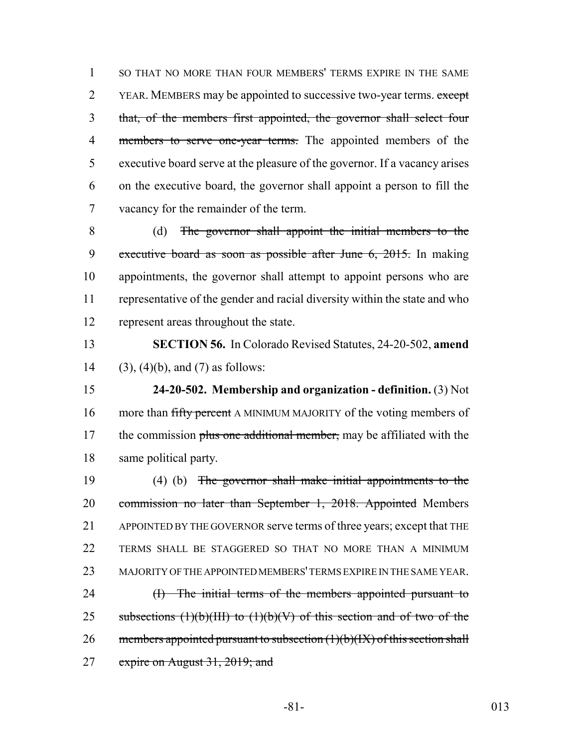SO THAT NO MORE THAN FOUR MEMBERS' TERMS EXPIRE IN THE SAME 2 YEAR. MEMBERS may be appointed to successive two-year terms. except that, of the members first appointed, the governor shall select four 4 members to serve one-year terms. The appointed members of the executive board serve at the pleasure of the governor. If a vacancy arises on the executive board, the governor shall appoint a person to fill the vacancy for the remainder of the term.

 (d) The governor shall appoint the initial members to the 9 executive board as soon as possible after June 6, 2015. In making appointments, the governor shall attempt to appoint persons who are representative of the gender and racial diversity within the state and who represent areas throughout the state.

 **SECTION 56.** In Colorado Revised Statutes, 24-20-502, **amend** (3), (4)(b), and (7) as follows:

 **24-20-502. Membership and organization - definition.** (3) Not 16 more than fifty percent A MINIMUM MAJORITY of the voting members of 17 the commission plus one additional member, may be affiliated with the same political party.

 (4) (b) The governor shall make initial appointments to the 20 commission no later than September 1, 2018. Appointed Members APPOINTED BY THE GOVERNOR serve terms of three years; except that THE TERMS SHALL BE STAGGERED SO THAT NO MORE THAN A MINIMUM MAJORITY OF THE APPOINTED MEMBERS' TERMS EXPIRE IN THE SAME YEAR. 24 (I) The initial terms of the members appointed pursuant to 25 subsections  $(1)(b)(III)$  to  $(1)(b)(V)$  of this section and of two of the 26 members appointed pursuant to subsection  $(1)(b)(IX)$  of this section shall 27 expire on August 31, 2019; and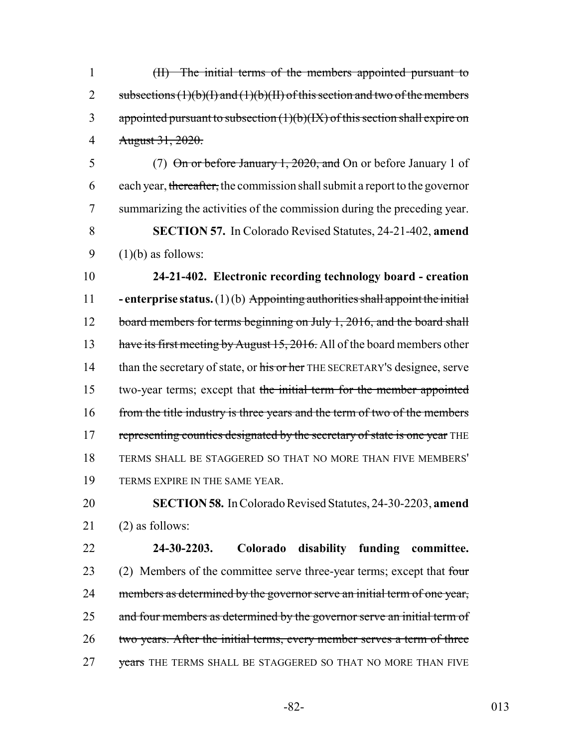1 (II) The initial terms of the members appointed pursuant to 2 subsections  $(1)(b)(I)$  and  $(1)(b)(II)$  of this section and two of the members 3 appointed pursuant to subsection  $(1)(b)(IX)$  of this section shall expire on 4 August 31, 2020.

 (7) On or before January 1, 2020, and On or before January 1 of 6 each year, thereafter, the commission shall submit a report to the governor summarizing the activities of the commission during the preceding year. **SECTION 57.** In Colorado Revised Statutes, 24-21-402, **amend**  $(1)(b)$  as follows:

10 **24-21-402. Electronic recording technology board - creation** 11 **- enterprise status.** (1) (b) Appointing authorities shall appoint the initial 12 board members for terms beginning on July 1, 2016, and the board shall 13 have its first meeting by August 15, 2016. All of the board members other 14 than the secretary of state, or his or her THE SECRETARY's designee, serve 15 two-year terms; except that the initial term for the member appointed 16 from the title industry is three years and the term of two of the members 17 representing counties designated by the secretary of state is one year THE 18 TERMS SHALL BE STAGGERED SO THAT NO MORE THAN FIVE MEMBERS' 19 TERMS EXPIRE IN THE SAME YEAR.

20 **SECTION 58.** In Colorado Revised Statutes, 24-30-2203, **amend** 21 (2) as follows:

22 **24-30-2203. Colorado disability funding committee.** 23 (2) Members of the committee serve three-year terms; except that four 24 members as determined by the governor serve an initial term of one year, 25 and four members as determined by the governor serve an initial term of 26 two years. After the initial terms, every member serves a term of three 27 vears THE TERMS SHALL BE STAGGERED SO THAT NO MORE THAN FIVE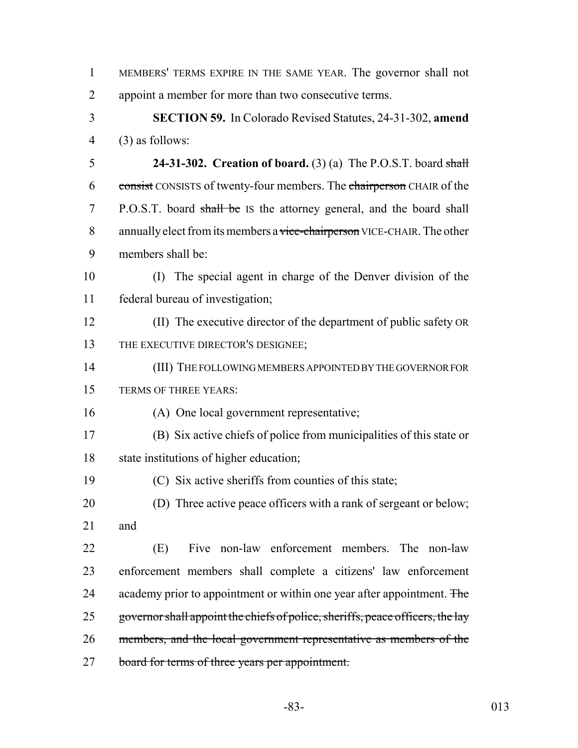| $\mathbf{1}$   | MEMBERS' TERMS EXPIRE IN THE SAME YEAR. The governor shall not                 |
|----------------|--------------------------------------------------------------------------------|
| $\overline{2}$ | appoint a member for more than two consecutive terms.                          |
| 3              | <b>SECTION 59.</b> In Colorado Revised Statutes, 24-31-302, amend              |
| $\overline{4}$ | $(3)$ as follows:                                                              |
| 5              | 24-31-302. Creation of board. $(3)$ (a) The P.O.S.T. board shall               |
| 6              | consist CONSISTS of twenty-four members. The chairperson CHAIR of the          |
| 7              | P.O.S.T. board shall be IS the attorney general, and the board shall           |
| 8              | annually elect from its members a vice-chairperson VICE-CHAIR. The other       |
| 9              | members shall be:                                                              |
| 10             | The special agent in charge of the Denver division of the<br>(I)               |
| 11             | federal bureau of investigation;                                               |
| 12             | (II) The executive director of the department of public safety OR              |
| 13             | THE EXECUTIVE DIRECTOR'S DESIGNEE;                                             |
| 14             | (III) THE FOLLOWING MEMBERS APPOINTED BY THE GOVERNOR FOR                      |
| 15             | TERMS OF THREE YEARS:                                                          |
| 16             | (A) One local government representative;                                       |
| 17             | (B) Six active chiefs of police from municipalities of this state or           |
| 18             | state institutions of higher education;                                        |
| 19             | (C) Six active sheriffs from counties of this state;                           |
| 20             | (D) Three active peace officers with a rank of sergeant or below;              |
| 21             | and                                                                            |
| 22             | Five non-law enforcement members. The non-law<br>(E)                           |
| 23             | enforcement members shall complete a citizens' law enforcement                 |
| 24             | academy prior to appointment or within one year after appointment. The         |
| 25             | governor shall appoint the chiefs of police, sheriffs, peace officers, the lay |
| 26             | members, and the local government representative as members of the             |
|                |                                                                                |

board for terms of three years per appointment.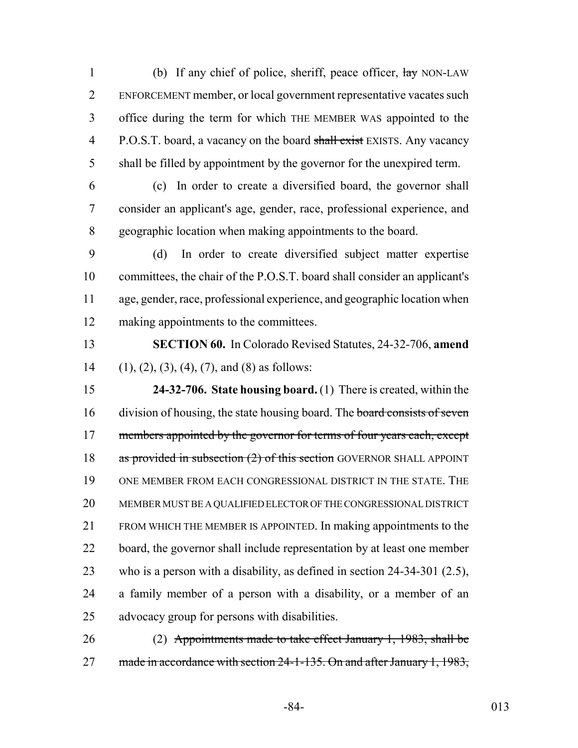1 (b) If any chief of police, sheriff, peace officer,  $\frac{1}{\text{day}}$  NON-LAW ENFORCEMENT member, or local government representative vacates such office during the term for which THE MEMBER WAS appointed to the 4 P.O.S.T. board, a vacancy on the board shall exist EXISTS. Any vacancy shall be filled by appointment by the governor for the unexpired term.

 (c) In order to create a diversified board, the governor shall consider an applicant's age, gender, race, professional experience, and geographic location when making appointments to the board.

 (d) In order to create diversified subject matter expertise committees, the chair of the P.O.S.T. board shall consider an applicant's age, gender, race, professional experience, and geographic location when making appointments to the committees.

 **SECTION 60.** In Colorado Revised Statutes, 24-32-706, **amend** 14 (1), (2), (3), (4), (7), and (8) as follows:

 **24-32-706. State housing board.** (1) There is created, within the 16 division of housing, the state housing board. The board consists of seven 17 members appointed by the governor for terms of four years each, except 18 as provided in subsection (2) of this section GOVERNOR SHALL APPOINT ONE MEMBER FROM EACH CONGRESSIONAL DISTRICT IN THE STATE. THE MEMBER MUST BE A QUALIFIED ELECTOR OF THE CONGRESSIONAL DISTRICT FROM WHICH THE MEMBER IS APPOINTED. In making appointments to the 22 board, the governor shall include representation by at least one member who is a person with a disability, as defined in section 24-34-301 (2.5), a family member of a person with a disability, or a member of an advocacy group for persons with disabilities.

 (2) Appointments made to take effect January 1, 1983, shall be 27 made in accordance with section 24-1-135. On and after January 1, 1983,

-84- 013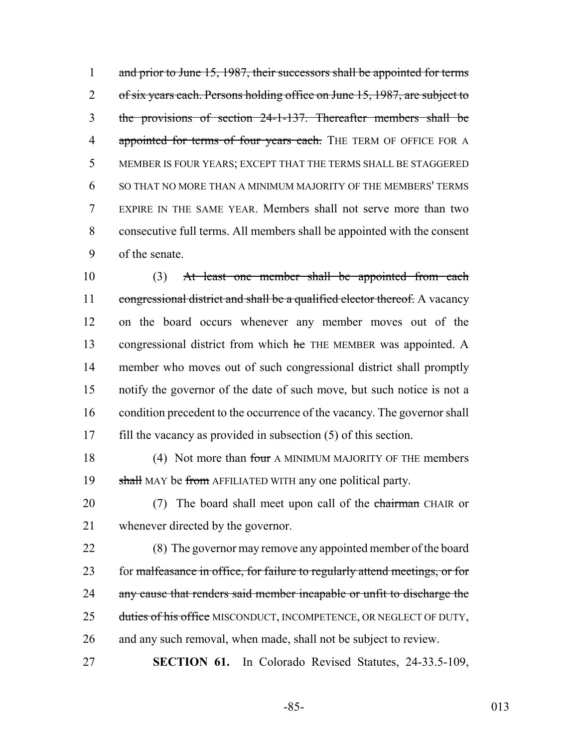1 and prior to June 15, 1987, their successors shall be appointed for terms 2 of six years each. Persons holding office on June 15, 1987, are subject to the provisions of section 24-1-137. Thereafter members shall be 4 appointed for terms of four years each. THE TERM OF OFFICE FOR A MEMBER IS FOUR YEARS; EXCEPT THAT THE TERMS SHALL BE STAGGERED SO THAT NO MORE THAN A MINIMUM MAJORITY OF THE MEMBERS' TERMS EXPIRE IN THE SAME YEAR. Members shall not serve more than two consecutive full terms. All members shall be appointed with the consent of the senate.

 (3) At least one member shall be appointed from each 11 congressional district and shall be a qualified elector thereof. A vacancy on the board occurs whenever any member moves out of the 13 congressional district from which he THE MEMBER was appointed. A member who moves out of such congressional district shall promptly notify the governor of the date of such move, but such notice is not a 16 condition precedent to the occurrence of the vacancy. The governor shall fill the vacancy as provided in subsection (5) of this section.

18 (4) Not more than four A MINIMUM MAJORITY OF THE members 19 shall MAY be from AFFILIATED WITH any one political party.

20 (7) The board shall meet upon call of the chairman CHAIR or 21 whenever directed by the governor.

22 (8) The governor may remove any appointed member of the board 23 for malfeasance in office, for failure to regularly attend meetings, or for 24 any cause that renders said member incapable or unfit to discharge the 25 duties of his office MISCONDUCT, INCOMPETENCE, OR NEGLECT OF DUTY, 26 and any such removal, when made, shall not be subject to review.

27 **SECTION 61.** In Colorado Revised Statutes, 24-33.5-109,

-85- 013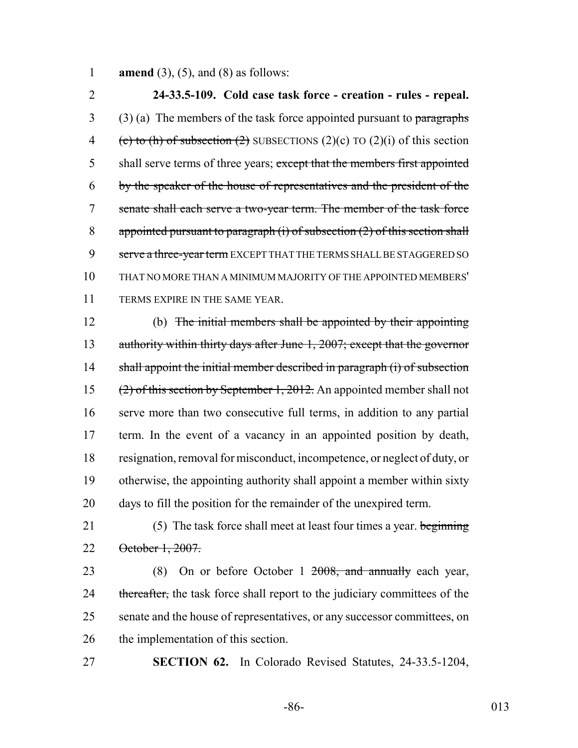1 **amend** (3), (5), and (8) as follows:

2 **24-33.5-109. Cold case task force - creation - rules - repeal.**  $3$  (3) (a) The members of the task force appointed pursuant to paragraphs 4 (c) to (h) of subsection (2) SUBSECTIONS (2)(c) TO (2)(i) of this section 5 shall serve terms of three years; except that the members first appointed 6 by the speaker of the house of representatives and the president of the 7 senate shall each serve a two-year term. The member of the task force 8 appointed pursuant to paragraph  $(i)$  of subsection  $(2)$  of this section shall 9 serve a three-year term EXCEPT THAT THE TERMS SHALL BE STAGGERED SO 10 THAT NO MORE THAN A MINIMUM MAJORITY OF THE APPOINTED MEMBERS' 11 TERMS EXPIRE IN THE SAME YEAR.

 (b) The initial members shall be appointed by their appointing 13 authority within thirty days after June 1, 2007; except that the governor 14 shall appoint the initial member described in paragraph (i) of subsection (2) of this section by September 1, 2012. An appointed member shall not serve more than two consecutive full terms, in addition to any partial term. In the event of a vacancy in an appointed position by death, resignation, removal for misconduct, incompetence, or neglect of duty, or otherwise, the appointing authority shall appoint a member within sixty days to fill the position for the remainder of the unexpired term.

21 (5) The task force shall meet at least four times a year. beginning 22 October 1, 2007.

23 (8) On or before October 1 <del>2008, and annually</del> each year, 24 thereafter, the task force shall report to the judiciary committees of the 25 senate and the house of representatives, or any successor committees, on 26 the implementation of this section.

27 **SECTION 62.** In Colorado Revised Statutes, 24-33.5-1204,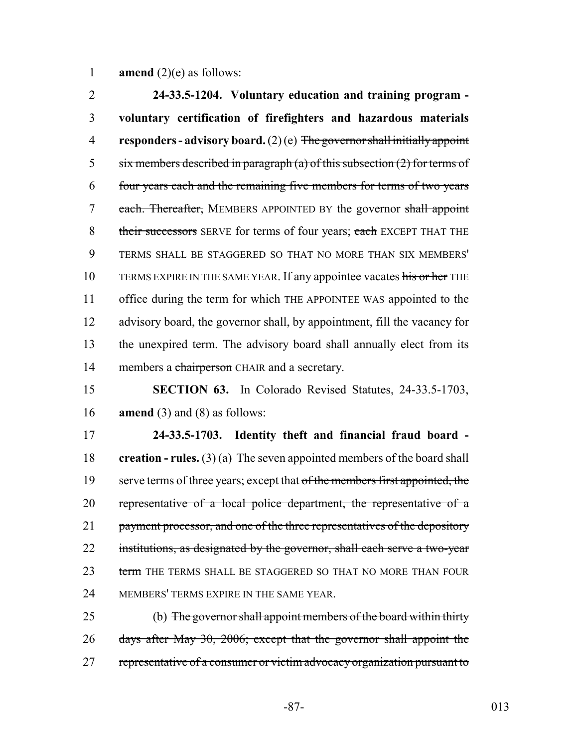1 **amend**  $(2)(e)$  as follows:

 **24-33.5-1204. Voluntary education and training program - voluntary certification of firefighters and hazardous materials responders - advisory board.** (2) (e) The governor shall initially appoint 5 six members described in paragraph (a) of this subsection  $(2)$  for terms of four years each and the remaining five members for terms of two years 7 each. Thereafter, MEMBERS APPOINTED BY the governor shall appoint 8 their successors SERVE for terms of four years; each EXCEPT THAT THE TERMS SHALL BE STAGGERED SO THAT NO MORE THAN SIX MEMBERS' 10 TERMS EXPIRE IN THE SAME YEAR. If any appointee vacates his or her THE office during the term for which THE APPOINTEE WAS appointed to the advisory board, the governor shall, by appointment, fill the vacancy for the unexpired term. The advisory board shall annually elect from its 14 members a chairperson CHAIR and a secretary.

15 **SECTION 63.** In Colorado Revised Statutes, 24-33.5-1703, 16 **amend** (3) and (8) as follows:

17 **24-33.5-1703. Identity theft and financial fraud board -** 18 **creation - rules.** (3) (a) The seven appointed members of the board shall 19 serve terms of three years; except that of the members first appointed, the 20 representative of a local police department, the representative of a 21 payment processor, and one of the three representatives of the depository 22 institutions, as designated by the governor, shall each serve a two-year 23 term THE TERMS SHALL BE STAGGERED SO THAT NO MORE THAN FOUR 24 MEMBERS' TERMS EXPIRE IN THE SAME YEAR.

25 (b) The governor shall appoint members of the board within thirty 26 days after May 30, 2006; except that the governor shall appoint the 27 representative of a consumer or victim advocacy organization pursuant to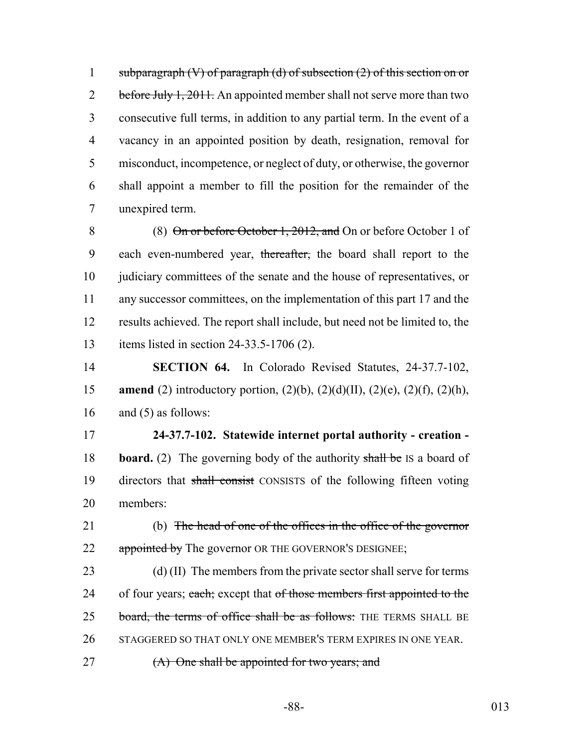1 subparagraph  $(V)$  of paragraph  $(d)$  of subsection  $(2)$  of this section on or 2 before July 1, 2011. An appointed member shall not serve more than two consecutive full terms, in addition to any partial term. In the event of a vacancy in an appointed position by death, resignation, removal for misconduct, incompetence, or neglect of duty, or otherwise, the governor shall appoint a member to fill the position for the remainder of the unexpired term.

 (8) On or before October 1, 2012, and On or before October 1 of 9 each even-numbered year, thereafter, the board shall report to the 10 judiciary committees of the senate and the house of representatives, or any successor committees, on the implementation of this part 17 and the results achieved. The report shall include, but need not be limited to, the items listed in section 24-33.5-1706 (2).

14 **SECTION 64.** In Colorado Revised Statutes, 24-37.7-102, 15 **amend** (2) introductory portion, (2)(b), (2)(d)(II), (2)(e), (2)(f), (2)(h), 16 and (5) as follows:

17 **24-37.7-102. Statewide internet portal authority - creation -** 18 **board.** (2) The governing body of the authority shall be IS a board of 19 directors that shall consist CONSISTS of the following fifteen voting 20 members:

21 (b) The head of one of the offices in the office of the governor 22 appointed by The governor OR THE GOVERNOR'S DESIGNEE;

23 (d) (II) The members from the private sector shall serve for terms 24 of four years; each; except that of those members first appointed to the 25 board, the terms of office shall be as follows: THE TERMS SHALL BE 26 STAGGERED SO THAT ONLY ONE MEMBER'S TERM EXPIRES IN ONE YEAR.

27 (A) One shall be appointed for two years; and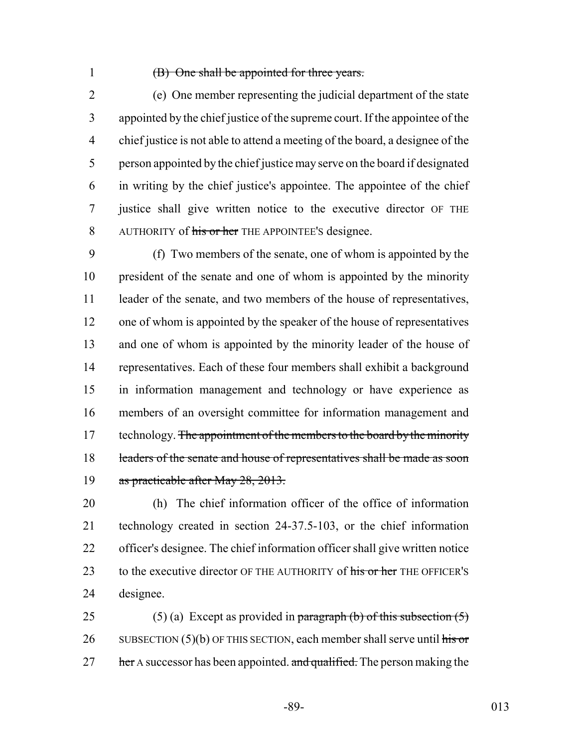## (B) One shall be appointed for three years.

 (e) One member representing the judicial department of the state appointed by the chief justice of the supreme court. If the appointee of the chief justice is not able to attend a meeting of the board, a designee of the person appointed by the chief justice may serve on the board if designated in writing by the chief justice's appointee. The appointee of the chief justice shall give written notice to the executive director OF THE 8 AUTHORITY of his or her THE APPOINTEE'S designee.

 (f) Two members of the senate, one of whom is appointed by the president of the senate and one of whom is appointed by the minority 11 leader of the senate, and two members of the house of representatives, one of whom is appointed by the speaker of the house of representatives and one of whom is appointed by the minority leader of the house of representatives. Each of these four members shall exhibit a background in information management and technology or have experience as members of an oversight committee for information management and 17 technology. The appointment of the members to the board by the minority 18 leaders of the senate and house of representatives shall be made as soon 19 as practicable after May 28, 2013.

 (h) The chief information officer of the office of information technology created in section 24-37.5-103, or the chief information officer's designee. The chief information officer shall give written notice 23 to the executive director OF THE AUTHORITY of his or her THE OFFICER'S designee.

25 (5) (a) Except as provided in paragraph (b) of this subsection  $(5)$ 26 SUBSECTION  $(5)(b)$  OF THIS SECTION, each member shall serve until his or her A successor has been appointed. and qualified. The person making the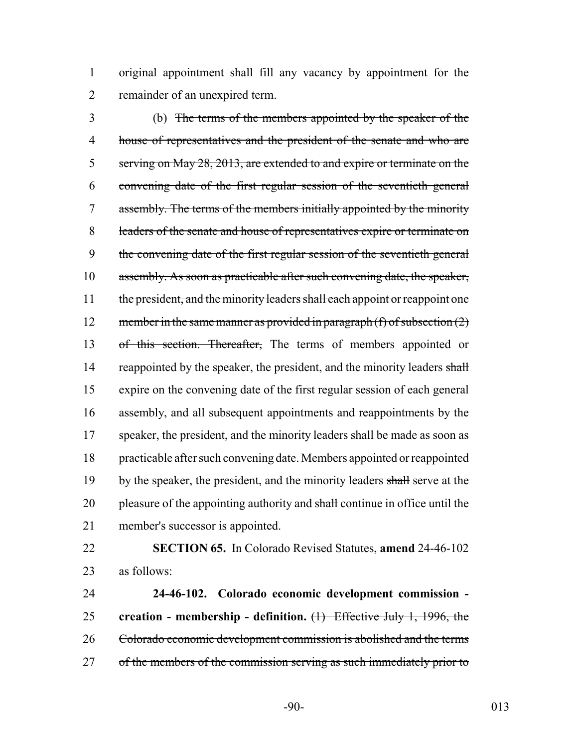original appointment shall fill any vacancy by appointment for the remainder of an unexpired term.

 (b) The terms of the members appointed by the speaker of the house of representatives and the president of the senate and who are serving on May 28, 2013, are extended to and expire or terminate on the convening date of the first regular session of the seventieth general assembly. The terms of the members initially appointed by the minority leaders of the senate and house of representatives expire or terminate on the convening date of the first regular session of the seventieth general assembly. As soon as practicable after such convening date, the speaker, 11 the president, and the minority leaders shall each appoint or reappoint one 12 member in the same manner as provided in paragraph  $(f)$  of subsection  $(2)$ 13 of this section. Thereafter, The terms of members appointed or 14 reappointed by the speaker, the president, and the minority leaders shall expire on the convening date of the first regular session of each general assembly, and all subsequent appointments and reappointments by the 17 speaker, the president, and the minority leaders shall be made as soon as practicable after such convening date. Members appointed or reappointed 19 by the speaker, the president, and the minority leaders shall serve at the 20 pleasure of the appointing authority and shall continue in office until the member's successor is appointed.

 **SECTION 65.** In Colorado Revised Statutes, **amend** 24-46-102 as follows:

 **24-46-102. Colorado economic development commission - creation - membership - definition.** (1) Effective July 1, 1996, the Colorado economic development commission is abolished and the terms 27 of the members of the commission serving as such immediately prior to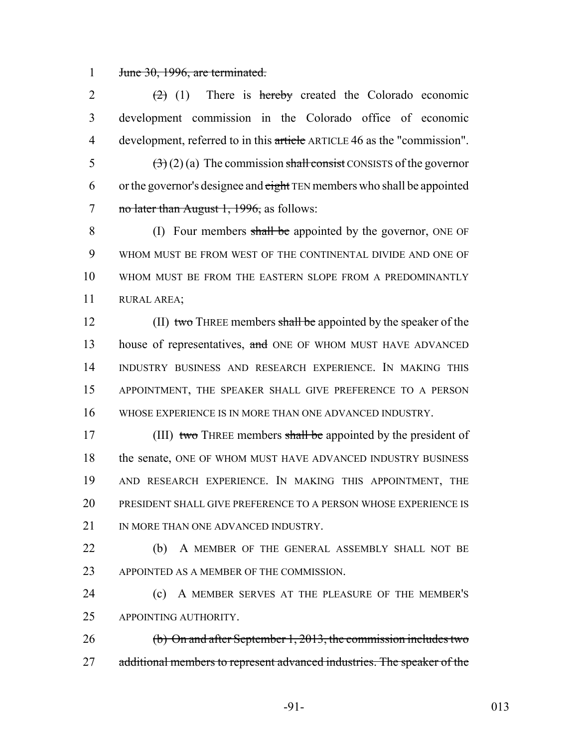1 June 30, 1996, are terminated.

 $(2)$  (1) There is hereby created the Colorado economic development commission in the Colorado office of economic 4 development, referred to in this article ARTICLE 46 as the "commission".  $(3)(2)(a)$  The commission shall consist CONSISTS of the governor

6 or the governor's designee and  $\frac{e^{i\theta}}{e^{i\theta}}$  TEN members who shall be appointed 7 no later than August 1, 1996, as follows:

8 (I) Four members shall be appointed by the governor, ONE OF WHOM MUST BE FROM WEST OF THE CONTINENTAL DIVIDE AND ONE OF WHOM MUST BE FROM THE EASTERN SLOPE FROM A PREDOMINANTLY RURAL AREA;

12 (II) two THREE members shall be appointed by the speaker of the 13 house of representatives, and ONE OF WHOM MUST HAVE ADVANCED 14 INDUSTRY BUSINESS AND RESEARCH EXPERIENCE. IN MAKING THIS 15 APPOINTMENT, THE SPEAKER SHALL GIVE PREFERENCE TO A PERSON 16 WHOSE EXPERIENCE IS IN MORE THAN ONE ADVANCED INDUSTRY.

17 (III) two THREE members shall be appointed by the president of 18 the senate, ONE OF WHOM MUST HAVE ADVANCED INDUSTRY BUSINESS 19 AND RESEARCH EXPERIENCE. IN MAKING THIS APPOINTMENT, THE 20 PRESIDENT SHALL GIVE PREFERENCE TO A PERSON WHOSE EXPERIENCE IS 21 IN MORE THAN ONE ADVANCED INDUSTRY.

22 (b) A MEMBER OF THE GENERAL ASSEMBLY SHALL NOT BE 23 APPOINTED AS A MEMBER OF THE COMMISSION.

24 (c) A MEMBER SERVES AT THE PLEASURE OF THE MEMBER'S 25 APPOINTING AUTHORITY.

26 (b) On and after September 1, 2013, the commission includes two 27 additional members to represent advanced industries. The speaker of the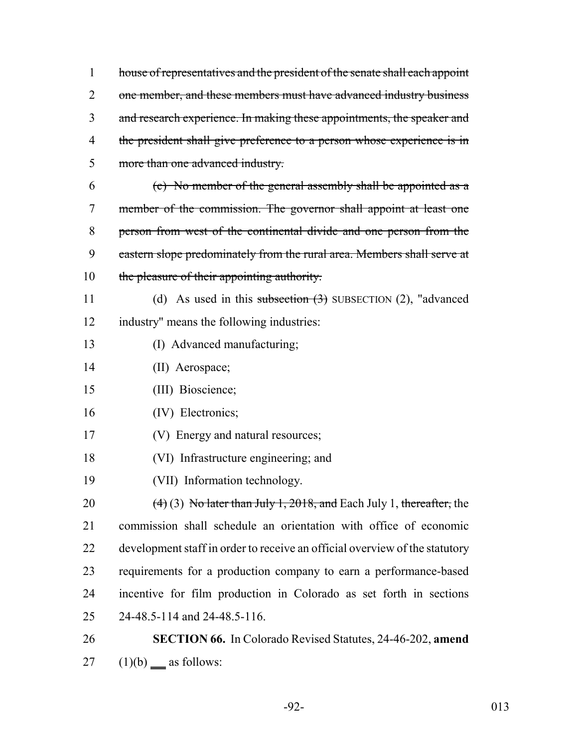house of representatives and the president of the senate shall each appoint 2 one member, and these members must have advanced industry business 3 and research experience. In making these appointments, the speaker and 4 the president shall give preference to a person whose experience is in more than one advanced industry. (c) No member of the general assembly shall be appointed as a member of the commission. The governor shall appoint at least one person from west of the continental divide and one person from the 9 eastern slope predominately from the rural area. Members shall serve at 10 the pleasure of their appointing authority. 11 (d) As used in this subsection (3) SUBSECTION (2), "advanced industry" means the following industries: (I) Advanced manufacturing; (II) Aerospace; (III) Bioscience; (IV) Electronics; (V) Energy and natural resources; (VI) Infrastructure engineering; and (VII) Information technology.  $(4)(3)$  No later than July 1, 2018, and Each July 1, thereafter, the commission shall schedule an orientation with office of economic development staff in order to receive an official overview of the statutory requirements for a production company to earn a performance-based incentive for film production in Colorado as set forth in sections 24-48.5-114 and 24-48.5-116. **SECTION 66.** In Colorado Revised Statutes, 24-46-202, **amend** (1)(b) as follows:

-92- 013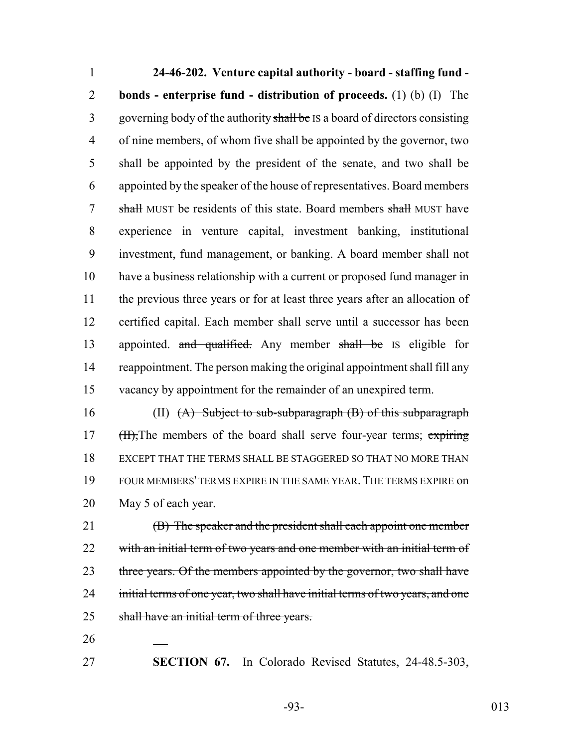**24-46-202. Venture capital authority - board - staffing fund - bonds - enterprise fund - distribution of proceeds.** (1) (b) (I) The 3 governing body of the authority shall be IS a board of directors consisting of nine members, of whom five shall be appointed by the governor, two shall be appointed by the president of the senate, and two shall be appointed by the speaker of the house of representatives. Board members 7 shall MUST be residents of this state. Board members shall MUST have experience in venture capital, investment banking, institutional investment, fund management, or banking. A board member shall not have a business relationship with a current or proposed fund manager in the previous three years or for at least three years after an allocation of certified capital. Each member shall serve until a successor has been 13 appointed. and qualified. Any member shall be IS eligible for reappointment. The person making the original appointment shall fill any vacancy by appointment for the remainder of an unexpired term.

 (II) (A) Subject to sub-subparagraph (B) of this subparagraph 17 (H), The members of the board shall serve four-year terms; expiring EXCEPT THAT THE TERMS SHALL BE STAGGERED SO THAT NO MORE THAN FOUR MEMBERS' TERMS EXPIRE IN THE SAME YEAR. THE TERMS EXPIRE on May 5 of each year.

21 (B) The speaker and the president shall each appoint one member 22 with an initial term of two years and one member with an initial term of 23 three years. Of the members appointed by the governor, two shall have 24 initial terms of one year, two shall have initial terms of two years, and one shall have an initial term of three years.

**SECTION 67.** In Colorado Revised Statutes, 24-48.5-303,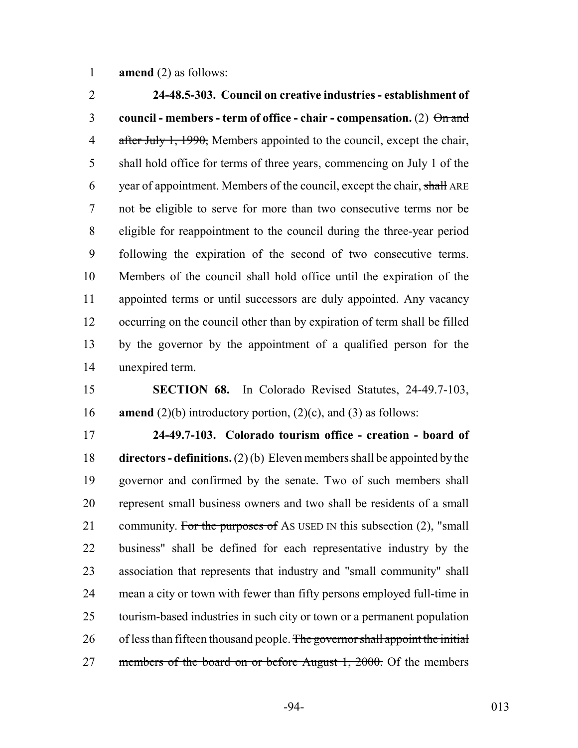**amend** (2) as follows:

 **24-48.5-303. Council on creative industries - establishment of council - members - term of office - chair - compensation.** (2) On and 4 after July 1, 1990, Members appointed to the council, except the chair, shall hold office for terms of three years, commencing on July 1 of the 6 year of appointment. Members of the council, except the chair, shall ARE 7 not be eligible to serve for more than two consecutive terms nor be eligible for reappointment to the council during the three-year period following the expiration of the second of two consecutive terms. Members of the council shall hold office until the expiration of the appointed terms or until successors are duly appointed. Any vacancy occurring on the council other than by expiration of term shall be filled by the governor by the appointment of a qualified person for the unexpired term.

 **SECTION 68.** In Colorado Revised Statutes, 24-49.7-103, **amend** (2)(b) introductory portion, (2)(c), and (3) as follows:

 **24-49.7-103. Colorado tourism office - creation - board of directors - definitions.** (2) (b) Eleven members shall be appointed by the governor and confirmed by the senate. Two of such members shall represent small business owners and two shall be residents of a small 21 community. For the purposes of As USED IN this subsection (2), "small business" shall be defined for each representative industry by the association that represents that industry and "small community" shall mean a city or town with fewer than fifty persons employed full-time in tourism-based industries in such city or town or a permanent population 26 of less than fifteen thousand people. The governor shall appoint the initial 27 members of the board on or before August 1, 2000. Of the members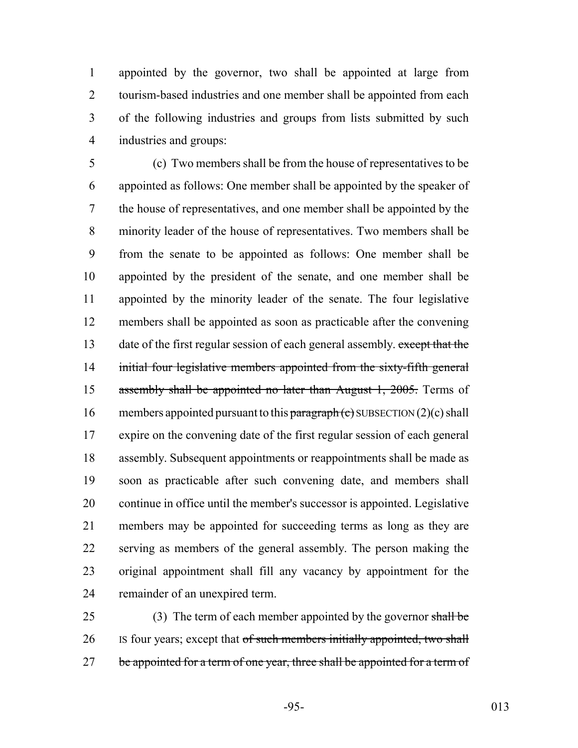appointed by the governor, two shall be appointed at large from 2 tourism-based industries and one member shall be appointed from each of the following industries and groups from lists submitted by such industries and groups:

 (c) Two members shall be from the house of representatives to be appointed as follows: One member shall be appointed by the speaker of the house of representatives, and one member shall be appointed by the minority leader of the house of representatives. Two members shall be from the senate to be appointed as follows: One member shall be appointed by the president of the senate, and one member shall be appointed by the minority leader of the senate. The four legislative members shall be appointed as soon as practicable after the convening 13 date of the first regular session of each general assembly. except that the 14 initial four legislative members appointed from the sixty-fifth general 15 assembly shall be appointed no later than August 1, 2005. Terms of 16 members appointed pursuant to this  $\frac{\partial}{\partial x}$  members appointed pursuant to this  $\frac{\partial}{\partial x}$  matrix (c) SUBSECTION (2)(c) shall expire on the convening date of the first regular session of each general assembly. Subsequent appointments or reappointments shall be made as soon as practicable after such convening date, and members shall continue in office until the member's successor is appointed. Legislative members may be appointed for succeeding terms as long as they are serving as members of the general assembly. The person making the original appointment shall fill any vacancy by appointment for the remainder of an unexpired term.

25 (3) The term of each member appointed by the governor shall be 26 Is four years; except that of such members initially appointed, two shall 27 be appointed for a term of one year, three shall be appointed for a term of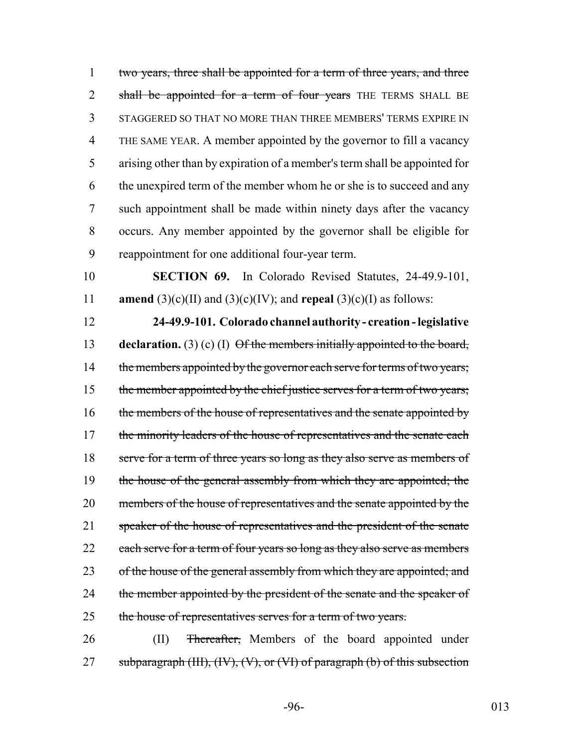1 two years, three shall be appointed for a term of three years, and three 2 shall be appointed for a term of four years THE TERMS SHALL BE STAGGERED SO THAT NO MORE THAN THREE MEMBERS' TERMS EXPIRE IN THE SAME YEAR. A member appointed by the governor to fill a vacancy arising other than by expiration of a member's term shall be appointed for the unexpired term of the member whom he or she is to succeed and any such appointment shall be made within ninety days after the vacancy occurs. Any member appointed by the governor shall be eligible for reappointment for one additional four-year term.

10 **SECTION 69.** In Colorado Revised Statutes, 24-49.9-101, 11 **amend** (3)(c)(II) and (3)(c)(IV); and **repeal** (3)(c)(I) as follows:

12 **24-49.9-101. Colorado channel authority - creation - legislative** 13 **declaration.** (3) (c) (I) Of the members initially appointed to the board, 14 the members appointed by the governor each serve for terms of two years; 15 the member appointed by the chief justice serves for a term of two years; 16 the members of the house of representatives and the senate appointed by 17 the minority leaders of the house of representatives and the senate each 18 serve for a term of three years so long as they also serve as members of 19 the house of the general assembly from which they are appointed; the 20 members of the house of representatives and the senate appointed by the 21 speaker of the house of representatives and the president of the senate 22 each serve for a term of four years so long as they also serve as members 23 of the house of the general assembly from which they are appointed; and 24 the member appointed by the president of the senate and the speaker of 25 the house of representatives serves for a term of two years.

26 (II) <del>Thereafter,</del> Members of the board appointed under 27 subparagraph (III),  $(W)$ ,  $(V)$ , or  $(VI)$  of paragraph (b) of this subsection

-96- 013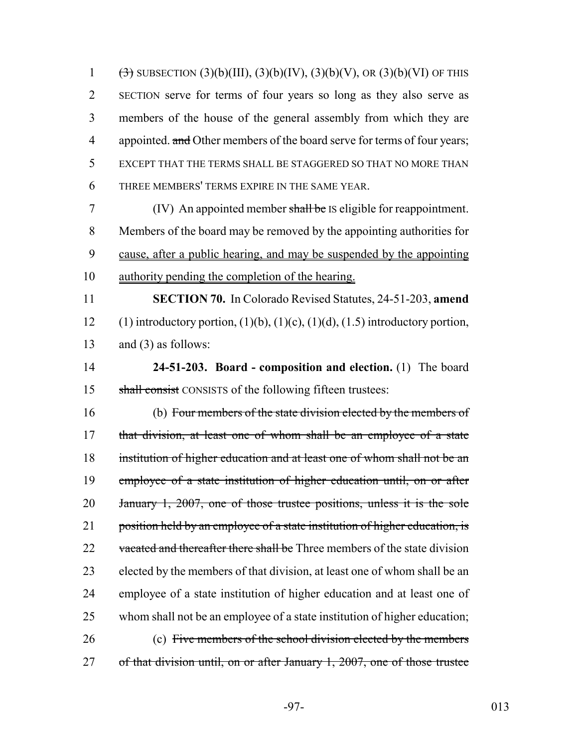$(\exists)$  SUBSECTION  $(3)(b)(III)$ ,  $(3)(b)(IV)$ ,  $(3)(b)(V)$ , OR  $(3)(b)(VI)$  OF THIS SECTION serve for terms of four years so long as they also serve as members of the house of the general assembly from which they are 4 appointed. and Other members of the board serve for terms of four years; EXCEPT THAT THE TERMS SHALL BE STAGGERED SO THAT NO MORE THAN THREE MEMBERS' TERMS EXPIRE IN THE SAME YEAR.

 (IV) An appointed member shall be IS eligible for reappointment. Members of the board may be removed by the appointing authorities for cause, after a public hearing, and may be suspended by the appointing authority pending the completion of the hearing.

 **SECTION 70.** In Colorado Revised Statutes, 24-51-203, **amend** 12 (1) introductory portion,  $(1)(b)$ ,  $(1)(c)$ ,  $(1)(d)$ ,  $(1.5)$  introductory portion, and (3) as follows:

 **24-51-203. Board - composition and election.** (1) The board 15 shall consist CONSISTS of the following fifteen trustees:

 (b) Four members of the state division elected by the members of 17 that division, at least one of whom shall be an employee of a state 18 institution of higher education and at least one of whom shall not be an employee of a state institution of higher education until, on or after January 1, 2007, one of those trustee positions, unless it is the sole 21 position held by an employee of a state institution of higher education, is 22 vacated and thereafter there shall be Three members of the state division elected by the members of that division, at least one of whom shall be an employee of a state institution of higher education and at least one of whom shall not be an employee of a state institution of higher education; (c) Five members of the school division elected by the members 27 of that division until, on or after January 1, 2007, one of those trustee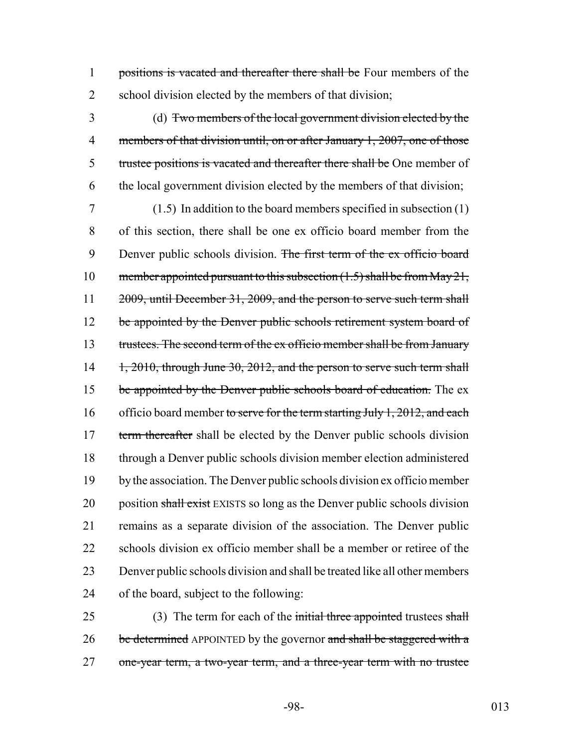1 positions is vacated and thereafter there shall be Four members of the 2 school division elected by the members of that division;

3 (d) Two members of the local government division elected by the 4 members of that division until, on or after January 1, 2007, one of those 5 trustee positions is vacated and thereafter there shall be One member of 6 the local government division elected by the members of that division;

7 (1.5) In addition to the board members specified in subsection (1) 8 of this section, there shall be one ex officio board member from the 9 Denver public schools division. The first term of the ex officio board 10 member appointed pursuant to this subsection  $(1.5)$  shall be from May 21, 11 2009, until December 31, 2009, and the person to serve such term shall 12 be appointed by the Denver public schools retirement system board of 13 trustees. The second term of the ex officio member shall be from January 14 1, 2010, through June 30, 2012, and the person to serve such term shall 15 be appointed by the Denver public schools board of education. The ex 16 officio board member to serve for the term starting July 1, 2012, and each 17 term thereafter shall be elected by the Denver public schools division 18 through a Denver public schools division member election administered 19 by the association. The Denver public schools division ex officio member 20 position shall exist EXISTS so long as the Denver public schools division 21 remains as a separate division of the association. The Denver public 22 schools division ex officio member shall be a member or retiree of the 23 Denver public schools division and shall be treated like all other members 24 of the board, subject to the following:

25 (3) The term for each of the initial three appointed trustees shall 26 be determined APPOINTED by the governor and shall be staggered with a 27 one-year term, a two-year term, and a three-year term with no trustee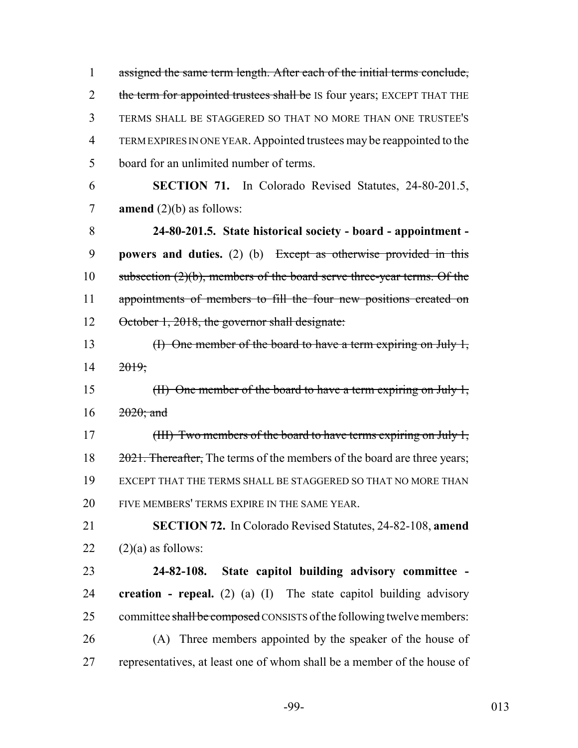1 assigned the same term length. After each of the initial terms conclude, 2 the term for appointed trustees shall be IS four years; EXCEPT THAT THE TERMS SHALL BE STAGGERED SO THAT NO MORE THAN ONE TRUSTEE'S TERM EXPIRES IN ONE YEAR. Appointed trustees may be reappointed to the board for an unlimited number of terms.

 **SECTION 71.** In Colorado Revised Statutes, 24-80-201.5, **amend** (2)(b) as follows:

 **24-80-201.5. State historical society - board - appointment - powers and duties.** (2) (b) Except as otherwise provided in this subsection (2)(b), members of the board serve three-year terms. Of the 11 appointments of members to fill the four new positions created on 12 October 1, 2018, the governor shall designate:

 (I) One member of the board to have a term expiring on July 1, 2019;

15 (II) One member of the board to have a term expiring on July 1, 16 2020; and

17 (III) Two members of the board to have terms expiring on July 1, 18 2021. Thereafter, The terms of the members of the board are three years; EXCEPT THAT THE TERMS SHALL BE STAGGERED SO THAT NO MORE THAN FIVE MEMBERS' TERMS EXPIRE IN THE SAME YEAR.

 **SECTION 72.** In Colorado Revised Statutes, 24-82-108, **amend**  $22 \quad (2)(a)$  as follows:

 **24-82-108. State capitol building advisory committee - creation - repeal.** (2) (a) (I) The state capitol building advisory 25 committee shall be composed CONSISTS of the following twelve members: (A) Three members appointed by the speaker of the house of representatives, at least one of whom shall be a member of the house of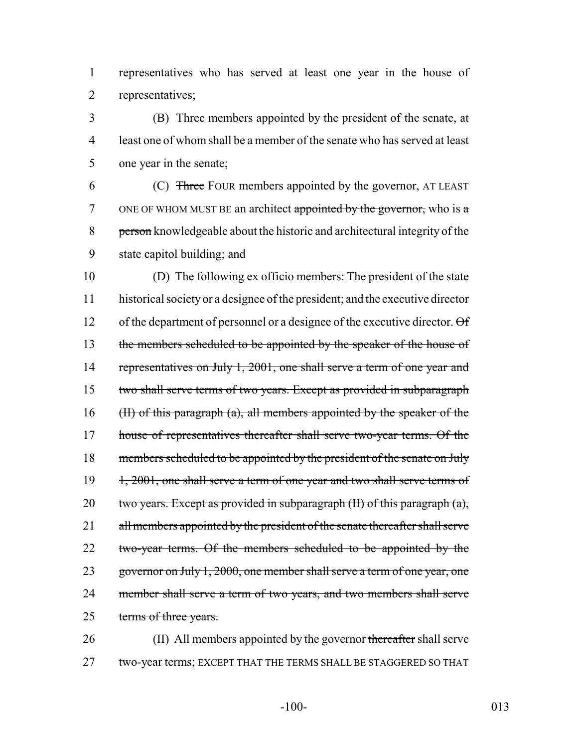1 representatives who has served at least one year in the house of 2 representatives;

3 (B) Three members appointed by the president of the senate, at 4 least one of whom shall be a member of the senate who has served at least 5 one year in the senate;

6 (C) Three FOUR members appointed by the governor, AT LEAST 7 ONE OF WHOM MUST BE an architect appointed by the governor, who is  $\alpha$ 8 person knowledgeable about the historic and architectural integrity of the 9 state capitol building; and

10 (D) The following ex officio members: The president of the state 11 historical society or a designee of the president; and the executive director 12 of the department of personnel or a designee of the executive director.  $\Theta$  f 13 the members scheduled to be appointed by the speaker of the house of 14 representatives on July 1, 2001, one shall serve a term of one year and 15 two shall serve terms of two years. Except as provided in subparagraph 16 (II) of this paragraph (a), all members appointed by the speaker of the 17 house of representatives thereafter shall serve two-year terms. Of the 18 members scheduled to be appointed by the president of the senate on July 19 1, 2001, one shall serve a term of one year and two shall serve terms of 20 two years. Except as provided in subparagraph  $(H)$  of this paragraph  $(a)$ , 21 all members appointed by the president of the senate thereafter shall serve 22 two-year terms. Of the members scheduled to be appointed by the 23 governor on July 1, 2000, one member shall serve a term of one year, one 24 member shall serve a term of two years, and two members shall serve 25 terms of three years.

26 (II) All members appointed by the governor thereafter shall serve 27 two-year terms; EXCEPT THAT THE TERMS SHALL BE STAGGERED SO THAT

-100- 013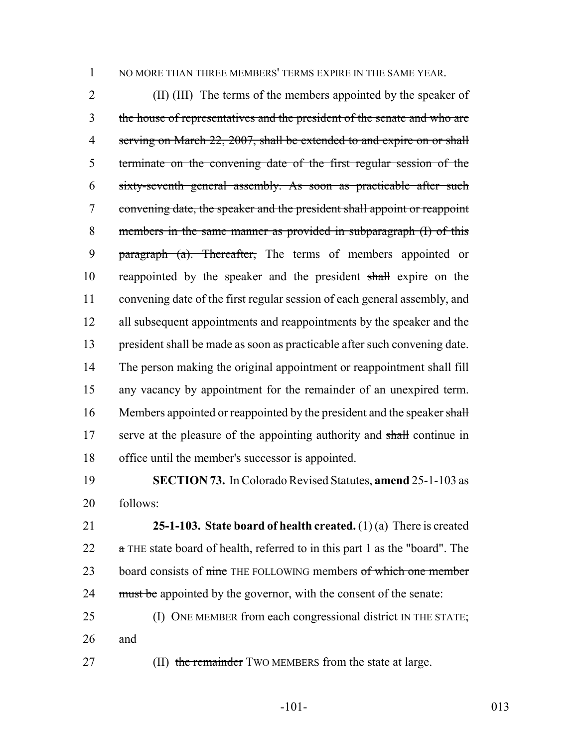NO MORE THAN THREE MEMBERS' TERMS EXPIRE IN THE SAME YEAR.

2 (II) (III) The terms of the members appointed by the speaker of the house of representatives and the president of the senate and who are 4 serving on March 22, 2007, shall be extended to and expire on or shall terminate on the convening date of the first regular session of the sixty-seventh general assembly. As soon as practicable after such convening date, the speaker and the president shall appoint or reappoint members in the same manner as provided in subparagraph (I) of this 9 paragraph (a). Thereafter, The terms of members appointed or reappointed by the speaker and the president shall expire on the convening date of the first regular session of each general assembly, and all subsequent appointments and reappointments by the speaker and the president shall be made as soon as practicable after such convening date. The person making the original appointment or reappointment shall fill any vacancy by appointment for the remainder of an unexpired term. 16 Members appointed or reappointed by the president and the speaker shall 17 serve at the pleasure of the appointing authority and shall continue in office until the member's successor is appointed.

 **SECTION 73.** In Colorado Revised Statutes, **amend** 25-1-103 as follows:

 **25-1-103. State board of health created.** (1) (a) There is created 22  $\alpha$  THE state board of health, referred to in this part 1 as the "board". The 23 board consists of nine THE FOLLOWING members of which one member 24 must be appointed by the governor, with the consent of the senate:

 (I) ONE MEMBER from each congressional district IN THE STATE; and

27 (II) the remainder TWO MEMBERS from the state at large.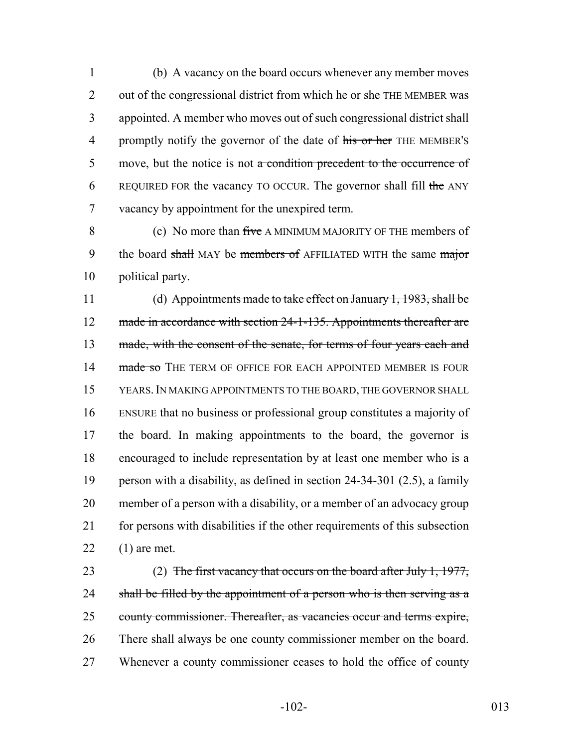1 (b) A vacancy on the board occurs whenever any member moves 2 out of the congressional district from which he or she THE MEMBER was 3 appointed. A member who moves out of such congressional district shall 4 promptly notify the governor of the date of his or her THE MEMBER's 5 move, but the notice is not a condition precedent to the occurrence of 6 REQUIRED FOR the vacancy TO OCCUR. The governor shall fill the ANY 7 vacancy by appointment for the unexpired term.

8 (c) No more than five A MINIMUM MAJORITY OF THE members of 9 the board shall MAY be members of AFFILIATED WITH the same major 10 political party.

 (d) Appointments made to take effect on January 1, 1983, shall be 12 made in accordance with section 24-1-135. Appointments thereafter are 13 made, with the consent of the senate, for terms of four years each and 14 made so THE TERM OF OFFICE FOR EACH APPOINTED MEMBER IS FOUR YEARS.IN MAKING APPOINTMENTS TO THE BOARD, THE GOVERNOR SHALL ENSURE that no business or professional group constitutes a majority of the board. In making appointments to the board, the governor is encouraged to include representation by at least one member who is a person with a disability, as defined in section 24-34-301 (2.5), a family member of a person with a disability, or a member of an advocacy group for persons with disabilities if the other requirements of this subsection (1) are met.

23 (2) The first vacancy that occurs on the board after July 1, 1977, 24 shall be filled by the appointment of a person who is then serving as a 25 county commissioner. Thereafter, as vacancies occur and terms expire, 26 There shall always be one county commissioner member on the board. 27 Whenever a county commissioner ceases to hold the office of county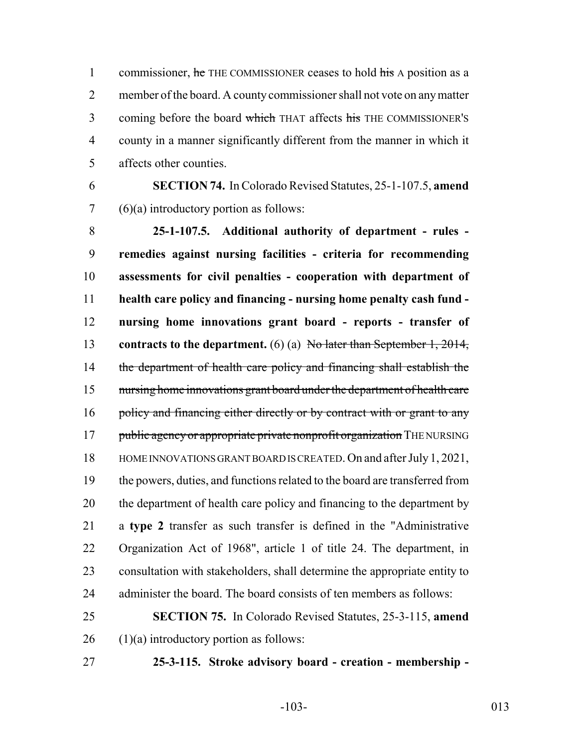1 commissioner, he THE COMMISSIONER ceases to hold his A position as a member of the board. A county commissioner shall not vote on any matter 3 coming before the board which THAT affects his THE COMMISSIONER'S county in a manner significantly different from the manner in which it affects other counties.

 **SECTION 74.** In Colorado Revised Statutes, 25-1-107.5, **amend** (6)(a) introductory portion as follows:

 **25-1-107.5. Additional authority of department - rules - remedies against nursing facilities - criteria for recommending assessments for civil penalties - cooperation with department of health care policy and financing - nursing home penalty cash fund - nursing home innovations grant board - reports - transfer of contracts to the department.** (6) (a) No later than September 1, 2014, 14 the department of health care policy and financing shall establish the nursing home innovations grant board under the department of health care 16 policy and financing either directly or by contract with or grant to any 17 public agency or appropriate private nonprofit organization THE NURSING HOME INNOVATIONS GRANT BOARD IS CREATED. On and after July 1, 2021, the powers, duties, and functions related to the board are transferred from 20 the department of health care policy and financing to the department by a **type 2** transfer as such transfer is defined in the "Administrative Organization Act of 1968", article 1 of title 24. The department, in consultation with stakeholders, shall determine the appropriate entity to administer the board. The board consists of ten members as follows:

 **SECTION 75.** In Colorado Revised Statutes, 25-3-115, **amend** (1)(a) introductory portion as follows:

**25-3-115. Stroke advisory board - creation - membership -**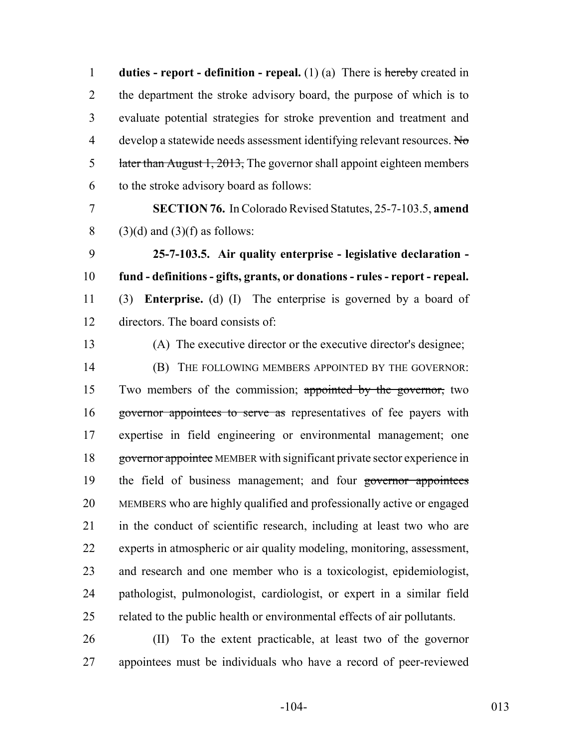**duties - report - definition - repeal.** (1) (a) There is hereby created in the department the stroke advisory board, the purpose of which is to evaluate potential strategies for stroke prevention and treatment and 4 develop a statewide needs assessment identifying relevant resources. No 5 later than August 1, 2013, The governor shall appoint eighteen members to the stroke advisory board as follows:

 **SECTION 76.** In Colorado Revised Statutes, 25-7-103.5, **amend** 8 (3)(d) and (3)(f) as follows:

 **25-7-103.5. Air quality enterprise - legislative declaration - fund - definitions - gifts, grants, or donations - rules - report - repeal.** (3) **Enterprise.** (d) (I) The enterprise is governed by a board of directors. The board consists of:

(A) The executive director or the executive director's designee;

 (B) THE FOLLOWING MEMBERS APPOINTED BY THE GOVERNOR: Two members of the commission; appointed by the governor, two 16 governor appointees to serve as representatives of fee payers with expertise in field engineering or environmental management; one 18 governor appointee MEMBER with significant private sector experience in 19 the field of business management; and four governor appointees MEMBERS who are highly qualified and professionally active or engaged in the conduct of scientific research, including at least two who are experts in atmospheric or air quality modeling, monitoring, assessment, and research and one member who is a toxicologist, epidemiologist, pathologist, pulmonologist, cardiologist, or expert in a similar field related to the public health or environmental effects of air pollutants.

 (II) To the extent practicable, at least two of the governor appointees must be individuals who have a record of peer-reviewed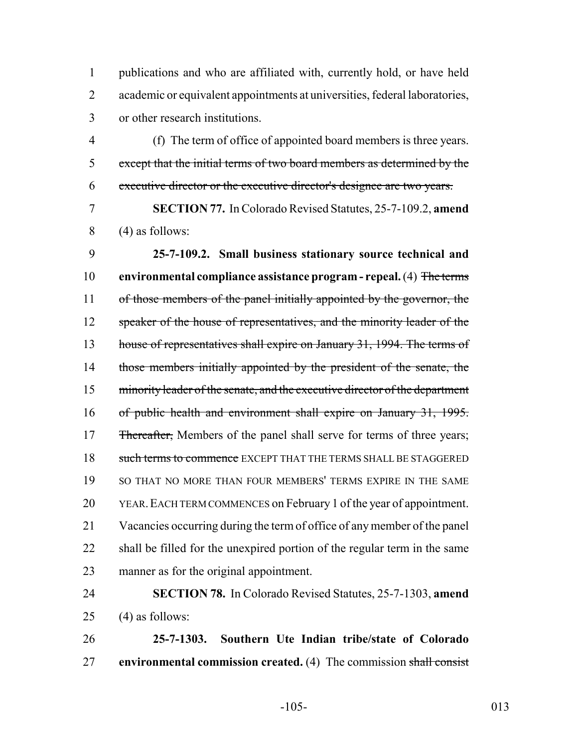publications and who are affiliated with, currently hold, or have held academic or equivalent appointments at universities, federal laboratories, or other research institutions.

 (f) The term of office of appointed board members is three years. except that the initial terms of two board members as determined by the executive director or the executive director's designee are two years.

 **SECTION 77.** In Colorado Revised Statutes, 25-7-109.2, **amend** (4) as follows:

 **25-7-109.2. Small business stationary source technical and environmental compliance assistance program - repeal.** (4) The terms 11 of those members of the panel initially appointed by the governor, the 12 speaker of the house of representatives, and the minority leader of the 13 house of representatives shall expire on January 31, 1994. The terms of 14 those members initially appointed by the president of the senate, the minority leader of the senate, and the executive director of the department of public health and environment shall expire on January 31, 1995. 17 Thereafter, Members of the panel shall serve for terms of three years; 18 such terms to commence EXCEPT THAT THE TERMS SHALL BE STAGGERED 19 SO THAT NO MORE THAN FOUR MEMBERS' TERMS EXPIRE IN THE SAME YEAR.EACH TERM COMMENCES on February 1 of the year of appointment. Vacancies occurring during the term of office of any member of the panel shall be filled for the unexpired portion of the regular term in the same manner as for the original appointment.

 **SECTION 78.** In Colorado Revised Statutes, 25-7-1303, **amend** 25 (4) as follows:

 **25-7-1303. Southern Ute Indian tribe/state of Colorado environmental commission created.** (4) The commission shall consist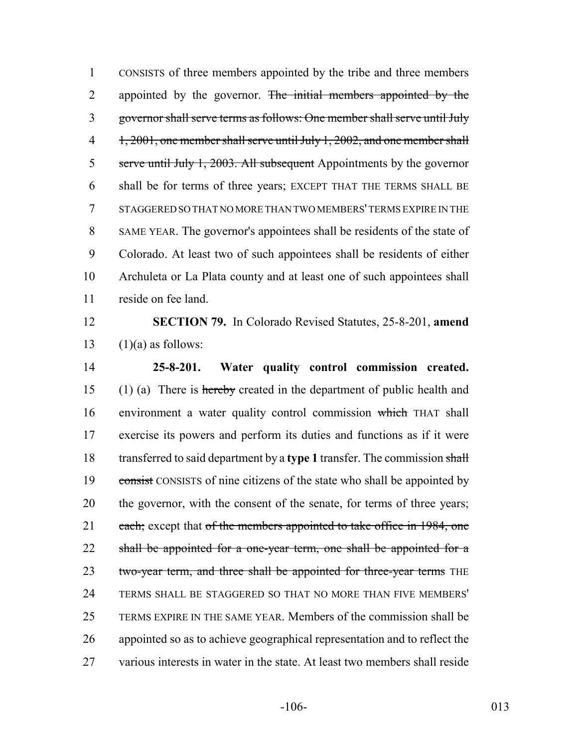CONSISTS of three members appointed by the tribe and three members 2 appointed by the governor. The initial members appointed by the governor shall serve terms as follows: One member shall serve until July 4 1, 2001, one member shall serve until July 1, 2002, and one member shall 5 serve until July 1, 2003. All subsequent Appointments by the governor shall be for terms of three years; EXCEPT THAT THE TERMS SHALL BE STAGGERED SO THAT NO MORE THAN TWO MEMBERS' TERMS EXPIRE IN THE SAME YEAR. The governor's appointees shall be residents of the state of Colorado. At least two of such appointees shall be residents of either Archuleta or La Plata county and at least one of such appointees shall reside on fee land.

 **SECTION 79.** In Colorado Revised Statutes, 25-8-201, **amend** 13  $(1)(a)$  as follows:

 **25-8-201. Water quality control commission created.** (1) (a) There is hereby created in the department of public health and environment a water quality control commission which THAT shall exercise its powers and perform its duties and functions as if it were transferred to said department by a **type 1** transfer. The commission shall 19 consist CONSISTS of nine citizens of the state who shall be appointed by 20 the governor, with the consent of the senate, for terms of three years; 21 each; except that of the members appointed to take office in 1984, one 22 shall be appointed for a one-year term, one shall be appointed for a 23 two-year term, and three shall be appointed for three-year terms THE TERMS SHALL BE STAGGERED SO THAT NO MORE THAN FIVE MEMBERS' TERMS EXPIRE IN THE SAME YEAR. Members of the commission shall be appointed so as to achieve geographical representation and to reflect the various interests in water in the state. At least two members shall reside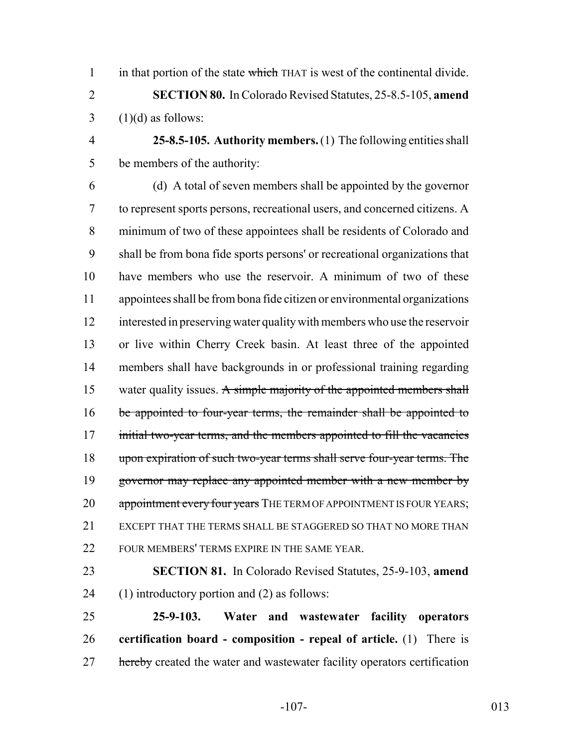1 in that portion of the state which THAT is west of the continental divide.

 **SECTION 80.** In Colorado Revised Statutes, 25-8.5-105, **amend**  $3 \quad (1)(d)$  as follows:

 **25-8.5-105. Authority members.** (1) The following entities shall be members of the authority:

 (d) A total of seven members shall be appointed by the governor to represent sports persons, recreational users, and concerned citizens. A minimum of two of these appointees shall be residents of Colorado and shall be from bona fide sports persons' or recreational organizations that have members who use the reservoir. A minimum of two of these appointees shall be from bona fide citizen or environmental organizations interested in preserving water quality with members who use the reservoir or live within Cherry Creek basin. At least three of the appointed members shall have backgrounds in or professional training regarding 15 water quality issues. A simple majority of the appointed members shall 16 be appointed to four-year terms, the remainder shall be appointed to 17 initial two-year terms, and the members appointed to fill the vacancies upon expiration of such two-year terms shall serve four-year terms. The 19 governor may replace any appointed member with a new member by 20 appointment every four years THE TERM OF APPOINTMENT IS FOUR YEARS; EXCEPT THAT THE TERMS SHALL BE STAGGERED SO THAT NO MORE THAN FOUR MEMBERS' TERMS EXPIRE IN THE SAME YEAR.

 **SECTION 81.** In Colorado Revised Statutes, 25-9-103, **amend** (1) introductory portion and (2) as follows:

 **25-9-103. Water and wastewater facility operators certification board - composition - repeal of article.** (1) There is 27 hereby created the water and wastewater facility operators certification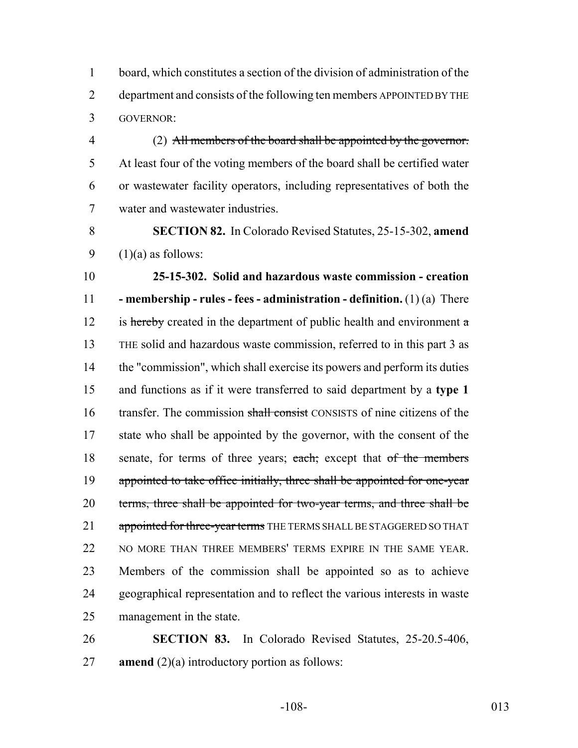board, which constitutes a section of the division of administration of the department and consists of the following ten members APPOINTED BY THE GOVERNOR:

 (2) All members of the board shall be appointed by the governor. At least four of the voting members of the board shall be certified water or wastewater facility operators, including representatives of both the water and wastewater industries.

 **SECTION 82.** In Colorado Revised Statutes, 25-15-302, **amend** 9  $(1)(a)$  as follows:

 **25-15-302. Solid and hazardous waste commission - creation - membership - rules - fees - administration - definition.** (1) (a) There 12 is hereby created in the department of public health and environment  $\alpha$  THE solid and hazardous waste commission, referred to in this part 3 as the "commission", which shall exercise its powers and perform its duties and functions as if it were transferred to said department by a **type 1** 16 transfer. The commission shall consist CONSISTS of nine citizens of the state who shall be appointed by the governor, with the consent of the 18 senate, for terms of three years; each; except that of the members 19 appointed to take office initially, three shall be appointed for one-year 20 terms, three shall be appointed for two-year terms, and three shall be 21 appointed for three-year terms THE TERMS SHALL BE STAGGERED SO THAT NO MORE THAN THREE MEMBERS' TERMS EXPIRE IN THE SAME YEAR. Members of the commission shall be appointed so as to achieve geographical representation and to reflect the various interests in waste management in the state.

 **SECTION 83.** In Colorado Revised Statutes, 25-20.5-406, **amend** (2)(a) introductory portion as follows:

-108- 013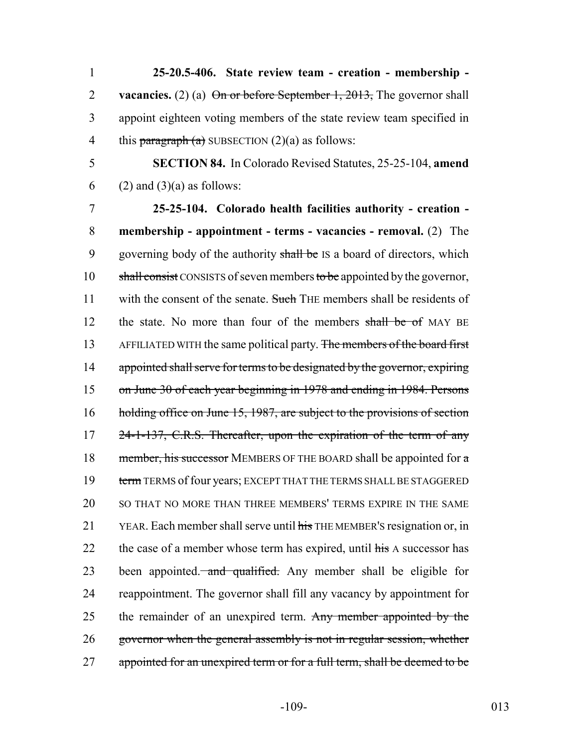**25-20.5-406. State review team - creation - membership - vacancies.** (2) (a) On or before September 1, 2013, The governor shall appoint eighteen voting members of the state review team specified in 4 this paragraph  $(a)$  SUBSECTION  $(2)(a)$  as follows:

5 **SECTION 84.** In Colorado Revised Statutes, 25-25-104, **amend** 6 (2) and (3)(a) as follows:

7 **25-25-104. Colorado health facilities authority - creation -** 8 **membership - appointment - terms - vacancies - removal.** (2) The 9 governing body of the authority shall be IS a board of directors, which 10 shall consist CONSISTS of seven members to be appointed by the governor, 11 with the consent of the senate. Such THE members shall be residents of 12 the state. No more than four of the members shall be of MAY BE 13 AFFILIATED WITH the same political party. The members of the board first 14 appointed shall serve for terms to be designated by the governor, expiring 15 on June 30 of each year beginning in 1978 and ending in 1984. Persons 16 holding office on June 15, 1987, are subject to the provisions of section 17 24-1-137, C.R.S. Thereafter, upon the expiration of the term of any 18 member, his successor MEMBERS OF THE BOARD shall be appointed for  $\alpha$ 19 term TERMS of four years; EXCEPT THAT THE TERMS SHALL BE STAGGERED 20 SO THAT NO MORE THAN THREE MEMBERS' TERMS EXPIRE IN THE SAME 21 YEAR. Each member shall serve until his THE MEMBER's resignation or, in 22 the case of a member whose term has expired, until his A successor has 23 been appointed. and qualified. Any member shall be eligible for 24 reappointment. The governor shall fill any vacancy by appointment for 25 the remainder of an unexpired term. Any member appointed by the 26 governor when the general assembly is not in regular session, whether 27 appointed for an unexpired term or for a full term, shall be deemed to be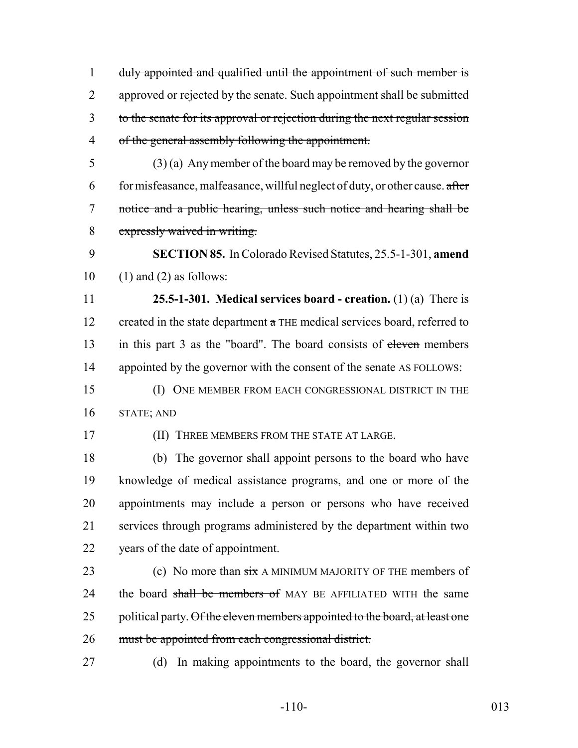duly appointed and qualified until the appointment of such member is 2 approved or rejected by the senate. Such appointment shall be submitted to the senate for its approval or rejection during the next regular session of the general assembly following the appointment.

 (3) (a) Any member of the board may be removed by the governor 6 for misfeasance, malfeasance, willful neglect of duty, or other cause.  $\alpha$  after notice and a public hearing, unless such notice and hearing shall be expressly waived in writing.

 **SECTION 85.** In Colorado Revised Statutes, 25.5-1-301, **amend**  $10 \quad (1)$  and  $(2)$  as follows:

 **25.5-1-301. Medical services board - creation.** (1) (a) There is 12 created in the state department  $\alpha$  THE medical services board, referred to 13 in this part 3 as the "board". The board consists of eleven members appointed by the governor with the consent of the senate AS FOLLOWS:

 (I) ONE MEMBER FROM EACH CONGRESSIONAL DISTRICT IN THE STATE; AND

(II) THREE MEMBERS FROM THE STATE AT LARGE.

 (b) The governor shall appoint persons to the board who have knowledge of medical assistance programs, and one or more of the appointments may include a person or persons who have received services through programs administered by the department within two years of the date of appointment.

- 23 (c) No more than  $\frac{1}{\sin \theta}$  A MINIMUM MAJORITY OF THE members of 24 the board shall be members of MAY BE AFFILIATED WITH the same 25 political party. Of the eleven members appointed to the board, at least one 26 must be appointed from each congressional district.
- 

(d) In making appointments to the board, the governor shall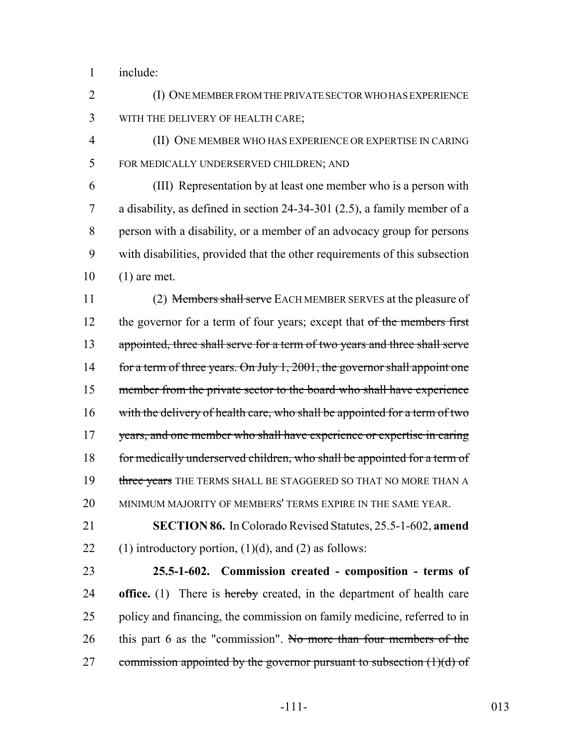1 include:

2 (I) ONE MEMBER FROM THE PRIVATE SECTOR WHO HAS EXPERIENCE 3 WITH THE DELIVERY OF HEALTH CARE;

4 (II) ONE MEMBER WHO HAS EXPERIENCE OR EXPERTISE IN CARING 5 FOR MEDICALLY UNDERSERVED CHILDREN; AND

 (III) Representation by at least one member who is a person with a disability, as defined in section 24-34-301 (2.5), a family member of a person with a disability, or a member of an advocacy group for persons with disabilities, provided that the other requirements of this subsection (1) are met.

11 (2) Members shall serve EACH MEMBER SERVES at the pleasure of 12 the governor for a term of four years; except that of the members first 13 appointed, three shall serve for a term of two years and three shall serve 14 for a term of three years. On July 1, 2001, the governor shall appoint one 15 member from the private sector to the board who shall have experience 16 with the delivery of health care, who shall be appointed for a term of two 17 years, and one member who shall have experience or expertise in caring 18 for medically underserved children, who shall be appointed for a term of 19 three years THE TERMS SHALL BE STAGGERED SO THAT NO MORE THAN A 20 MINIMUM MAJORITY OF MEMBERS' TERMS EXPIRE IN THE SAME YEAR.

21 **SECTION 86.** In Colorado Revised Statutes, 25.5-1-602, **amend** 22 (1) introductory portion,  $(1)(d)$ , and  $(2)$  as follows:

23 **25.5-1-602. Commission created - composition - terms of** 24 **office.** (1) There is hereby created, in the department of health care 25 policy and financing, the commission on family medicine, referred to in 26 this part 6 as the "commission". No more than four members of the 27 commission appointed by the governor pursuant to subsection  $(1)(d)$  of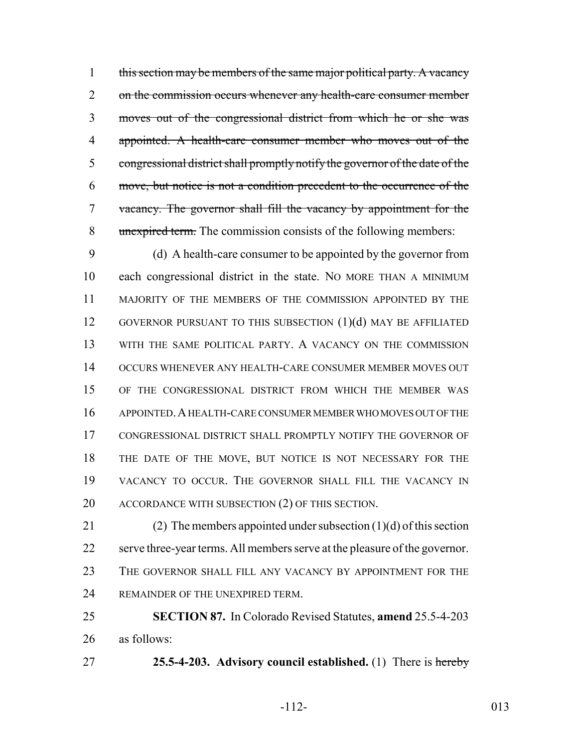1 this section may be members of the same major political party. A vacancy 2 on the commission occurs whenever any health-care consumer member moves out of the congressional district from which he or she was appointed. A health-care consumer member who moves out of the congressional district shall promptly notify the governor of the date of the move, but notice is not a condition precedent to the occurrence of the vacancy. The governor shall fill the vacancy by appointment for the 8 unexpired term. The commission consists of the following members:

 (d) A health-care consumer to be appointed by the governor from each congressional district in the state. NO MORE THAN A MINIMUM MAJORITY OF THE MEMBERS OF THE COMMISSION APPOINTED BY THE 12 GOVERNOR PURSUANT TO THIS SUBSECTION (1)(d) MAY BE AFFILIATED WITH THE SAME POLITICAL PARTY. A VACANCY ON THE COMMISSION OCCURS WHENEVER ANY HEALTH-CARE CONSUMER MEMBER MOVES OUT OF THE CONGRESSIONAL DISTRICT FROM WHICH THE MEMBER WAS APPOINTED.A HEALTH-CARE CONSUMER MEMBER WHO MOVES OUT OF THE CONGRESSIONAL DISTRICT SHALL PROMPTLY NOTIFY THE GOVERNOR OF THE DATE OF THE MOVE, BUT NOTICE IS NOT NECESSARY FOR THE VACANCY TO OCCUR. THE GOVERNOR SHALL FILL THE VACANCY IN 20 ACCORDANCE WITH SUBSECTION (2) OF THIS SECTION.

21 (2) The members appointed under subsection  $(1)(d)$  of this section serve three-year terms. All members serve at the pleasure of the governor. 23 THE GOVERNOR SHALL FILL ANY VACANCY BY APPOINTMENT FOR THE 24 REMAINDER OF THE UNEXPIRED TERM.

 **SECTION 87.** In Colorado Revised Statutes, **amend** 25.5-4-203 as follows:

**25.5-4-203. Advisory council established.** (1) There is hereby

-112- 013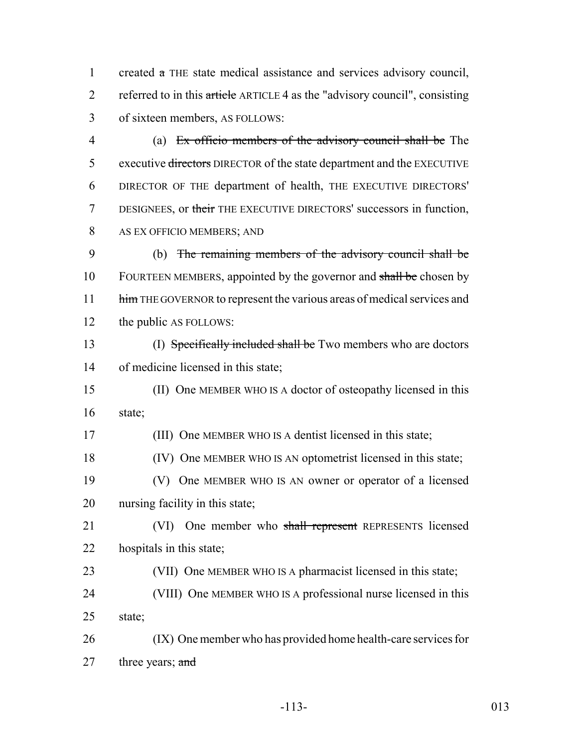created a THE state medical assistance and services advisory council, 2 referred to in this article ARTICLE 4 as the "advisory council", consisting of sixteen members, AS FOLLOWS:

 (a) Ex officio members of the advisory council shall be The 5 executive directors DIRECTOR of the state department and the EXECUTIVE DIRECTOR OF THE department of health, THE EXECUTIVE DIRECTORS' 7 DESIGNEES, or their THE EXECUTIVE DIRECTORS' successors in function, AS EX OFFICIO MEMBERS; AND

 (b) The remaining members of the advisory council shall be 10 FOURTEEN MEMBERS, appointed by the governor and shall be chosen by 11 him THE GOVERNOR to represent the various areas of medical services and the public AS FOLLOWS:

13 (I) Specifically included shall be Two members who are doctors of medicine licensed in this state;

 (II) One MEMBER WHO IS A doctor of osteopathy licensed in this state;

(III) One MEMBER WHO IS A dentist licensed in this state;

(IV) One MEMBER WHO IS AN optometrist licensed in this state;

 (V) One MEMBER WHO IS AN owner or operator of a licensed nursing facility in this state;

21 (VI) One member who shall represent REPRESENTS licensed hospitals in this state;

(VII) One MEMBER WHO IS A pharmacist licensed in this state;

 (VIII) One MEMBER WHO IS A professional nurse licensed in this state;

 (IX) One member who has provided home health-care services for 27 three years;  $\frac{and}{ }$ 

-113- 013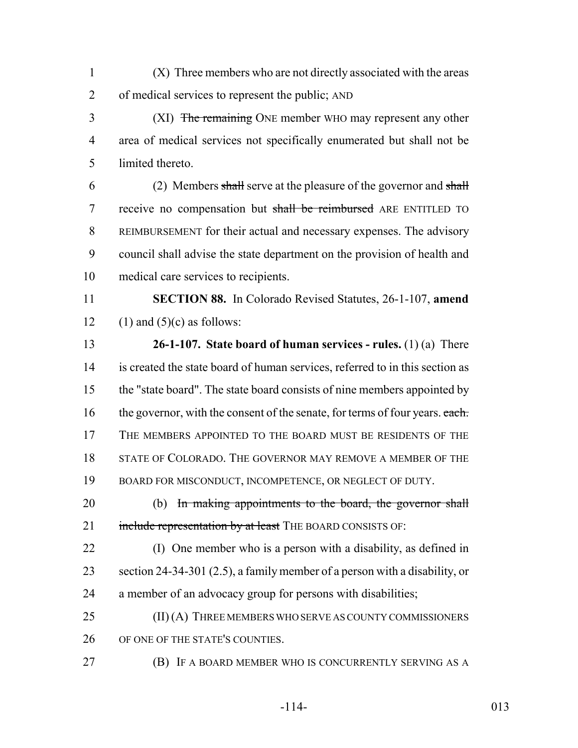- (X) Three members who are not directly associated with the areas of medical services to represent the public; AND
- 3 (XI) The remaining ONE member WHO may represent any other area of medical services not specifically enumerated but shall not be limited thereto.

 (2) Members shall serve at the pleasure of the governor and shall 7 receive no compensation but shall be reimbursed ARE ENTITLED TO REIMBURSEMENT for their actual and necessary expenses. The advisory council shall advise the state department on the provision of health and medical care services to recipients.

 **SECTION 88.** In Colorado Revised Statutes, 26-1-107, **amend** 12 (1) and  $(5)(c)$  as follows:

 **26-1-107. State board of human services - rules.** (1) (a) There is created the state board of human services, referred to in this section as the "state board". The state board consists of nine members appointed by 16 the governor, with the consent of the senate, for terms of four years. each. THE MEMBERS APPOINTED TO THE BOARD MUST BE RESIDENTS OF THE 18 STATE OF COLORADO. THE GOVERNOR MAY REMOVE A MEMBER OF THE 19 BOARD FOR MISCONDUCT, INCOMPETENCE, OR NEGLECT OF DUTY.

20 (b) In making appointments to the board, the governor shall 21 include representation by at least THE BOARD CONSISTS OF:

 (I) One member who is a person with a disability, as defined in section 24-34-301 (2.5), a family member of a person with a disability, or a member of an advocacy group for persons with disabilities;

25 (II) (A) THREE MEMBERS WHO SERVE AS COUNTY COMMISSIONERS 26 OF ONE OF THE STATE'S COUNTIES.

(B) IF A BOARD MEMBER WHO IS CONCURRENTLY SERVING AS A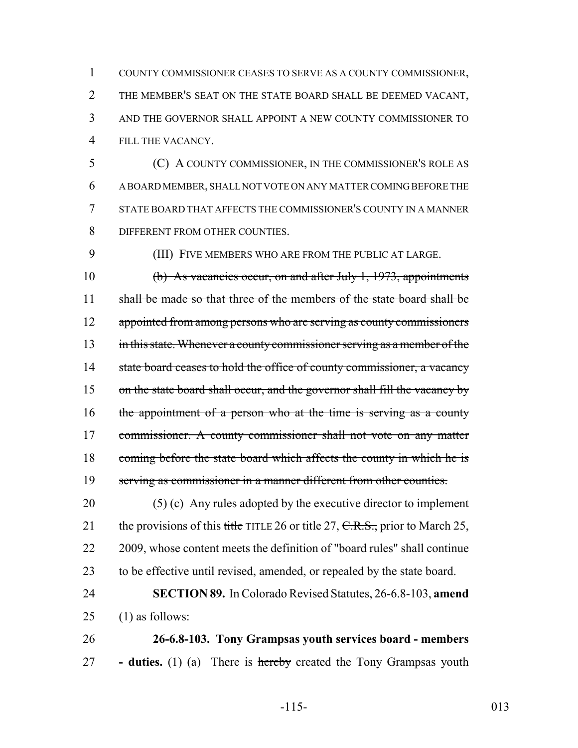COUNTY COMMISSIONER CEASES TO SERVE AS A COUNTY COMMISSIONER, THE MEMBER'S SEAT ON THE STATE BOARD SHALL BE DEEMED VACANT, AND THE GOVERNOR SHALL APPOINT A NEW COUNTY COMMISSIONER TO FILL THE VACANCY.

 (C) A COUNTY COMMISSIONER, IN THE COMMISSIONER'S ROLE AS A BOARD MEMBER, SHALL NOT VOTE ON ANY MATTER COMING BEFORE THE STATE BOARD THAT AFFECTS THE COMMISSIONER'S COUNTY IN A MANNER 8 DIFFERENT FROM OTHER COUNTIES.

9 (III) FIVE MEMBERS WHO ARE FROM THE PUBLIC AT LARGE.

10 (b) As vacancies occur, on and after July 1, 1973, appointments 11 shall be made so that three of the members of the state board shall be 12 appointed from among persons who are serving as county commissioners 13 in this state. Whenever a county commissioner serving as a member of the 14 state board ceases to hold the office of county commissioner, a vacancy 15 on the state board shall occur, and the governor shall fill the vacancy by 16 the appointment of a person who at the time is serving as a county 17 commissioner. A county commissioner shall not vote on any matter 18 coming before the state board which affects the county in which he is 19 serving as commissioner in a manner different from other counties.

20 (5) (c) Any rules adopted by the executive director to implement 21 the provisions of this title TITLE 26 or title 27,  $C.R.S.,$  prior to March 25, 22 2009, whose content meets the definition of "board rules" shall continue 23 to be effective until revised, amended, or repealed by the state board.

## 24 **SECTION 89.** In Colorado Revised Statutes, 26-6.8-103, **amend** 25 (1) as follows:

26 **26-6.8-103. Tony Grampsas youth services board - members** 27 **- duties.** (1) (a) There is hereby created the Tony Grampsas youth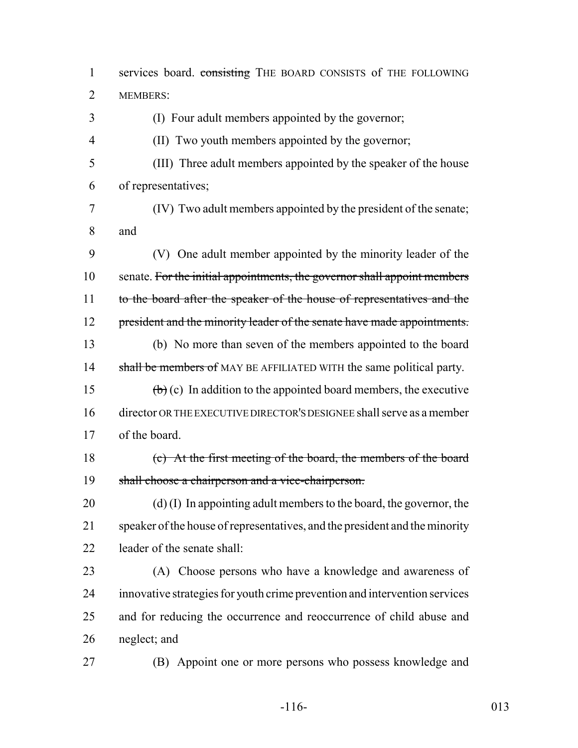1 services board. consisting THE BOARD CONSISTS of THE FOLLOWING MEMBERS: (I) Four adult members appointed by the governor; (II) Two youth members appointed by the governor; (III) Three adult members appointed by the speaker of the house of representatives; (IV) Two adult members appointed by the president of the senate; and (V) One adult member appointed by the minority leader of the 10 senate. For the initial appointments, the governor shall appoint members 11 to the board after the speaker of the house of representatives and the 12 president and the minority leader of the senate have made appointments. (b) No more than seven of the members appointed to the board 14 shall be members of MAY BE AFFILIATED WITH the same political party. 15 (b) (c) In addition to the appointed board members, the executive director OR THE EXECUTIVE DIRECTOR'S DESIGNEE shall serve as a member of the board. (c) At the first meeting of the board, the members of the board shall choose a chairperson and a vice-chairperson. 20 (d) (I) In appointing adult members to the board, the governor, the speaker of the house of representatives, and the president and the minority leader of the senate shall: (A) Choose persons who have a knowledge and awareness of innovative strategies for youth crime prevention and intervention services and for reducing the occurrence and reoccurrence of child abuse and neglect; and (B) Appoint one or more persons who possess knowledge and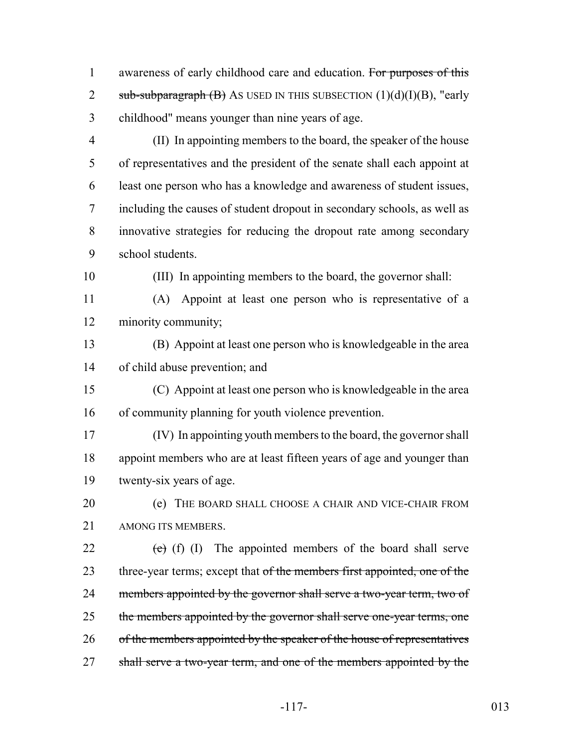1 awareness of early childhood care and education. For purposes of this 2 sub-subparagraph  $(B)$  As USED IN THIS SUBSECTION  $(1)(d)(I)(B)$ , "early childhood" means younger than nine years of age.

- (II) In appointing members to the board, the speaker of the house of representatives and the president of the senate shall each appoint at least one person who has a knowledge and awareness of student issues, including the causes of student dropout in secondary schools, as well as innovative strategies for reducing the dropout rate among secondary school students.
- 

(III) In appointing members to the board, the governor shall:

 (A) Appoint at least one person who is representative of a minority community;

 (B) Appoint at least one person who is knowledgeable in the area of child abuse prevention; and

 (C) Appoint at least one person who is knowledgeable in the area of community planning for youth violence prevention.

 (IV) In appointing youth members to the board, the governor shall appoint members who are at least fifteen years of age and younger than twenty-six years of age.

**(e)** THE BOARD SHALL CHOOSE A CHAIR AND VICE-CHAIR FROM AMONG ITS MEMBERS.

22  $(e)$  (f) (I) The appointed members of the board shall serve 23 three-year terms; except that of the members first appointed, one of the 24 members appointed by the governor shall serve a two-year term, two of 25 the members appointed by the governor shall serve one-year terms, one 26 of the members appointed by the speaker of the house of representatives 27 shall serve a two-year term, and one of the members appointed by the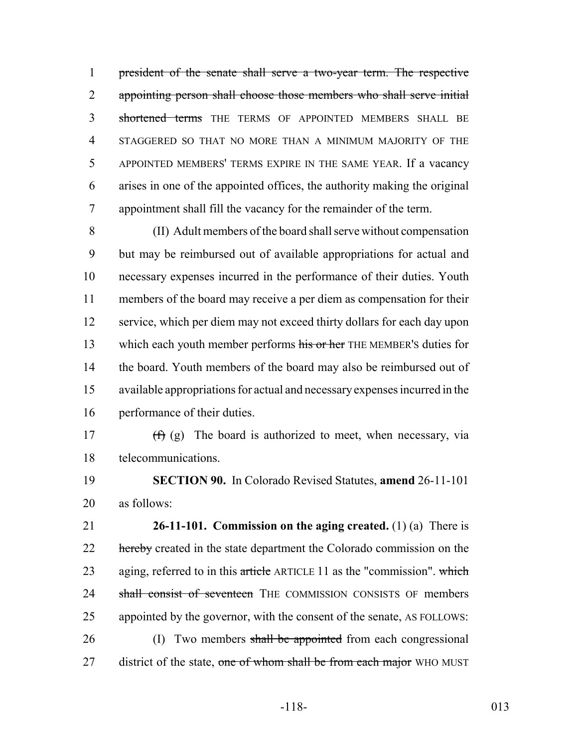president of the senate shall serve a two-year term. The respective appointing person shall choose those members who shall serve initial 3 shortened terms THE TERMS OF APPOINTED MEMBERS SHALL BE STAGGERED SO THAT NO MORE THAN A MINIMUM MAJORITY OF THE APPOINTED MEMBERS' TERMS EXPIRE IN THE SAME YEAR. If a vacancy arises in one of the appointed offices, the authority making the original appointment shall fill the vacancy for the remainder of the term.

 (II) Adult members of the board shall serve without compensation but may be reimbursed out of available appropriations for actual and necessary expenses incurred in the performance of their duties. Youth members of the board may receive a per diem as compensation for their service, which per diem may not exceed thirty dollars for each day upon 13 which each youth member performs his or her THE MEMBER's duties for the board. Youth members of the board may also be reimbursed out of available appropriations for actual and necessary expenses incurred in the performance of their duties.

17  $(f)(g)$  The board is authorized to meet, when necessary, via telecommunications.

 **SECTION 90.** In Colorado Revised Statutes, **amend** 26-11-101 as follows:

 **26-11-101. Commission on the aging created.** (1) (a) There is 22 hereby created in the state department the Colorado commission on the 23 aging, referred to in this article ARTICLE 11 as the "commission". which 24 shall consist of seventeen THE COMMISSION CONSISTS OF members appointed by the governor, with the consent of the senate, AS FOLLOWS: 26 (I) Two members shall be appointed from each congressional 27 district of the state, one of whom shall be from each major WHO MUST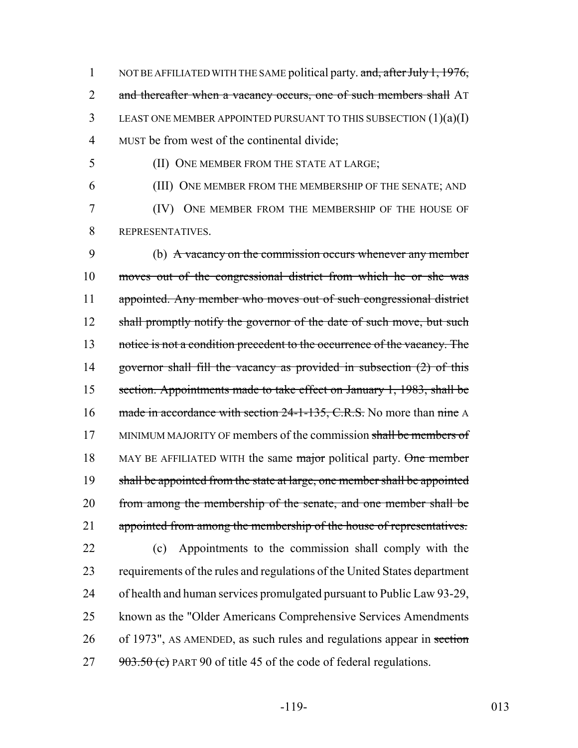1 NOT BE AFFILIATED WITH THE SAME political party. and, after July 1, 1976, 2 and thereafter when a vacancy occurs, one of such members shall AT 3 LEAST ONE MEMBER APPOINTED PURSUANT TO THIS SUBSECTION (1)(a)(I) 4 MUST be from west of the continental divide;

5 (II) ONE MEMBER FROM THE STATE AT LARGE;

6 (III) ONE MEMBER FROM THE MEMBERSHIP OF THE SENATE; AND 7 (IV) ONE MEMBER FROM THE MEMBERSHIP OF THE HOUSE OF 8 REPRESENTATIVES.

9 (b) A vacancy on the commission occurs whenever any member 10 moves out of the congressional district from which he or she was 11 appointed. Any member who moves out of such congressional district 12 shall promptly notify the governor of the date of such move, but such 13 notice is not a condition precedent to the occurrence of the vacancy. The 14 governor shall fill the vacancy as provided in subsection (2) of this 15 section. Appointments made to take effect on January 1, 1983, shall be 16 made in accordance with section 24-1-135, C.R.S. No more than nine A 17 MINIMUM MAJORITY OF members of the commission shall be members of 18 MAY BE AFFILIATED WITH the same major political party. One member 19 shall be appointed from the state at large, one member shall be appointed 20 from among the membership of the senate, and one member shall be 21 appointed from among the membership of the house of representatives. 22 (c) Appointments to the commission shall comply with the

 requirements of the rules and regulations of the United States department of health and human services promulgated pursuant to Public Law 93-29, known as the "Older Americans Comprehensive Services Amendments 26 of 1973", AS AMENDED, as such rules and regulations appear in section  $903.50$  (c) PART 90 of title 45 of the code of federal regulations.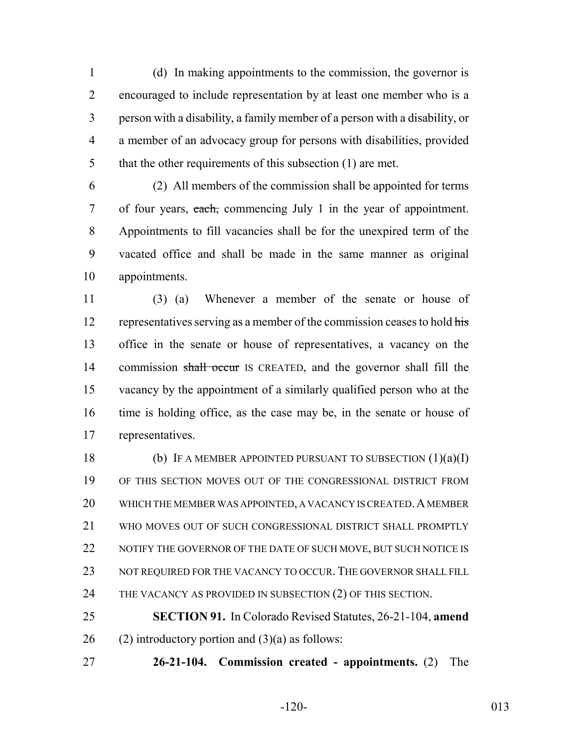(d) In making appointments to the commission, the governor is encouraged to include representation by at least one member who is a person with a disability, a family member of a person with a disability, or a member of an advocacy group for persons with disabilities, provided 5 that the other requirements of this subsection (1) are met.

 (2) All members of the commission shall be appointed for terms 7 of four years, each, commencing July 1 in the year of appointment. Appointments to fill vacancies shall be for the unexpired term of the vacated office and shall be made in the same manner as original appointments.

 (3) (a) Whenever a member of the senate or house of 12 representatives serving as a member of the commission ceases to hold his office in the senate or house of representatives, a vacancy on the 14 commission shall occur IS CREATED, and the governor shall fill the vacancy by the appointment of a similarly qualified person who at the time is holding office, as the case may be, in the senate or house of representatives.

18 (b) IF A MEMBER APPOINTED PURSUANT TO SUBSECTION (1)(a)(I) OF THIS SECTION MOVES OUT OF THE CONGRESSIONAL DISTRICT FROM 20 WHICH THE MEMBER WAS APPOINTED, A VACANCY IS CREATED. A MEMBER WHO MOVES OUT OF SUCH CONGRESSIONAL DISTRICT SHALL PROMPTLY 22 NOTIFY THE GOVERNOR OF THE DATE OF SUCH MOVE, BUT SUCH NOTICE IS 23 NOT REQUIRED FOR THE VACANCY TO OCCUR. THE GOVERNOR SHALL FILL 24 THE VACANCY AS PROVIDED IN SUBSECTION (2) OF THIS SECTION.

 **SECTION 91.** In Colorado Revised Statutes, 26-21-104, **amend** 26 (2) introductory portion and  $(3)(a)$  as follows:

**26-21-104. Commission created - appointments.** (2) The

-120- 013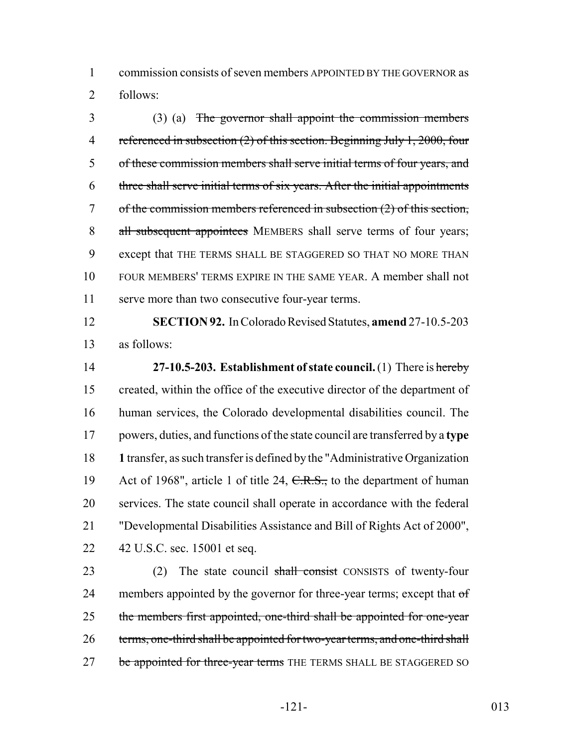commission consists of seven members APPOINTED BY THE GOVERNOR as follows:

 (3) (a) The governor shall appoint the commission members 4 referenced in subsection (2) of this section. Beginning July 1, 2000, four of these commission members shall serve initial terms of four years, and three shall serve initial terms of six years. After the initial appointments of the commission members referenced in subsection (2) of this section, 8 all subsequent appointees MEMBERS shall serve terms of four years; except that THE TERMS SHALL BE STAGGERED SO THAT NO MORE THAN FOUR MEMBERS' TERMS EXPIRE IN THE SAME YEAR. A member shall not serve more than two consecutive four-year terms.

 **SECTION 92.** In Colorado Revised Statutes, **amend** 27-10.5-203 as follows:

 **27-10.5-203. Establishment of state council.** (1) There is hereby created, within the office of the executive director of the department of human services, the Colorado developmental disabilities council. The powers, duties, and functions of the state council are transferred by a **type 1** transfer, as such transfer is defined by the "Administrative Organization 19 Act of 1968", article 1 of title 24, C.R.S., to the department of human services. The state council shall operate in accordance with the federal "Developmental Disabilities Assistance and Bill of Rights Act of 2000", 42 U.S.C. sec. 15001 et seq.

23 (2) The state council shall consist CONSISTS of twenty-four 24 members appointed by the governor for three-year terms; except that  $\sigma f$ 25 the members first appointed, one-third shall be appointed for one-year 26 terms, one-third shall be appointed for two-year terms, and one-third shall 27 be appointed for three-year terms THE TERMS SHALL BE STAGGERED SO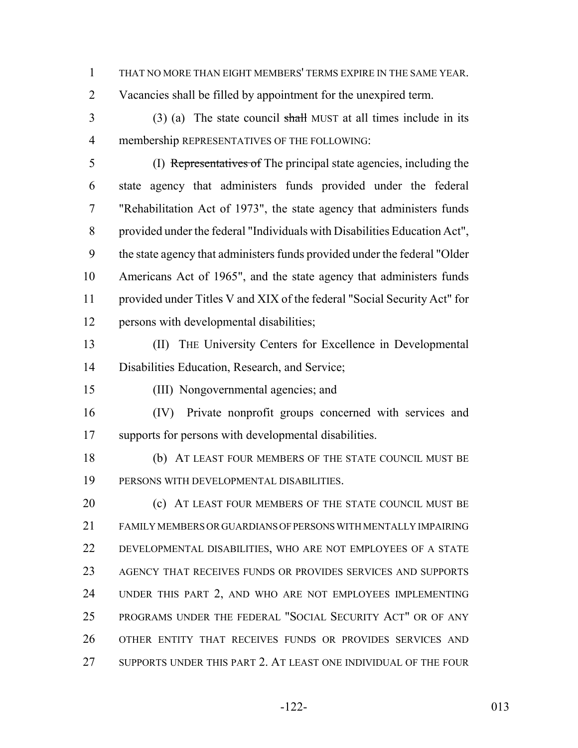THAT NO MORE THAN EIGHT MEMBERS' TERMS EXPIRE IN THE SAME YEAR.

Vacancies shall be filled by appointment for the unexpired term.

 (3) (a) The state council shall MUST at all times include in its membership REPRESENTATIVES OF THE FOLLOWING:

 (I) Representatives of The principal state agencies, including the state agency that administers funds provided under the federal "Rehabilitation Act of 1973", the state agency that administers funds provided under the federal "Individuals with Disabilities Education Act", the state agency that administers funds provided under the federal "Older Americans Act of 1965", and the state agency that administers funds provided under Titles V and XIX of the federal "Social Security Act" for persons with developmental disabilities;

 (II) THE University Centers for Excellence in Developmental Disabilities Education, Research, and Service;

(III) Nongovernmental agencies; and

 (IV) Private nonprofit groups concerned with services and supports for persons with developmental disabilities.

 (b) AT LEAST FOUR MEMBERS OF THE STATE COUNCIL MUST BE PERSONS WITH DEVELOPMENTAL DISABILITIES.

**(c)** AT LEAST FOUR MEMBERS OF THE STATE COUNCIL MUST BE FAMILY MEMBERS OR GUARDIANS OF PERSONS WITH MENTALLY IMPAIRING DEVELOPMENTAL DISABILITIES, WHO ARE NOT EMPLOYEES OF A STATE AGENCY THAT RECEIVES FUNDS OR PROVIDES SERVICES AND SUPPORTS UNDER THIS PART 2, AND WHO ARE NOT EMPLOYEES IMPLEMENTING PROGRAMS UNDER THE FEDERAL "SOCIAL SECURITY ACT" OR OF ANY OTHER ENTITY THAT RECEIVES FUNDS OR PROVIDES SERVICES AND SUPPORTS UNDER THIS PART 2. AT LEAST ONE INDIVIDUAL OF THE FOUR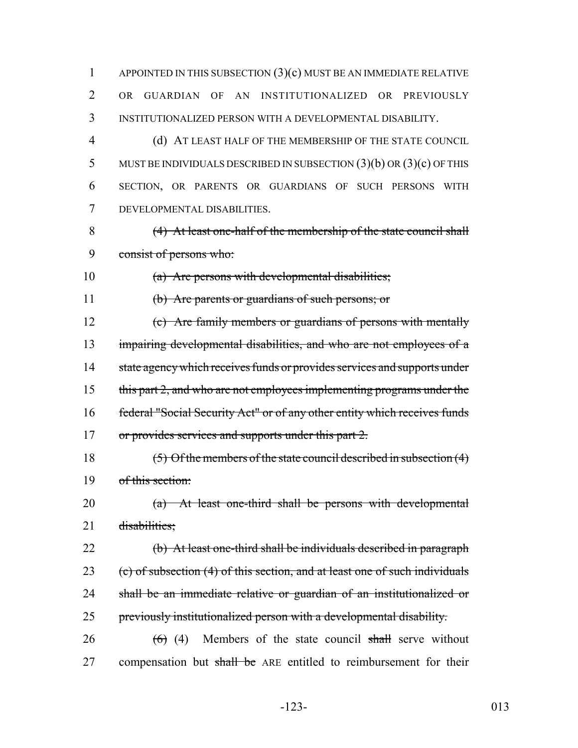APPOINTED IN THIS SUBSECTION (3)(c) MUST BE AN IMMEDIATE RELATIVE OR GUARDIAN OF AN INSTITUTIONALIZED OR PREVIOUSLY INSTITUTIONALIZED PERSON WITH A DEVELOPMENTAL DISABILITY.

 (d) AT LEAST HALF OF THE MEMBERSHIP OF THE STATE COUNCIL MUST BE INDIVIDUALS DESCRIBED IN SUBSECTION (3)(b) OR (3)(c) OF THIS SECTION, OR PARENTS OR GUARDIANS OF SUCH PERSONS WITH DEVELOPMENTAL DISABILITIES.

 (4) At least one-half of the membership of the state council shall consist of persons who:

(a) Are persons with developmental disabilities;

(b) Are parents or guardians of such persons; or

 (c) Are family members or guardians of persons with mentally 13 impairing developmental disabilities, and who are not employees of a 14 state agency which receives funds or provides services and supports under this part 2, and who are not employees implementing programs under the federal "Social Security Act" or of any other entity which receives funds 17 or provides services and supports under this part 2.

 (5) Of the members of the state council described in subsection (4) of this section:

 (a) At least one-third shall be persons with developmental 21 disabilities:

22 (b) At least one-third shall be individuals described in paragraph (c) of subsection (4) of this section, and at least one of such individuals 24 shall be an immediate relative or guardian of an institutionalized or previously institutionalized person with a developmental disability.

26  $(6)$  (4) Members of the state council shall serve without 27 compensation but shall be ARE entitled to reimbursement for their

-123- 013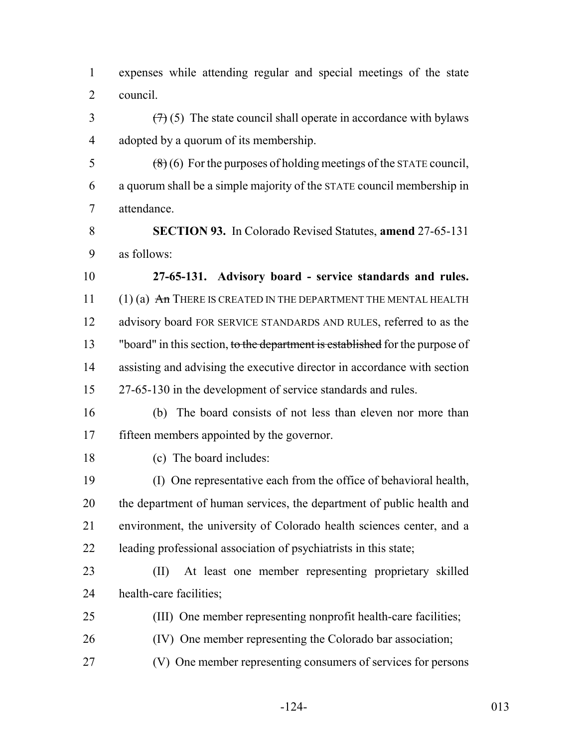expenses while attending regular and special meetings of the state council.

 $\left(\frac{7}{7}\right)$  (5) The state council shall operate in accordance with bylaws adopted by a quorum of its membership.

 $\frac{1}{8}$  (8) (6) For the purposes of holding meetings of the STATE council, a quorum shall be a simple majority of the STATE council membership in attendance.

 **SECTION 93.** In Colorado Revised Statutes, **amend** 27-65-131 as follows:

 **27-65-131. Advisory board - service standards and rules.**  $(1)$  (a)  $\overline{An}$  There is created in the department the Mental Health 12 advisory board FOR SERVICE STANDARDS AND RULES, referred to as the 13 "board" in this section, to the department is established for the purpose of assisting and advising the executive director in accordance with section 27-65-130 in the development of service standards and rules.

 (b) The board consists of not less than eleven nor more than fifteen members appointed by the governor.

(c) The board includes:

 (I) One representative each from the office of behavioral health, the department of human services, the department of public health and environment, the university of Colorado health sciences center, and a leading professional association of psychiatrists in this state;

 (II) At least one member representing proprietary skilled health-care facilities;

- (III) One member representing nonprofit health-care facilities;
- (IV) One member representing the Colorado bar association;
- (V) One member representing consumers of services for persons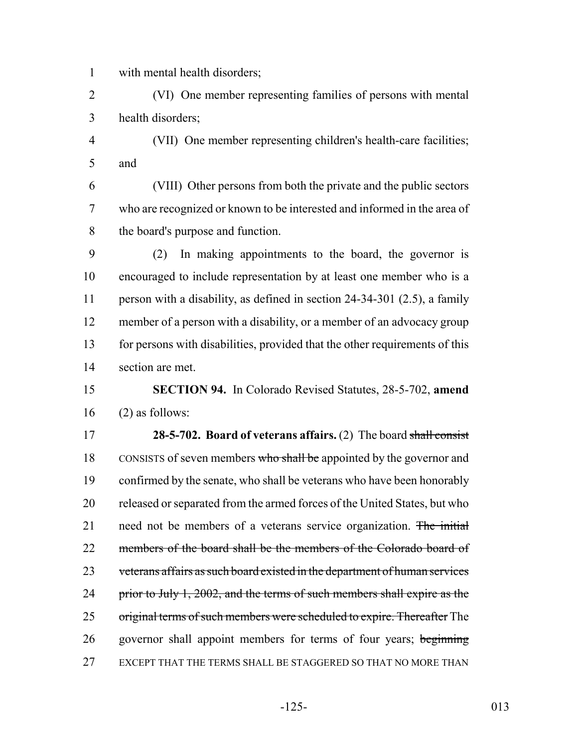with mental health disorders;

 (VI) One member representing families of persons with mental health disorders;

 (VII) One member representing children's health-care facilities; and

 (VIII) Other persons from both the private and the public sectors who are recognized or known to be interested and informed in the area of the board's purpose and function.

 (2) In making appointments to the board, the governor is encouraged to include representation by at least one member who is a person with a disability, as defined in section 24-34-301 (2.5), a family member of a person with a disability, or a member of an advocacy group for persons with disabilities, provided that the other requirements of this section are met.

## **SECTION 94.** In Colorado Revised Statutes, 28-5-702, **amend** (2) as follows:

 **28-5-702. Board of veterans affairs.** (2) The board shall consist 18 CONSISTS of seven members who shall be appointed by the governor and confirmed by the senate, who shall be veterans who have been honorably released or separated from the armed forces of the United States, but who 21 need not be members of a veterans service organization. The initial 22 members of the board shall be the members of the Colorado board of veterans affairs as such board existed in the department of human services 24 prior to July 1, 2002, and the terms of such members shall expire as the 25 original terms of such members were scheduled to expire. Thereafter The 26 governor shall appoint members for terms of four years; beginning EXCEPT THAT THE TERMS SHALL BE STAGGERED SO THAT NO MORE THAN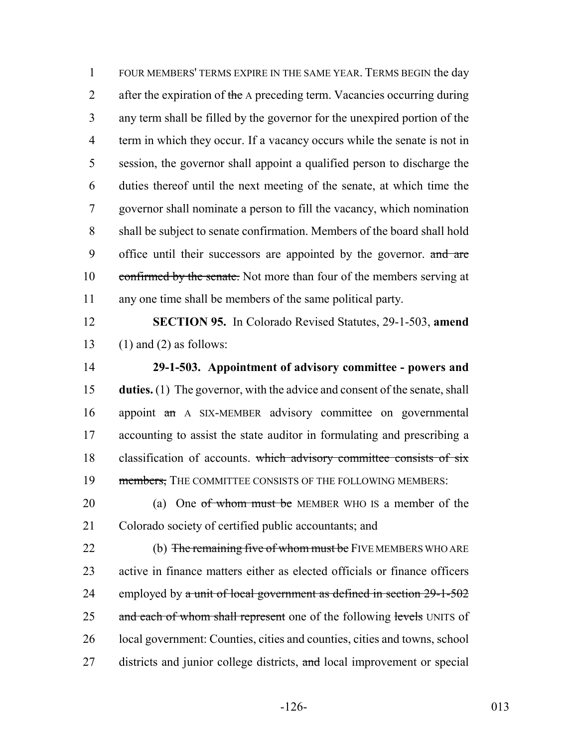FOUR MEMBERS' TERMS EXPIRE IN THE SAME YEAR. TERMS BEGIN the day 2 after the expiration of the A preceding term. Vacancies occurring during any term shall be filled by the governor for the unexpired portion of the 4 term in which they occur. If a vacancy occurs while the senate is not in session, the governor shall appoint a qualified person to discharge the duties thereof until the next meeting of the senate, at which time the governor shall nominate a person to fill the vacancy, which nomination shall be subject to senate confirmation. Members of the board shall hold 9 office until their successors are appointed by the governor. and are 10 confirmed by the senate. Not more than four of the members serving at any one time shall be members of the same political party.

12 **SECTION 95.** In Colorado Revised Statutes, 29-1-503, **amend** 13 (1) and (2) as follows:

14 **29-1-503. Appointment of advisory committee - powers and** 15 **duties.** (1) The governor, with the advice and consent of the senate, shall 16 appoint an A SIX-MEMBER advisory committee on governmental 17 accounting to assist the state auditor in formulating and prescribing a 18 classification of accounts. which advisory committee consists of six 19 members, THE COMMITTEE CONSISTS OF THE FOLLOWING MEMBERS:

20 (a) One of whom must be MEMBER WHO IS a member of the 21 Colorado society of certified public accountants; and

22 (b) The remaining five of whom must be FIVE MEMBERS WHO ARE 23 active in finance matters either as elected officials or finance officers 24 employed by  $\alpha$  unit of local government as defined in section  $29-1-502$ 25 and each of whom shall represent one of the following levels UNITS of 26 local government: Counties, cities and counties, cities and towns, school 27 districts and junior college districts, and local improvement or special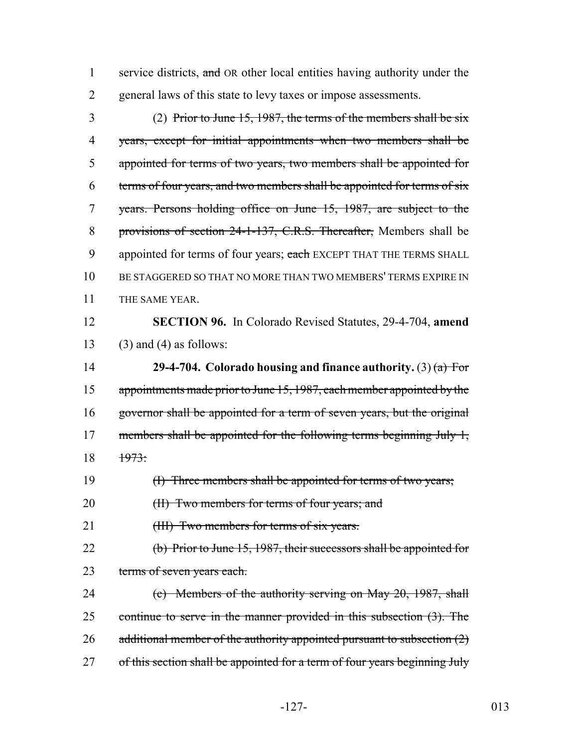1 service districts, and OR other local entities having authority under the 2 general laws of this state to levy taxes or impose assessments.

 (2) Prior to June 15, 1987, the terms of the members shall be six years, except for initial appointments when two members shall be appointed for terms of two years, two members shall be appointed for terms of four years, and two members shall be appointed for terms of six years. Persons holding office on June 15, 1987, are subject to the provisions of section 24-1-137, C.R.S. Thereafter, Members shall be 9 appointed for terms of four years; each EXCEPT THAT THE TERMS SHALL BE STAGGERED SO THAT NO MORE THAN TWO MEMBERS' TERMS EXPIRE IN 11 THE SAME YEAR.

12 **SECTION 96.** In Colorado Revised Statutes, 29-4-704, **amend** 13 (3) and (4) as follows:

14 **29-4-704. Colorado housing and finance authority.** (3) (a) For 15 appointments made prior to June 15, 1987, each member appointed by the 16 governor shall be appointed for a term of seven years, but the original 17 members shall be appointed for the following terms beginning July 1, 18 1973:

19 (I) Three members shall be appointed for terms of two years;

20 (II) Two members for terms of four years; and

21 (III) Two members for terms of six years.

22 (b) Prior to June 15, 1987, their successors shall be appointed for 23 terms of seven years each.

24 (c) Members of the authority serving on May 20, 1987, shall 25 continue to serve in the manner provided in this subsection (3). The 26 additional member of the authority appointed pursuant to subsection  $(2)$ 27 of this section shall be appointed for a term of four years beginning July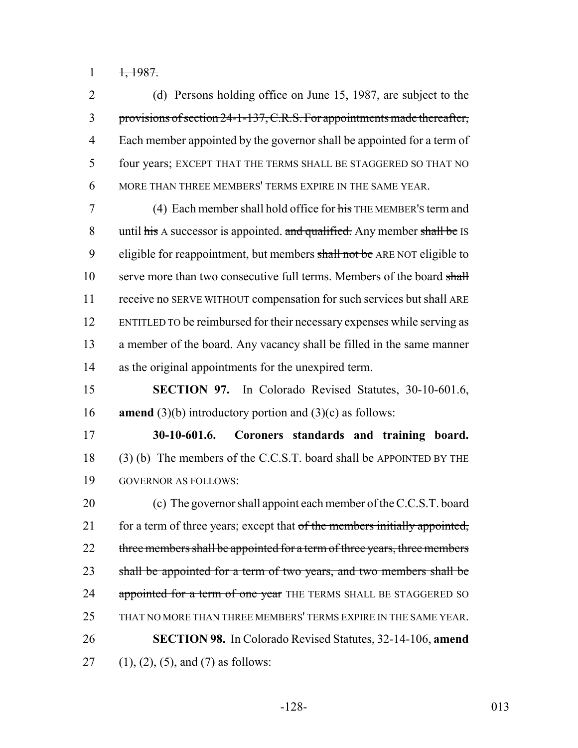$1, 1987.$ 

 (d) Persons holding office on June 15, 1987, are subject to the provisions of section 24-1-137, C.R.S. For appointments made thereafter, Each member appointed by the governor shall be appointed for a term of four years; EXCEPT THAT THE TERMS SHALL BE STAGGERED SO THAT NO MORE THAN THREE MEMBERS' TERMS EXPIRE IN THE SAME YEAR.

 (4) Each member shall hold office for his THE MEMBER'S term and 8 until his A successor is appointed. and qualified. Any member shall be IS 9 eligible for reappointment, but members shall not be ARE NOT eligible to 10 serve more than two consecutive full terms. Members of the board shall 11 receive no SERVE WITHOUT compensation for such services but shall ARE ENTITLED TO be reimbursed for their necessary expenses while serving as a member of the board. Any vacancy shall be filled in the same manner as the original appointments for the unexpired term.

 **SECTION 97.** In Colorado Revised Statutes, 30-10-601.6, **amend** (3)(b) introductory portion and (3)(c) as follows:

 **30-10-601.6. Coroners standards and training board.** (3) (b) The members of the C.C.S.T. board shall be APPOINTED BY THE GOVERNOR AS FOLLOWS:

 (c) The governor shall appoint each member of the C.C.S.T. board 21 for a term of three years; except that of the members initially appointed, 22 three members shall be appointed for a term of three years, three members 23 shall be appointed for a term of two years, and two members shall be 24 appointed for a term of one year THE TERMS SHALL BE STAGGERED SO THAT NO MORE THAN THREE MEMBERS' TERMS EXPIRE IN THE SAME YEAR. **SECTION 98.** In Colorado Revised Statutes, 32-14-106, **amend** 27 (1), (2), (5), and (7) as follows: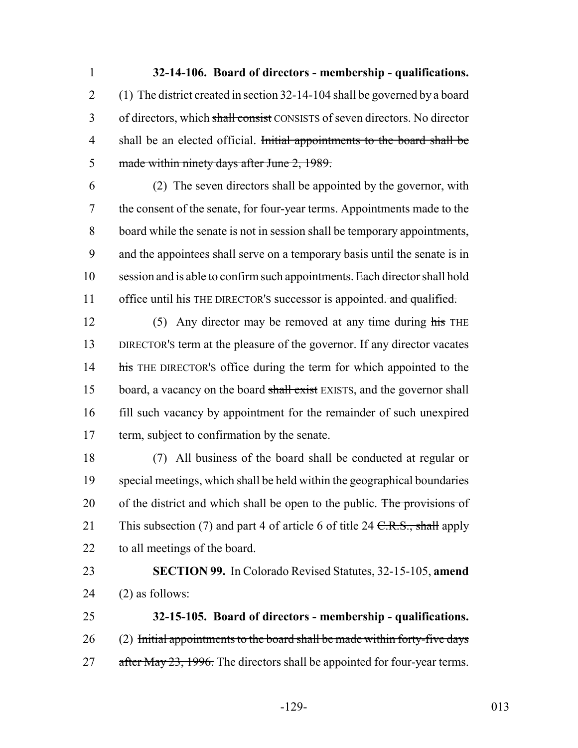**32-14-106. Board of directors - membership - qualifications.** (1) The district created in section 32-14-104 shall be governed by a board 3 of directors, which shall consist CONSISTS of seven directors. No director 4 shall be an elected official. Initial appointments to the board shall be made within ninety days after June 2, 1989.

 (2) The seven directors shall be appointed by the governor, with the consent of the senate, for four-year terms. Appointments made to the board while the senate is not in session shall be temporary appointments, and the appointees shall serve on a temporary basis until the senate is in session and is able to confirm such appointments. Each director shall hold 11 office until his THE DIRECTOR's successor is appointed. and qualified.

12 (5) Any director may be removed at any time during his THE DIRECTOR'S term at the pleasure of the governor. If any director vacates 14 his THE DIRECTOR's office during the term for which appointed to the 15 board, a vacancy on the board shall exist EXISTS, and the governor shall fill such vacancy by appointment for the remainder of such unexpired term, subject to confirmation by the senate.

 (7) All business of the board shall be conducted at regular or special meetings, which shall be held within the geographical boundaries 20 of the district and which shall be open to the public. The provisions of 21 This subsection (7) and part 4 of article 6 of title 24  $C.R.S., shall$  apply to all meetings of the board.

 **SECTION 99.** In Colorado Revised Statutes, 32-15-105, **amend** (2) as follows:

 **32-15-105. Board of directors - membership - qualifications.** (2) Initial appointments to the board shall be made within forty-five days 27 after May 23, 1996. The directors shall be appointed for four-year terms.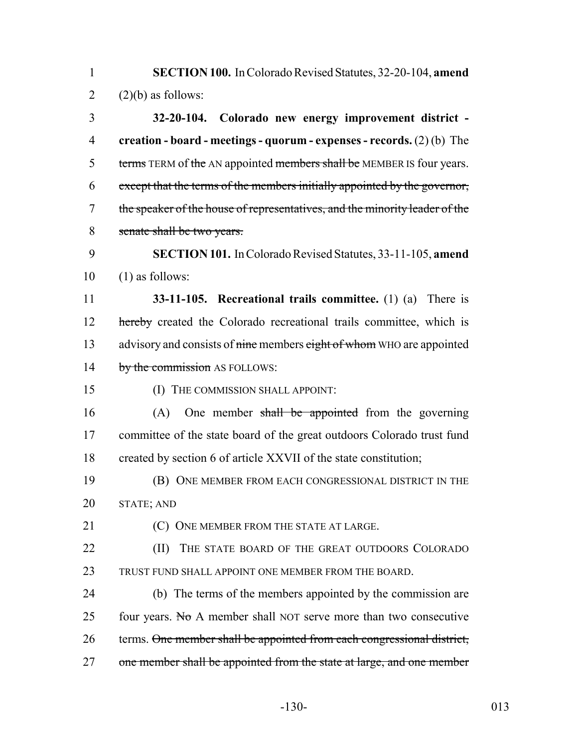1 **SECTION 100.** In Colorado Revised Statutes, 32-20-104, **amend** 2  $(2)(b)$  as follows:

 **32-20-104. Colorado new energy improvement district - creation - board - meetings - quorum - expenses - records.** (2) (b) The 5 terms TERM of the AN appointed members shall be MEMBER IS four years. except that the terms of the members initially appointed by the governor, 7 the speaker of the house of representatives, and the minority leader of the senate shall be two years.

9 **SECTION 101.** In Colorado Revised Statutes, 33-11-105, **amend**  $10$  (1) as follows:

11 **33-11-105. Recreational trails committee.** (1) (a) There is 12 hereby created the Colorado recreational trails committee, which is 13 advisory and consists of nine members eight of whom WHO are appointed 14 by the commission AS FOLLOWS:

15 (I) THE COMMISSION SHALL APPOINT:

16 (A) One member shall be appointed from the governing 17 committee of the state board of the great outdoors Colorado trust fund 18 created by section 6 of article XXVII of the state constitution;

19 (B) ONE MEMBER FROM EACH CONGRESSIONAL DISTRICT IN THE 20 STATE; AND

21 **COULD EXEMPLE FROM THE STATE AT LARGE.** 

22 **(II)** THE STATE BOARD OF THE GREAT OUTDOORS COLORADO 23 TRUST FUND SHALL APPOINT ONE MEMBER FROM THE BOARD.

24 (b) The terms of the members appointed by the commission are 25 four years. No A member shall NOT serve more than two consecutive 26 terms. One member shall be appointed from each congressional district, 27 one member shall be appointed from the state at large, and one member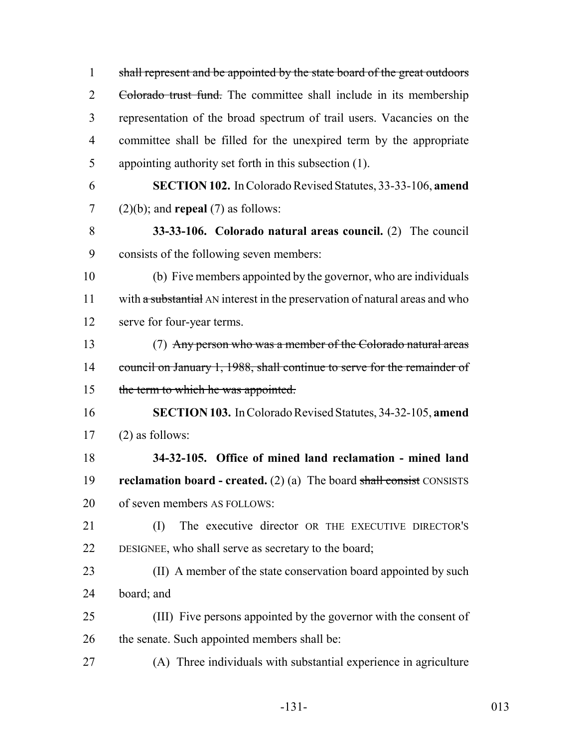| $\mathbf{1}$   | shall represent and be appointed by the state board of the great outdoors   |
|----------------|-----------------------------------------------------------------------------|
| $\overline{2}$ | Colorado trust fund. The committee shall include in its membership          |
| 3              | representation of the broad spectrum of trail users. Vacancies on the       |
| $\overline{4}$ | committee shall be filled for the unexpired term by the appropriate         |
| 5              | appointing authority set forth in this subsection (1).                      |
| 6              | <b>SECTION 102.</b> In Colorado Revised Statutes, 33-33-106, amend          |
| $\overline{7}$ | $(2)(b)$ ; and <b>repeal</b> $(7)$ as follows:                              |
| 8              | 33-33-106. Colorado natural areas council. (2) The council                  |
| 9              | consists of the following seven members:                                    |
| 10             | (b) Five members appointed by the governor, who are individuals             |
| 11             | with a substantial AN interest in the preservation of natural areas and who |
| 12             | serve for four-year terms.                                                  |
| 13             | (7) Any person who was a member of the Colorado natural areas               |
| 14             | council on January 1, 1988, shall continue to serve for the remainder of    |
| 15             | the term to which he was appointed.                                         |
| 16             | <b>SECTION 103.</b> In Colorado Revised Statutes, 34-32-105, amend          |
| 17             | $(2)$ as follows:                                                           |
| 18             | 34-32-105. Office of mined land reclamation - mined land                    |
| 19             | reclamation board - created. $(2)$ (a) The board shall consist CONSISTS     |
| 20             | of seven members AS FOLLOWS:                                                |
| 21             | The executive director OR THE EXECUTIVE DIRECTOR'S<br>(I)                   |
| 22             | DESIGNEE, who shall serve as secretary to the board;                        |
| 23             | (II) A member of the state conservation board appointed by such             |
| 24             | board; and                                                                  |
| 25             | (III) Five persons appointed by the governor with the consent of            |
| 26             | the senate. Such appointed members shall be:                                |
| 27             | (A) Three individuals with substantial experience in agriculture            |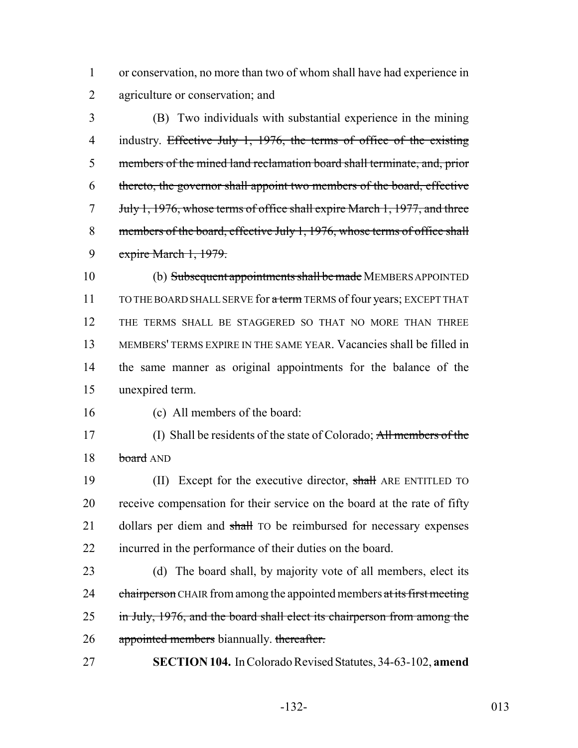or conservation, no more than two of whom shall have had experience in agriculture or conservation; and

 (B) Two individuals with substantial experience in the mining 4 industry. Effective July 1, 1976, the terms of office of the existing members of the mined land reclamation board shall terminate, and, prior thereto, the governor shall appoint two members of the board, effective July 1, 1976, whose terms of office shall expire March 1, 1977, and three 8 members of the board, effective July 1, 1976, whose terms of office shall expire March 1, 1979.

 (b) Subsequent appointments shall be made MEMBERS APPOINTED 11 TO THE BOARD SHALL SERVE for a term TERMS of four years; EXCEPT THAT THE TERMS SHALL BE STAGGERED SO THAT NO MORE THAN THREE MEMBERS' TERMS EXPIRE IN THE SAME YEAR. Vacancies shall be filled in the same manner as original appointments for the balance of the unexpired term.

(c) All members of the board:

 (I) Shall be residents of the state of Colorado; All members of the 18 board AND

19 (II) Except for the executive director, shall ARE ENTITLED TO receive compensation for their service on the board at the rate of fifty 21 dollars per diem and shall TO be reimbursed for necessary expenses incurred in the performance of their duties on the board.

 (d) The board shall, by majority vote of all members, elect its 24 chairperson CHAIR from among the appointed members at its first meeting 25 in July, 1976, and the board shall elect its chairperson from among the 26 appointed members biannually. thereafter.

**SECTION 104.** In Colorado Revised Statutes, 34-63-102, **amend**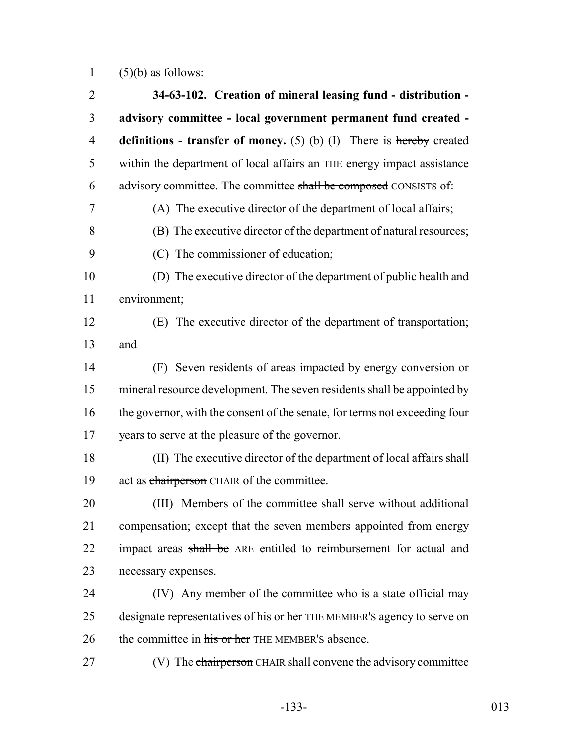1  $(5)(b)$  as follows:

| $\overline{2}$ | 34-63-102. Creation of mineral leasing fund - distribution -               |
|----------------|----------------------------------------------------------------------------|
| 3              | advisory committee - local government permanent fund created -             |
| $\overline{4}$ | definitions - transfer of money. $(5)$ (b) (I) There is hereby created     |
| 5              | within the department of local affairs an THE energy impact assistance     |
| 6              | advisory committee. The committee shall be composed CONSISTS of:           |
| 7              | (A) The executive director of the department of local affairs;             |
| 8              | (B) The executive director of the department of natural resources;         |
| 9              | (C) The commissioner of education;                                         |
| 10             | (D) The executive director of the department of public health and          |
| 11             | environment;                                                               |
| 12             | (E) The executive director of the department of transportation;            |
| 13             | and                                                                        |
| 14             | (F) Seven residents of areas impacted by energy conversion or              |
| 15             | mineral resource development. The seven residents shall be appointed by    |
| 16             | the governor, with the consent of the senate, for terms not exceeding four |
| 17             | years to serve at the pleasure of the governor.                            |
| 18             | (II) The executive director of the department of local affairs shall       |
| 19             | act as chairperson CHAIR of the committee.                                 |
| 20             | (III) Members of the committee shall serve without additional              |
| 21             | compensation; except that the seven members appointed from energy          |
| 22             | impact areas shall be ARE entitled to reimbursement for actual and         |
| 23             | necessary expenses.                                                        |
| 24             | (IV) Any member of the committee who is a state official may               |
| 25             | designate representatives of his or her THE MEMBER's agency to serve on    |
| 26             | the committee in his or her THE MEMBER'S absence.                          |
| 27             | (V) The chairperson CHAIR shall convene the advisory committee             |
|                |                                                                            |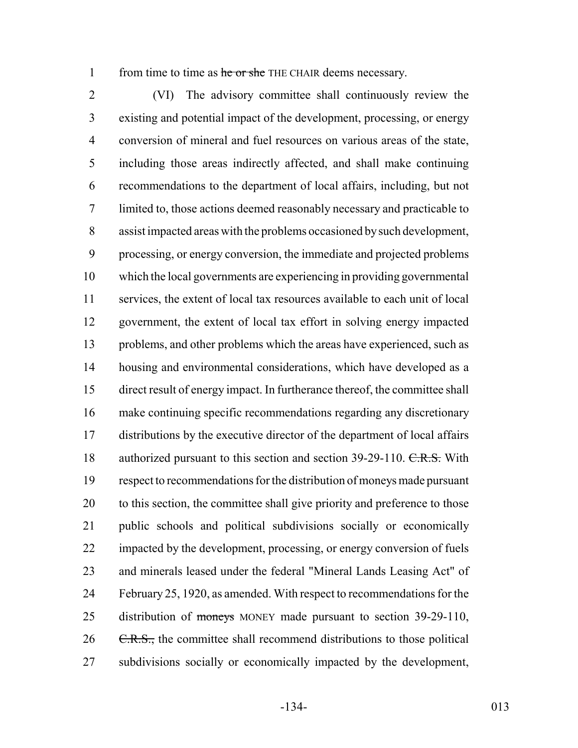1 from time to time as he or she THE CHAIR deems necessary.

 (VI) The advisory committee shall continuously review the existing and potential impact of the development, processing, or energy conversion of mineral and fuel resources on various areas of the state, including those areas indirectly affected, and shall make continuing recommendations to the department of local affairs, including, but not limited to, those actions deemed reasonably necessary and practicable to assist impacted areas with the problems occasioned by such development, processing, or energy conversion, the immediate and projected problems which the local governments are experiencing in providing governmental services, the extent of local tax resources available to each unit of local government, the extent of local tax effort in solving energy impacted problems, and other problems which the areas have experienced, such as housing and environmental considerations, which have developed as a direct result of energy impact. In furtherance thereof, the committee shall make continuing specific recommendations regarding any discretionary distributions by the executive director of the department of local affairs 18 authorized pursuant to this section and section 39-29-110. C.R.S. With respect to recommendations for the distribution of moneys made pursuant 20 to this section, the committee shall give priority and preference to those public schools and political subdivisions socially or economically impacted by the development, processing, or energy conversion of fuels and minerals leased under the federal "Mineral Lands Leasing Act" of February 25, 1920, as amended. With respect to recommendations for the 25 distribution of moneys MONEY made pursuant to section 39-29-110, C.R.S., the committee shall recommend distributions to those political subdivisions socially or economically impacted by the development,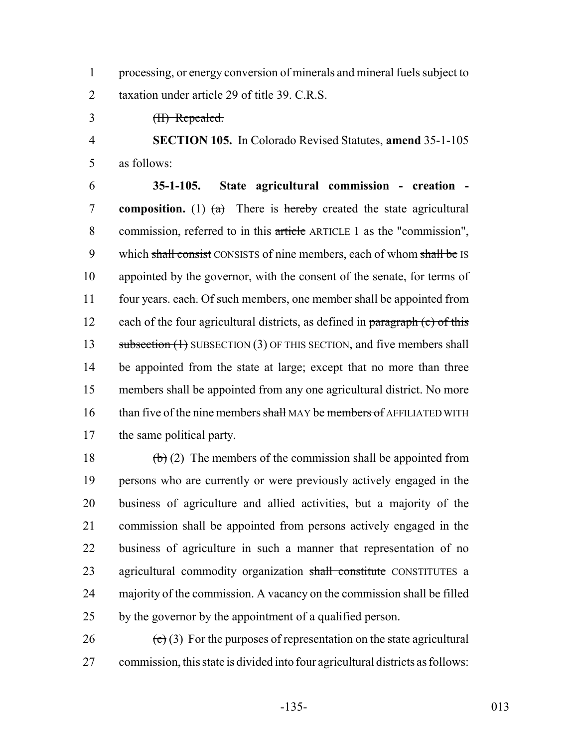processing, or energy conversion of minerals and mineral fuels subject to 2 taxation under article 29 of title 39. C.R.S.

(II) Repealed.

 **SECTION 105.** In Colorado Revised Statutes, **amend** 35-1-105 as follows:

 **35-1-105. State agricultural commission - creation -** 7 **composition.** (1)  $(a)$  There is hereby created the state agricultural commission, referred to in this article ARTICLE 1 as the "commission", 9 which shall consist CONSISTS of nine members, each of whom shall be IS appointed by the governor, with the consent of the senate, for terms of 11 four years. each. Of such members, one member shall be appointed from 12 each of the four agricultural districts, as defined in  $\frac{1}{2}$  paragraph (c) of this 13 subsection (1) SUBSECTION (3) OF THIS SECTION, and five members shall be appointed from the state at large; except that no more than three members shall be appointed from any one agricultural district. No more 16 than five of the nine members shall MAY be members of AFFILIATED WITH the same political party.

 $\left(\frac{b}{c}\right)$  (2) The members of the commission shall be appointed from persons who are currently or were previously actively engaged in the business of agriculture and allied activities, but a majority of the commission shall be appointed from persons actively engaged in the business of agriculture in such a manner that representation of no 23 agricultural commodity organization shall constitute CONSTITUTES a majority of the commission. A vacancy on the commission shall be filled by the governor by the appointment of a qualified person.

26  $\left(\frac{e}{c}\right)$  (3) For the purposes of representation on the state agricultural commission, this state is divided into four agricultural districts as follows: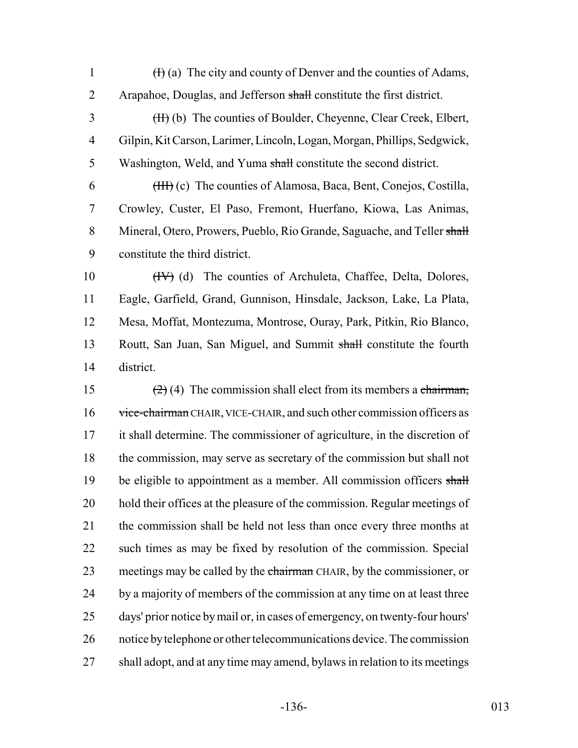1  $(H)$  (a) The city and county of Denver and the counties of Adams, 2 Arapahoe, Douglas, and Jefferson shall constitute the first district. 3 (H) (b) The counties of Boulder, Cheyenne, Clear Creek, Elbert, 4 Gilpin, Kit Carson, Larimer, Lincoln, Logan, Morgan, Phillips, Sedgwick, 5 Washington, Weld, and Yuma shall constitute the second district. 6 (III) (c) The counties of Alamosa, Baca, Bent, Conejos, Costilla, 7 Crowley, Custer, El Paso, Fremont, Huerfano, Kiowa, Las Animas, 8 Mineral, Otero, Prowers, Pueblo, Rio Grande, Saguache, and Teller shall 9 constitute the third district. 10 (IV) (d) The counties of Archuleta, Chaffee, Delta, Dolores, 11 Eagle, Garfield, Grand, Gunnison, Hinsdale, Jackson, Lake, La Plata, 12 Mesa, Moffat, Montezuma, Montrose, Ouray, Park, Pitkin, Rio Blanco, 13 Routt, San Juan, San Miguel, and Summit shall constitute the fourth 14 district. 15 (2) (4) The commission shall elect from its members a chairman, 16 vice-chairman CHAIR, VICE-CHAIR, and such other commission officers as 17 it shall determine. The commissioner of agriculture, in the discretion of 18 the commission, may serve as secretary of the commission but shall not 19 be eligible to appointment as a member. All commission officers shall 20 hold their offices at the pleasure of the commission. Regular meetings of 21 the commission shall be held not less than once every three months at 22 such times as may be fixed by resolution of the commission. Special 23 meetings may be called by the chairman CHAIR, by the commissioner, or 24 by a majority of members of the commission at any time on at least three 25 days' prior notice by mail or, in cases of emergency, on twenty-four hours' 26 notice by telephone or other telecommunications device. The commission 27 shall adopt, and at any time may amend, bylaws in relation to its meetings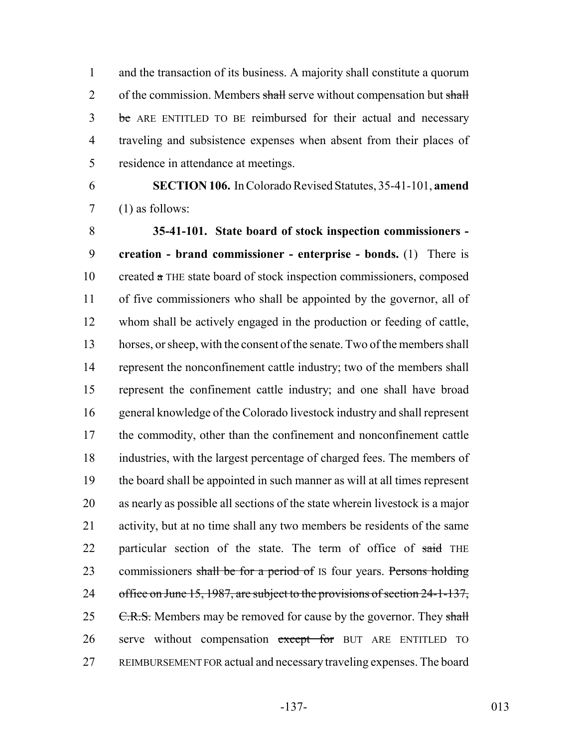and the transaction of its business. A majority shall constitute a quorum 2 of the commission. Members shall serve without compensation but shall 3 be ARE ENTITLED TO BE reimbursed for their actual and necessary traveling and subsistence expenses when absent from their places of residence in attendance at meetings.

 **SECTION 106.** In Colorado Revised Statutes, 35-41-101, **amend** (1) as follows:

 **35-41-101. State board of stock inspection commissioners - creation - brand commissioner - enterprise - bonds.** (1) There is created a THE state board of stock inspection commissioners, composed of five commissioners who shall be appointed by the governor, all of whom shall be actively engaged in the production or feeding of cattle, horses, or sheep, with the consent of the senate. Two of the members shall 14 represent the nonconfinement cattle industry; two of the members shall represent the confinement cattle industry; and one shall have broad general knowledge of the Colorado livestock industry and shall represent 17 the commodity, other than the confinement and nonconfinement cattle industries, with the largest percentage of charged fees. The members of the board shall be appointed in such manner as will at all times represent as nearly as possible all sections of the state wherein livestock is a major activity, but at no time shall any two members be residents of the same 22 particular section of the state. The term of office of said THE 23 commissioners shall be for a period of IS four years. Persons holding 24 office on June 15, 1987, are subject to the provisions of section 24-1-137, 25 C.R.S. Members may be removed for cause by the governor. They shall 26 serve without compensation except for BUT ARE ENTITLED TO REIMBURSEMENT FOR actual and necessary traveling expenses. The board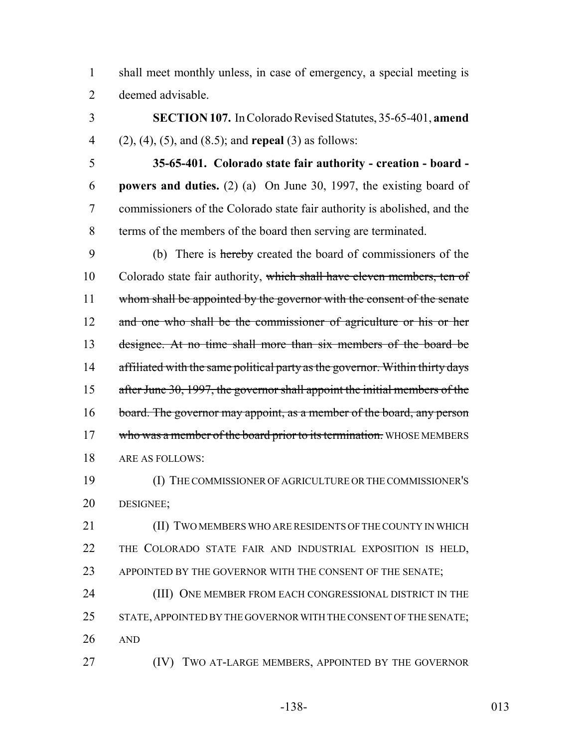shall meet monthly unless, in case of emergency, a special meeting is deemed advisable.

 **SECTION 107.** In Colorado Revised Statutes, 35-65-401, **amend** (2), (4), (5), and (8.5); and **repeal** (3) as follows:

 **35-65-401. Colorado state fair authority - creation - board - powers and duties.** (2) (a) On June 30, 1997, the existing board of commissioners of the Colorado state fair authority is abolished, and the terms of the members of the board then serving are terminated.

 (b) There is hereby created the board of commissioners of the 10 Colorado state fair authority, which shall have eleven members, ten of 11 whom shall be appointed by the governor with the consent of the senate 12 and one who shall be the commissioner of agriculture or his or her designee. At no time shall more than six members of the board be 14 affiliated with the same political party as the governor. Within thirty days after June 30, 1997, the governor shall appoint the initial members of the 16 board. The governor may appoint, as a member of the board, any person 17 who was a member of the board prior to its termination. WHOSE MEMBERS ARE AS FOLLOWS:

 (I) THE COMMISSIONER OF AGRICULTURE OR THE COMMISSIONER'S DESIGNEE;

**(II) TWO MEMBERS WHO ARE RESIDENTS OF THE COUNTY IN WHICH**  THE COLORADO STATE FAIR AND INDUSTRIAL EXPOSITION IS HELD, 23 APPOINTED BY THE GOVERNOR WITH THE CONSENT OF THE SENATE;

 (III) ONE MEMBER FROM EACH CONGRESSIONAL DISTRICT IN THE 25 STATE, APPOINTED BY THE GOVERNOR WITH THE CONSENT OF THE SENATE; AND

**(IV)** TWO AT-LARGE MEMBERS, APPOINTED BY THE GOVERNOR

-138- 013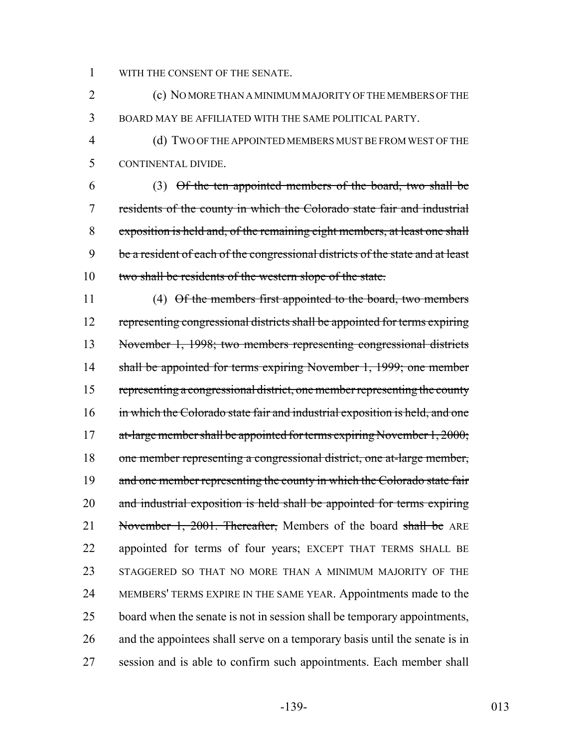WITH THE CONSENT OF THE SENATE.

 (c) NO MORE THAN A MINIMUM MAJORITY OF THE MEMBERS OF THE BOARD MAY BE AFFILIATED WITH THE SAME POLITICAL PARTY.

 (d) TWO OF THE APPOINTED MEMBERS MUST BE FROM WEST OF THE CONTINENTAL DIVIDE.

 (3) Of the ten appointed members of the board, two shall be residents of the county in which the Colorado state fair and industrial exposition is held and, of the remaining eight members, at least one shall 9 be a resident of each of the congressional districts of the state and at least 10 two shall be residents of the western slope of the state.

11 (4) Of the members first appointed to the board, two members representing congressional districts shall be appointed for terms expiring November 1, 1998; two members representing congressional districts shall be appointed for terms expiring November 1, 1999; one member 15 representing a congressional district, one member representing the county 16 in which the Colorado state fair and industrial exposition is held, and one 17 at-large member shall be appointed for terms expiring November 1, 2000; one member representing a congressional district, one at-large member, 19 and one member representing the county in which the Colorado state fair 20 and industrial exposition is held shall be appointed for terms expiring 21 November 1, 2001. Thereafter, Members of the board shall be ARE appointed for terms of four years; EXCEPT THAT TERMS SHALL BE STAGGERED SO THAT NO MORE THAN A MINIMUM MAJORITY OF THE MEMBERS' TERMS EXPIRE IN THE SAME YEAR. Appointments made to the 25 board when the senate is not in session shall be temporary appointments, and the appointees shall serve on a temporary basis until the senate is in session and is able to confirm such appointments. Each member shall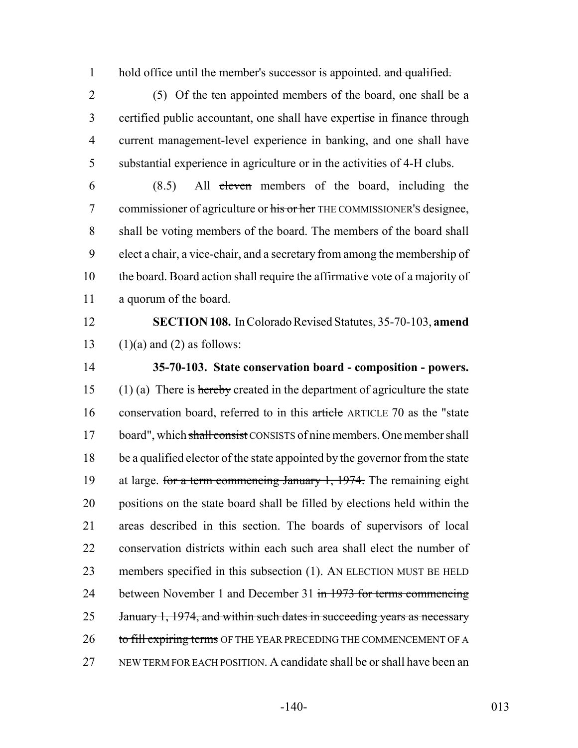1 hold office until the member's successor is appointed. and qualified.

2 (5) Of the ten appointed members of the board, one shall be a certified public accountant, one shall have expertise in finance through current management-level experience in banking, and one shall have substantial experience in agriculture or in the activities of 4-H clubs.

 (8.5) All eleven members of the board, including the 7 commissioner of agriculture or his or her THE COMMISSIONER's designee, shall be voting members of the board. The members of the board shall elect a chair, a vice-chair, and a secretary from among the membership of the board. Board action shall require the affirmative vote of a majority of a quorum of the board.

12 **SECTION 108.** In Colorado Revised Statutes, 35-70-103, **amend** 13 (1)(a) and (2) as follows:

14 **35-70-103. State conservation board - composition - powers.** 15 (1) (a) There is hereby created in the department of agriculture the state 16 conservation board, referred to in this article ARTICLE 70 as the "state" 17 board", which shall consist CONSISTS of nine members. One member shall 18 be a qualified elector of the state appointed by the governor from the state 19 at large. for a term commencing January 1, 1974. The remaining eight 20 positions on the state board shall be filled by elections held within the 21 areas described in this section. The boards of supervisors of local 22 conservation districts within each such area shall elect the number of 23 members specified in this subsection (1). AN ELECTION MUST BE HELD 24 between November 1 and December 31 in 1973 for terms commencing 25 January 1, 1974, and within such dates in succeeding years as necessary 26 to fill expiring terms OF THE YEAR PRECEDING THE COMMENCEMENT OF A 27 NEW TERM FOR EACH POSITION. A candidate shall be or shall have been an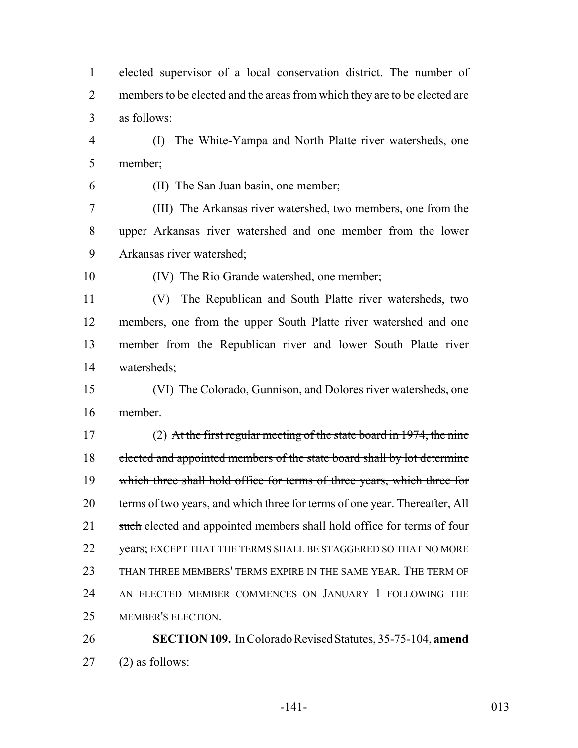elected supervisor of a local conservation district. The number of 2 members to be elected and the areas from which they are to be elected are as follows:

 (I) The White-Yampa and North Platte river watersheds, one member;

(II) The San Juan basin, one member;

 (III) The Arkansas river watershed, two members, one from the upper Arkansas river watershed and one member from the lower Arkansas river watershed;

(IV) The Rio Grande watershed, one member;

 (V) The Republican and South Platte river watersheds, two members, one from the upper South Platte river watershed and one member from the Republican river and lower South Platte river watersheds;

 (VI) The Colorado, Gunnison, and Dolores river watersheds, one member.

 (2) At the first regular meeting of the state board in 1974, the nine 18 elected and appointed members of the state board shall by lot determine which three shall hold office for terms of three years, which three for 20 terms of two years, and which three for terms of one year. Thereafter, All 21 such elected and appointed members shall hold office for terms of four years; EXCEPT THAT THE TERMS SHALL BE STAGGERED SO THAT NO MORE THAN THREE MEMBERS' TERMS EXPIRE IN THE SAME YEAR. THE TERM OF AN ELECTED MEMBER COMMENCES ON JANUARY 1 FOLLOWING THE MEMBER'S ELECTION.

 **SECTION 109.** In Colorado Revised Statutes, 35-75-104, **amend** (2) as follows: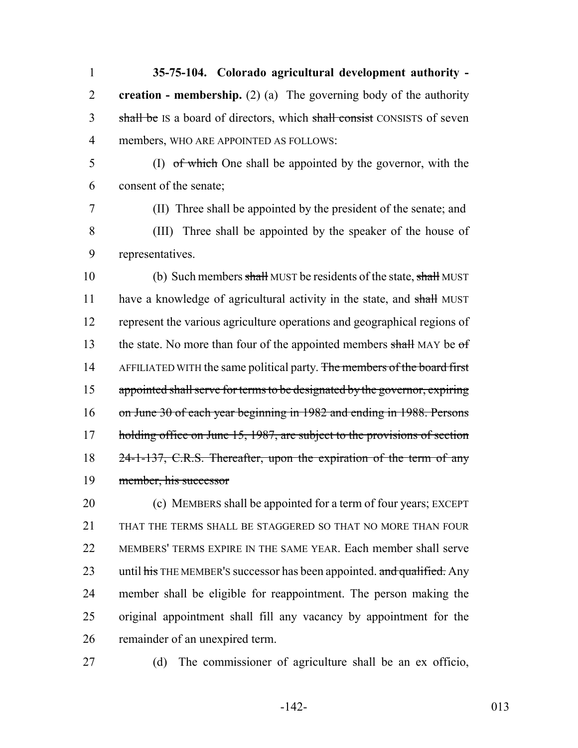**35-75-104. Colorado agricultural development authority - creation - membership.** (2) (a) The governing body of the authority 3 shall be IS a board of directors, which shall consist CONSISTS of seven members, WHO ARE APPOINTED AS FOLLOWS:

- (I) of which One shall be appointed by the governor, with the consent of the senate;
- (II) Three shall be appointed by the president of the senate; and (III) Three shall be appointed by the speaker of the house of representatives.

10 (b) Such members shall MUST be residents of the state, shall MUST 11 have a knowledge of agricultural activity in the state, and shall MUST represent the various agriculture operations and geographical regions of 13 the state. No more than four of the appointed members shall MAY be  $of$ 14 AFFILIATED WITH the same political party. The members of the board first appointed shall serve for terms to be designated by the governor, expiring on June 30 of each year beginning in 1982 and ending in 1988. Persons 17 holding office on June 15, 1987, are subject to the provisions of section 24-1-137, C.R.S. Thereafter, upon the expiration of the term of any member, his successor

 (c) MEMBERS shall be appointed for a term of four years; EXCEPT THAT THE TERMS SHALL BE STAGGERED SO THAT NO MORE THAN FOUR MEMBERS' TERMS EXPIRE IN THE SAME YEAR. Each member shall serve 23 until his THE MEMBER's successor has been appointed. and qualified. Any member shall be eligible for reappointment. The person making the original appointment shall fill any vacancy by appointment for the remainder of an unexpired term.

(d) The commissioner of agriculture shall be an ex officio,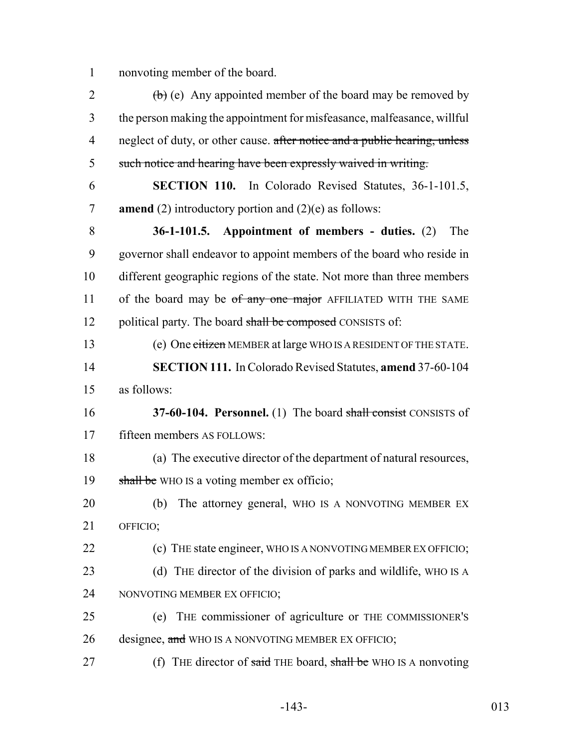1 nonvoting member of the board.

| $\overline{2}$ | $\left(\frac{b}{c}\right)$ (e) Any appointed member of the board may be removed by |
|----------------|------------------------------------------------------------------------------------|
| 3              | the person making the appointment for misfeasance, malfeasance, will ful           |
| $\overline{4}$ | neglect of duty, or other cause. after notice and a public hearing, unless         |
| 5              | such notice and hearing have been expressly waived in writing.                     |
| 6              | <b>SECTION 110.</b> In Colorado Revised Statutes, 36-1-101.5,                      |
| 7              | <b>amend</b> (2) introductory portion and (2)(e) as follows:                       |
| 8              | $36-1-101.5$ . Appointment of members - duties. (2)<br>The                         |
| 9              | governor shall endeavor to appoint members of the board who reside in              |
| 10             | different geographic regions of the state. Not more than three members             |
| 11             | of the board may be of any one major AFFILIATED WITH THE SAME                      |
| 12             | political party. The board shall be composed CONSISTS of:                          |
| 13             | (e) One citizen MEMBER at large WHO IS A RESIDENT OF THE STATE.                    |
| 14             | <b>SECTION 111.</b> In Colorado Revised Statutes, amend 37-60-104                  |
|                |                                                                                    |
| 15             | as follows:                                                                        |
| 16             | 37-60-104. Personnel. (1) The board shall consist CONSISTS of                      |
| 17             | fifteen members AS FOLLOWS:                                                        |
| 18             | (a) The executive director of the department of natural resources,                 |
| 19             | shall be WHO IS a voting member ex officio;                                        |
| 20             | The attorney general, WHO IS A NONVOTING MEMBER EX<br>(b)                          |
| 21             | OFFICIO;                                                                           |
| 22             | (c) THE state engineer, WHO IS A NONVOTING MEMBER EX OFFICIO;                      |
| 23             | (d) THE director of the division of parks and wildlife, WHO IS A                   |
| 24             | NONVOTING MEMBER EX OFFICIO;                                                       |
| 25             | THE commissioner of agriculture or THE COMMISSIONER'S<br>(e)                       |
| 26             | designee, and WHO IS A NONVOTING MEMBER EX OFFICIO;                                |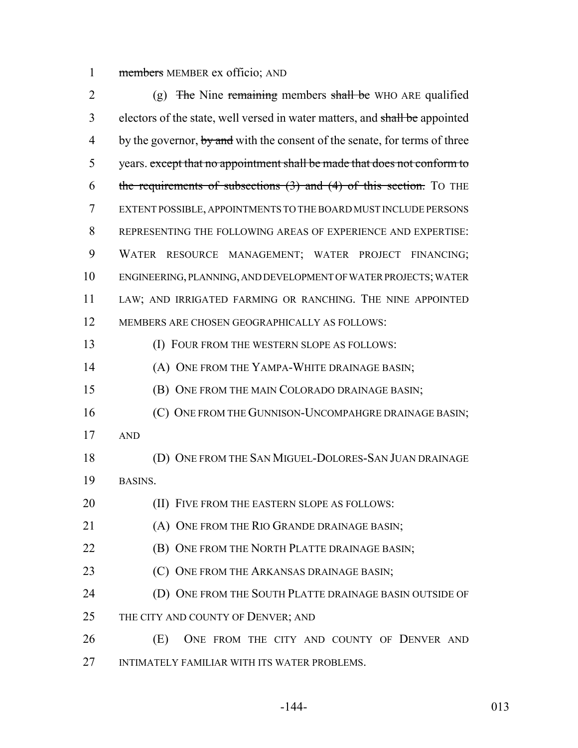1 members MEMBER ex officio; AND

2 (g) The Nine remaining members shall be WHO ARE qualified 3 electors of the state, well versed in water matters, and shall be appointed 4 by the governor, by and with the consent of the senate, for terms of three 5 years. except that no appointment shall be made that does not conform to 6 the requirements of subsections  $(3)$  and  $(4)$  of this section. To THE EXTENT POSSIBLE, APPOINTMENTS TO THE BOARD MUST INCLUDE PERSONS REPRESENTING THE FOLLOWING AREAS OF EXPERIENCE AND EXPERTISE: WATER RESOURCE MANAGEMENT; WATER PROJECT FINANCING; ENGINEERING, PLANNING, AND DEVELOPMENT OF WATER PROJECTS; WATER LAW; AND IRRIGATED FARMING OR RANCHING. THE NINE APPOINTED MEMBERS ARE CHOSEN GEOGRAPHICALLY AS FOLLOWS: (I) FOUR FROM THE WESTERN SLOPE AS FOLLOWS: **(A) ONE FROM THE YAMPA-WHITE DRAINAGE BASIN;**  (B) ONE FROM THE MAIN COLORADO DRAINAGE BASIN; 16 (C) ONE FROM THE GUNNISON-UNCOMPAHGRE DRAINAGE BASIN; AND (D) ONE FROM THE SAN MIGUEL-DOLORES-SAN JUAN DRAINAGE BASINS. **(II) FIVE FROM THE EASTERN SLOPE AS FOLLOWS:**  (A) ONE FROM THE RIO GRANDE DRAINAGE BASIN; **(B) ONE FROM THE NORTH PLATTE DRAINAGE BASIN; (C) ONE FROM THE ARKANSAS DRAINAGE BASIN;**  (D) ONE FROM THE SOUTH PLATTE DRAINAGE BASIN OUTSIDE OF 25 THE CITY AND COUNTY OF DENVER; AND (E) ONE FROM THE CITY AND COUNTY OF DENVER AND INTIMATELY FAMILIAR WITH ITS WATER PROBLEMS.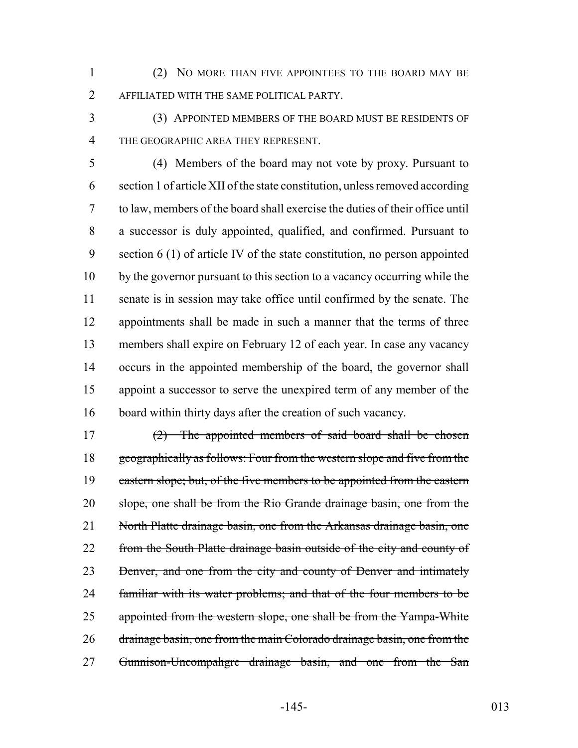(2) NO MORE THAN FIVE APPOINTEES TO THE BOARD MAY BE AFFILIATED WITH THE SAME POLITICAL PARTY.

 (3) APPOINTED MEMBERS OF THE BOARD MUST BE RESIDENTS OF THE GEOGRAPHIC AREA THEY REPRESENT.

 (4) Members of the board may not vote by proxy. Pursuant to section 1 of article XII of the state constitution, unless removed according to law, members of the board shall exercise the duties of their office until a successor is duly appointed, qualified, and confirmed. Pursuant to section 6 (1) of article IV of the state constitution, no person appointed by the governor pursuant to this section to a vacancy occurring while the senate is in session may take office until confirmed by the senate. The appointments shall be made in such a manner that the terms of three members shall expire on February 12 of each year. In case any vacancy occurs in the appointed membership of the board, the governor shall appoint a successor to serve the unexpired term of any member of the board within thirty days after the creation of such vacancy.

17  $(2)$  The appointed members of said board shall be chosen 18 geographically as follows: Four from the western slope and five from the 19 eastern slope; but, of the five members to be appointed from the eastern slope, one shall be from the Rio Grande drainage basin, one from the 21 North Platte drainage basin, one from the Arkansas drainage basin, one 22 from the South Platte drainage basin outside of the city and county of 23 Benver, and one from the city and county of Denver and intimately 24 familiar with its water problems; and that of the four members to be 25 appointed from the western slope, one shall be from the Yampa-White 26 drainage basin, one from the main Colorado drainage basin, one from the 27 Gunnison-Uncompahgre drainage basin, and one from the San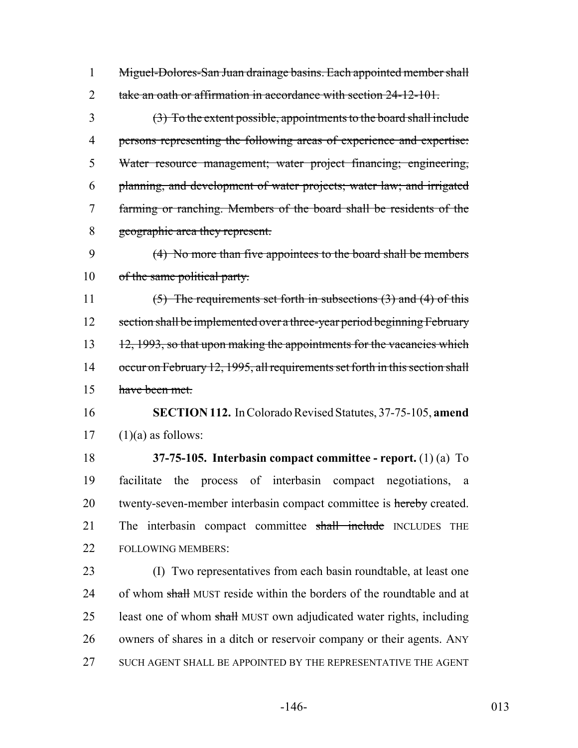Miguel-Dolores-San Juan drainage basins. Each appointed member shall 2 take an oath or affirmation in accordance with section 24-12-101.

 (3) To the extent possible, appointments to the board shall include persons representing the following areas of experience and expertise: Water resource management; water project financing; engineering, planning, and development of water projects; water law; and irrigated farming or ranching. Members of the board shall be residents of the geographic area they represent.

 (4) No more than five appointees to the board shall be members 10 of the same political party.

 (5) The requirements set forth in subsections (3) and (4) of this 12 section shall be implemented over a three-year period beginning February 13 12, 1993, so that upon making the appointments for the vacancies which 14 occur on February 12, 1995, all requirements set forth in this section shall have been met.

 **SECTION 112.** In Colorado Revised Statutes, 37-75-105, **amend**  $17 \quad (1)(a)$  as follows:

 **37-75-105. Interbasin compact committee - report.** (1) (a) To facilitate the process of interbasin compact negotiations, a 20 twenty-seven-member interbasin compact committee is hereby created. 21 The interbasin compact committee shall include INCLUDES THE FOLLOWING MEMBERS:

 (I) Two representatives from each basin roundtable, at least one 24 of whom shall MUST reside within the borders of the roundtable and at 25 least one of whom shall MUST own adjudicated water rights, including owners of shares in a ditch or reservoir company or their agents. ANY SUCH AGENT SHALL BE APPOINTED BY THE REPRESENTATIVE THE AGENT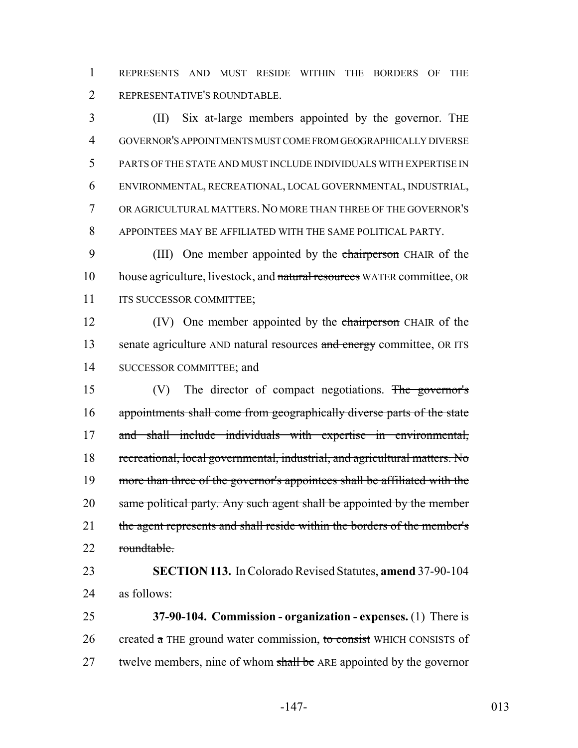REPRESENTS AND MUST RESIDE WITHIN THE BORDERS OF THE REPRESENTATIVE'S ROUNDTABLE.

 (II) Six at-large members appointed by the governor. THE GOVERNOR'S APPOINTMENTS MUST COME FROM GEOGRAPHICALLY DIVERSE PARTS OF THE STATE AND MUST INCLUDE INDIVIDUALS WITH EXPERTISE IN ENVIRONMENTAL, RECREATIONAL, LOCAL GOVERNMENTAL, INDUSTRIAL, OR AGRICULTURAL MATTERS. NO MORE THAN THREE OF THE GOVERNOR'S APPOINTEES MAY BE AFFILIATED WITH THE SAME POLITICAL PARTY.

9 (III) One member appointed by the chairperson CHAIR of the 10 house agriculture, livestock, and natural resources WATER committee, OR 11 ITS SUCCESSOR COMMITTEE;

12 (IV) One member appointed by the chairperson CHAIR of the 13 senate agriculture AND natural resources and energy committee, OR ITS SUCCESSOR COMMITTEE; and

 (V) The director of compact negotiations. The governor's appointments shall come from geographically diverse parts of the state and shall include individuals with expertise in environmental, recreational, local governmental, industrial, and agricultural matters. No more than three of the governor's appointees shall be affiliated with the 20 same political party. Any such agent shall be appointed by the member 21 the agent represents and shall reside within the borders of the member's 22 roundtable.

 **SECTION 113.** In Colorado Revised Statutes, **amend** 37-90-104 as follows:

 **37-90-104. Commission - organization - expenses.** (1) There is 26 created  $\alpha$  THE ground water commission, to consist WHICH CONSISTS of 27 twelve members, nine of whom shall be ARE appointed by the governor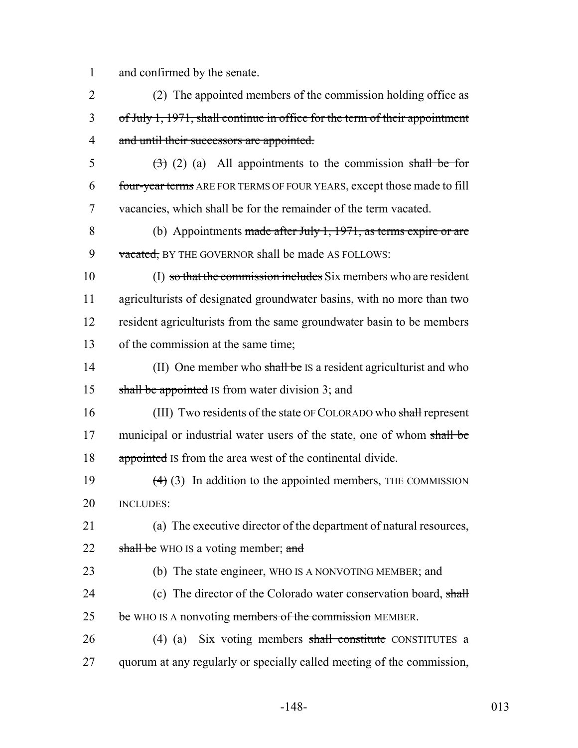1 and confirmed by the senate.

2 (2) The appointed members of the commission holding office as 3 of July 1, 1971, shall continue in office for the term of their appointment 4 and until their successors are appointed. 5  $(3)$  (2) (a) All appointments to the commission shall be for 6 four-year terms ARE FOR TERMS OF FOUR YEARS, except those made to fill 7 vacancies, which shall be for the remainder of the term vacated. 8 (b) Appointments made after July 1, 1971, as terms expire or are 9 vacated, BY THE GOVERNOR shall be made AS FOLLOWS: 10 (I) so that the commission includes Six members who are resident 11 agriculturists of designated groundwater basins, with no more than two 12 resident agriculturists from the same groundwater basin to be members 13 of the commission at the same time; 14 (II) One member who shall be IS a resident agriculturist and who 15 shall be appointed IS from water division 3; and 16 (III) Two residents of the state OF COLORADO who shall represent 17 municipal or industrial water users of the state, one of whom shall be 18 appointed Is from the area west of the continental divide. 19  $(4)$  (3) In addition to the appointed members, THE COMMISSION 20 INCLUDES: 21 (a) The executive director of the department of natural resources, 22 shall be WHO IS a voting member; and 23 (b) The state engineer, WHO IS A NONVOTING MEMBER; and 24 (c) The director of the Colorado water conservation board, shall 25 be WHO IS A nonvoting members of the commission MEMBER. 26 (4) (a) Six voting members shall constitute CONSTITUTES a 27 quorum at any regularly or specially called meeting of the commission,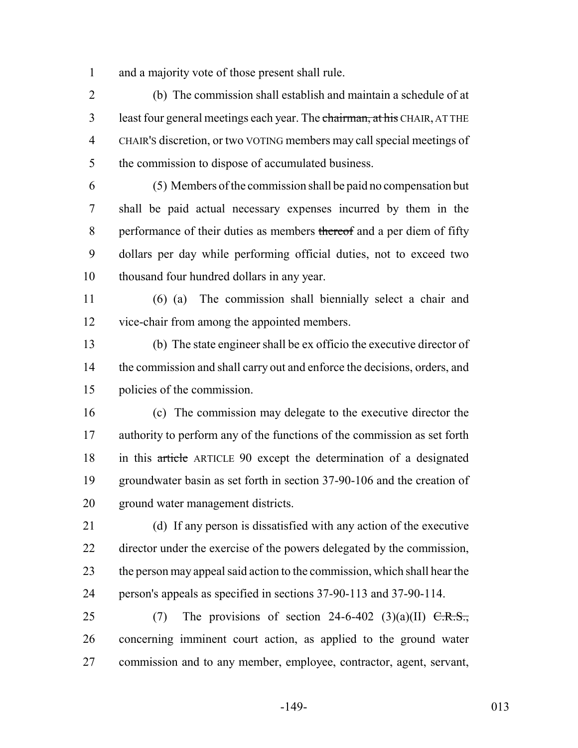and a majority vote of those present shall rule.

 (b) The commission shall establish and maintain a schedule of at 3 least four general meetings each year. The chairman, at his CHAIR, AT THE CHAIR'S discretion, or two VOTING members may call special meetings of the commission to dispose of accumulated business.

 (5) Members of the commission shall be paid no compensation but shall be paid actual necessary expenses incurred by them in the 8 performance of their duties as members thereof and a per diem of fifty dollars per day while performing official duties, not to exceed two thousand four hundred dollars in any year.

 (6) (a) The commission shall biennially select a chair and vice-chair from among the appointed members.

 (b) The state engineer shall be ex officio the executive director of 14 the commission and shall carry out and enforce the decisions, orders, and policies of the commission.

 (c) The commission may delegate to the executive director the 17 authority to perform any of the functions of the commission as set forth in this article ARTICLE 90 except the determination of a designated groundwater basin as set forth in section 37-90-106 and the creation of ground water management districts.

 (d) If any person is dissatisfied with any action of the executive director under the exercise of the powers delegated by the commission, the person may appeal said action to the commission, which shall hear the person's appeals as specified in sections 37-90-113 and 37-90-114.

25 (7) The provisions of section 24-6-402 (3)(a)(II)  $\overline{C.R.S.}$ , concerning imminent court action, as applied to the ground water commission and to any member, employee, contractor, agent, servant,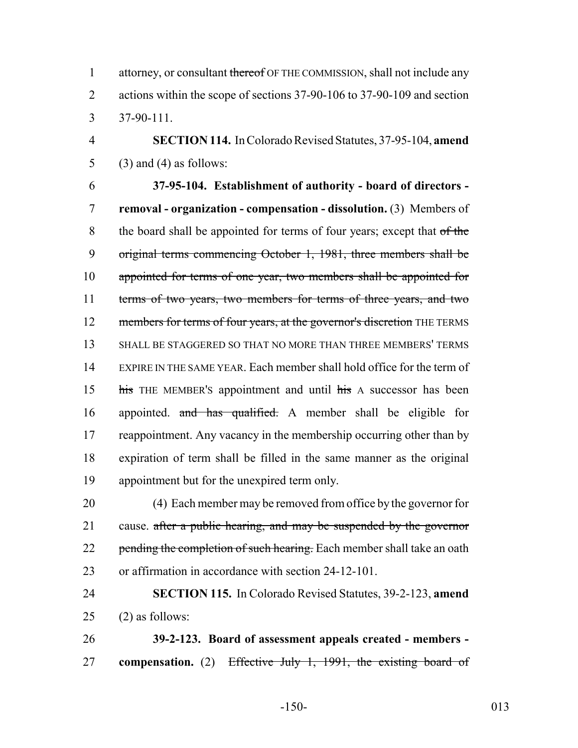1 attorney, or consultant thereof OF THE COMMISSION, shall not include any 2 actions within the scope of sections 37-90-106 to 37-90-109 and section 3 37-90-111.

4 **SECTION 114.** In Colorado Revised Statutes, 37-95-104, **amend** 5 (3) and (4) as follows:

6 **37-95-104. Establishment of authority - board of directors -** 7 **removal - organization - compensation - dissolution.** (3) Members of 8 the board shall be appointed for terms of four years; except that of the 9 original terms commencing October 1, 1981, three members shall be 10 appointed for terms of one year, two members shall be appointed for 11 terms of two years, two members for terms of three years, and two 12 members for terms of four years, at the governor's discretion THE TERMS 13 SHALL BE STAGGERED SO THAT NO MORE THAN THREE MEMBERS' TERMS 14 EXPIRE IN THE SAME YEAR. Each member shall hold office for the term of 15 his THE MEMBER's appointment and until his A successor has been 16 appointed. and has qualified. A member shall be eligible for 17 reappointment. Any vacancy in the membership occurring other than by 18 expiration of term shall be filled in the same manner as the original 19 appointment but for the unexpired term only.

20 (4) Each member may be removed from office by the governor for 21 cause. after a public hearing, and may be suspended by the governor 22 pending the completion of such hearing. Each member shall take an oath 23 or affirmation in accordance with section 24-12-101.

24 **SECTION 115.** In Colorado Revised Statutes, 39-2-123, **amend**  $25$  (2) as follows:

26 **39-2-123. Board of assessment appeals created - members -** 27 **compensation.** (2) Effective July 1, 1991, the existing board of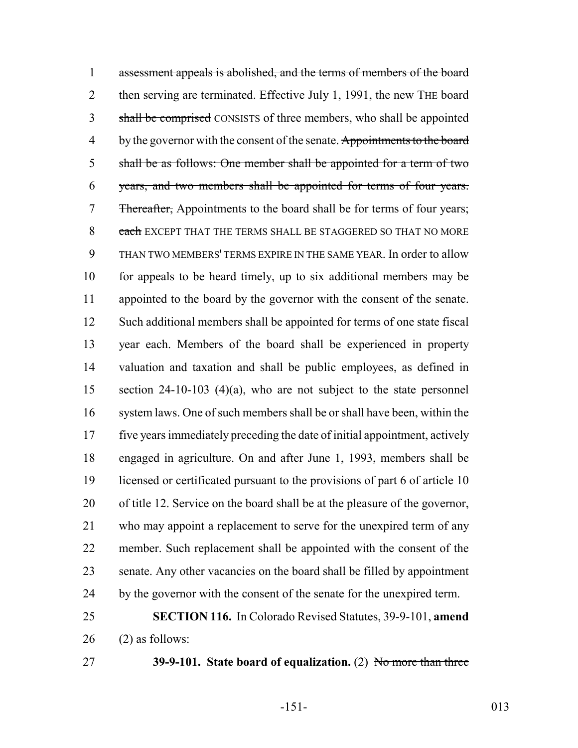assessment appeals is abolished, and the terms of members of the board 2 then serving are terminated. Effective July 1, 1991, the new THE board 3 shall be comprised CONSISTS of three members, who shall be appointed 4 by the governor with the consent of the senate. Appointments to the board shall be as follows: One member shall be appointed for a term of two years, and two members shall be appointed for terms of four years. 7 Thereafter, Appointments to the board shall be for terms of four years; 8 each EXCEPT THAT THE TERMS SHALL BE STAGGERED SO THAT NO MORE THAN TWO MEMBERS' TERMS EXPIRE IN THE SAME YEAR. In order to allow 10 for appeals to be heard timely, up to six additional members may be appointed to the board by the governor with the consent of the senate. Such additional members shall be appointed for terms of one state fiscal year each. Members of the board shall be experienced in property valuation and taxation and shall be public employees, as defined in section 24-10-103 (4)(a), who are not subject to the state personnel system laws. One of such members shall be or shall have been, within the five years immediately preceding the date of initial appointment, actively engaged in agriculture. On and after June 1, 1993, members shall be licensed or certificated pursuant to the provisions of part 6 of article 10 of title 12. Service on the board shall be at the pleasure of the governor, who may appoint a replacement to serve for the unexpired term of any member. Such replacement shall be appointed with the consent of the senate. Any other vacancies on the board shall be filled by appointment 24 by the governor with the consent of the senate for the unexpired term. **SECTION 116.** In Colorado Revised Statutes, 39-9-101, **amend**

(2) as follows:

**39-9-101. State board of equalization.** (2) No more than three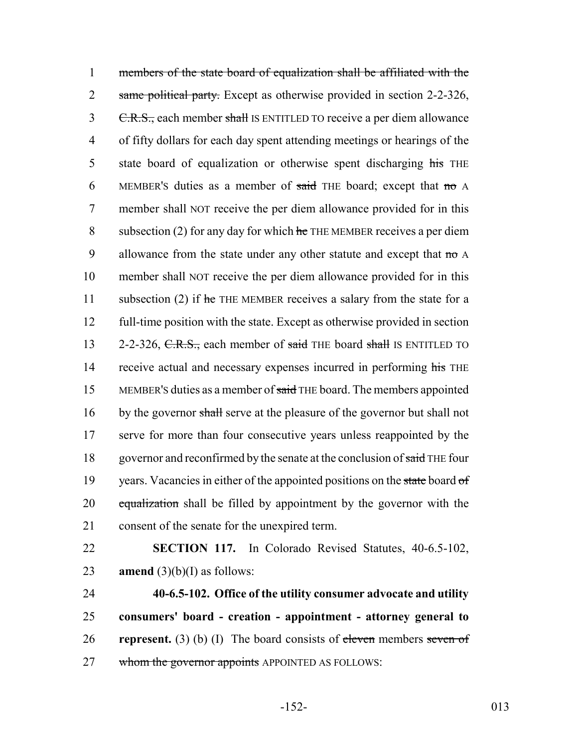1 members of the state board of equalization shall be affiliated with the 2 same political party. Except as otherwise provided in section 2-2-326, 3 C.R.S., each member shall IS ENTITLED TO receive a per diem allowance 4 of fifty dollars for each day spent attending meetings or hearings of the 5 state board of equalization or otherwise spent discharging his THE 6 MEMBER's duties as a member of said THE board; except that no A 7 member shall NOT receive the per diem allowance provided for in this 8 subsection (2) for any day for which  $he$  THE MEMBER receives a per diem 9 allowance from the state under any other statute and except that no A 10 member shall NOT receive the per diem allowance provided for in this 11 subsection (2) if  $he$  THE MEMBER receives a salary from the state for a 12 full-time position with the state. Except as otherwise provided in section 13 2-2-326, C.R.S., each member of said THE board shall IS ENTITLED TO 14 receive actual and necessary expenses incurred in performing his THE 15 MEMBER's duties as a member of said THE board. The members appointed 16 by the governor shall serve at the pleasure of the governor but shall not 17 serve for more than four consecutive years unless reappointed by the 18 governor and reconfirmed by the senate at the conclusion of said THE four 19 vears. Vacancies in either of the appointed positions on the state board of 20 equalization shall be filled by appointment by the governor with the 21 consent of the senate for the unexpired term.

22 **SECTION 117.** In Colorado Revised Statutes, 40-6.5-102, 23 **amend**  $(3)(b)(I)$  as follows:

 **40-6.5-102. Office of the utility consumer advocate and utility consumers' board - creation - appointment - attorney general to represent.** (3) (b) (I) The board consists of eleven members seven of 27 whom the governor appoints APPOINTED AS FOLLOWS: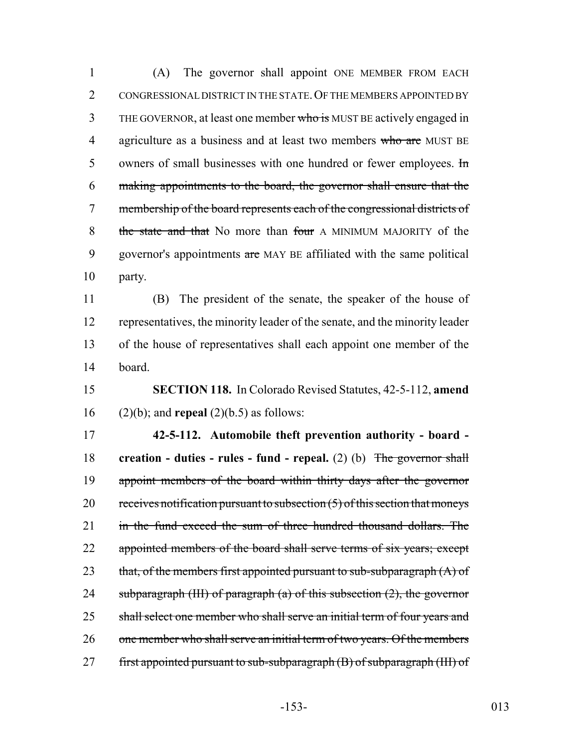1 (A) The governor shall appoint ONE MEMBER FROM EACH 2 CONGRESSIONAL DISTRICT IN THE STATE. OF THE MEMBERS APPOINTED BY 3 THE GOVERNOR, at least one member who is MUST BE actively engaged in 4 agriculture as a business and at least two members who are MUST BE 5 owners of small businesses with one hundred or fewer employees. In 6 making appointments to the board, the governor shall ensure that the 7 membership of the board represents each of the congressional districts of 8 the state and that No more than four A MINIMUM MAJORITY of the 9 governor's appointments are MAY BE affiliated with the same political 10 party.

 (B) The president of the senate, the speaker of the house of representatives, the minority leader of the senate, and the minority leader of the house of representatives shall each appoint one member of the 14 board.

15 **SECTION 118.** In Colorado Revised Statutes, 42-5-112, **amend** 16 (2)(b); and **repeal** (2)(b.5) as follows:

17 **42-5-112. Automobile theft prevention authority - board -** 18 **creation - duties - rules - fund - repeal.** (2) (b) The governor shall 19 appoint members of the board within thirty days after the governor 20 receives notification pursuant to subsection  $(5)$  of this section that moneys 21 in the fund exceed the sum of three hundred thousand dollars. The 22 appointed members of the board shall serve terms of six years; except 23 that, of the members first appointed pursuant to sub-subparagraph  $(A)$  of 24 subparagraph (III) of paragraph  $(a)$  of this subsection  $(2)$ , the governor 25 shall select one member who shall serve an initial term of four years and 26 one member who shall serve an initial term of two years. Of the members 27 first appointed pursuant to sub-subparagraph (B) of subparagraph (III) of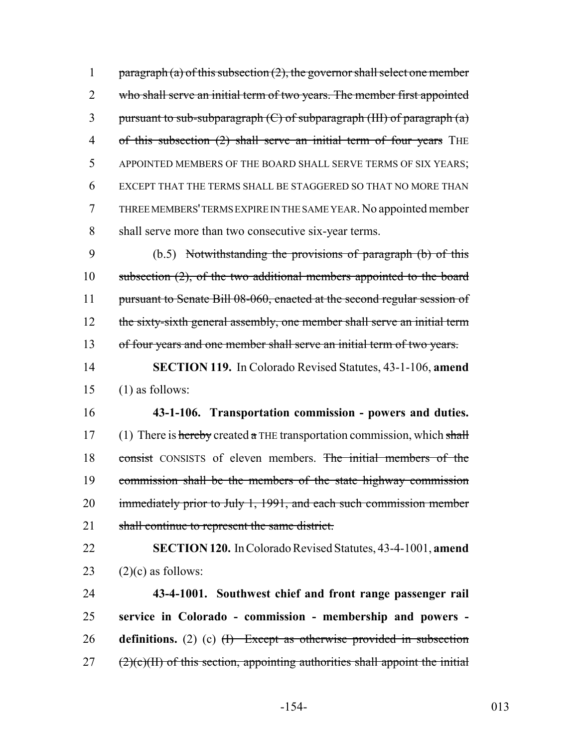1 paragraph (a) of this subsection  $(2)$ , the governor shall select one member 2 who shall serve an initial term of two years. The member first appointed 3 pursuant to sub-subparagraph  $(C)$  of subparagraph  $(HI)$  of paragraph  $(a)$ 4 of this subsection (2) shall serve an initial term of four years THE 5 APPOINTED MEMBERS OF THE BOARD SHALL SERVE TERMS OF SIX YEARS; 6 EXCEPT THAT THE TERMS SHALL BE STAGGERED SO THAT NO MORE THAN 7 THREE MEMBERS' TERMS EXPIRE IN THE SAME YEAR. No appointed member 8 shall serve more than two consecutive six-year terms.

9 (b.5) Notwithstanding the provisions of paragraph (b) of this 10 subsection (2), of the two additional members appointed to the board 11 pursuant to Senate Bill 08-060, enacted at the second regular session of 12 the sixty-sixth general assembly, one member shall serve an initial term 13 of four years and one member shall serve an initial term of two years.

14 **SECTION 119.** In Colorado Revised Statutes, 43-1-106, **amend** 15 (1) as follows:

16 **43-1-106. Transportation commission - powers and duties.** 17 (1) There is hereby created a THE transportation commission, which shall 18 consist CONSISTS of eleven members. The initial members of the 19 commission shall be the members of the state highway commission 20 immediately prior to July 1, 1991, and each such commission member 21 shall continue to represent the same district.

22 **SECTION 120.** In Colorado Revised Statutes, 43-4-1001, **amend** 23  $(2)(c)$  as follows:

 **43-4-1001. Southwest chief and front range passenger rail service in Colorado - commission - membership and powers - definitions.** (2) (c) (I) Except as otherwise provided in subsection ( $2$ )(c)(II) of this section, appointing authorities shall appoint the initial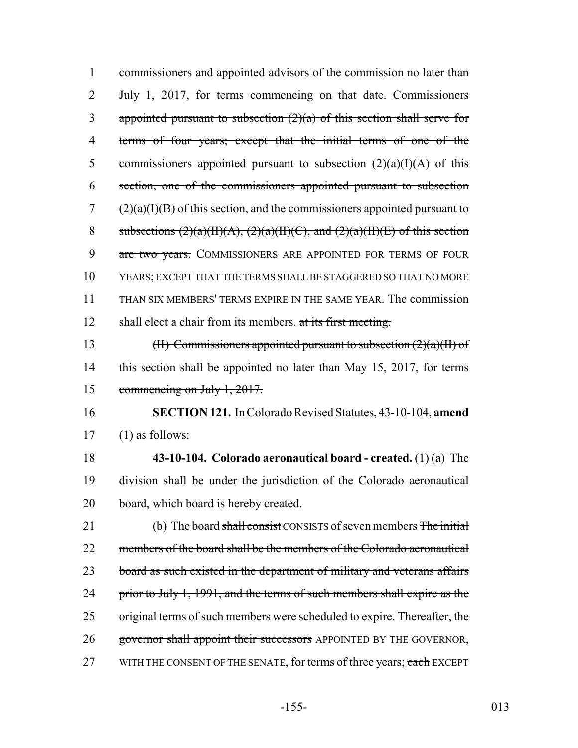| 1  | commissioners and appointed advisors of the commission no later than         |
|----|------------------------------------------------------------------------------|
| 2  | July 1, 2017, for terms commencing on that date. Commissioners               |
| 3  | appointed pursuant to subsection $(2)(a)$ of this section shall serve for    |
| 4  | terms of four years; except that the initial terms of one of the             |
| 5  | commissioners appointed pursuant to subsection $(2)(a)(I)(A)$ of this        |
| 6  | section, one of the commissioners appointed pursuant to subsection           |
| 7  | $(2)(a)(I)(B)$ of this section, and the commissioners appointed pursuant to  |
| 8  | subsections $(2)(a)(H)(A), (2)(a)(H)(C),$ and $(2)(a)(H)(E)$ of this section |
| 9  | are two years. COMMISSIONERS ARE APPOINTED FOR TERMS OF FOUR                 |
| 10 | YEARS; EXCEPT THAT THE TERMS SHALL BE STAGGERED SO THAT NO MORE              |
| 11 | THAN SIX MEMBERS' TERMS EXPIRE IN THE SAME YEAR. The commission              |
| 12 | shall elect a chair from its members. at its first meeting.                  |
| 13 | (II) Commissioners appointed pursuant to subsection $(2)(a)(H)$ of           |
| 14 | this section shall be appointed no later than May 15, 2017, for terms        |
| 15 | commencing on July $1, 2017$ .                                               |
| 16 | <b>SECTION 121.</b> In Colorado Revised Statutes, 43-10-104, amend           |
| 17 | $(1)$ as follows:                                                            |
| 18 | 43-10-104. Colorado aeronautical board - created. $(1)(a)$ The               |
| 19 | division shall be under the jurisdiction of the Colorado aeronautical        |
| 20 | board, which board is hereby created.                                        |
| 21 | (b) The board shall consist CONSISTS of seven members The initial            |
| 22 | members of the board shall be the members of the Colorado aeronautical       |
| 23 | board as such existed in the department of military and veterans affairs     |
| 24 | prior to July 1, 1991, and the terms of such members shall expire as the     |
| 25 | original terms of such members were scheduled to expire. Thereafter, the     |
| 26 | governor shall appoint their successors APPOINTED BY THE GOVERNOR,           |
| 27 | WITH THE CONSENT OF THE SENATE, for terms of three years; each EXCEPT        |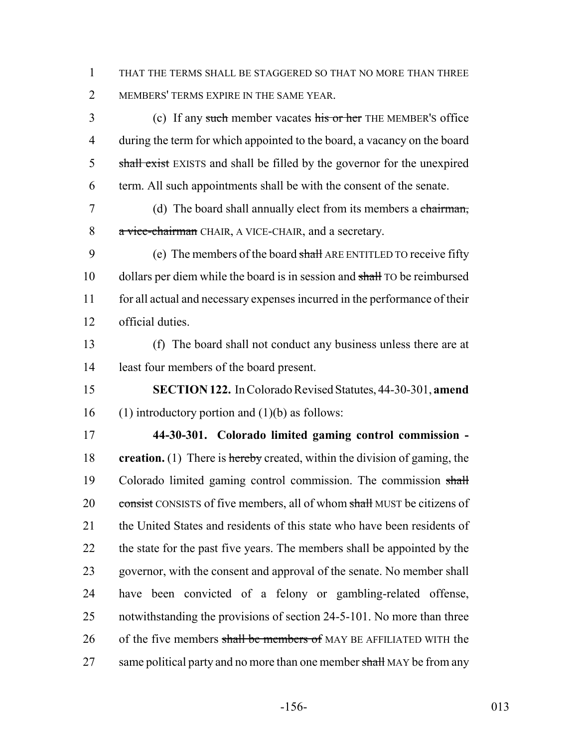1 THAT THE TERMS SHALL BE STAGGERED SO THAT NO MORE THAN THREE 2 MEMBERS' TERMS EXPIRE IN THE SAME YEAR.

3 (c) If any such member vacates his or her THE MEMBER's office 4 during the term for which appointed to the board, a vacancy on the board 5 shall exist EXISTS and shall be filled by the governor for the unexpired 6 term. All such appointments shall be with the consent of the senate.

7 (d) The board shall annually elect from its members a chairman, 8 a vice-chairman CHAIR, A VICE-CHAIR, and a secretary.

9 (e) The members of the board shall ARE ENTITLED TO receive fifty 10 dollars per diem while the board is in session and shall TO be reimbursed 11 for all actual and necessary expenses incurred in the performance of their 12 official duties.

13 (f) The board shall not conduct any business unless there are at 14 least four members of the board present.

15 **SECTION 122.** In Colorado Revised Statutes, 44-30-301, **amend** 16 (1) introductory portion and  $(1)(b)$  as follows:

17 **44-30-301. Colorado limited gaming control commission -** 18 **creation.** (1) There is hereby created, within the division of gaming, the 19 Colorado limited gaming control commission. The commission shall 20 consist CONSISTS of five members, all of whom shall MUST be citizens of 21 the United States and residents of this state who have been residents of 22 the state for the past five years. The members shall be appointed by the 23 governor, with the consent and approval of the senate. No member shall 24 have been convicted of a felony or gambling-related offense, 25 notwithstanding the provisions of section 24-5-101. No more than three 26 of the five members shall be members of MAY BE AFFILIATED WITH the 27 same political party and no more than one member shall MAY be from any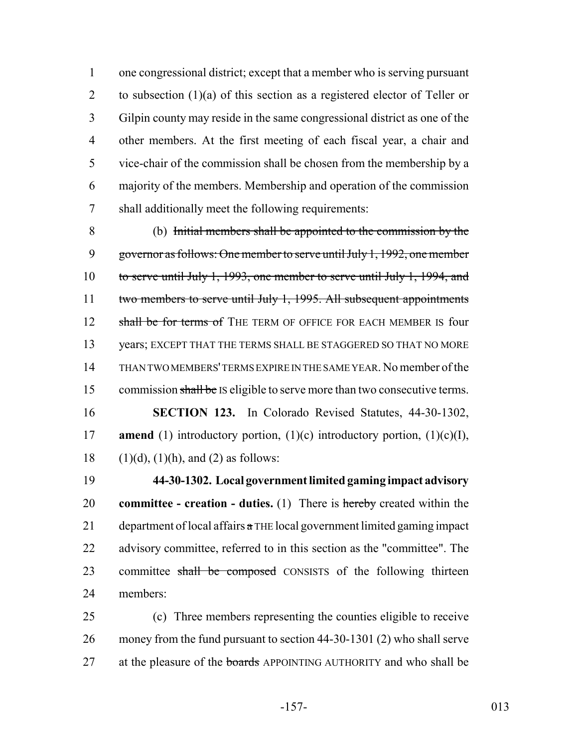one congressional district; except that a member who is serving pursuant 2 to subsection (1)(a) of this section as a registered elector of Teller or Gilpin county may reside in the same congressional district as one of the other members. At the first meeting of each fiscal year, a chair and vice-chair of the commission shall be chosen from the membership by a majority of the members. Membership and operation of the commission shall additionally meet the following requirements:

 (b) Initial members shall be appointed to the commission by the governor as follows: One member to serve until July 1, 1992, one member to serve until July 1, 1993, one member to serve until July 1, 1994, and 11 two members to serve until July 1, 1995. All subsequent appointments 12 shall be for terms of THE TERM OF OFFICE FOR EACH MEMBER IS four years; EXCEPT THAT THE TERMS SHALL BE STAGGERED SO THAT NO MORE THAN TWO MEMBERS' TERMS EXPIRE IN THE SAME YEAR. No member of the 15 commission shall be IS eligible to serve more than two consecutive terms. **SECTION 123.** In Colorado Revised Statutes, 44-30-1302, **amend** (1) introductory portion, (1)(c) introductory portion, (1)(c)(I), 18 (1)(d), (1)(h), and (2) as follows:

 **44-30-1302. Local government limited gaming impact advisory committee - creation - duties.** (1) There is hereby created within the 21 department of local affairs  $\alpha$  THE local government limited gaming impact 22 advisory committee, referred to in this section as the "committee". The 23 committee shall be composed CONSISTS of the following thirteen members:

 (c) Three members representing the counties eligible to receive money from the fund pursuant to section 44-30-1301 (2) who shall serve 27 at the pleasure of the boards APPOINTING AUTHORITY and who shall be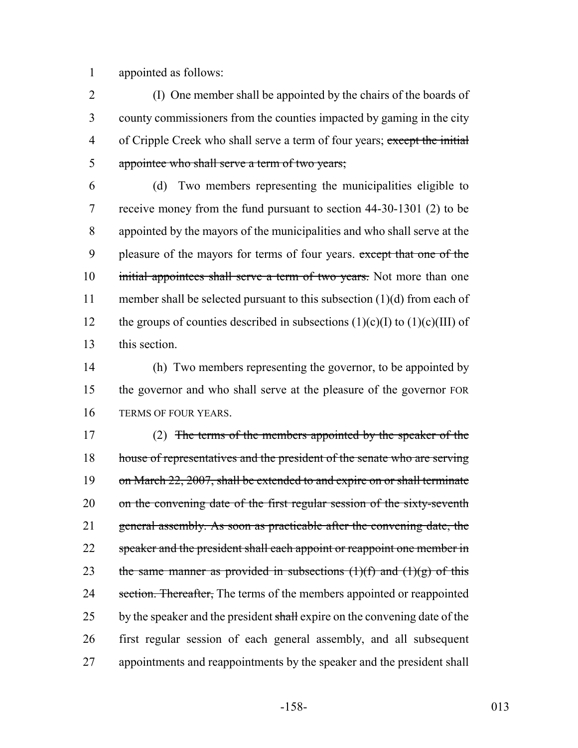1 appointed as follows:

 (I) One member shall be appointed by the chairs of the boards of county commissioners from the counties impacted by gaming in the city 4 of Cripple Creek who shall serve a term of four years; except the initial appointee who shall serve a term of two years;

6 (d) Two members representing the municipalities eligible to 7 receive money from the fund pursuant to section 44-30-1301 (2) to be 8 appointed by the mayors of the municipalities and who shall serve at the 9 pleasure of the mayors for terms of four years. except that one of the 10 initial appointees shall serve a term of two years. Not more than one 11 member shall be selected pursuant to this subsection (1)(d) from each of 12 the groups of counties described in subsections  $(1)(c)(I)$  to  $(1)(c)(III)$  of 13 this section.

14 (h) Two members representing the governor, to be appointed by 15 the governor and who shall serve at the pleasure of the governor FOR 16 TERMS OF FOUR YEARS.

17 (2) The terms of the members appointed by the speaker of the 18 house of representatives and the president of the senate who are serving 19 on March 22, 2007, shall be extended to and expire on or shall terminate 20 on the convening date of the first regular session of the sixty-seventh 21 general assembly. As soon as practicable after the convening date, the 22 speaker and the president shall each appoint or reappoint one member in 23 the same manner as provided in subsections  $(1)(f)$  and  $(1)(g)$  of this 24 section. Thereafter, The terms of the members appointed or reappointed 25 by the speaker and the president shall expire on the convening date of the 26 first regular session of each general assembly, and all subsequent 27 appointments and reappointments by the speaker and the president shall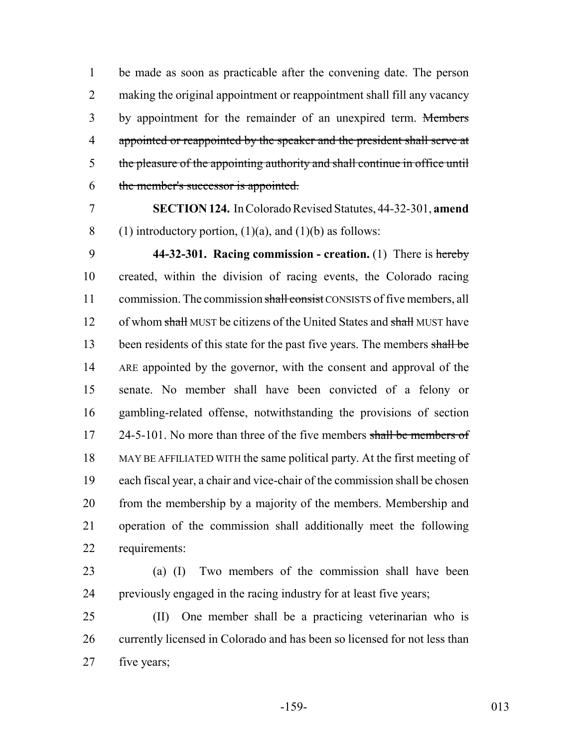be made as soon as practicable after the convening date. The person 2 making the original appointment or reappointment shall fill any vacancy 3 by appointment for the remainder of an unexpired term. Members 4 appointed or reappointed by the speaker and the president shall serve at the pleasure of the appointing authority and shall continue in office until the member's successor is appointed.

 **SECTION 124.** In Colorado Revised Statutes, 44-32-301, **amend** 8 (1) introductory portion,  $(1)(a)$ , and  $(1)(b)$  as follows:

 **44-32-301. Racing commission - creation.** (1) There is hereby created, within the division of racing events, the Colorado racing 11 commission. The commission shall consist CONSISTS of five members, all 12 of whom shall MUST be citizens of the United States and shall MUST have 13 been residents of this state for the past five years. The members shall be 14 ARE appointed by the governor, with the consent and approval of the senate. No member shall have been convicted of a felony or gambling-related offense, notwithstanding the provisions of section 17 24-5-101. No more than three of the five members shall be members of MAY BE AFFILIATED WITH the same political party. At the first meeting of each fiscal year, a chair and vice-chair of the commission shall be chosen from the membership by a majority of the members. Membership and operation of the commission shall additionally meet the following requirements:

 (a) (I) Two members of the commission shall have been previously engaged in the racing industry for at least five years;

 (II) One member shall be a practicing veterinarian who is currently licensed in Colorado and has been so licensed for not less than five years;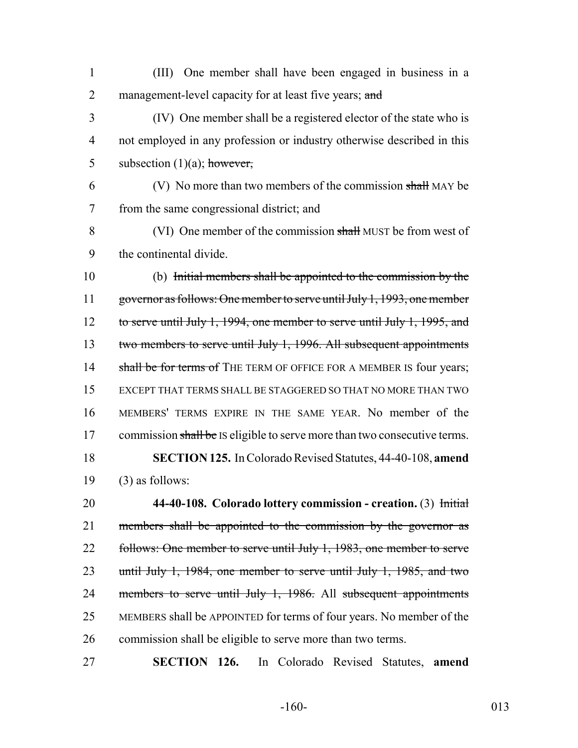(III) One member shall have been engaged in business in a 2 management-level capacity for at least five years; and

 (IV) One member shall be a registered elector of the state who is not employed in any profession or industry otherwise described in this 5 subsection  $(1)(a)$ ; however,

 (V) No more than two members of the commission shall MAY be from the same congressional district; and

8 (VI) One member of the commission shall MUST be from west of the continental divide.

 (b) Initial members shall be appointed to the commission by the 11 governor as follows: One member to serve until July 1, 1993, one member 12 to serve until July 1, 1994, one member to serve until July 1, 1995, and 13 two members to serve until July 1, 1996. All subsequent appointments 14 shall be for terms of THE TERM OF OFFICE FOR A MEMBER IS four years; EXCEPT THAT TERMS SHALL BE STAGGERED SO THAT NO MORE THAN TWO MEMBERS' TERMS EXPIRE IN THE SAME YEAR. No member of the 17 commission shall be IS eligible to serve more than two consecutive terms. **SECTION 125.** In Colorado Revised Statutes, 44-40-108, **amend** (3) as follows:

 **44-40-108. Colorado lottery commission - creation.** (3) Initial members shall be appointed to the commission by the governor as 22 follows: One member to serve until July 1, 1983, one member to serve until July 1, 1984, one member to serve until July 1, 1985, and two 24 members to serve until July 1, 1986. All subsequent appointments MEMBERS shall be APPOINTED for terms of four years. No member of the commission shall be eligible to serve more than two terms.

**SECTION 126.** In Colorado Revised Statutes, **amend**

-160- 013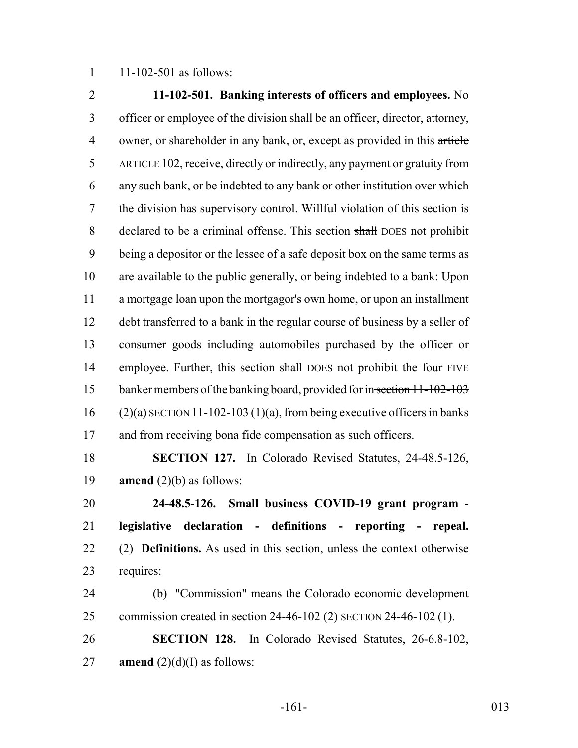11-102-501 as follows:

 **11-102-501. Banking interests of officers and employees.** No officer or employee of the division shall be an officer, director, attorney, 4 owner, or shareholder in any bank, or, except as provided in this article ARTICLE 102, receive, directly or indirectly, any payment or gratuity from any such bank, or be indebted to any bank or other institution over which the division has supervisory control. Willful violation of this section is declared to be a criminal offense. This section shall DOES not prohibit being a depositor or the lessee of a safe deposit box on the same terms as are available to the public generally, or being indebted to a bank: Upon a mortgage loan upon the mortgagor's own home, or upon an installment debt transferred to a bank in the regular course of business by a seller of consumer goods including automobiles purchased by the officer or 14 employee. Further, this section shall DOES not prohibit the four FIVE 15 banker members of the banking board, provided for in section 11-102-103  $(2)(a)$  SECTION 11-102-103 (1)(a), from being executive officers in banks 17 and from receiving bona fide compensation as such officers. **SECTION 127.** In Colorado Revised Statutes, 24-48.5-126, **amend** (2)(b) as follows:

 **24-48.5-126. Small business COVID-19 grant program - legislative declaration - definitions - reporting - repeal.** (2) **Definitions.** As used in this section, unless the context otherwise requires:

 (b) "Commission" means the Colorado economic development 25 commission created in section  $24-46-102$  (2) SECTION 24-46-102 (1).

 **SECTION 128.** In Colorado Revised Statutes, 26-6.8-102, 27 **amend**  $(2)(d)(I)$  as follows:

-161- 013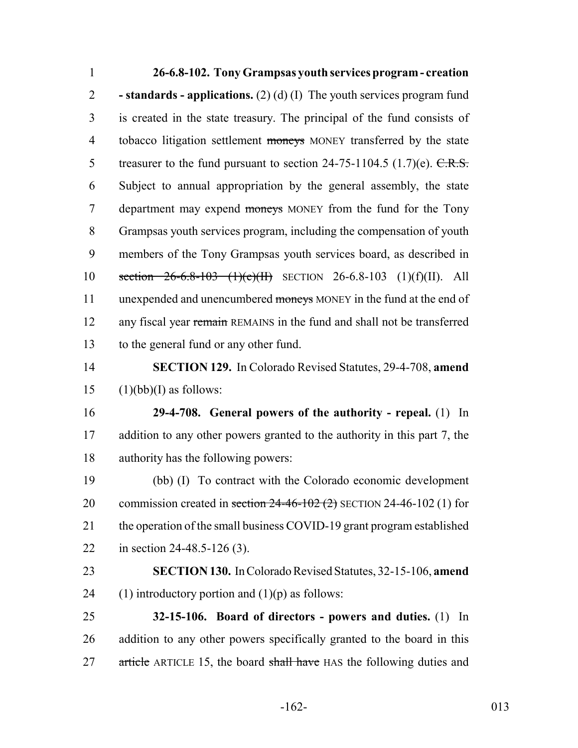**26-6.8-102. Tony Grampsas youth services program - creation - standards - applications.** (2) (d) (I) The youth services program fund is created in the state treasury. The principal of the fund consists of 4 tobacco litigation settlement moneys MONEY transferred by the state 5 treasurer to the fund pursuant to section  $24-75-1104.5$  (1.7)(e).  $C.R.S.$  Subject to annual appropriation by the general assembly, the state 7 department may expend moneys MONEY from the fund for the Tony Grampsas youth services program, including the compensation of youth members of the Tony Grampsas youth services board, as described in section 26-6.8-103 (1)(e)(II) SECTION 26-6.8-103 (1)(f)(II). All 11 unexpended and unencumbered moneys MONEY in the fund at the end of 12 any fiscal year remain REMAINS in the fund and shall not be transferred to the general fund or any other fund.

14 **SECTION 129.** In Colorado Revised Statutes, 29-4-708, **amend** 15  $(1)(bb)(I)$  as follows:

16 **29-4-708. General powers of the authority - repeal.** (1) In 17 addition to any other powers granted to the authority in this part 7, the 18 authority has the following powers:

19 (bb) (I) To contract with the Colorado economic development 20 commission created in section  $24-46-102$  (2) SECTION 24-46-102 (1) for 21 the operation of the small business COVID-19 grant program established 22 in section 24-48.5-126 (3).

23 **SECTION 130.** In Colorado Revised Statutes, 32-15-106, **amend** 24 (1) introductory portion and  $(1)(p)$  as follows:

25 **32-15-106. Board of directors - powers and duties.** (1) In 26 addition to any other powers specifically granted to the board in this 27 article ARTICLE 15, the board shall have HAS the following duties and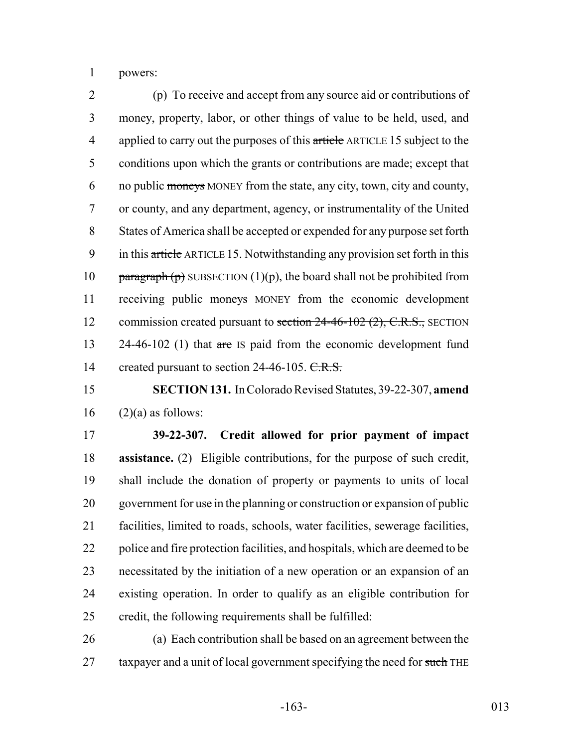powers:

 (p) To receive and accept from any source aid or contributions of money, property, labor, or other things of value to be held, used, and 4 applied to carry out the purposes of this article ARTICLE 15 subject to the conditions upon which the grants or contributions are made; except that 6 no public moneys MONEY from the state, any city, town, city and county, or county, and any department, agency, or instrumentality of the United States of America shall be accepted or expended for any purpose set forth 9 in this article ARTICLE 15. Notwithstanding any provision set forth in this 10 paragraph (p) SUBSECTION (1)(p), the board shall not be prohibited from 11 receiving public moneys MONEY from the economic development 12 commission created pursuant to section 24-46-102 (2), C.R.S., SECTION 13 24-46-102 (1) that are IS paid from the economic development fund 14 created pursuant to section 24-46-105. C.R.S.

 **SECTION 131.** In Colorado Revised Statutes, 39-22-307, **amend** (2)(a) as follows:

 **39-22-307. Credit allowed for prior payment of impact assistance.** (2) Eligible contributions, for the purpose of such credit, shall include the donation of property or payments to units of local government for use in the planning or construction or expansion of public facilities, limited to roads, schools, water facilities, sewerage facilities, 22 police and fire protection facilities, and hospitals, which are deemed to be necessitated by the initiation of a new operation or an expansion of an existing operation. In order to qualify as an eligible contribution for credit, the following requirements shall be fulfilled:

 (a) Each contribution shall be based on an agreement between the 27 taxpayer and a unit of local government specifying the need for such THE